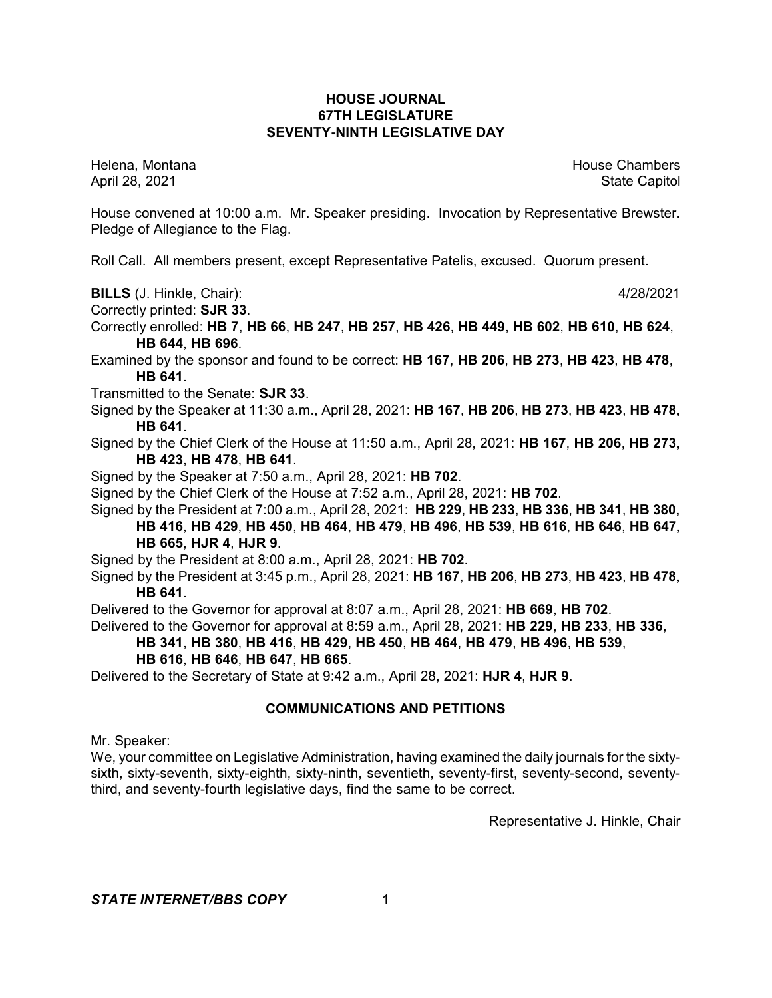# **HOUSE JOURNAL 67TH LEGISLATURE SEVENTY-NINTH LEGISLATIVE DAY**

Helena, Montana House Chambers Chambers Chambers Chambers Chambers Chambers Chambers Chambers Chambers Chambers April 28, 2021 State Capitol

House convened at 10:00 a.m. Mr. Speaker presiding. Invocation by Representative Brewster. Pledge of Allegiance to the Flag.

Roll Call. All members present, except Representative Patelis, excused. Quorum present.

**BILLS** (J. Hinkle, Chair): 4/28/2021

Correctly printed: **SJR 33**.

Correctly enrolled: **HB 7**, **HB 66**, **HB 247**, **HB 257**, **HB 426**, **HB 449**, **HB 602**, **HB 610**, **HB 624**, **HB 644**, **HB 696**.

Examined by the sponsor and found to be correct: **HB 167**, **HB 206**, **HB 273**, **HB 423**, **HB 478**, **HB 641**.

Transmitted to the Senate: **SJR 33**.

Signed by the Speaker at 11:30 a.m., April 28, 2021: **HB 167**, **HB 206**, **HB 273**, **HB 423**, **HB 478**, **HB 641**.

Signed by the Chief Clerk of the House at 11:50 a.m., April 28, 2021: **HB 167**, **HB 206**, **HB 273**, **HB 423**, **HB 478**, **HB 641**.

Signed by the Speaker at 7:50 a.m., April 28, 2021: **HB 702**.

Signed by the Chief Clerk of the House at 7:52 a.m., April 28, 2021: **HB 702**.

Signed by the President at 7:00 a.m., April 28, 2021: **HB 229**, **HB 233**, **HB 336**, **HB 341**, **HB 380**,

**HB 416**, **HB 429**, **HB 450**, **HB 464**, **HB 479**, **HB 496**, **HB 539**, **HB 616**, **HB 646**, **HB 647**,

**HB 665**, **HJR 4**, **HJR 9**.

Signed by the President at 8:00 a.m., April 28, 2021: **HB 702**.

Signed by the President at 3:45 p.m., April 28, 2021: **HB 167**, **HB 206**, **HB 273**, **HB 423**, **HB 478**, **HB 641**.

Delivered to the Governor for approval at 8:07 a.m., April 28, 2021: **HB 669**, **HB 702**.

Delivered to the Governor for approval at 8:59 a.m., April 28, 2021: **HB 229**, **HB 233**, **HB 336**,

**HB 341**, **HB 380**, **HB 416**, **HB 429**, **HB 450**, **HB 464**, **HB 479**, **HB 496**, **HB 539**,

## **HB 616**, **HB 646**, **HB 647**, **HB 665**.

Delivered to the Secretary of State at 9:42 a.m., April 28, 2021: **HJR 4**, **HJR 9**.

## **COMMUNICATIONS AND PETITIONS**

Mr. Speaker:

We, your committee on Legislative Administration, having examined the daily journals for the sixtysixth, sixty-seventh, sixty-eighth, sixty-ninth, seventieth, seventy-first, seventy-second, seventythird, and seventy-fourth legislative days, find the same to be correct.

Representative J. Hinkle, Chair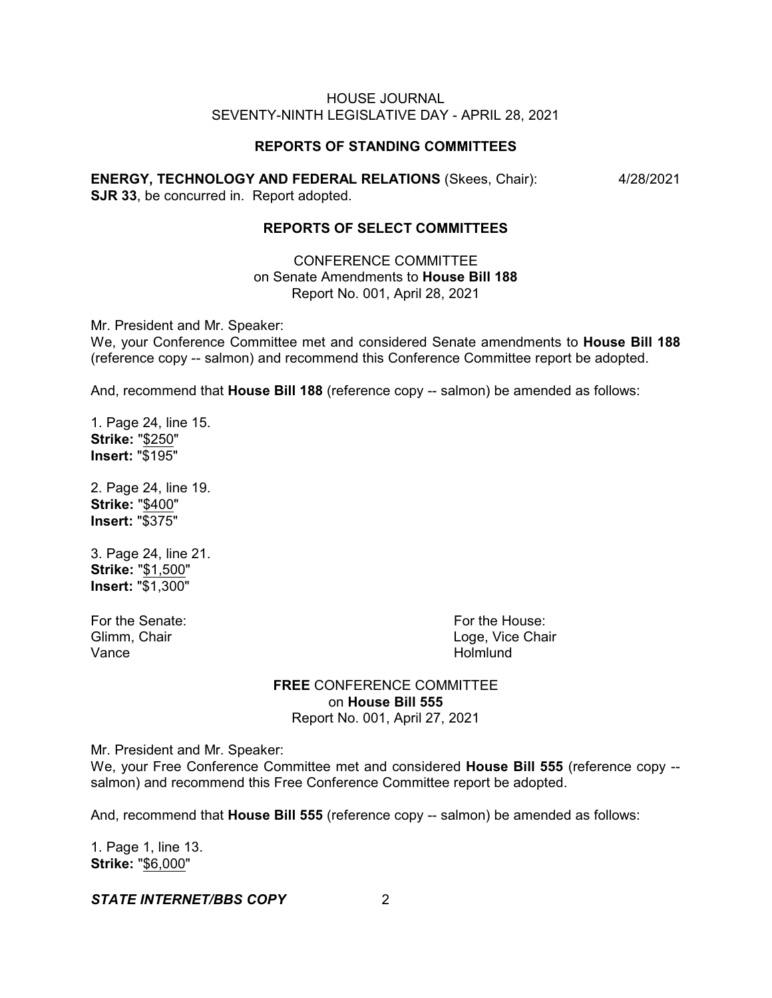#### **REPORTS OF STANDING COMMITTEES**

**ENERGY, TECHNOLOGY AND FEDERAL RELATIONS** (Skees, Chair): 4/28/2021 **SJR 33**, be concurred in. Report adopted.

#### **REPORTS OF SELECT COMMITTEES**

CONFERENCE COMMITTEE on Senate Amendments to **House Bill 188** Report No. 001, April 28, 2021

Mr. President and Mr. Speaker:

We, your Conference Committee met and considered Senate amendments to **House Bill 188** (reference copy -- salmon) and recommend this Conference Committee report be adopted.

And, recommend that **House Bill 188** (reference copy -- salmon) be amended as follows:

1. Page 24, line 15. **Strike:** "\$250" **Insert:** "\$195"

2. Page 24, line 19. **Strike:** "\$400" **Insert:** "\$375"

3. Page 24, line 21. **Strike:** "\$1,500" **Insert:** "\$1,300"

Vance **Holmlund** 

For the Senate: For the House: Glimm, Chair **Chair** Chair Loge, Vice Chair

# **FREE** CONFERENCE COMMITTEE on **House Bill 555** Report No. 001, April 27, 2021

Mr. President and Mr. Speaker:

We, your Free Conference Committee met and considered **House Bill 555** (reference copy - salmon) and recommend this Free Conference Committee report be adopted.

And, recommend that **House Bill 555** (reference copy -- salmon) be amended as follows:

1. Page 1, line 13. **Strike:** "\$6,000"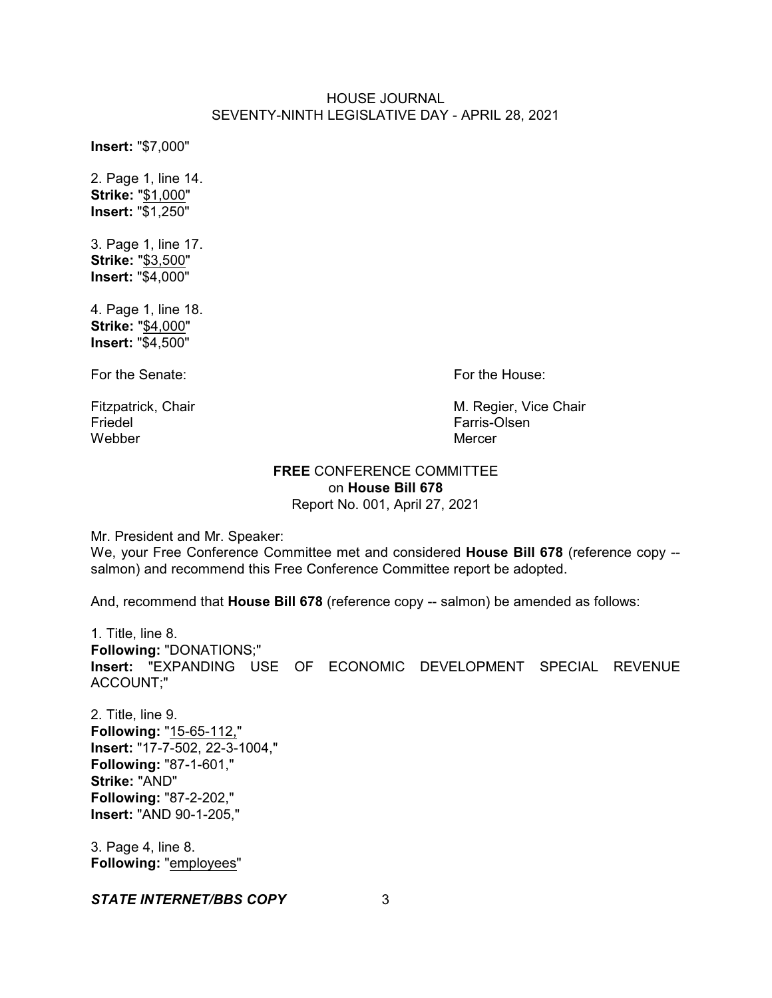**Insert:** "\$7,000"

2. Page 1, line 14. **Strike:** "\$1,000" **Insert:** "\$1,250"

3. Page 1, line 17. **Strike:** "\$3,500" **Insert:** "\$4,000"

4. Page 1, line 18. **Strike:** "\$4,000" **Insert:** "\$4,500"

For the Senate: For the House:

Friedel Friedel Entremental Solid Entremental Controller Entremental Controller Entremental Controller Entreme<br>
Farris-Olsen<br>
Mercer Webber Mercer

Fitzpatrick, Chair M. Regier, Vice Chair M. Regier, Vice Chair M. Regier, Vice Chair M. Regier, Vice Chair M. S<br>Triedel

# **FREE** CONFERENCE COMMITTEE on **House Bill 678** Report No. 001, April 27, 2021

Mr. President and Mr. Speaker:

We, your Free Conference Committee met and considered **House Bill 678** (reference copy - salmon) and recommend this Free Conference Committee report be adopted.

And, recommend that **House Bill 678** (reference copy -- salmon) be amended as follows:

1. Title, line 8. **Following:** "DONATIONS;" **Insert:** "EXPANDING USE OF ECONOMIC DEVELOPMENT SPECIAL REVENUE ACCOUNT;"

2. Title, line 9. **Following:** "15-65-112," **Insert:** "17-7-502, 22-3-1004," **Following:** "87-1-601," **Strike:** "AND" **Following:** "87-2-202," **Insert:** "AND 90-1-205,"

3. Page 4, line 8. **Following:** "employees"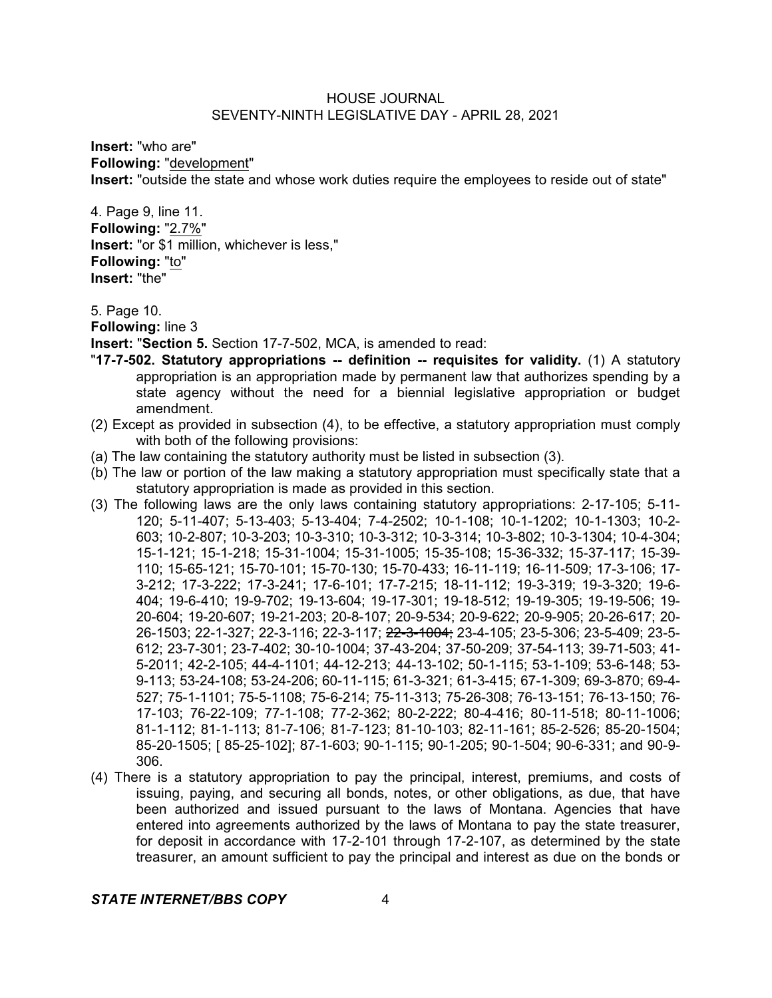**Insert:** "who are" **Following:** "development" **Insert:** "outside the state and whose work duties require the employees to reside out of state"

4. Page 9, line 11. **Following:** "2.7%" **Insert:** "or \$1 million, whichever is less," **Following:** "to" **Insert:** "the"

5. Page 10.

**Following:** line 3

**Insert:** "**Section 5.** Section 17-7-502, MCA, is amended to read:

- "**17-7-502. Statutory appropriations -- definition -- requisites for validity.** (1) A statutory appropriation is an appropriation made by permanent law that authorizes spending by a state agency without the need for a biennial legislative appropriation or budget amendment.
- (2) Except as provided in subsection (4), to be effective, a statutory appropriation must comply with both of the following provisions:
- (a) The law containing the statutory authority must be listed in subsection (3).
- (b) The law or portion of the law making a statutory appropriation must specifically state that a statutory appropriation is made as provided in this section.
- (3) The following laws are the only laws containing statutory appropriations: 2-17-105; 5-11- 120; 5-11-407; 5-13-403; 5-13-404; 7-4-2502; 10-1-108; 10-1-1202; 10-1-1303; 10-2- 603; 10-2-807; 10-3-203; 10-3-310; 10-3-312; 10-3-314; 10-3-802; 10-3-1304; 10-4-304; 15-1-121; 15-1-218; 15-31-1004; 15-31-1005; 15-35-108; 15-36-332; 15-37-117; 15-39- 110; 15-65-121; 15-70-101; 15-70-130; 15-70-433; 16-11-119; 16-11-509; 17-3-106; 17- 3-212; 17-3-222; 17-3-241; 17-6-101; 17-7-215; 18-11-112; 19-3-319; 19-3-320; 19-6- 404; 19-6-410; 19-9-702; 19-13-604; 19-17-301; 19-18-512; 19-19-305; 19-19-506; 19- 20-604; 19-20-607; 19-21-203; 20-8-107; 20-9-534; 20-9-622; 20-9-905; 20-26-617; 20- 26-1503; 22-1-327; 22-3-116; 22-3-117; 22-3-1004; 23-4-105; 23-5-306; 23-5-409; 23-5- 612; 23-7-301; 23-7-402; 30-10-1004; 37-43-204; 37-50-209; 37-54-113; 39-71-503; 41- 5-2011; 42-2-105; 44-4-1101; 44-12-213; 44-13-102; 50-1-115; 53-1-109; 53-6-148; 53- 9-113; 53-24-108; 53-24-206; 60-11-115; 61-3-321; 61-3-415; 67-1-309; 69-3-870; 69-4- 527; 75-1-1101; 75-5-1108; 75-6-214; 75-11-313; 75-26-308; 76-13-151; 76-13-150; 76- 17-103; 76-22-109; 77-1-108; 77-2-362; 80-2-222; 80-4-416; 80-11-518; 80-11-1006; 81-1-112; 81-1-113; 81-7-106; 81-7-123; 81-10-103; 82-11-161; 85-2-526; 85-20-1504; 85-20-1505; [ 85-25-102]; 87-1-603; 90-1-115; 90-1-205; 90-1-504; 90-6-331; and 90-9- 306.
- (4) There is a statutory appropriation to pay the principal, interest, premiums, and costs of issuing, paying, and securing all bonds, notes, or other obligations, as due, that have been authorized and issued pursuant to the laws of Montana. Agencies that have entered into agreements authorized by the laws of Montana to pay the state treasurer, for deposit in accordance with 17-2-101 through 17-2-107, as determined by the state treasurer, an amount sufficient to pay the principal and interest as due on the bonds or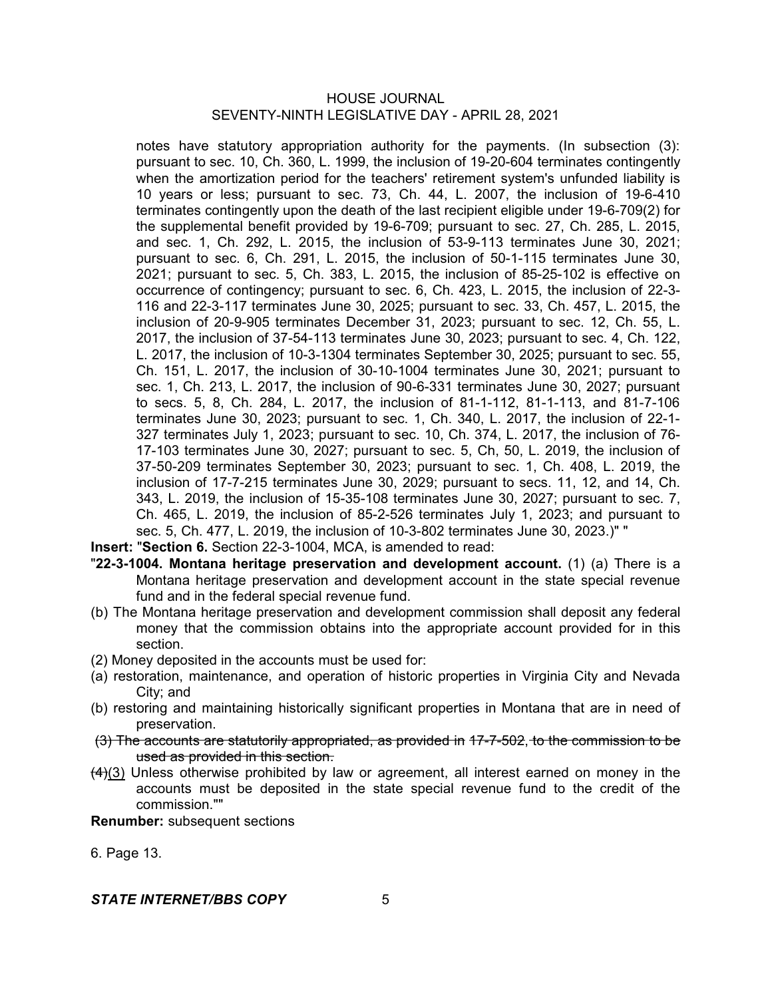notes have statutory appropriation authority for the payments. (In subsection (3): pursuant to sec. 10, Ch. 360, L. 1999, the inclusion of 19-20-604 terminates contingently when the amortization period for the teachers' retirement system's unfunded liability is 10 years or less; pursuant to sec. 73, Ch. 44, L. 2007, the inclusion of 19-6-410 terminates contingently upon the death of the last recipient eligible under 19-6-709(2) for the supplemental benefit provided by 19-6-709; pursuant to sec. 27, Ch. 285, L. 2015, and sec. 1, Ch. 292, L. 2015, the inclusion of 53-9-113 terminates June 30, 2021; pursuant to sec. 6, Ch. 291, L. 2015, the inclusion of 50-1-115 terminates June 30, 2021; pursuant to sec. 5, Ch. 383, L. 2015, the inclusion of 85-25-102 is effective on occurrence of contingency; pursuant to sec. 6, Ch. 423, L. 2015, the inclusion of 22-3- 116 and 22-3-117 terminates June 30, 2025; pursuant to sec. 33, Ch. 457, L. 2015, the inclusion of 20-9-905 terminates December 31, 2023; pursuant to sec. 12, Ch. 55, L. 2017, the inclusion of 37-54-113 terminates June 30, 2023; pursuant to sec. 4, Ch. 122, L. 2017, the inclusion of 10-3-1304 terminates September 30, 2025; pursuant to sec. 55, Ch. 151, L. 2017, the inclusion of 30-10-1004 terminates June 30, 2021; pursuant to sec. 1, Ch. 213, L. 2017, the inclusion of 90-6-331 terminates June 30, 2027; pursuant to secs. 5, 8, Ch. 284, L. 2017, the inclusion of 81-1-112, 81-1-113, and 81-7-106 terminates June 30, 2023; pursuant to sec. 1, Ch. 340, L. 2017, the inclusion of 22-1- 327 terminates July 1, 2023; pursuant to sec. 10, Ch. 374, L. 2017, the inclusion of 76- 17-103 terminates June 30, 2027; pursuant to sec. 5, Ch, 50, L. 2019, the inclusion of 37-50-209 terminates September 30, 2023; pursuant to sec. 1, Ch. 408, L. 2019, the inclusion of 17-7-215 terminates June 30, 2029; pursuant to secs. 11, 12, and 14, Ch. 343, L. 2019, the inclusion of 15-35-108 terminates June 30, 2027; pursuant to sec. 7, Ch. 465, L. 2019, the inclusion of 85-2-526 terminates July 1, 2023; and pursuant to sec. 5, Ch. 477, L. 2019, the inclusion of 10-3-802 terminates June 30, 2023.)" "

**Insert:** "**Section 6.** Section 22-3-1004, MCA, is amended to read:

- "**22-3-1004. Montana heritage preservation and development account.** (1) (a) There is a Montana heritage preservation and development account in the state special revenue fund and in the federal special revenue fund.
- (b) The Montana heritage preservation and development commission shall deposit any federal money that the commission obtains into the appropriate account provided for in this section.
- (2) Money deposited in the accounts must be used for:
- (a) restoration, maintenance, and operation of historic properties in Virginia City and Nevada City; and
- (b) restoring and maintaining historically significant properties in Montana that are in need of preservation.
- (3) The accounts are statutorily appropriated, as provided in 17-7-502, to the commission to be used as provided in this section.
- $(4)(3)$  Unless otherwise prohibited by law or agreement, all interest earned on money in the accounts must be deposited in the state special revenue fund to the credit of the commission.""

**Renumber:** subsequent sections

6. Page 13.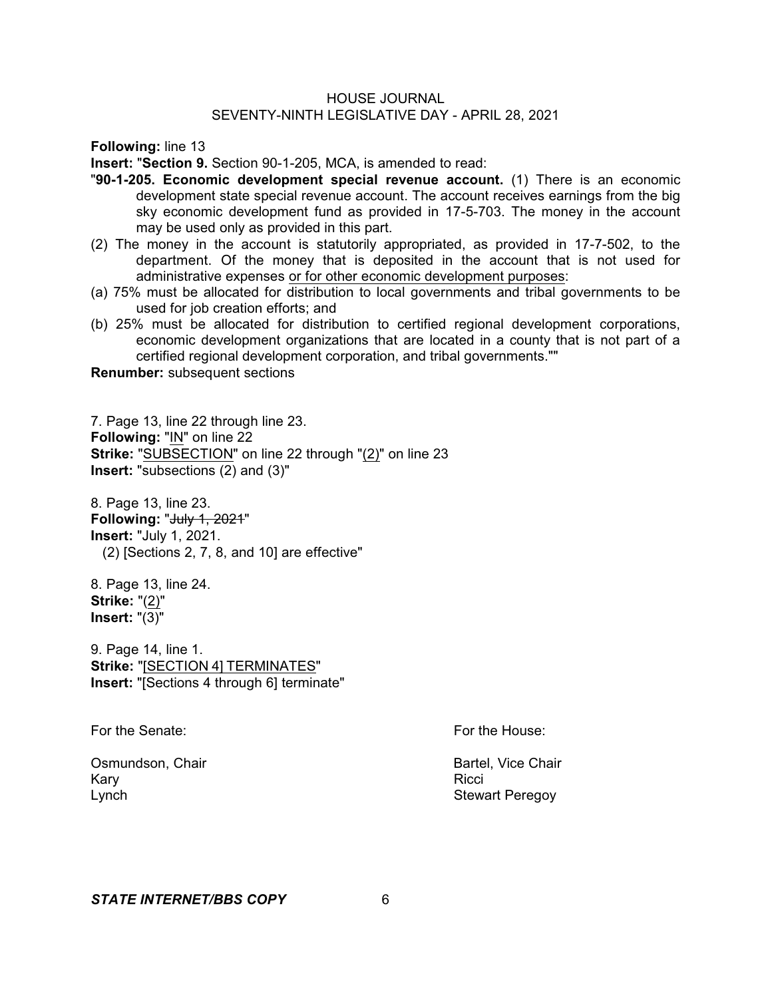**Following:** line 13

**Insert:** "**Section 9.** Section 90-1-205, MCA, is amended to read:

- "**90-1-205. Economic development special revenue account.** (1) There is an economic development state special revenue account. The account receives earnings from the big sky economic development fund as provided in 17-5-703. The money in the account may be used only as provided in this part.
- (2) The money in the account is statutorily appropriated, as provided in 17-7-502, to the department. Of the money that is deposited in the account that is not used for administrative expenses or for other economic development purposes:
- (a) 75% must be allocated for distribution to local governments and tribal governments to be used for job creation efforts; and
- (b) 25% must be allocated for distribution to certified regional development corporations, economic development organizations that are located in a county that is not part of a certified regional development corporation, and tribal governments.""

**Renumber:** subsequent sections

7. Page 13, line 22 through line 23. **Following:** "IN" on line 22 **Strike:** "SUBSECTION" on line 22 through "(2)" on line 23 **Insert:** "subsections (2) and (3)"

8. Page 13, line 23. **Following: "July 1, 2021" Insert:** "July 1, 2021. (2) [Sections 2, 7, 8, and 10] are effective"

8. Page 13, line 24. **Strike:** "(2)" **Insert:** "(3)"

9. Page 14, line 1. **Strike:** "[SECTION 4] TERMINATES" **Insert:** "[Sections 4 through 6] terminate"

For the Senate: For the House:

Osmundson, Chair **Bartel, Vice Chair** Bartel, Vice Chair Kary Ricci (Research Mary Ricci ) and the Ricci (Research Mary Ricci ) and the Ricci (Research Mary Ricci ) and Lynch **Stewart Peregoy**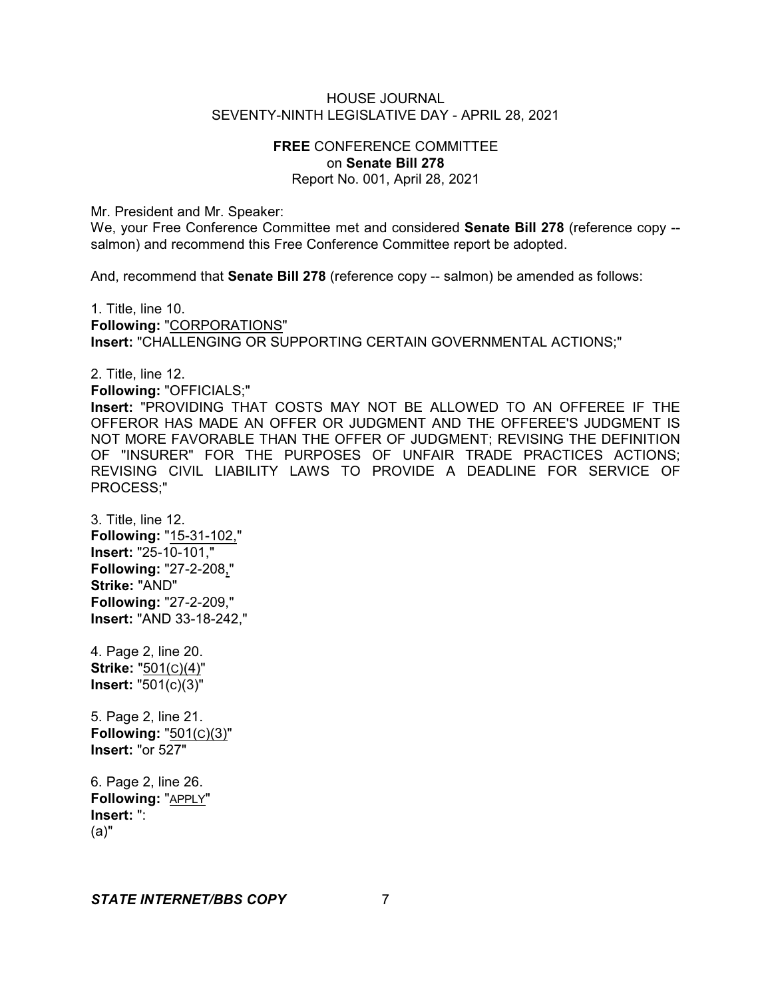# **FREE** CONFERENCE COMMITTEE on **Senate Bill 278** Report No. 001, April 28, 2021

Mr. President and Mr. Speaker:

We, your Free Conference Committee met and considered **Senate Bill 278** (reference copy - salmon) and recommend this Free Conference Committee report be adopted.

And, recommend that **Senate Bill 278** (reference copy -- salmon) be amended as follows:

1. Title, line 10. **Following:** "CORPORATIONS" **Insert:** "CHALLENGING OR SUPPORTING CERTAIN GOVERNMENTAL ACTIONS;"

2. Title, line 12. **Following:** "OFFICIALS;" **Insert:** "PROVIDING THAT COSTS MAY NOT BE ALLOWED TO AN OFFEREE IF THE OFFEROR HAS MADE AN OFFER OR JUDGMENT AND THE OFFEREE'S JUDGMENT IS NOT MORE FAVORABLE THAN THE OFFER OF JUDGMENT; REVISING THE DEFINITION OF "INSURER" FOR THE PURPOSES OF UNFAIR TRADE PRACTICES ACTIONS; REVISING CIVIL LIABILITY LAWS TO PROVIDE A DEADLINE FOR SERVICE OF PROCESS;"

3. Title, line 12. **Following:** "15-31-102," **Insert:** "25-10-101," **Following:** "27-2-208," **Strike:** "AND" **Following:** "27-2-209," **Insert:** "AND 33-18-242,"

4. Page 2, line 20. **Strike:** "501(C)(4)" **Insert:** "501(c)(3)"

5. Page 2, line 21. **Following:** "501(C)(3)" **Insert:** "or 527"

6. Page 2, line 26. **Following:** "APPLY" **Insert:** ": (a)"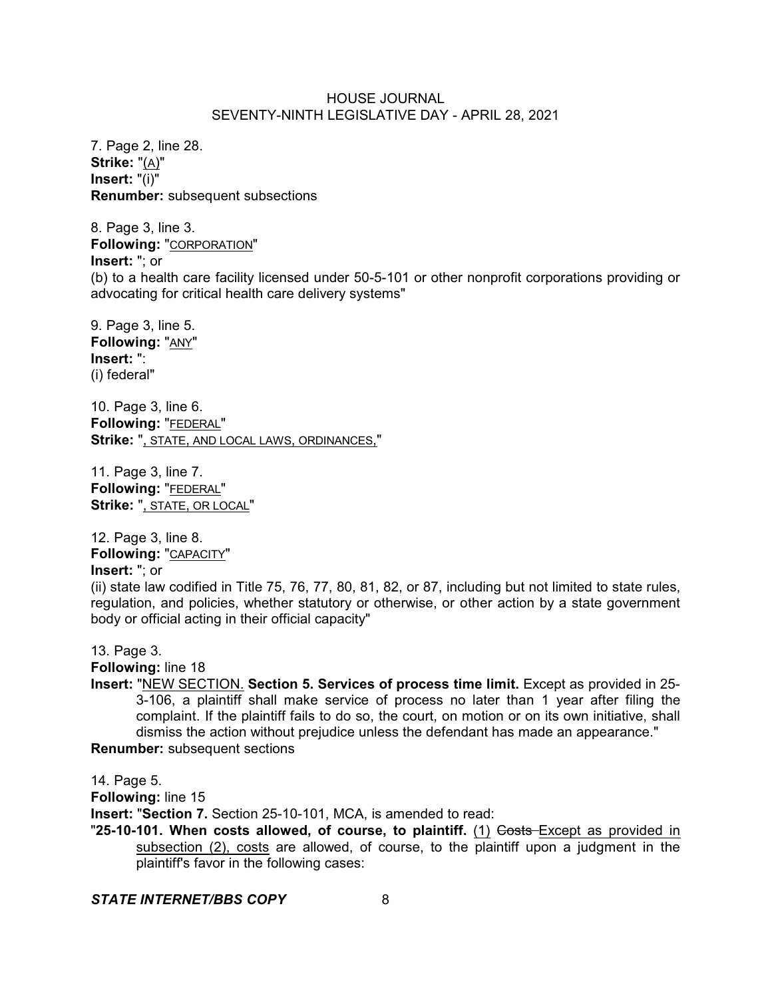7. Page 2, line 28. **Strike:** "(A)" **Insert:** "(i)" **Renumber:** subsequent subsections

8. Page 3, line 3. **Following:** "CORPORATION" **Insert:** "; or (b) to a health care facility licensed under 50-5-101 or other nonprofit corporations providing or advocating for critical health care delivery systems"

9. Page 3, line 5. **Following:** "ANY" **Insert:** ": (i) federal"

10. Page 3, line 6. **Following:** "FEDERAL" **Strike:** ", STATE, AND LOCAL LAWS, ORDINANCES,"

11. Page 3, line 7. **Following:** "FEDERAL" **Strike:** ", STATE, OR LOCAL"

12. Page 3, line 8. **Following:** "CAPACITY" **Insert:** "; or (ii) state law codified in Title 75, 76, 77, 80, 81, 82, or 87, including but not limited to state rules, regulation, and policies, whether statutory or otherwise, or other action by a state government body or official acting in their official capacity"

13. Page 3. **Following:** line 18

**Insert:** "NEW SECTION. **Section 5. Services of process time limit.** Except as provided in 25- 3-106, a plaintiff shall make service of process no later than 1 year after filing the complaint. If the plaintiff fails to do so, the court, on motion or on its own initiative, shall dismiss the action without prejudice unless the defendant has made an appearance." **Renumber:** subsequent sections

14. Page 5.

**Following:** line 15

**Insert:** "**Section 7.** Section 25-10-101, MCA, is amended to read:

**"25-10-101. When costs allowed, of course, to plaintiff.** (1) Gosts Except as provided in subsection (2), costs are allowed, of course, to the plaintiff upon a judgment in the plaintiff's favor in the following cases: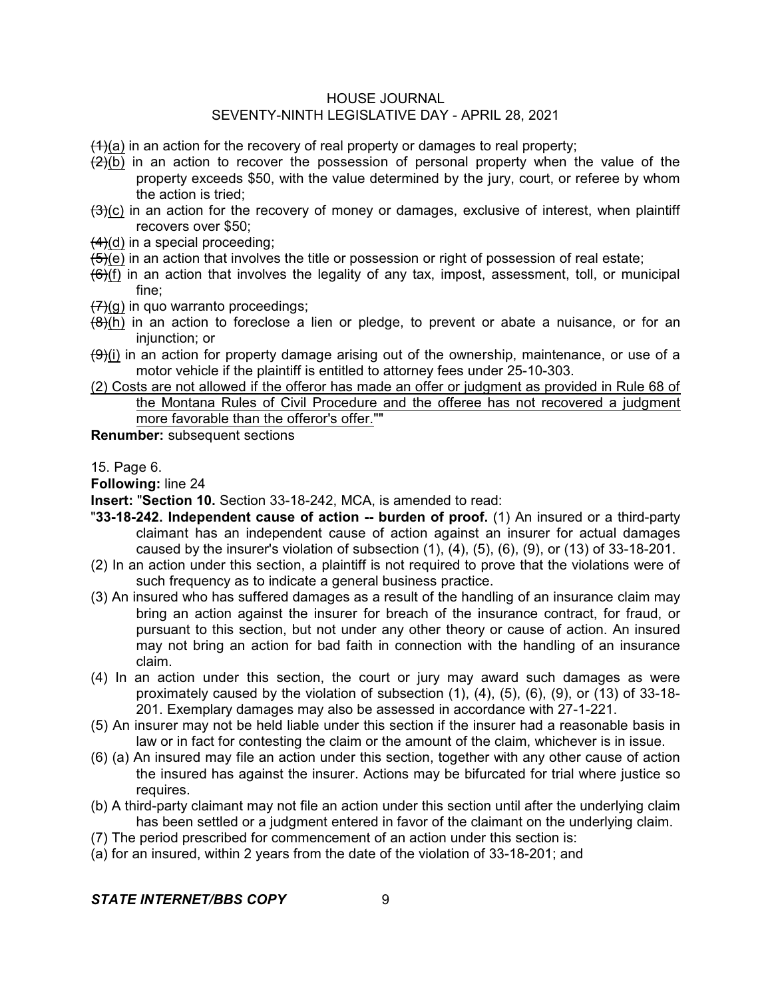$(1)(a)$  in an action for the recovery of real property or damages to real property;

- $\left(\frac{2}{2}\right)$  in an action to recover the possession of personal property when the value of the property exceeds \$50, with the value determined by the jury, court, or referee by whom the action is tried;
- $(3)(c)$  in an action for the recovery of money or damages, exclusive of interest, when plaintiff recovers over \$50;
- $(4)(d)$  in a special proceeding;
- $(5)(e)$  in an action that involves the title or possession or right of possession of real estate;
- $(6)$ (f) in an action that involves the legality of any tax, impost, assessment, toll, or municipal fine;
- $(7)(q)$  in quo warranto proceedings;
- $(8)$ (h) in an action to foreclose a lien or pledge, to prevent or abate a nuisance, or for an injunction; or
- $(\theta)$ (i) in an action for property damage arising out of the ownership, maintenance, or use of a motor vehicle if the plaintiff is entitled to attorney fees under 25-10-303.
- (2) Costs are not allowed if the offeror has made an offer or judgment as provided in Rule 68 of the Montana Rules of Civil Procedure and the offeree has not recovered a judgment more favorable than the offeror's offer.""

**Renumber:** subsequent sections

15. Page 6.

**Following:** line 24

**Insert:** "**Section 10.** Section 33-18-242, MCA, is amended to read:

- "**33-18-242. Independent cause of action -- burden of proof.** (1) An insured or a third-party claimant has an independent cause of action against an insurer for actual damages caused by the insurer's violation of subsection  $(1)$ ,  $(4)$ ,  $(5)$ ,  $(6)$ ,  $(9)$ , or  $(13)$  of 33-18-201.
- (2) In an action under this section, a plaintiff is not required to prove that the violations were of such frequency as to indicate a general business practice.
- (3) An insured who has suffered damages as a result of the handling of an insurance claim may bring an action against the insurer for breach of the insurance contract, for fraud, or pursuant to this section, but not under any other theory or cause of action. An insured may not bring an action for bad faith in connection with the handling of an insurance claim.
- (4) In an action under this section, the court or jury may award such damages as were proximately caused by the violation of subsection (1), (4), (5), (6), (9), or (13) of 33-18- 201. Exemplary damages may also be assessed in accordance with 27-1-221.
- (5) An insurer may not be held liable under this section if the insurer had a reasonable basis in law or in fact for contesting the claim or the amount of the claim, whichever is in issue.
- (6) (a) An insured may file an action under this section, together with any other cause of action the insured has against the insurer. Actions may be bifurcated for trial where justice so requires.
- (b) A third-party claimant may not file an action under this section until after the underlying claim has been settled or a judgment entered in favor of the claimant on the underlying claim.
- (7) The period prescribed for commencement of an action under this section is:
- (a) for an insured, within 2 years from the date of the violation of 33-18-201; and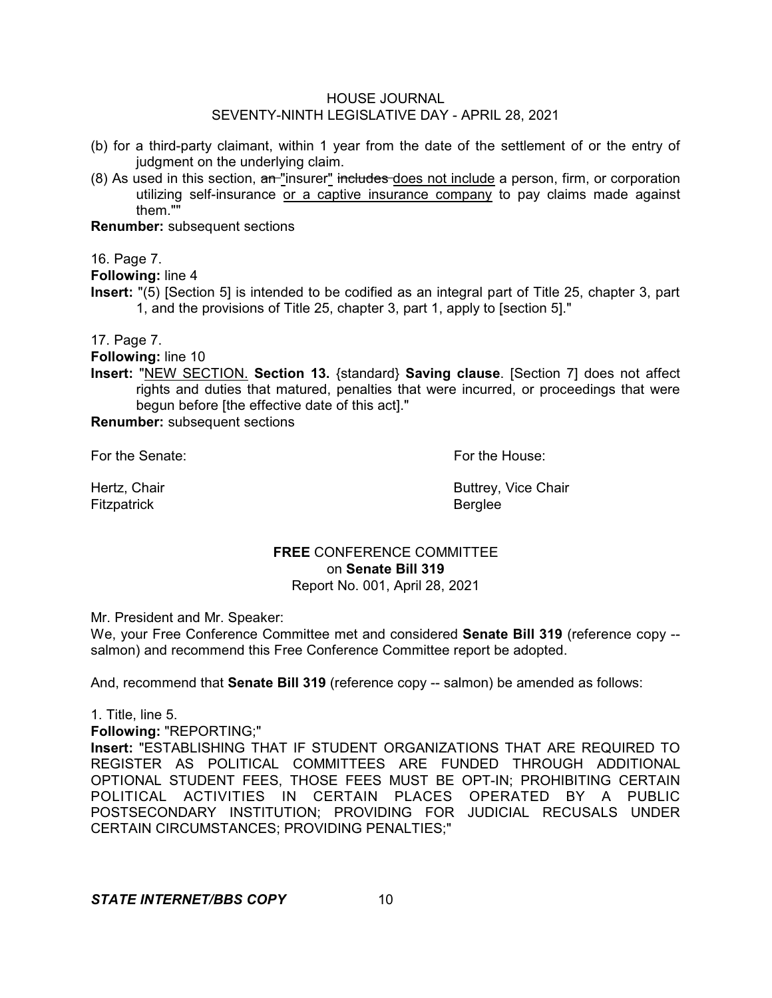- (b) for a third-party claimant, within 1 year from the date of the settlement of or the entry of judgment on the underlying claim.
- $(8)$  As used in this section,  $an$  "insurer" includes does not include a person, firm, or corporation utilizing self-insurance or a captive insurance company to pay claims made against them.""

**Renumber:** subsequent sections

16. Page 7.

**Following:** line 4

**Insert:** "(5) [Section 5] is intended to be codified as an integral part of Title 25, chapter 3, part 1, and the provisions of Title 25, chapter 3, part 1, apply to [section 5]."

17. Page 7.

**Following:** line 10

**Insert:** "NEW SECTION. **Section 13.** {standard} **Saving clause**. [Section 7] does not affect rights and duties that matured, penalties that were incurred, or proceedings that were begun before [the effective date of this act]."

**Renumber:** subsequent sections

For the Senate: For the House:

Fitzpatrick **Berglee** 

Hertz, Chair **Buttrey, Vice Chair Buttrey, Vice Chair** 

# **FREE** CONFERENCE COMMITTEE on **Senate Bill 319** Report No. 001, April 28, 2021

Mr. President and Mr. Speaker:

We, your Free Conference Committee met and considered **Senate Bill 319** (reference copy - salmon) and recommend this Free Conference Committee report be adopted.

And, recommend that **Senate Bill 319** (reference copy -- salmon) be amended as follows:

1. Title, line 5.

**Following:** "REPORTING;"

**Insert:** "ESTABLISHING THAT IF STUDENT ORGANIZATIONS THAT ARE REQUIRED TO REGISTER AS POLITICAL COMMITTEES ARE FUNDED THROUGH ADDITIONAL OPTIONAL STUDENT FEES, THOSE FEES MUST BE OPT-IN; PROHIBITING CERTAIN POLITICAL ACTIVITIES IN CERTAIN PLACES OPERATED BY A PUBLIC POSTSECONDARY INSTITUTION; PROVIDING FOR JUDICIAL RECUSALS UNDER CERTAIN CIRCUMSTANCES; PROVIDING PENALTIES;"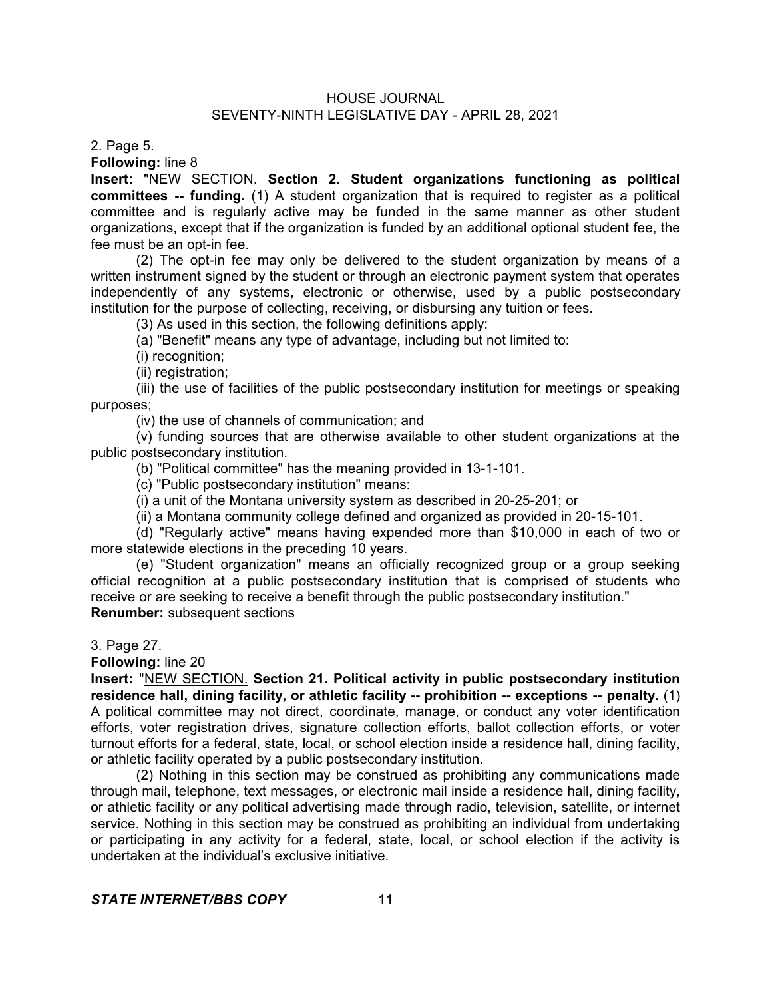2. Page 5.

**Following:** line 8

**Insert:** "NEW SECTION. **Section 2. Student organizations functioning as political committees -- funding.** (1) A student organization that is required to register as a political committee and is regularly active may be funded in the same manner as other student organizations, except that if the organization is funded by an additional optional student fee, the fee must be an opt-in fee.

(2) The opt-in fee may only be delivered to the student organization by means of a written instrument signed by the student or through an electronic payment system that operates independently of any systems, electronic or otherwise, used by a public postsecondary institution for the purpose of collecting, receiving, or disbursing any tuition or fees.

(3) As used in this section, the following definitions apply:

(a) "Benefit" means any type of advantage, including but not limited to:

(i) recognition;

(ii) registration;

(iii) the use of facilities of the public postsecondary institution for meetings or speaking purposes;

(iv) the use of channels of communication; and

(v) funding sources that are otherwise available to other student organizations at the public postsecondary institution.

(b) "Political committee" has the meaning provided in 13-1-101.

(c) "Public postsecondary institution" means:

(i) a unit of the Montana university system as described in 20-25-201; or

(ii) a Montana community college defined and organized as provided in 20-15-101.

(d) "Regularly active" means having expended more than \$10,000 in each of two or more statewide elections in the preceding 10 years.

(e) "Student organization" means an officially recognized group or a group seeking official recognition at a public postsecondary institution that is comprised of students who receive or are seeking to receive a benefit through the public postsecondary institution." **Renumber:** subsequent sections

3. Page 27.

**Following:** line 20

**Insert:** "NEW SECTION. **Section 21. Political activity in public postsecondary institution residence hall, dining facility, or athletic facility -- prohibition -- exceptions -- penalty.** (1) A political committee may not direct, coordinate, manage, or conduct any voter identification efforts, voter registration drives, signature collection efforts, ballot collection efforts, or voter turnout efforts for a federal, state, local, or school election inside a residence hall, dining facility, or athletic facility operated by a public postsecondary institution.

(2) Nothing in this section may be construed as prohibiting any communications made through mail, telephone, text messages, or electronic mail inside a residence hall, dining facility, or athletic facility or any political advertising made through radio, television, satellite, or internet service. Nothing in this section may be construed as prohibiting an individual from undertaking or participating in any activity for a federal, state, local, or school election if the activity is undertaken at the individual's exclusive initiative.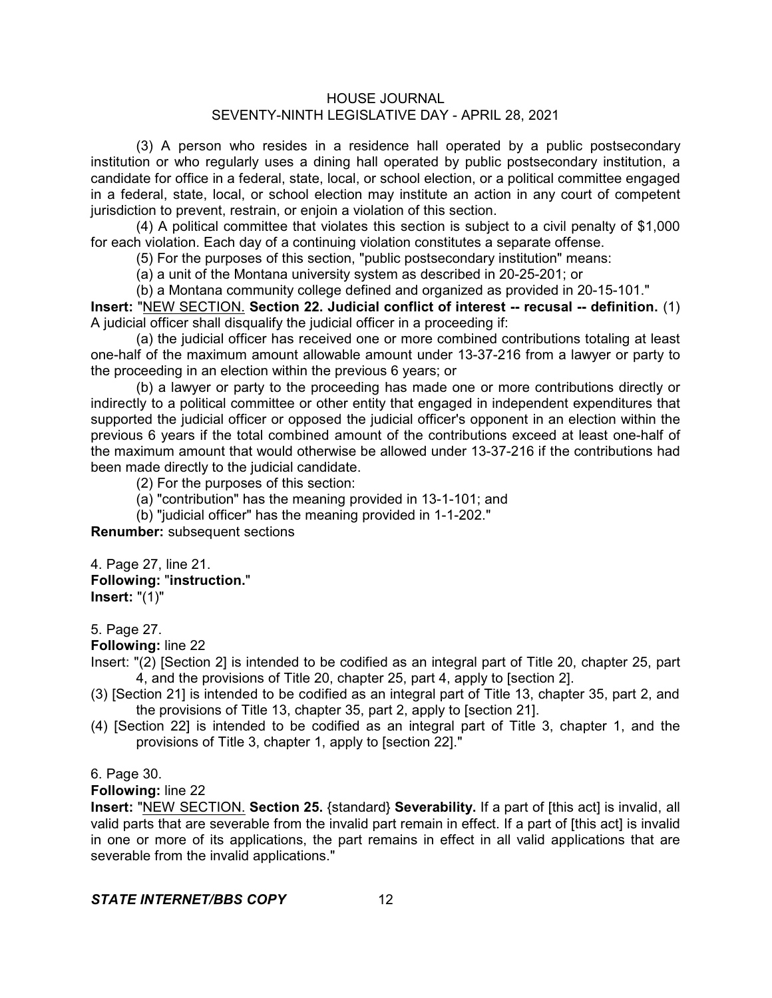(3) A person who resides in a residence hall operated by a public postsecondary institution or who regularly uses a dining hall operated by public postsecondary institution, a candidate for office in a federal, state, local, or school election, or a political committee engaged in a federal, state, local, or school election may institute an action in any court of competent jurisdiction to prevent, restrain, or enjoin a violation of this section.

(4) A political committee that violates this section is subject to a civil penalty of \$1,000 for each violation. Each day of a continuing violation constitutes a separate offense.

(5) For the purposes of this section, "public postsecondary institution" means:

(a) a unit of the Montana university system as described in 20-25-201; or

(b) a Montana community college defined and organized as provided in 20-15-101."

**Insert:** "NEW SECTION. **Section 22. Judicial conflict of interest -- recusal -- definition.** (1) A judicial officer shall disqualify the judicial officer in a proceeding if:

(a) the judicial officer has received one or more combined contributions totaling at least one-half of the maximum amount allowable amount under 13-37-216 from a lawyer or party to the proceeding in an election within the previous 6 years; or

(b) a lawyer or party to the proceeding has made one or more contributions directly or indirectly to a political committee or other entity that engaged in independent expenditures that supported the judicial officer or opposed the judicial officer's opponent in an election within the previous 6 years if the total combined amount of the contributions exceed at least one-half of the maximum amount that would otherwise be allowed under 13-37-216 if the contributions had been made directly to the judicial candidate.

(2) For the purposes of this section:

- (a) "contribution" has the meaning provided in 13-1-101; and
- (b) "judicial officer" has the meaning provided in 1-1-202."

**Renumber:** subsequent sections

4. Page 27, line 21. **Following:** "**instruction.**" **Insert:** "(1)"

## 5. Page 27.

**Following:** line 22

Insert: "(2) [Section 2] is intended to be codified as an integral part of Title 20, chapter 25, part 4, and the provisions of Title 20, chapter 25, part 4, apply to [section 2].

- (3) [Section 21] is intended to be codified as an integral part of Title 13, chapter 35, part 2, and the provisions of Title 13, chapter 35, part 2, apply to [section 21].
- (4) [Section 22] is intended to be codified as an integral part of Title 3, chapter 1, and the provisions of Title 3, chapter 1, apply to [section 22]."

6. Page 30.

## **Following:** line 22

**Insert:** "NEW SECTION. **Section 25.** {standard} **Severability.** If a part of [this act] is invalid, all valid parts that are severable from the invalid part remain in effect. If a part of [this act] is invalid in one or more of its applications, the part remains in effect in all valid applications that are severable from the invalid applications."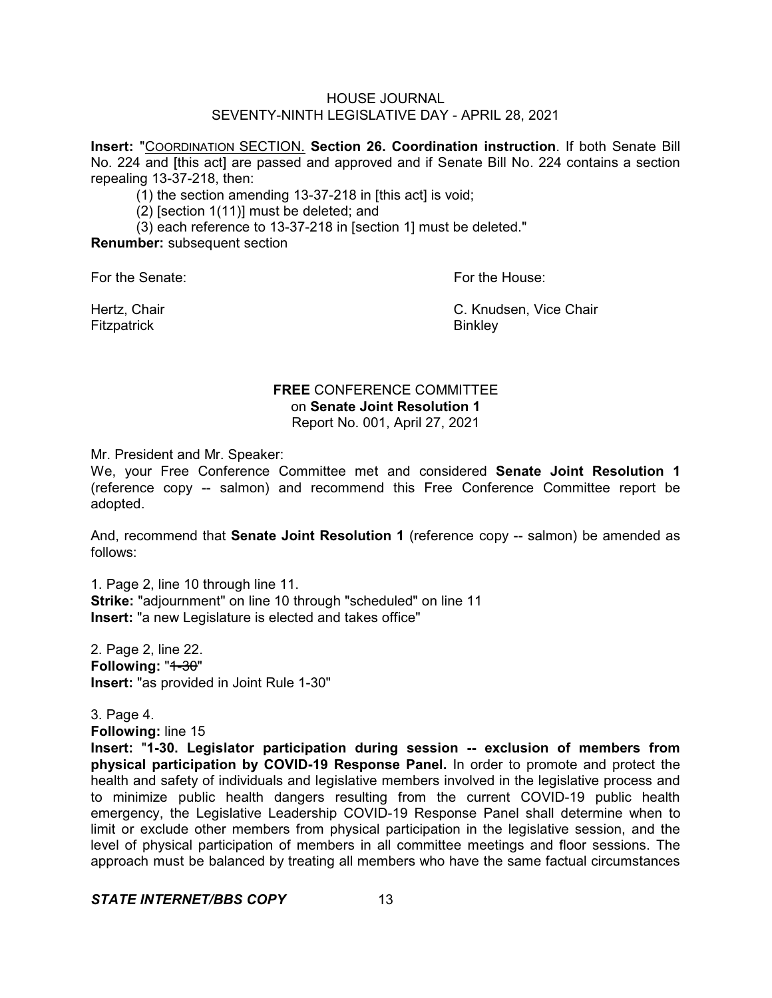**Insert:** "COORDINATION SECTION. **Section 26. Coordination instruction**. If both Senate Bill No. 224 and [this act] are passed and approved and if Senate Bill No. 224 contains a section repealing 13-37-218, then:

(1) the section amending 13-37-218 in [this act] is void;

(2) [section 1(11)] must be deleted; and

(3) each reference to 13-37-218 in [section 1] must be deleted."

**Renumber:** subsequent section

For the Senate: For the House:

Fitzpatrick **Binkley** 

Hertz, Chair C. Knudsen, Vice Chair

# **FREE** CONFERENCE COMMITTEE on **Senate Joint Resolution 1** Report No. 001, April 27, 2021

Mr. President and Mr. Speaker:

We, your Free Conference Committee met and considered **Senate Joint Resolution 1** (reference copy -- salmon) and recommend this Free Conference Committee report be adopted.

And, recommend that **Senate Joint Resolution 1** (reference copy -- salmon) be amended as follows:

1. Page 2, line 10 through line 11. **Strike:** "adjournment" on line 10 through "scheduled" on line 11 **Insert:** "a new Legislature is elected and takes office"

2. Page 2, line 22. Following: "1-30" **Insert:** "as provided in Joint Rule 1-30"

3. Page 4. **Following:** line 15

**Insert:** "**1-30. Legislator participation during session -- exclusion of members from physical participation by COVID-19 Response Panel.** In order to promote and protect the health and safety of individuals and legislative members involved in the legislative process and to minimize public health dangers resulting from the current COVID-19 public health emergency, the Legislative Leadership COVID-19 Response Panel shall determine when to limit or exclude other members from physical participation in the legislative session, and the level of physical participation of members in all committee meetings and floor sessions. The approach must be balanced by treating all members who have the same factual circumstances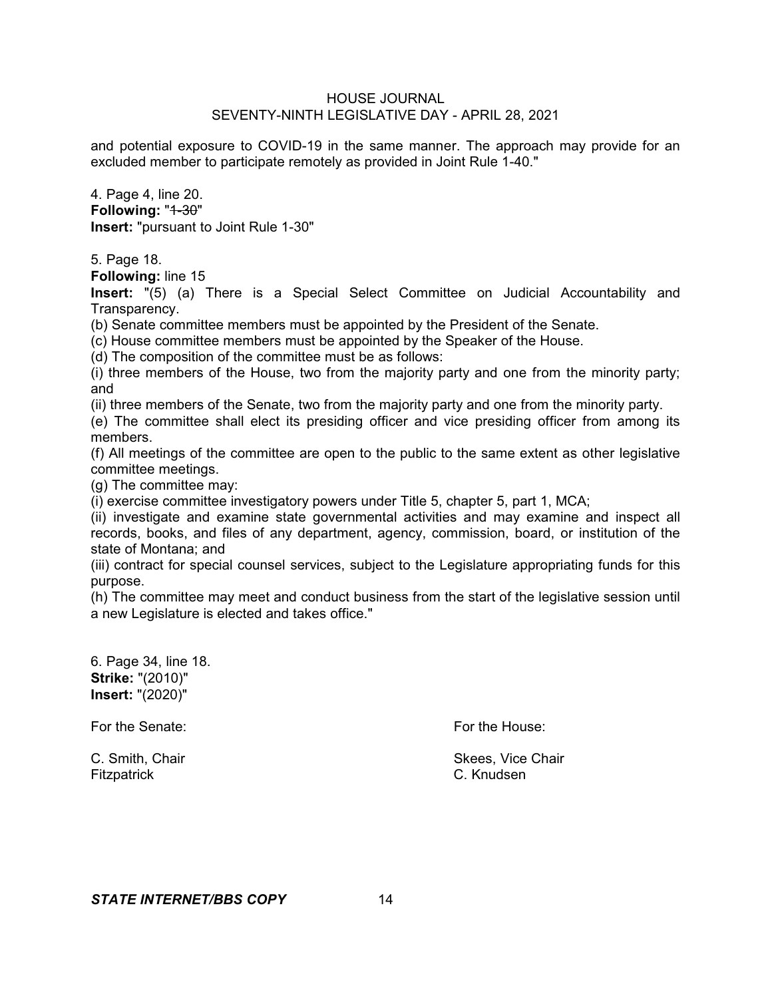and potential exposure to COVID-19 in the same manner. The approach may provide for an excluded member to participate remotely as provided in Joint Rule 1-40."

4. Page 4, line 20. Following: "1-30" **Insert:** "pursuant to Joint Rule 1-30"

5. Page 18.

**Following:** line 15

**Insert:** "(5) (a) There is a Special Select Committee on Judicial Accountability and Transparency.

(b) Senate committee members must be appointed by the President of the Senate.

(c) House committee members must be appointed by the Speaker of the House.

(d) The composition of the committee must be as follows:

(i) three members of the House, two from the majority party and one from the minority party; and

(ii) three members of the Senate, two from the majority party and one from the minority party.

(e) The committee shall elect its presiding officer and vice presiding officer from among its members.

(f) All meetings of the committee are open to the public to the same extent as other legislative committee meetings.

(g) The committee may:

(i) exercise committee investigatory powers under Title 5, chapter 5, part 1, MCA;

(ii) investigate and examine state governmental activities and may examine and inspect all records, books, and files of any department, agency, commission, board, or institution of the state of Montana; and

(iii) contract for special counsel services, subject to the Legislature appropriating funds for this purpose.

(h) The committee may meet and conduct business from the start of the legislative session until a new Legislature is elected and takes office."

6. Page 34, line 18. **Strike:** "(2010)" **Insert:** "(2020)"

For the Senate: **For the House:** For the House:

Fitzpatrick C. Knudsen

C. Smith, Chair Skees, Vice Chair Skees, Vice Chair Skees, Vice Chair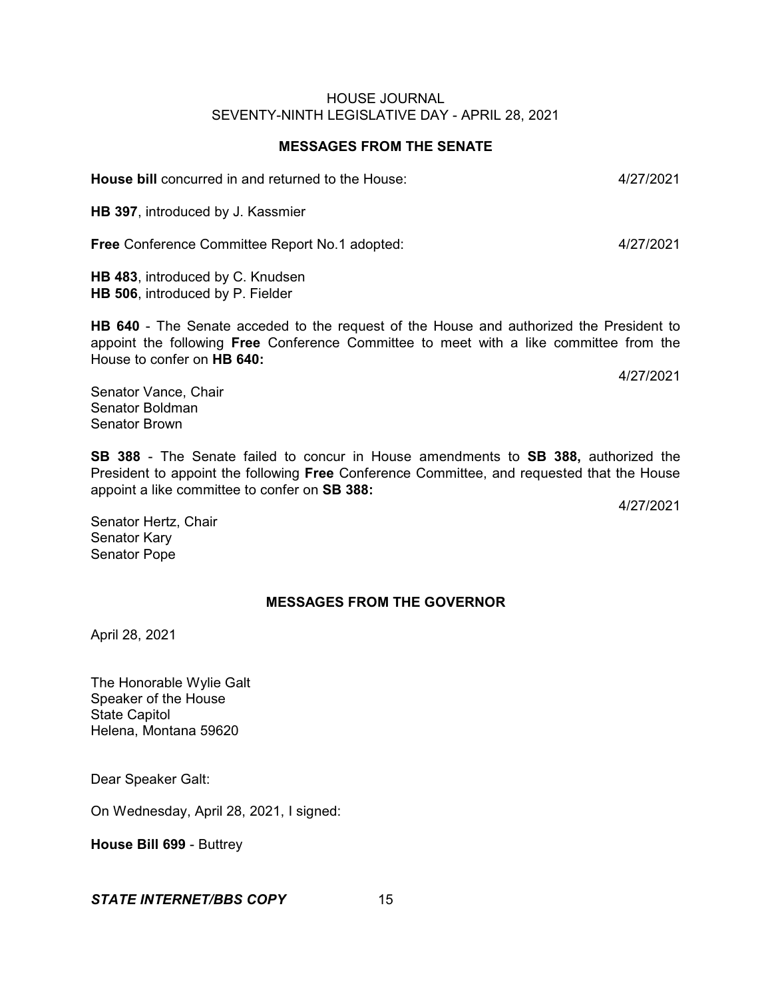#### **MESSAGES FROM THE SENATE**

**House bill** concurred in and returned to the House: 4/27/2021

**HB 397**, introduced by J. Kassmier

**Free** Conference Committee Report No.1 adopted: 4/27/2021

**HB 483**, introduced by C. Knudsen **HB 506**, introduced by P. Fielder

**HB 640** - The Senate acceded to the request of the House and authorized the President to appoint the following **Free** Conference Committee to meet with a like committee from the House to confer on **HB 640:**

4/27/2021

Senator Vance, Chair Senator Boldman Senator Brown

**SB 388** - The Senate failed to concur in House amendments to **SB 388,** authorized the President to appoint the following **Free** Conference Committee, and requested that the House appoint a like committee to confer on **SB 388:**

4/27/2021

Senator Hertz, Chair Senator Kary Senator Pope

# **MESSAGES FROM THE GOVERNOR**

April 28, 2021

The Honorable Wylie Galt Speaker of the House State Capitol Helena, Montana 59620

Dear Speaker Galt:

On Wednesday, April 28, 2021, I signed:

**House Bill 699** - Buttrey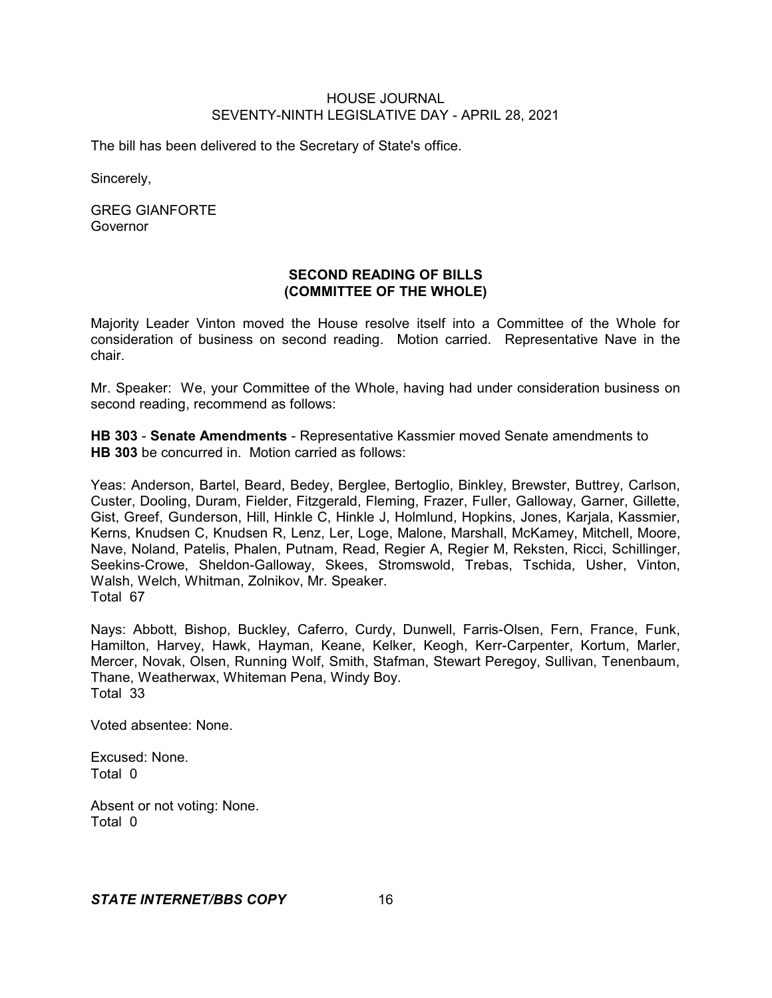The bill has been delivered to the Secretary of State's office.

Sincerely,

GREG GIANFORTE Governor

# **SECOND READING OF BILLS (COMMITTEE OF THE WHOLE)**

Majority Leader Vinton moved the House resolve itself into a Committee of the Whole for consideration of business on second reading. Motion carried. Representative Nave in the chair.

Mr. Speaker: We, your Committee of the Whole, having had under consideration business on second reading, recommend as follows:

**HB 303** - **Senate Amendments** - Representative Kassmier moved Senate amendments to **HB 303** be concurred in. Motion carried as follows:

Yeas: Anderson, Bartel, Beard, Bedey, Berglee, Bertoglio, Binkley, Brewster, Buttrey, Carlson, Custer, Dooling, Duram, Fielder, Fitzgerald, Fleming, Frazer, Fuller, Galloway, Garner, Gillette, Gist, Greef, Gunderson, Hill, Hinkle C, Hinkle J, Holmlund, Hopkins, Jones, Karjala, Kassmier, Kerns, Knudsen C, Knudsen R, Lenz, Ler, Loge, Malone, Marshall, McKamey, Mitchell, Moore, Nave, Noland, Patelis, Phalen, Putnam, Read, Regier A, Regier M, Reksten, Ricci, Schillinger, Seekins-Crowe, Sheldon-Galloway, Skees, Stromswold, Trebas, Tschida, Usher, Vinton, Walsh, Welch, Whitman, Zolnikov, Mr. Speaker. Total 67

Nays: Abbott, Bishop, Buckley, Caferro, Curdy, Dunwell, Farris-Olsen, Fern, France, Funk, Hamilton, Harvey, Hawk, Hayman, Keane, Kelker, Keogh, Kerr-Carpenter, Kortum, Marler, Mercer, Novak, Olsen, Running Wolf, Smith, Stafman, Stewart Peregoy, Sullivan, Tenenbaum, Thane, Weatherwax, Whiteman Pena, Windy Boy. Total 33

Voted absentee: None.

Excused: None. Total 0

Absent or not voting: None. Total 0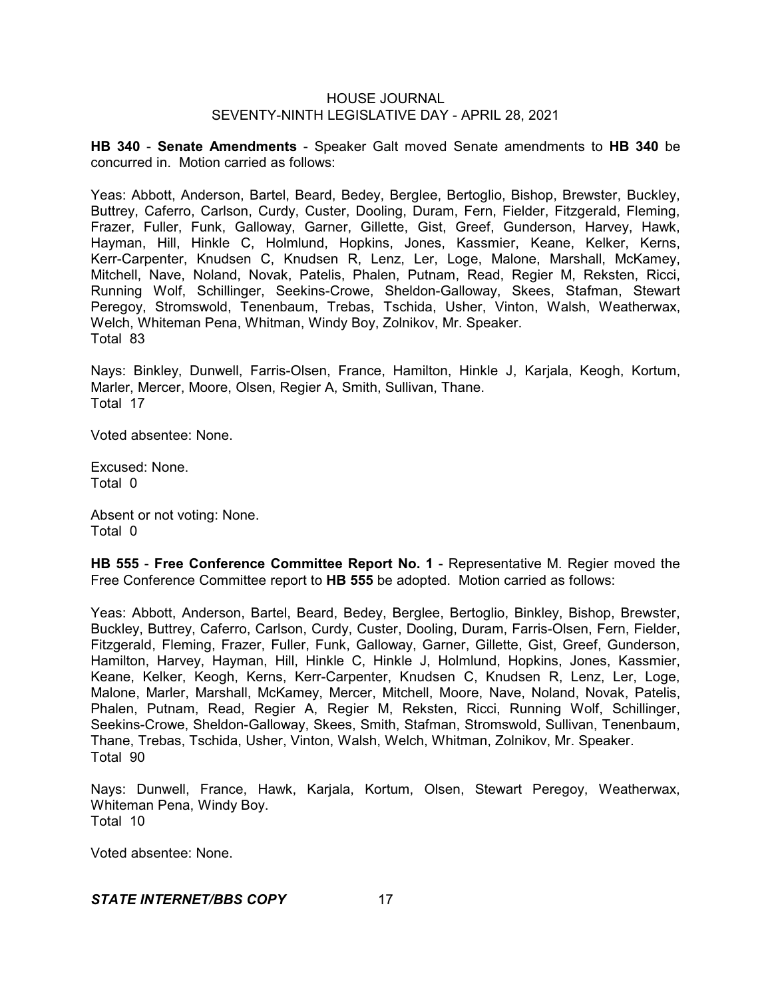**HB 340** - **Senate Amendments** - Speaker Galt moved Senate amendments to **HB 340** be concurred in. Motion carried as follows:

Yeas: Abbott, Anderson, Bartel, Beard, Bedey, Berglee, Bertoglio, Bishop, Brewster, Buckley, Buttrey, Caferro, Carlson, Curdy, Custer, Dooling, Duram, Fern, Fielder, Fitzgerald, Fleming, Frazer, Fuller, Funk, Galloway, Garner, Gillette, Gist, Greef, Gunderson, Harvey, Hawk, Hayman, Hill, Hinkle C, Holmlund, Hopkins, Jones, Kassmier, Keane, Kelker, Kerns, Kerr-Carpenter, Knudsen C, Knudsen R, Lenz, Ler, Loge, Malone, Marshall, McKamey, Mitchell, Nave, Noland, Novak, Patelis, Phalen, Putnam, Read, Regier M, Reksten, Ricci, Running Wolf, Schillinger, Seekins-Crowe, Sheldon-Galloway, Skees, Stafman, Stewart Peregoy, Stromswold, Tenenbaum, Trebas, Tschida, Usher, Vinton, Walsh, Weatherwax, Welch, Whiteman Pena, Whitman, Windy Boy, Zolnikov, Mr. Speaker. Total 83

Nays: Binkley, Dunwell, Farris-Olsen, France, Hamilton, Hinkle J, Karjala, Keogh, Kortum, Marler, Mercer, Moore, Olsen, Regier A, Smith, Sullivan, Thane. Total 17

Voted absentee: None.

Excused: None. Total 0

Absent or not voting: None. Total 0

**HB 555** - **Free Conference Committee Report No. 1** - Representative M. Regier moved the Free Conference Committee report to **HB 555** be adopted. Motion carried as follows:

Yeas: Abbott, Anderson, Bartel, Beard, Bedey, Berglee, Bertoglio, Binkley, Bishop, Brewster, Buckley, Buttrey, Caferro, Carlson, Curdy, Custer, Dooling, Duram, Farris-Olsen, Fern, Fielder, Fitzgerald, Fleming, Frazer, Fuller, Funk, Galloway, Garner, Gillette, Gist, Greef, Gunderson, Hamilton, Harvey, Hayman, Hill, Hinkle C, Hinkle J, Holmlund, Hopkins, Jones, Kassmier, Keane, Kelker, Keogh, Kerns, Kerr-Carpenter, Knudsen C, Knudsen R, Lenz, Ler, Loge, Malone, Marler, Marshall, McKamey, Mercer, Mitchell, Moore, Nave, Noland, Novak, Patelis, Phalen, Putnam, Read, Regier A, Regier M, Reksten, Ricci, Running Wolf, Schillinger, Seekins-Crowe, Sheldon-Galloway, Skees, Smith, Stafman, Stromswold, Sullivan, Tenenbaum, Thane, Trebas, Tschida, Usher, Vinton, Walsh, Welch, Whitman, Zolnikov, Mr. Speaker. Total 90

Nays: Dunwell, France, Hawk, Karjala, Kortum, Olsen, Stewart Peregoy, Weatherwax, Whiteman Pena, Windy Boy. Total 10

Voted absentee: None.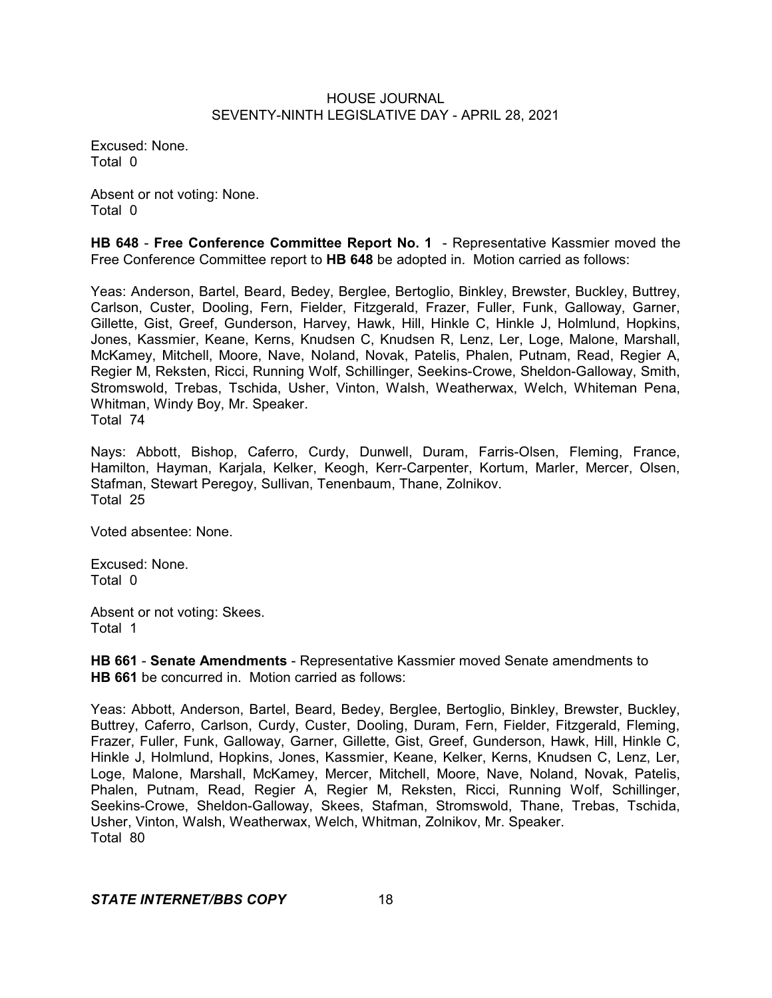Excused: None. Total 0

Absent or not voting: None. Total 0

**HB 648** - **Free Conference Committee Report No. 1** - Representative Kassmier moved the Free Conference Committee report to **HB 648** be adopted in. Motion carried as follows:

Yeas: Anderson, Bartel, Beard, Bedey, Berglee, Bertoglio, Binkley, Brewster, Buckley, Buttrey, Carlson, Custer, Dooling, Fern, Fielder, Fitzgerald, Frazer, Fuller, Funk, Galloway, Garner, Gillette, Gist, Greef, Gunderson, Harvey, Hawk, Hill, Hinkle C, Hinkle J, Holmlund, Hopkins, Jones, Kassmier, Keane, Kerns, Knudsen C, Knudsen R, Lenz, Ler, Loge, Malone, Marshall, McKamey, Mitchell, Moore, Nave, Noland, Novak, Patelis, Phalen, Putnam, Read, Regier A, Regier M, Reksten, Ricci, Running Wolf, Schillinger, Seekins-Crowe, Sheldon-Galloway, Smith, Stromswold, Trebas, Tschida, Usher, Vinton, Walsh, Weatherwax, Welch, Whiteman Pena, Whitman, Windy Boy, Mr. Speaker.

Total 74

Nays: Abbott, Bishop, Caferro, Curdy, Dunwell, Duram, Farris-Olsen, Fleming, France, Hamilton, Hayman, Karjala, Kelker, Keogh, Kerr-Carpenter, Kortum, Marler, Mercer, Olsen, Stafman, Stewart Peregoy, Sullivan, Tenenbaum, Thane, Zolnikov. Total 25

Voted absentee: None.

Excused: None. Total 0

Absent or not voting: Skees. Total 1

**HB 661** - **Senate Amendments** - Representative Kassmier moved Senate amendments to **HB 661** be concurred in. Motion carried as follows:

Yeas: Abbott, Anderson, Bartel, Beard, Bedey, Berglee, Bertoglio, Binkley, Brewster, Buckley, Buttrey, Caferro, Carlson, Curdy, Custer, Dooling, Duram, Fern, Fielder, Fitzgerald, Fleming, Frazer, Fuller, Funk, Galloway, Garner, Gillette, Gist, Greef, Gunderson, Hawk, Hill, Hinkle C, Hinkle J, Holmlund, Hopkins, Jones, Kassmier, Keane, Kelker, Kerns, Knudsen C, Lenz, Ler, Loge, Malone, Marshall, McKamey, Mercer, Mitchell, Moore, Nave, Noland, Novak, Patelis, Phalen, Putnam, Read, Regier A, Regier M, Reksten, Ricci, Running Wolf, Schillinger, Seekins-Crowe, Sheldon-Galloway, Skees, Stafman, Stromswold, Thane, Trebas, Tschida, Usher, Vinton, Walsh, Weatherwax, Welch, Whitman, Zolnikov, Mr. Speaker. Total 80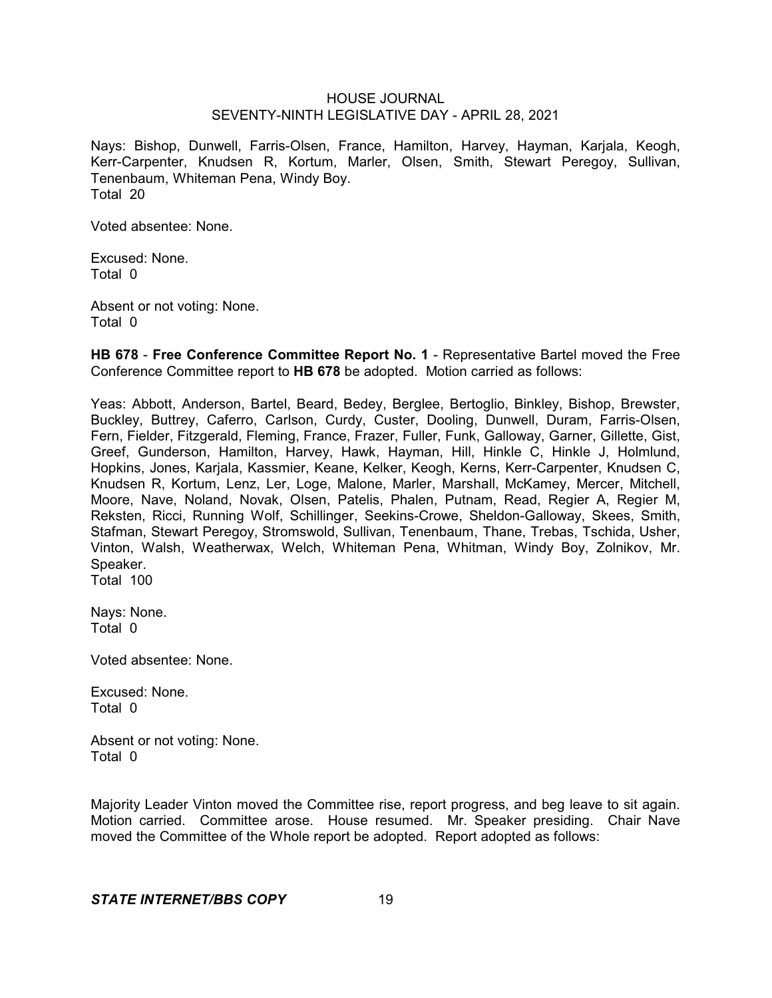Nays: Bishop, Dunwell, Farris-Olsen, France, Hamilton, Harvey, Hayman, Karjala, Keogh, Kerr-Carpenter, Knudsen R, Kortum, Marler, Olsen, Smith, Stewart Peregoy, Sullivan, Tenenbaum, Whiteman Pena, Windy Boy. Total 20

Voted absentee: None.

Excused: None. Total 0

Absent or not voting: None. Total 0

**HB 678** - **Free Conference Committee Report No. 1** - Representative Bartel moved the Free Conference Committee report to **HB 678** be adopted. Motion carried as follows:

Yeas: Abbott, Anderson, Bartel, Beard, Bedey, Berglee, Bertoglio, Binkley, Bishop, Brewster, Buckley, Buttrey, Caferro, Carlson, Curdy, Custer, Dooling, Dunwell, Duram, Farris-Olsen, Fern, Fielder, Fitzgerald, Fleming, France, Frazer, Fuller, Funk, Galloway, Garner, Gillette, Gist, Greef, Gunderson, Hamilton, Harvey, Hawk, Hayman, Hill, Hinkle C, Hinkle J, Holmlund, Hopkins, Jones, Karjala, Kassmier, Keane, Kelker, Keogh, Kerns, Kerr-Carpenter, Knudsen C, Knudsen R, Kortum, Lenz, Ler, Loge, Malone, Marler, Marshall, McKamey, Mercer, Mitchell, Moore, Nave, Noland, Novak, Olsen, Patelis, Phalen, Putnam, Read, Regier A, Regier M, Reksten, Ricci, Running Wolf, Schillinger, Seekins-Crowe, Sheldon-Galloway, Skees, Smith, Stafman, Stewart Peregoy, Stromswold, Sullivan, Tenenbaum, Thane, Trebas, Tschida, Usher, Vinton, Walsh, Weatherwax, Welch, Whiteman Pena, Whitman, Windy Boy, Zolnikov, Mr. Speaker.

Total 100

Nays: None. Total 0

Voted absentee: None.

Excused: None. Total 0

Absent or not voting: None. Total 0

Majority Leader Vinton moved the Committee rise, report progress, and beg leave to sit again. Motion carried. Committee arose. House resumed. Mr. Speaker presiding. Chair Nave moved the Committee of the Whole report be adopted. Report adopted as follows: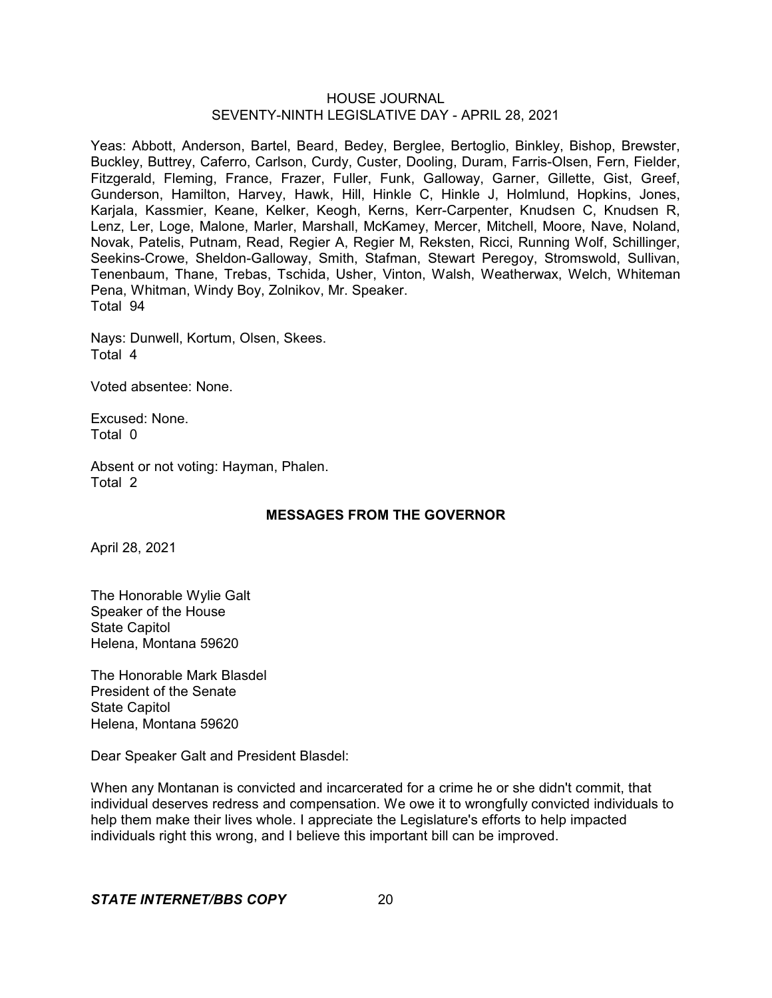Yeas: Abbott, Anderson, Bartel, Beard, Bedey, Berglee, Bertoglio, Binkley, Bishop, Brewster, Buckley, Buttrey, Caferro, Carlson, Curdy, Custer, Dooling, Duram, Farris-Olsen, Fern, Fielder, Fitzgerald, Fleming, France, Frazer, Fuller, Funk, Galloway, Garner, Gillette, Gist, Greef, Gunderson, Hamilton, Harvey, Hawk, Hill, Hinkle C, Hinkle J, Holmlund, Hopkins, Jones, Karjala, Kassmier, Keane, Kelker, Keogh, Kerns, Kerr-Carpenter, Knudsen C, Knudsen R, Lenz, Ler, Loge, Malone, Marler, Marshall, McKamey, Mercer, Mitchell, Moore, Nave, Noland, Novak, Patelis, Putnam, Read, Regier A, Regier M, Reksten, Ricci, Running Wolf, Schillinger, Seekins-Crowe, Sheldon-Galloway, Smith, Stafman, Stewart Peregoy, Stromswold, Sullivan, Tenenbaum, Thane, Trebas, Tschida, Usher, Vinton, Walsh, Weatherwax, Welch, Whiteman Pena, Whitman, Windy Boy, Zolnikov, Mr. Speaker. Total 94

Nays: Dunwell, Kortum, Olsen, Skees. Total 4

Voted absentee: None.

Excused: None. Total 0

Absent or not voting: Hayman, Phalen. Total 2

# **MESSAGES FROM THE GOVERNOR**

April 28, 2021

The Honorable Wylie Galt Speaker of the House State Capitol Helena, Montana 59620

The Honorable Mark Blasdel President of the Senate State Capitol Helena, Montana 59620

Dear Speaker Galt and President Blasdel:

When any Montanan is convicted and incarcerated for a crime he or she didn't commit, that individual deserves redress and compensation. We owe it to wrongfully convicted individuals to help them make their lives whole. I appreciate the Legislature's efforts to help impacted individuals right this wrong, and I believe this important bill can be improved.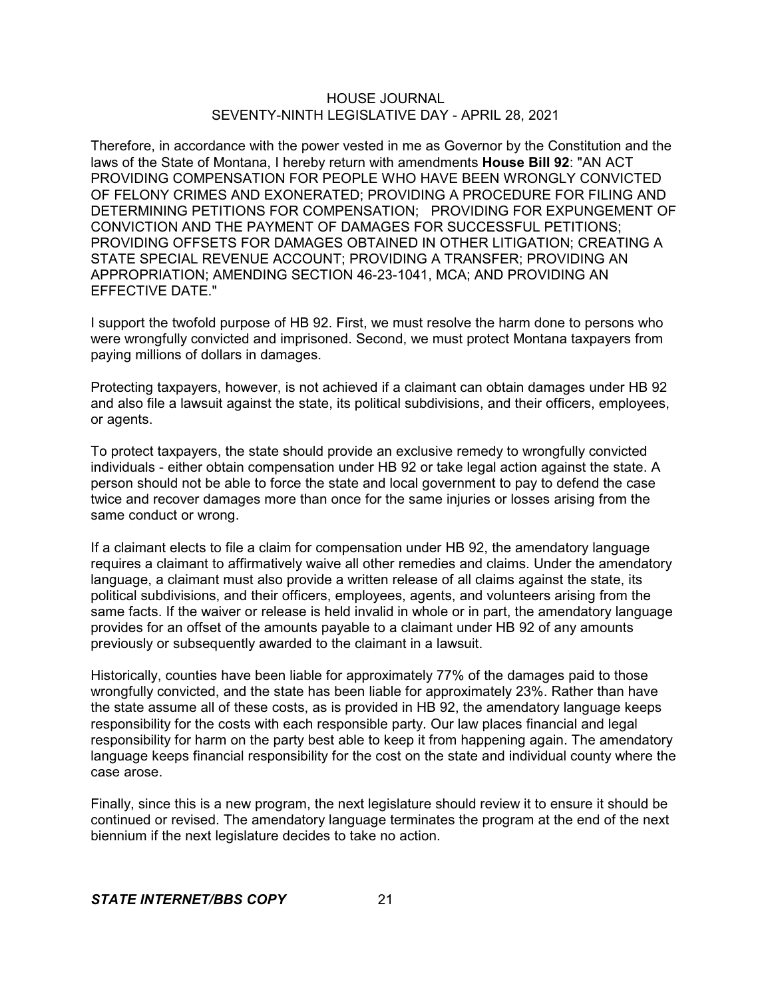Therefore, in accordance with the power vested in me as Governor by the Constitution and the laws of the State of Montana, I hereby return with amendments **House Bill 92**: "AN ACT PROVIDING COMPENSATION FOR PEOPLE WHO HAVE BEEN WRONGLY CONVICTED OF FELONY CRIMES AND EXONERATED; PROVIDING A PROCEDURE FOR FILING AND DETERMINING PETITIONS FOR COMPENSATION; PROVIDING FOR EXPUNGEMENT OF CONVICTION AND THE PAYMENT OF DAMAGES FOR SUCCESSFUL PETITIONS; PROVIDING OFFSETS FOR DAMAGES OBTAINED IN OTHER LITIGATION; CREATING A STATE SPECIAL REVENUE ACCOUNT; PROVIDING A TRANSFER; PROVIDING AN APPROPRIATION; AMENDING SECTION 46-23-1041, MCA; AND PROVIDING AN EFFECTIVE DATE."

I support the twofold purpose of HB 92. First, we must resolve the harm done to persons who were wrongfully convicted and imprisoned. Second, we must protect Montana taxpayers from paying millions of dollars in damages.

Protecting taxpayers, however, is not achieved if a claimant can obtain damages under HB 92 and also file a lawsuit against the state, its political subdivisions, and their officers, employees, or agents.

To protect taxpayers, the state should provide an exclusive remedy to wrongfully convicted individuals - either obtain compensation under HB 92 or take legal action against the state. A person should not be able to force the state and local government to pay to defend the case twice and recover damages more than once for the same injuries or losses arising from the same conduct or wrong.

If a claimant elects to file a claim for compensation under HB 92, the amendatory language requires a claimant to affirmatively waive all other remedies and claims. Under the amendatory language, a claimant must also provide a written release of all claims against the state, its political subdivisions, and their officers, employees, agents, and volunteers arising from the same facts. If the waiver or release is held invalid in whole or in part, the amendatory language provides for an offset of the amounts payable to a claimant under HB 92 of any amounts previously or subsequently awarded to the claimant in a lawsuit.

Historically, counties have been liable for approximately 77% of the damages paid to those wrongfully convicted, and the state has been liable for approximately 23%. Rather than have the state assume all of these costs, as is provided in HB 92, the amendatory language keeps responsibility for the costs with each responsible party. Our law places financial and legal responsibility for harm on the party best able to keep it from happening again. The amendatory language keeps financial responsibility for the cost on the state and individual county where the case arose.

Finally, since this is a new program, the next legislature should review it to ensure it should be continued or revised. The amendatory language terminates the program at the end of the next biennium if the next legislature decides to take no action.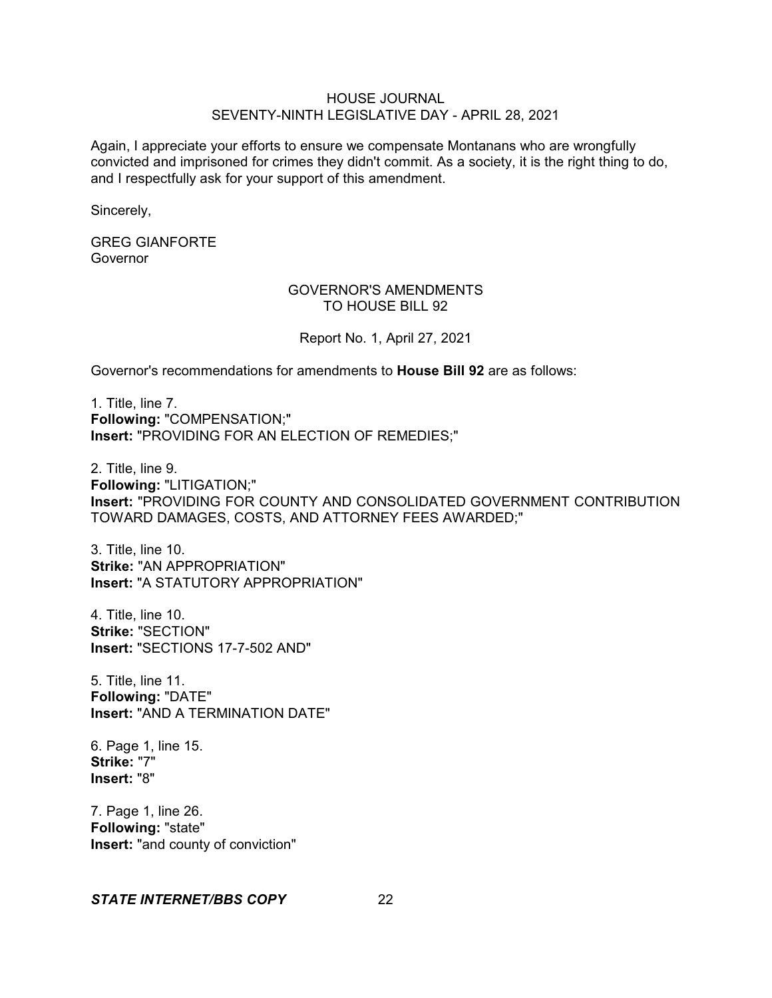Again, I appreciate your efforts to ensure we compensate Montanans who are wrongfully convicted and imprisoned for crimes they didn't commit. As a society, it is the right thing to do, and I respectfully ask for your support of this amendment.

Sincerely,

GREG GIANFORTE Governor

#### GOVERNOR'S AMENDMENTS TO HOUSE BILL 92

Report No. 1, April 27, 2021

Governor's recommendations for amendments to **House Bill 92** are as follows:

1. Title, line 7. **Following:** "COMPENSATION;" **Insert:** "PROVIDING FOR AN ELECTION OF REMEDIES;"

2. Title, line 9. **Following:** "LITIGATION;" **Insert:** "PROVIDING FOR COUNTY AND CONSOLIDATED GOVERNMENT CONTRIBUTION TOWARD DAMAGES, COSTS, AND ATTORNEY FEES AWARDED;"

3. Title, line 10. **Strike:** "AN APPROPRIATION" **Insert:** "A STATUTORY APPROPRIATION"

4. Title, line 10. **Strike:** "SECTION" **Insert:** "SECTIONS 17-7-502 AND"

5. Title, line 11. **Following:** "DATE" **Insert:** "AND A TERMINATION DATE"

6. Page 1, line 15. **Strike:** "7" **Insert:** "8"

7. Page 1, line 26. **Following:** "state" **Insert:** "and county of conviction"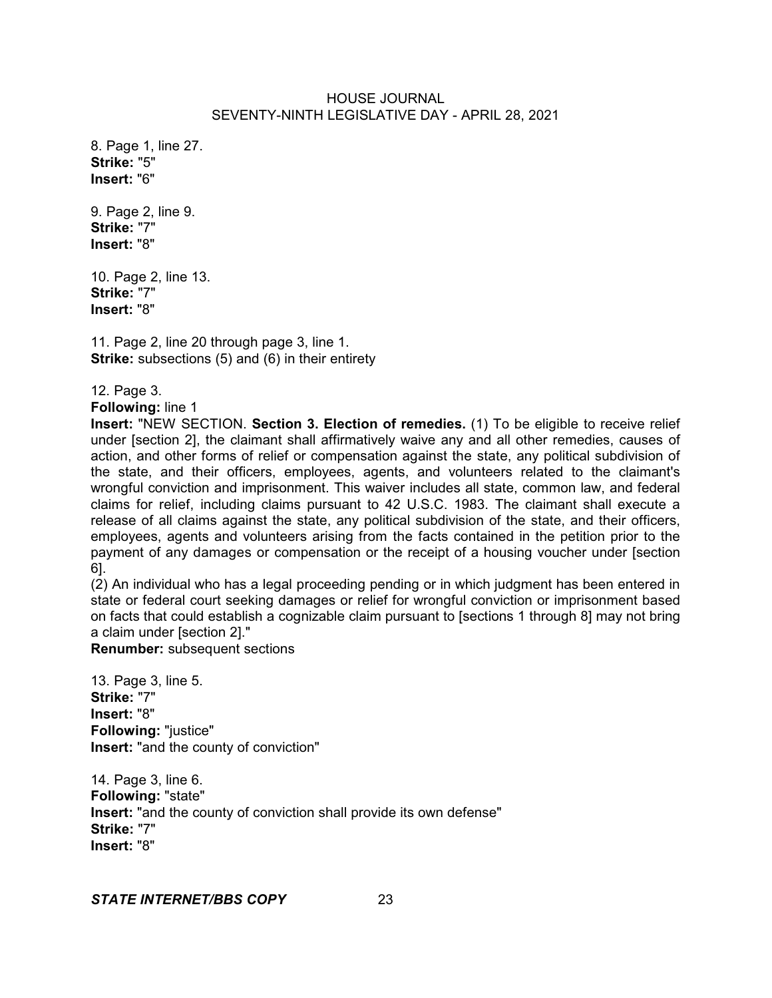8. Page 1, line 27. **Strike:** "5" **Insert:** "6"

9. Page 2, line 9. **Strike:** "7" **Insert:** "8"

10. Page 2, line 13. **Strike:** "7" **Insert:** "8"

11. Page 2, line 20 through page 3, line 1. **Strike:** subsections (5) and (6) in their entirety

12. Page 3.

**Following:** line 1

**Insert:** "NEW SECTION. **Section 3. Election of remedies.** (1) To be eligible to receive relief under [section 2], the claimant shall affirmatively waive any and all other remedies, causes of action, and other forms of relief or compensation against the state, any political subdivision of the state, and their officers, employees, agents, and volunteers related to the claimant's wrongful conviction and imprisonment. This waiver includes all state, common law, and federal claims for relief, including claims pursuant to 42 U.S.C. 1983. The claimant shall execute a release of all claims against the state, any political subdivision of the state, and their officers, employees, agents and volunteers arising from the facts contained in the petition prior to the payment of any damages or compensation or the receipt of a housing voucher under [section 6].

(2) An individual who has a legal proceeding pending or in which judgment has been entered in state or federal court seeking damages or relief for wrongful conviction or imprisonment based on facts that could establish a cognizable claim pursuant to [sections 1 through 8] may not bring a claim under [section 2]."

**Renumber:** subsequent sections

13. Page 3, line 5. **Strike:** "7" **Insert:** "8" **Following:** "justice" **Insert:** "and the county of conviction"

14. Page 3, line 6. **Following:** "state" **Insert:** "and the county of conviction shall provide its own defense" **Strike:** "7" **Insert:** "8"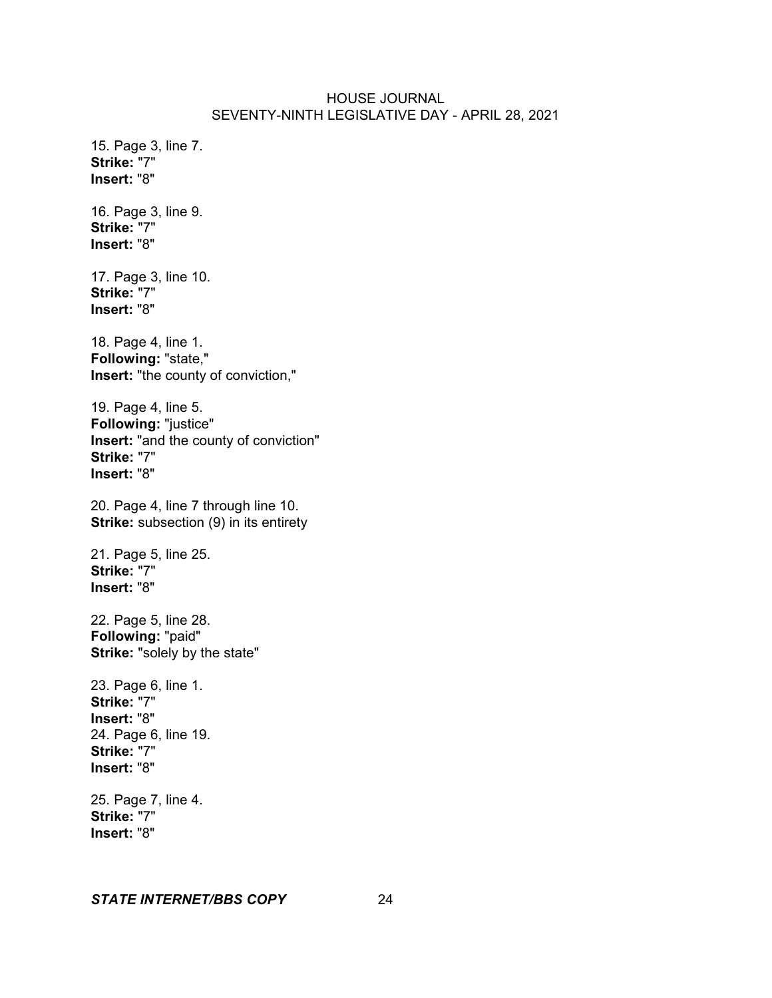15. Page 3, line 7. **Strike:** "7" **Insert:** "8"

16. Page 3, line 9. **Strike:** "7" **Insert:** "8"

17. Page 3, line 10. **Strike:** "7" **Insert:** "8"

18. Page 4, line 1. **Following:** "state," **Insert:** "the county of conviction,"

19. Page 4, line 5. **Following:** "justice" **Insert:** "and the county of conviction" **Strike:** "7" **Insert:** "8"

20. Page 4, line 7 through line 10. **Strike:** subsection (9) in its entirety

21. Page 5, line 25. **Strike:** "7" **Insert:** "8"

22. Page 5, line 28. **Following:** "paid" **Strike:** "solely by the state"

23. Page 6, line 1. **Strike:** "7" **Insert:** "8" 24. Page 6, line 19. **Strike:** "7" **Insert:** "8"

25. Page 7, line 4. **Strike:** "7" **Insert:** "8"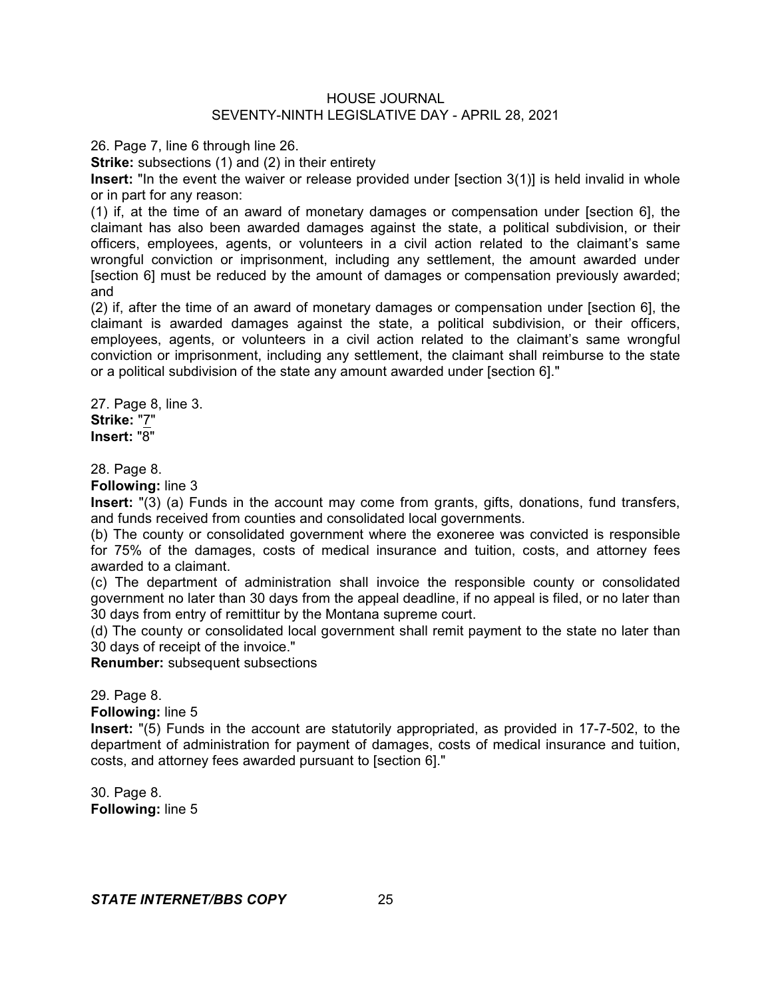26. Page 7, line 6 through line 26.

**Strike:** subsections (1) and (2) in their entirety

**Insert:** "In the event the waiver or release provided under [section 3(1)] is held invalid in whole or in part for any reason:

(1) if, at the time of an award of monetary damages or compensation under [section 6], the claimant has also been awarded damages against the state, a political subdivision, or their officers, employees, agents, or volunteers in a civil action related to the claimant's same wrongful conviction or imprisonment, including any settlement, the amount awarded under [section 6] must be reduced by the amount of damages or compensation previously awarded; and

(2) if, after the time of an award of monetary damages or compensation under [section 6], the claimant is awarded damages against the state, a political subdivision, or their officers, employees, agents, or volunteers in a civil action related to the claimant's same wrongful conviction or imprisonment, including any settlement, the claimant shall reimburse to the state or a political subdivision of the state any amount awarded under [section 6]."

27. Page 8, line 3. **Strike:** "7" **Insert:** "8"

28. Page 8.

**Following:** line 3

**Insert:** "(3) (a) Funds in the account may come from grants, gifts, donations, fund transfers, and funds received from counties and consolidated local governments.

(b) The county or consolidated government where the exoneree was convicted is responsible for 75% of the damages, costs of medical insurance and tuition, costs, and attorney fees awarded to a claimant.

(c) The department of administration shall invoice the responsible county or consolidated government no later than 30 days from the appeal deadline, if no appeal is filed, or no later than 30 days from entry of remittitur by the Montana supreme court.

(d) The county or consolidated local government shall remit payment to the state no later than 30 days of receipt of the invoice."

**Renumber:** subsequent subsections

29. Page 8.

**Following:** line 5

**Insert:** "(5) Funds in the account are statutorily appropriated, as provided in 17-7-502, to the department of administration for payment of damages, costs of medical insurance and tuition, costs, and attorney fees awarded pursuant to [section 6]."

30. Page 8. **Following:** line 5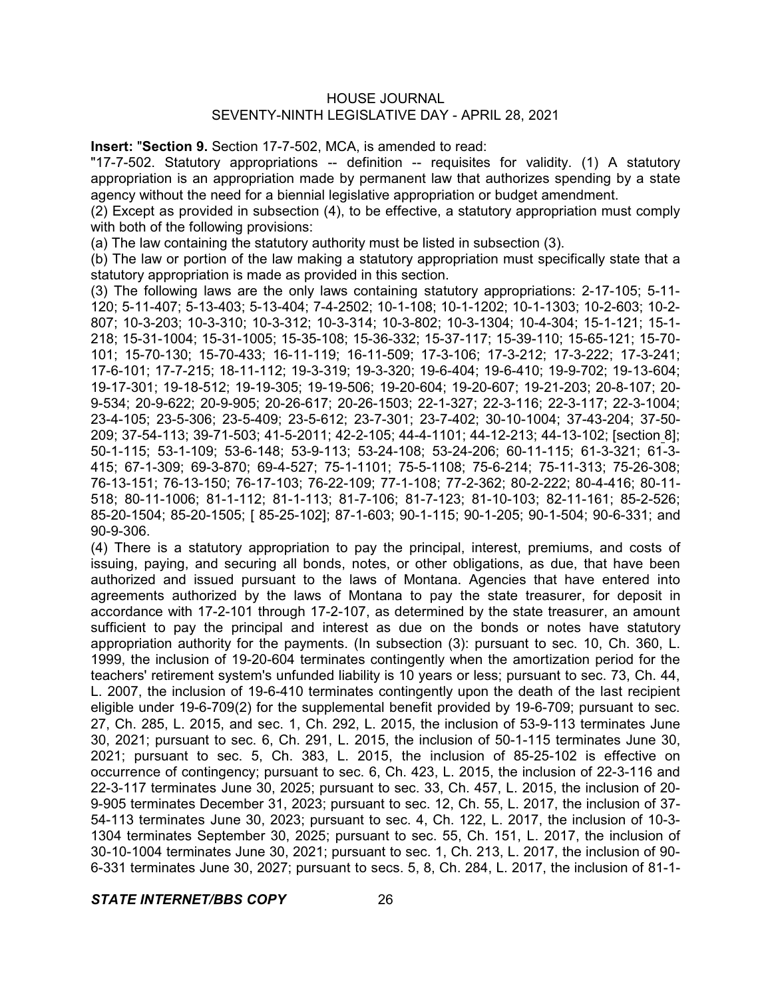**Insert:** "**Section 9.** Section 17-7-502, MCA, is amended to read:

"17-7-502. Statutory appropriations -- definition -- requisites for validity. (1) A statutory appropriation is an appropriation made by permanent law that authorizes spending by a state agency without the need for a biennial legislative appropriation or budget amendment.

(2) Except as provided in subsection (4), to be effective, a statutory appropriation must comply with both of the following provisions:

(a) The law containing the statutory authority must be listed in subsection (3).

(b) The law or portion of the law making a statutory appropriation must specifically state that a statutory appropriation is made as provided in this section.

(3) The following laws are the only laws containing statutory appropriations: 2-17-105; 5-11- 120; 5-11-407; 5-13-403; 5-13-404; 7-4-2502; 10-1-108; 10-1-1202; 10-1-1303; 10-2-603; 10-2- 807; 10-3-203; 10-3-310; 10-3-312; 10-3-314; 10-3-802; 10-3-1304; 10-4-304; 15-1-121; 15-1- 218; 15-31-1004; 15-31-1005; 15-35-108; 15-36-332; 15-37-117; 15-39-110; 15-65-121; 15-70- 101; 15-70-130; 15-70-433; 16-11-119; 16-11-509; 17-3-106; 17-3-212; 17-3-222; 17-3-241; 17-6-101; 17-7-215; 18-11-112; 19-3-319; 19-3-320; 19-6-404; 19-6-410; 19-9-702; 19-13-604; 19-17-301; 19-18-512; 19-19-305; 19-19-506; 19-20-604; 19-20-607; 19-21-203; 20-8-107; 20- 9-534; 20-9-622; 20-9-905; 20-26-617; 20-26-1503; 22-1-327; 22-3-116; 22-3-117; 22-3-1004; 23-4-105; 23-5-306; 23-5-409; 23-5-612; 23-7-301; 23-7-402; 30-10-1004; 37-43-204; 37-50- 209; 37-54-113; 39-71-503; 41-5-2011; 42-2-105; 44-4-1101; 44-12-213; 44-13-102; [section 8]; 50-1-115; 53-1-109; 53-6-148; 53-9-113; 53-24-108; 53-24-206; 60-11-115; 61-3-321; 61-3- 415; 67-1-309; 69-3-870; 69-4-527; 75-1-1101; 75-5-1108; 75-6-214; 75-11-313; 75-26-308; 76-13-151; 76-13-150; 76-17-103; 76-22-109; 77-1-108; 77-2-362; 80-2-222; 80-4-416; 80-11- 518; 80-11-1006; 81-1-112; 81-1-113; 81-7-106; 81-7-123; 81-10-103; 82-11-161; 85-2-526; 85-20-1504; 85-20-1505; [ 85-25-102]; 87-1-603; 90-1-115; 90-1-205; 90-1-504; 90-6-331; and 90-9-306.

(4) There is a statutory appropriation to pay the principal, interest, premiums, and costs of issuing, paying, and securing all bonds, notes, or other obligations, as due, that have been authorized and issued pursuant to the laws of Montana. Agencies that have entered into agreements authorized by the laws of Montana to pay the state treasurer, for deposit in accordance with 17-2-101 through 17-2-107, as determined by the state treasurer, an amount sufficient to pay the principal and interest as due on the bonds or notes have statutory appropriation authority for the payments. (In subsection (3): pursuant to sec. 10, Ch. 360, L. 1999, the inclusion of 19-20-604 terminates contingently when the amortization period for the teachers' retirement system's unfunded liability is 10 years or less; pursuant to sec. 73, Ch. 44, L. 2007, the inclusion of 19-6-410 terminates contingently upon the death of the last recipient eligible under 19-6-709(2) for the supplemental benefit provided by 19-6-709; pursuant to sec. 27, Ch. 285, L. 2015, and sec. 1, Ch. 292, L. 2015, the inclusion of 53-9-113 terminates June 30, 2021; pursuant to sec. 6, Ch. 291, L. 2015, the inclusion of 50-1-115 terminates June 30, 2021; pursuant to sec. 5, Ch. 383, L. 2015, the inclusion of 85-25-102 is effective on occurrence of contingency; pursuant to sec. 6, Ch. 423, L. 2015, the inclusion of 22-3-116 and 22-3-117 terminates June 30, 2025; pursuant to sec. 33, Ch. 457, L. 2015, the inclusion of 20- 9-905 terminates December 31, 2023; pursuant to sec. 12, Ch. 55, L. 2017, the inclusion of 37- 54-113 terminates June 30, 2023; pursuant to sec. 4, Ch. 122, L. 2017, the inclusion of 10-3- 1304 terminates September 30, 2025; pursuant to sec. 55, Ch. 151, L. 2017, the inclusion of 30-10-1004 terminates June 30, 2021; pursuant to sec. 1, Ch. 213, L. 2017, the inclusion of 90- 6-331 terminates June 30, 2027; pursuant to secs. 5, 8, Ch. 284, L. 2017, the inclusion of 81-1-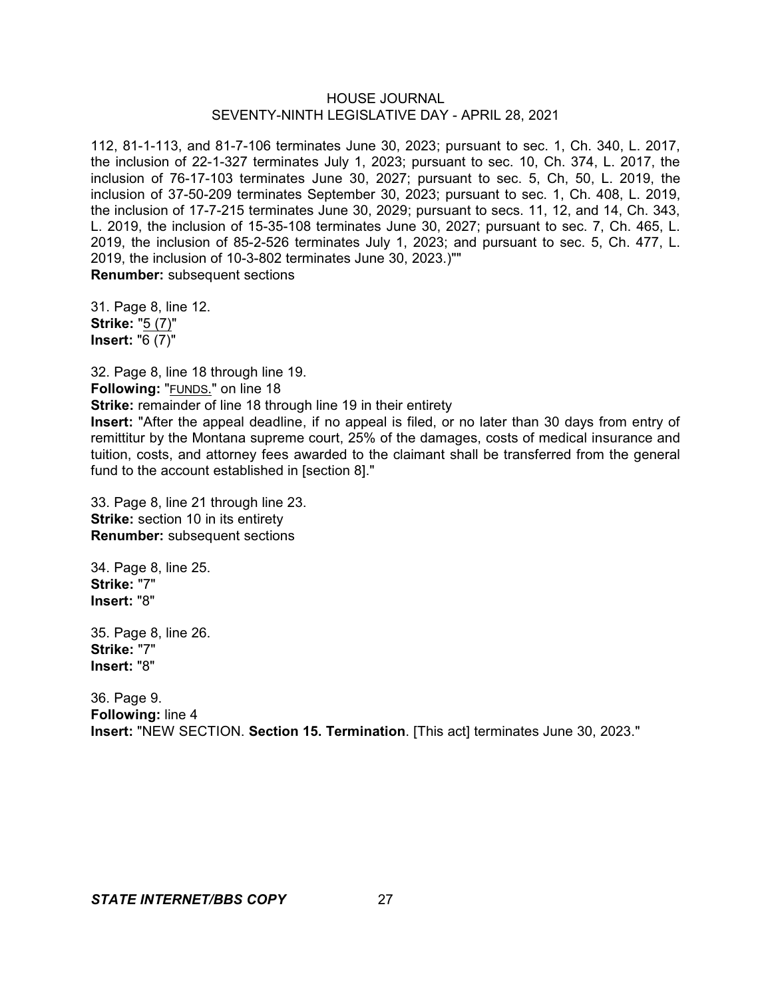112, 81-1-113, and 81-7-106 terminates June 30, 2023; pursuant to sec. 1, Ch. 340, L. 2017, the inclusion of 22-1-327 terminates July 1, 2023; pursuant to sec. 10, Ch. 374, L. 2017, the inclusion of 76-17-103 terminates June 30, 2027; pursuant to sec. 5, Ch, 50, L. 2019, the inclusion of 37-50-209 terminates September 30, 2023; pursuant to sec. 1, Ch. 408, L. 2019, the inclusion of 17-7-215 terminates June 30, 2029; pursuant to secs. 11, 12, and 14, Ch. 343, L. 2019, the inclusion of 15-35-108 terminates June 30, 2027; pursuant to sec. 7, Ch. 465, L. 2019, the inclusion of 85-2-526 terminates July 1, 2023; and pursuant to sec. 5, Ch. 477, L. 2019, the inclusion of 10-3-802 terminates June 30, 2023.)"" **Renumber:** subsequent sections

31. Page 8, line 12. **Strike:** "5 (7)" **Insert:** "6 (7)"

32. Page 8, line 18 through line 19. **Following:** "FUNDS." on line 18 **Strike:** remainder of line 18 through line 19 in their entirety **Insert:** "After the appeal deadline, if no appeal is filed, or no later than 30 days from entry of remittitur by the Montana supreme court, 25% of the damages, costs of medical insurance and tuition, costs, and attorney fees awarded to the claimant shall be transferred from the general fund to the account established in [section 8]."

33. Page 8, line 21 through line 23. **Strike:** section 10 in its entirety **Renumber:** subsequent sections

34. Page 8, line 25. **Strike:** "7" **Insert:** "8"

35. Page 8, line 26. **Strike:** "7" **Insert:** "8"

36. Page 9. **Following:** line 4 **Insert:** "NEW SECTION. **Section 15. Termination**. [This act] terminates June 30, 2023."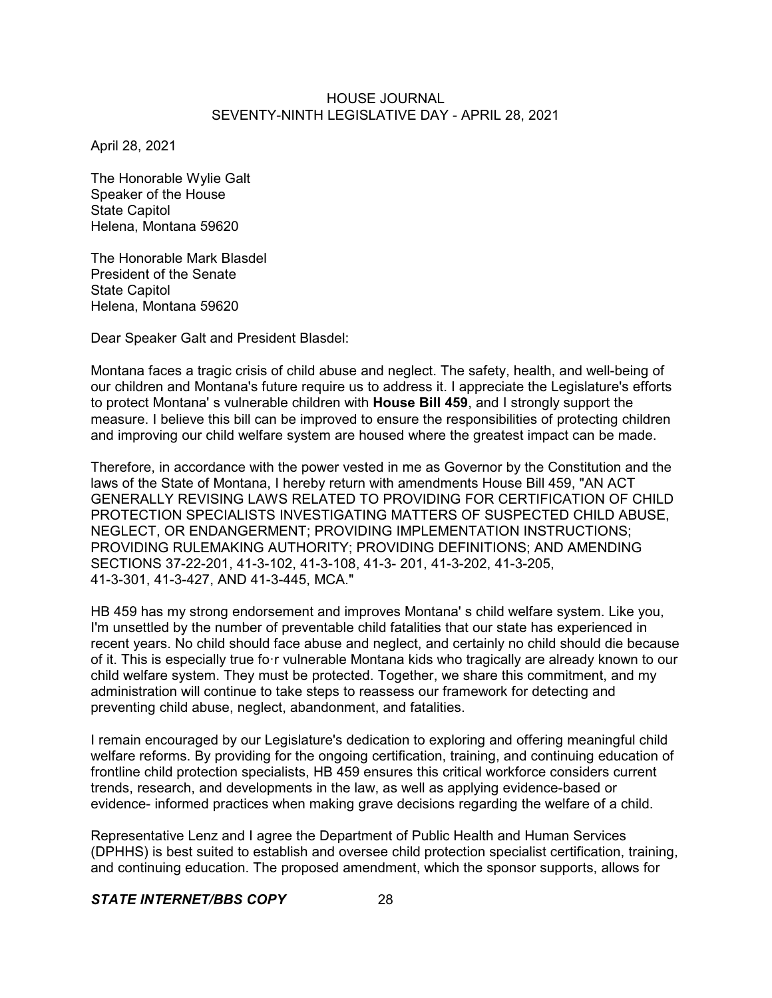April 28, 2021

The Honorable Wylie Galt Speaker of the House State Capitol Helena, Montana 59620

The Honorable Mark Blasdel President of the Senate State Capitol Helena, Montana 59620

Dear Speaker Galt and President Blasdel:

Montana faces a tragic crisis of child abuse and neglect. The safety, health, and well-being of our children and Montana's future require us to address it. I appreciate the Legislature's efforts to protect Montana' s vulnerable children with **House Bill 459**, and I strongly support the measure. I believe this bill can be improved to ensure the responsibilities of protecting children and improving our child welfare system are housed where the greatest impact can be made.

Therefore, in accordance with the power vested in me as Governor by the Constitution and the laws of the State of Montana, I hereby return with amendments House Bill 459, "AN ACT GENERALLY REVISING LAWS RELATED TO PROVIDING FOR CERTIFICATION OF CHILD PROTECTION SPECIALISTS INVESTIGATING MATTERS OF SUSPECTED CHILD ABUSE, NEGLECT, OR ENDANGERMENT; PROVIDING IMPLEMENTATION INSTRUCTIONS; PROVIDING RULEMAKING AUTHORITY; PROVIDING DEFINITIONS; AND AMENDING SECTIONS 37-22-201, 41-3-102, 41-3-108, 41-3- 201, 41-3-202, 41-3-205, 41-3-301, 41-3-427, AND 41-3-445, MCA."

HB 459 has my strong endorsement and improves Montana' s child welfare system. Like you, I'm unsettled by the number of preventable child fatalities that our state has experienced in recent years. No child should face abuse and neglect, and certainly no child should die because of it. This is especially true fo·r vulnerable Montana kids who tragically are already known to our child welfare system. They must be protected. Together, we share this commitment, and my administration will continue to take steps to reassess our framework for detecting and preventing child abuse, neglect, abandonment, and fatalities.

I remain encouraged by our Legislature's dedication to exploring and offering meaningful child welfare reforms. By providing for the ongoing certification, training, and continuing education of frontline child protection specialists, HB 459 ensures this critical workforce considers current trends, research, and developments in the law, as well as applying evidence-based or evidence- informed practices when making grave decisions regarding the welfare of a child.

Representative Lenz and I agree the Department of Public Health and Human Services (DPHHS) is best suited to establish and oversee child protection specialist certification, training, and continuing education. The proposed amendment, which the sponsor supports, allows for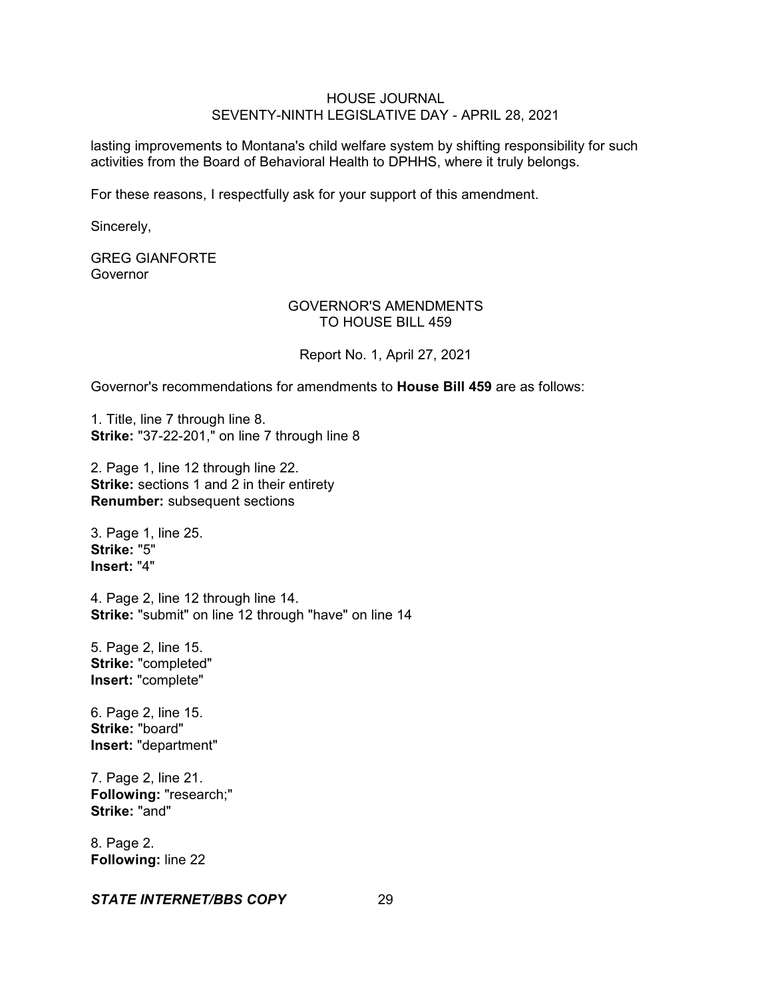lasting improvements to Montana's child welfare system by shifting responsibility for such activities from the Board of Behavioral Health to DPHHS, where it truly belongs.

For these reasons, I respectfully ask for your support of this amendment.

Sincerely,

# GREG GIANFORTE Governor

# GOVERNOR'S AMENDMENTS TO HOUSE BILL 459

Report No. 1, April 27, 2021

Governor's recommendations for amendments to **House Bill 459** are as follows:

1. Title, line 7 through line 8. **Strike:** "37-22-201," on line 7 through line 8

2. Page 1, line 12 through line 22. **Strike:** sections 1 and 2 in their entirety **Renumber:** subsequent sections

3. Page 1, line 25. **Strike:** "5" **Insert:** "4"

4. Page 2, line 12 through line 14. **Strike:** "submit" on line 12 through "have" on line 14

5. Page 2, line 15. **Strike:** "completed" **Insert:** "complete"

6. Page 2, line 15. **Strike:** "board" **Insert:** "department"

7. Page 2, line 21. **Following:** "research;" **Strike:** "and"

8. Page 2. **Following:** line 22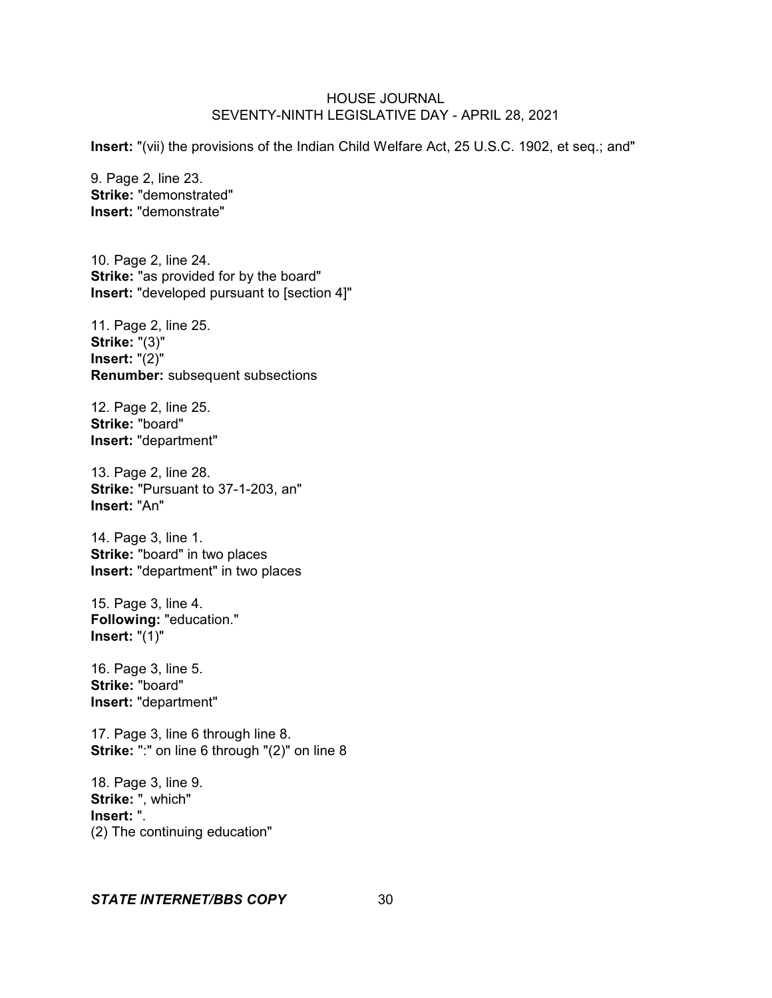**Insert:** "(vii) the provisions of the Indian Child Welfare Act, 25 U.S.C. 1902, et seq.; and"

9. Page 2, line 23. **Strike:** "demonstrated" **Insert:** "demonstrate"

10. Page 2, line 24. **Strike:** "as provided for by the board" **Insert:** "developed pursuant to [section 4]"

11. Page 2, line 25. **Strike:** "(3)" **Insert:** "(2)" **Renumber:** subsequent subsections

12. Page 2, line 25. **Strike:** "board" **Insert:** "department"

13. Page 2, line 28. **Strike:** "Pursuant to 37-1-203, an" **Insert:** "An"

14. Page 3, line 1. **Strike:** "board" in two places **Insert:** "department" in two places

15. Page 3, line 4. **Following:** "education." **Insert:** "(1)"

16. Page 3, line 5. **Strike:** "board" **Insert:** "department"

17. Page 3, line 6 through line 8. **Strike:** ":" on line 6 through "(2)" on line 8

18. Page 3, line 9. **Strike:** ", which" **Insert:** ". (2) The continuing education"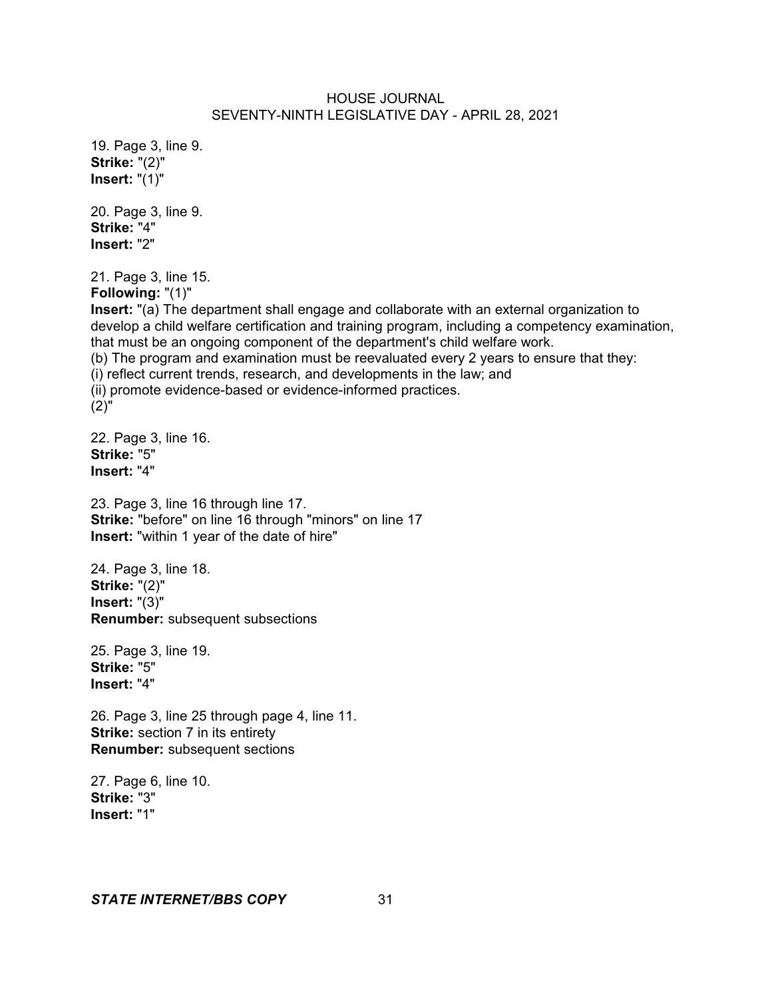19. Page 3, line 9. **Strike:** "(2)" **Insert:** "(1)"

20. Page 3, line 9. **Strike:** "4" **Insert:** "2"

21. Page 3, line 15.

**Following:** "(1)"

**Insert:** "(a) The department shall engage and collaborate with an external organization to develop a child welfare certification and training program, including a competency examination, that must be an ongoing component of the department's child welfare work. (b) The program and examination must be reevaluated every 2 years to ensure that they: (i) reflect current trends, research, and developments in the law; and (ii) promote evidence-based or evidence-informed practices. (2)"

22. Page 3, line 16. **Strike:** "5" **Insert:** "4"

23. Page 3, line 16 through line 17. **Strike:** "before" on line 16 through "minors" on line 17 **Insert:** "within 1 year of the date of hire"

24. Page 3, line 18. **Strike:** "(2)" **Insert:** "(3)" **Renumber:** subsequent subsections

25. Page 3, line 19. **Strike:** "5" **Insert:** "4"

26. Page 3, line 25 through page 4, line 11. **Strike:** section 7 in its entirety **Renumber:** subsequent sections

27. Page 6, line 10. **Strike:** "3" **Insert:** "1"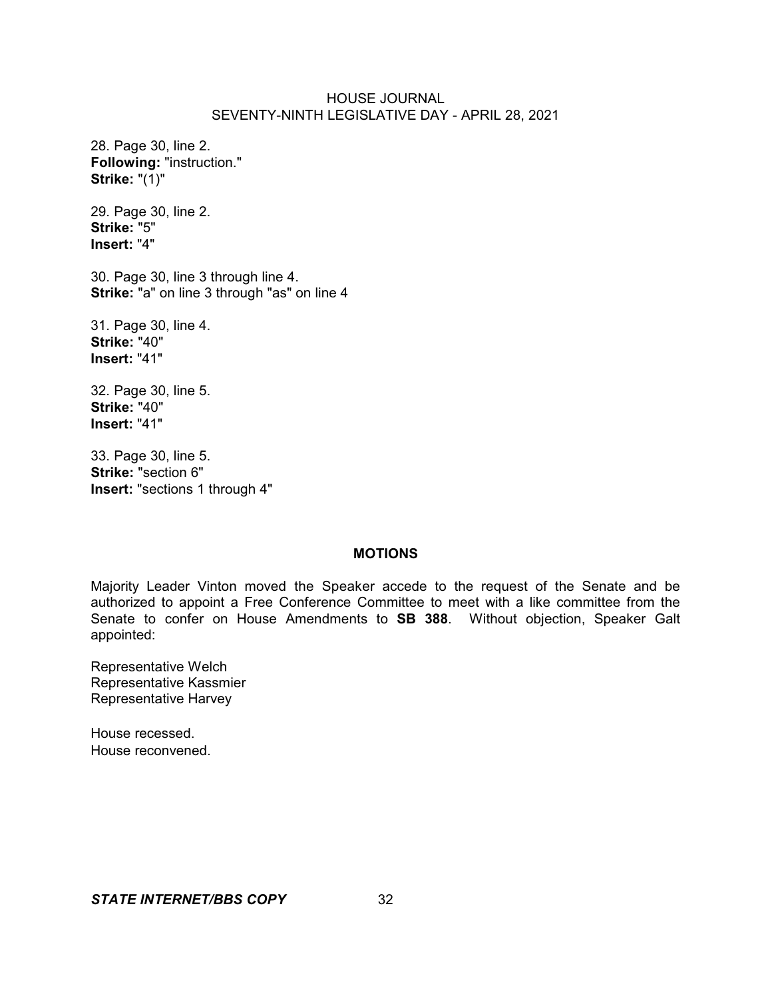28. Page 30, line 2. **Following:** "instruction." **Strike:** "(1)"

29. Page 30, line 2. **Strike:** "5" **Insert:** "4"

30. Page 30, line 3 through line 4. **Strike:** "a" on line 3 through "as" on line 4

31. Page 30, line 4. **Strike:** "40" **Insert:** "41"

32. Page 30, line 5. **Strike:** "40" **Insert:** "41"

33. Page 30, line 5. **Strike:** "section 6" **Insert:** "sections 1 through 4"

#### **MOTIONS**

Majority Leader Vinton moved the Speaker accede to the request of the Senate and be authorized to appoint a Free Conference Committee to meet with a like committee from the Senate to confer on House Amendments to **SB 388**. Without objection, Speaker Galt appointed:

Representative Welch Representative Kassmier Representative Harvey

House recessed. House reconvened.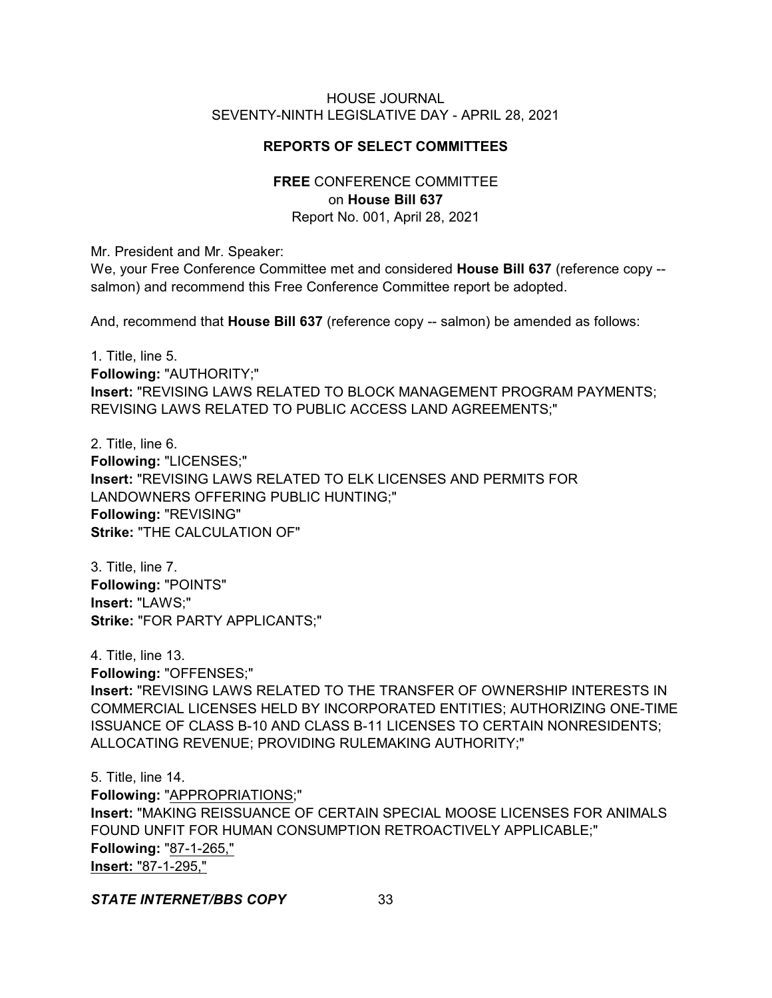# **REPORTS OF SELECT COMMITTEES**

# **FREE** CONFERENCE COMMITTEE on **House Bill 637** Report No. 001, April 28, 2021

Mr. President and Mr. Speaker:

We, your Free Conference Committee met and considered **House Bill 637** (reference copy - salmon) and recommend this Free Conference Committee report be adopted.

And, recommend that **House Bill 637** (reference copy -- salmon) be amended as follows:

1. Title, line 5. **Following:** "AUTHORITY;" **Insert:** "REVISING LAWS RELATED TO BLOCK MANAGEMENT PROGRAM PAYMENTS; REVISING LAWS RELATED TO PUBLIC ACCESS LAND AGREEMENTS;"

2. Title, line 6. **Following:** "LICENSES;" **Insert:** "REVISING LAWS RELATED TO ELK LICENSES AND PERMITS FOR LANDOWNERS OFFERING PUBLIC HUNTING;" **Following:** "REVISING" **Strike:** "THE CALCULATION OF"

3. Title, line 7. **Following:** "POINTS" **Insert:** "LAWS;" **Strike:** "FOR PARTY APPLICANTS;"

4. Title, line 13. **Following:** "OFFENSES;" **Insert:** "REVISING LAWS RELATED TO THE TRANSFER OF OWNERSHIP INTERESTS IN COMMERCIAL LICENSES HELD BY INCORPORATED ENTITIES; AUTHORIZING ONE-TIME ISSUANCE OF CLASS B-10 AND CLASS B-11 LICENSES TO CERTAIN NONRESIDENTS; ALLOCATING REVENUE; PROVIDING RULEMAKING AUTHORITY;"

5. Title, line 14. **Following:** "APPROPRIATIONS;" **Insert:** "MAKING REISSUANCE OF CERTAIN SPECIAL MOOSE LICENSES FOR ANIMALS FOUND UNFIT FOR HUMAN CONSUMPTION RETROACTIVELY APPLICABLE;" **Following:** "87-1-265," **Insert:** "87-1-295,"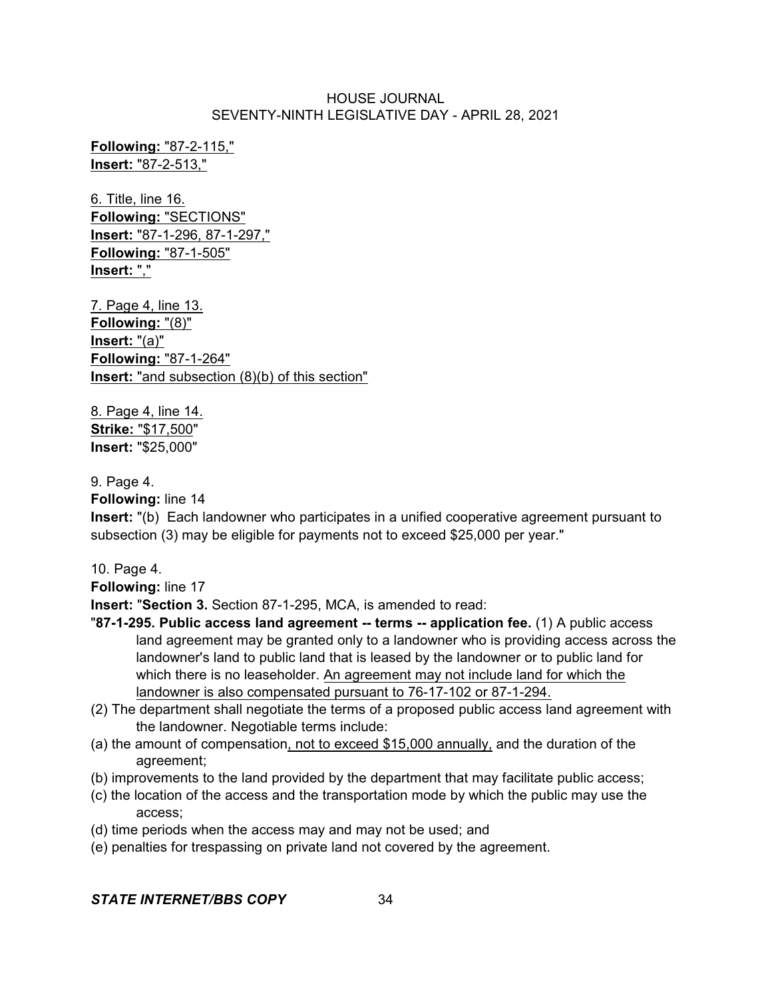**Following:** "87-2-115," **Insert:** "87-2-513,"

6. Title, line 16. **Following:** "SECTIONS" **Insert:** "87-1-296, 87-1-297," **Following:** "87-1-505" **Insert:** ","

7. Page 4, line 13. **Following:** "(8)" **Insert:** "(a)" **Following:** "87-1-264" **Insert:** "and subsection (8)(b) of this section"

8. Page 4, line 14. **Strike:** "\$17,500" **Insert:** "\$25,000"

# 9. Page 4.

**Following:** line 14

**Insert:** "(b) Each landowner who participates in a unified cooperative agreement pursuant to subsection (3) may be eligible for payments not to exceed \$25,000 per year."

10. Page 4.

**Following:** line 17

**Insert:** "**Section 3.** Section 87-1-295, MCA, is amended to read:

- "**87-1-295. Public access land agreement -- terms -- application fee.** (1) A public access land agreement may be granted only to a landowner who is providing access across the landowner's land to public land that is leased by the landowner or to public land for which there is no leaseholder. An agreement may not include land for which the landowner is also compensated pursuant to 76-17-102 or 87-1-294.
- (2) The department shall negotiate the terms of a proposed public access land agreement with the landowner. Negotiable terms include:
- (a) the amount of compensation, not to exceed \$15,000 annually, and the duration of the agreement;
- (b) improvements to the land provided by the department that may facilitate public access;
- (c) the location of the access and the transportation mode by which the public may use the access;
- (d) time periods when the access may and may not be used; and
- (e) penalties for trespassing on private land not covered by the agreement.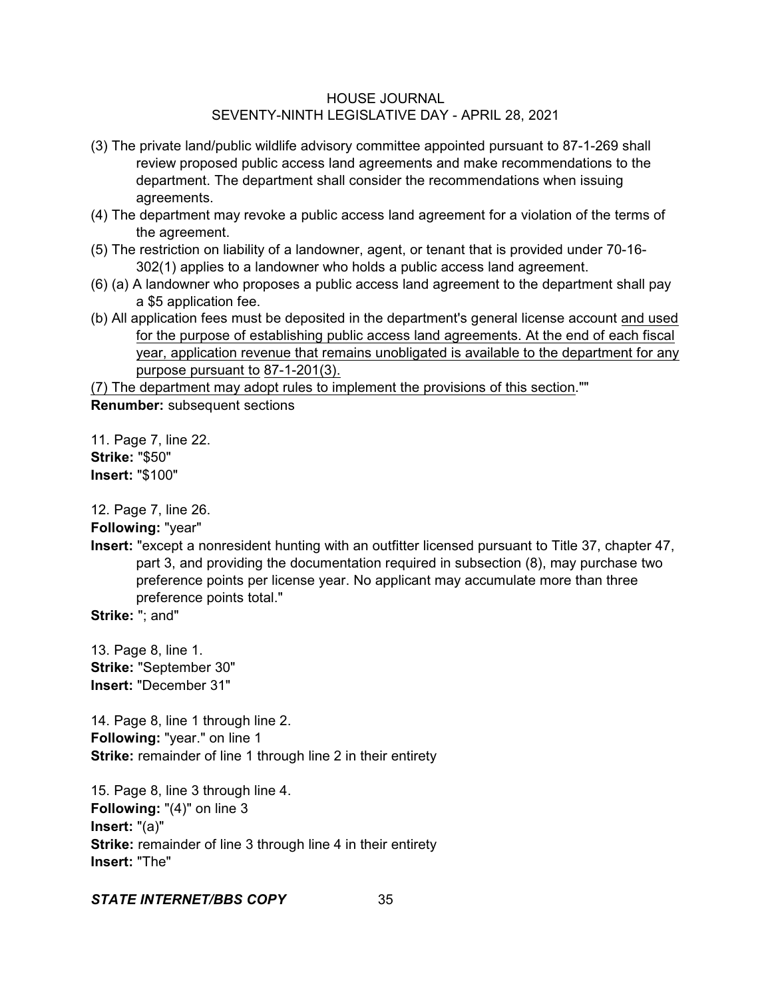- (3) The private land/public wildlife advisory committee appointed pursuant to 87-1-269 shall review proposed public access land agreements and make recommendations to the department. The department shall consider the recommendations when issuing agreements.
- (4) The department may revoke a public access land agreement for a violation of the terms of the agreement.
- (5) The restriction on liability of a landowner, agent, or tenant that is provided under 70-16- 302(1) applies to a landowner who holds a public access land agreement.
- (6) (a) A landowner who proposes a public access land agreement to the department shall pay a \$5 application fee.
- (b) All application fees must be deposited in the department's general license account and used for the purpose of establishing public access land agreements. At the end of each fiscal year, application revenue that remains unobligated is available to the department for any purpose pursuant to 87-1-201(3).

(7) The department may adopt rules to implement the provisions of this section."" **Renumber:** subsequent sections

11. Page 7, line 22. **Strike:** "\$50" **Insert:** "\$100"

12. Page 7, line 26.

**Following:** "year"

**Insert:** "except a nonresident hunting with an outfitter licensed pursuant to Title 37, chapter 47, part 3, and providing the documentation required in subsection (8), may purchase two preference points per license year. No applicant may accumulate more than three preference points total."

**Strike:** "; and"

13. Page 8, line 1. **Strike:** "September 30" **Insert:** "December 31"

14. Page 8, line 1 through line 2. **Following:** "year." on line 1 **Strike:** remainder of line 1 through line 2 in their entirety

15. Page 8, line 3 through line 4. **Following:** "(4)" on line 3 **Insert:** "(a)" **Strike:** remainder of line 3 through line 4 in their entirety **Insert:** "The"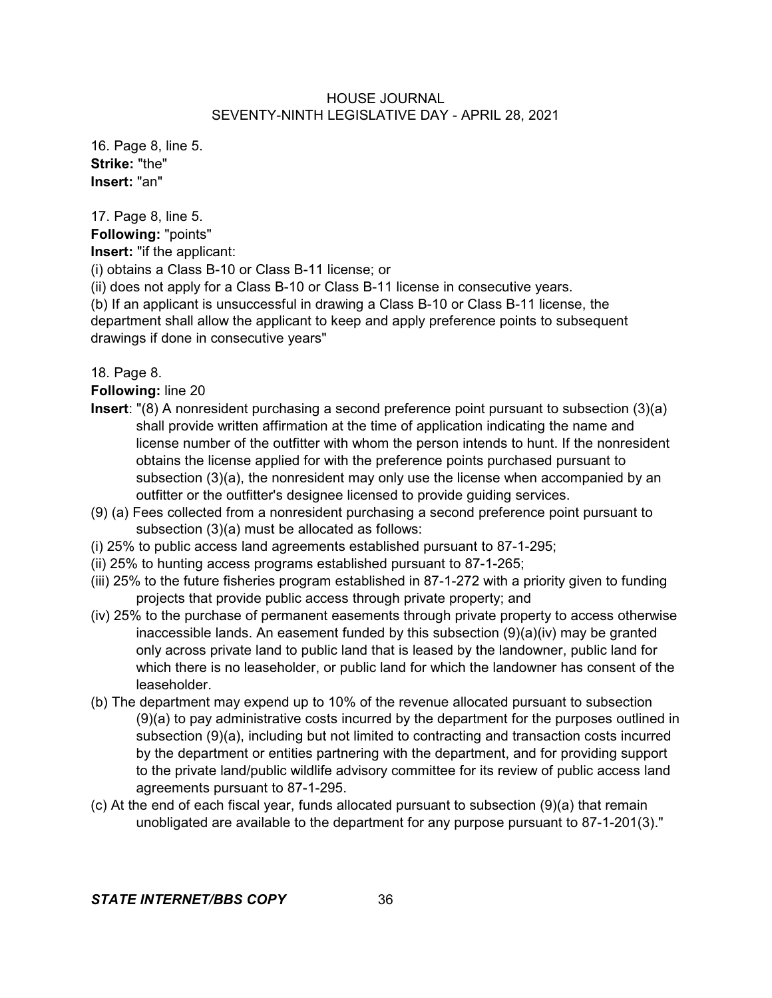16. Page 8, line 5. **Strike:** "the" **Insert:** "an"

17. Page 8, line 5.

**Following:** "points"

**Insert:** "if the applicant:

(i) obtains a Class B-10 or Class B-11 license; or

(ii) does not apply for a Class B-10 or Class B-11 license in consecutive years.

(b) If an applicant is unsuccessful in drawing a Class B-10 or Class B-11 license, the department shall allow the applicant to keep and apply preference points to subsequent drawings if done in consecutive years"

18. Page 8.

**Following:** line 20

- **Insert**: "(8) A nonresident purchasing a second preference point pursuant to subsection (3)(a) shall provide written affirmation at the time of application indicating the name and license number of the outfitter with whom the person intends to hunt. If the nonresident obtains the license applied for with the preference points purchased pursuant to subsection (3)(a), the nonresident may only use the license when accompanied by an outfitter or the outfitter's designee licensed to provide guiding services.
- (9) (a) Fees collected from a nonresident purchasing a second preference point pursuant to subsection (3)(a) must be allocated as follows:
- (i) 25% to public access land agreements established pursuant to 87-1-295;
- (ii) 25% to hunting access programs established pursuant to 87-1-265;
- (iii) 25% to the future fisheries program established in 87-1-272 with a priority given to funding projects that provide public access through private property; and
- (iv) 25% to the purchase of permanent easements through private property to access otherwise inaccessible lands. An easement funded by this subsection  $(9)(a)(iv)$  may be granted only across private land to public land that is leased by the landowner, public land for which there is no leaseholder, or public land for which the landowner has consent of the leaseholder.
- (b) The department may expend up to 10% of the revenue allocated pursuant to subsection (9)(a) to pay administrative costs incurred by the department for the purposes outlined in subsection (9)(a), including but not limited to contracting and transaction costs incurred by the department or entities partnering with the department, and for providing support to the private land/public wildlife advisory committee for its review of public access land agreements pursuant to 87-1-295.
- (c) At the end of each fiscal year, funds allocated pursuant to subsection (9)(a) that remain unobligated are available to the department for any purpose pursuant to 87-1-201(3)."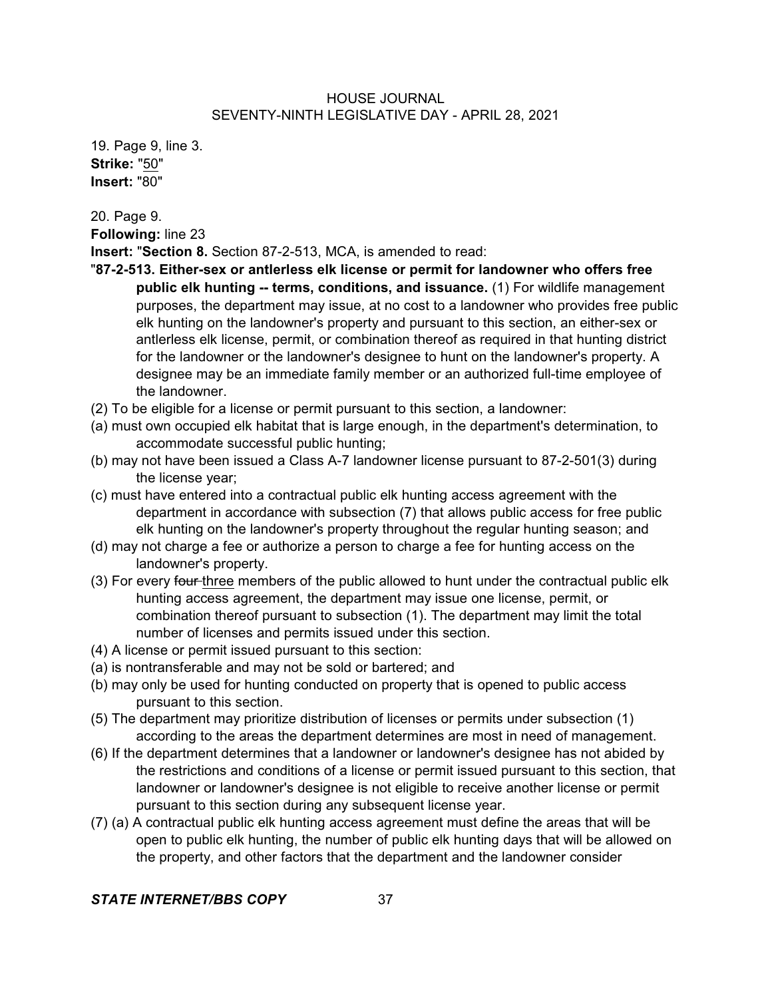19. Page 9, line 3. **Strike:** "50" **Insert:** "80"

20. Page 9. **Following:** line 23

**Insert:** "**Section 8.** Section 87-2-513, MCA, is amended to read:

- "**87-2-513. Either-sex or antlerless elk license or permit for landowner who offers free public elk hunting -- terms, conditions, and issuance.** (1) For wildlife management purposes, the department may issue, at no cost to a landowner who provides free public elk hunting on the landowner's property and pursuant to this section, an either-sex or antlerless elk license, permit, or combination thereof as required in that hunting district for the landowner or the landowner's designee to hunt on the landowner's property. A designee may be an immediate family member or an authorized full-time employee of the landowner.
- (2) To be eligible for a license or permit pursuant to this section, a landowner:
- (a) must own occupied elk habitat that is large enough, in the department's determination, to accommodate successful public hunting;
- (b) may not have been issued a Class A-7 landowner license pursuant to 87-2-501(3) during the license year;
- (c) must have entered into a contractual public elk hunting access agreement with the department in accordance with subsection (7) that allows public access for free public elk hunting on the landowner's property throughout the regular hunting season; and
- (d) may not charge a fee or authorize a person to charge a fee for hunting access on the landowner's property.
- (3) For every four three members of the public allowed to hunt under the contractual public elk hunting access agreement, the department may issue one license, permit, or combination thereof pursuant to subsection (1). The department may limit the total number of licenses and permits issued under this section.
- (4) A license or permit issued pursuant to this section:
- (a) is nontransferable and may not be sold or bartered; and
- (b) may only be used for hunting conducted on property that is opened to public access pursuant to this section.
- (5) The department may prioritize distribution of licenses or permits under subsection (1) according to the areas the department determines are most in need of management.
- (6) If the department determines that a landowner or landowner's designee has not abided by the restrictions and conditions of a license or permit issued pursuant to this section, that landowner or landowner's designee is not eligible to receive another license or permit pursuant to this section during any subsequent license year.
- (7) (a) A contractual public elk hunting access agreement must define the areas that will be open to public elk hunting, the number of public elk hunting days that will be allowed on the property, and other factors that the department and the landowner consider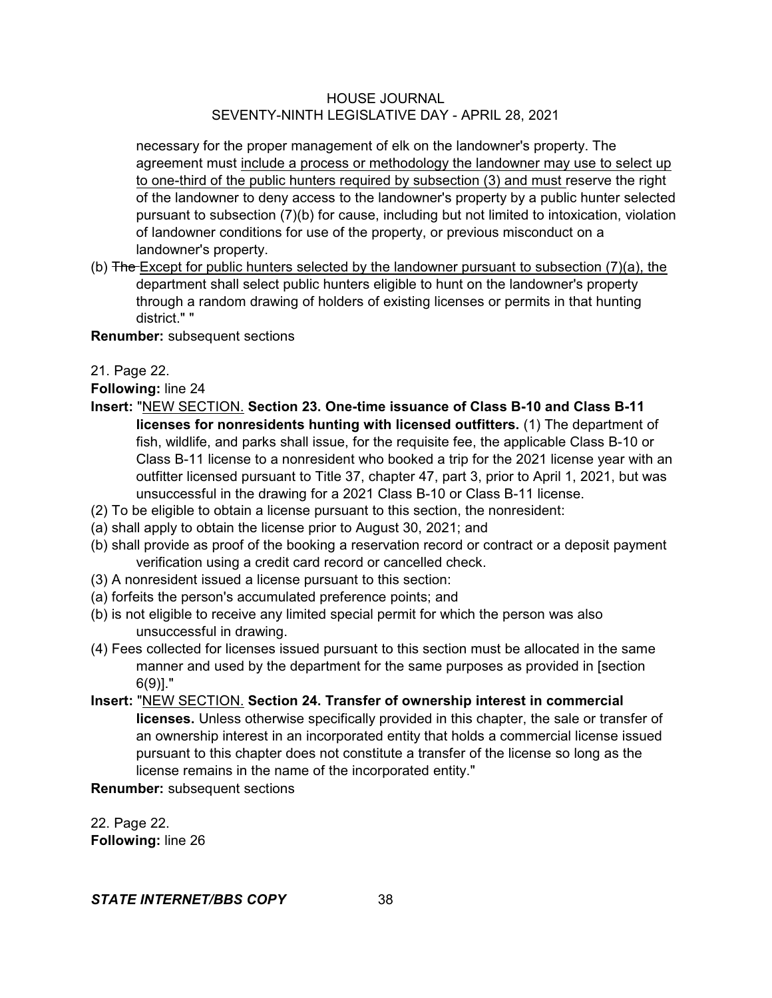necessary for the proper management of elk on the landowner's property. The agreement must include a process or methodology the landowner may use to select up to one-third of the public hunters required by subsection (3) and must reserve the right of the landowner to deny access to the landowner's property by a public hunter selected pursuant to subsection (7)(b) for cause, including but not limited to intoxication, violation of landowner conditions for use of the property, or previous misconduct on a landowner's property.

(b)  $\overline{\text{The}}$  Except for public hunters selected by the landowner pursuant to subsection (7)(a), the department shall select public hunters eligible to hunt on the landowner's property through a random drawing of holders of existing licenses or permits in that hunting district." "

**Renumber:** subsequent sections

21. Page 22.

**Following:** line 24

- **Insert:** "NEW SECTION. **Section 23. One-time issuance of Class B-10 and Class B-11 licenses for nonresidents hunting with licensed outfitters.** (1) The department of fish, wildlife, and parks shall issue, for the requisite fee, the applicable Class B-10 or Class B-11 license to a nonresident who booked a trip for the 2021 license year with an outfitter licensed pursuant to Title 37, chapter 47, part 3, prior to April 1, 2021, but was unsuccessful in the drawing for a 2021 Class B-10 or Class B-11 license.
- (2) To be eligible to obtain a license pursuant to this section, the nonresident:
- (a) shall apply to obtain the license prior to August 30, 2021; and
- (b) shall provide as proof of the booking a reservation record or contract or a deposit payment verification using a credit card record or cancelled check.
- (3) A nonresident issued a license pursuant to this section:
- (a) forfeits the person's accumulated preference points; and
- (b) is not eligible to receive any limited special permit for which the person was also unsuccessful in drawing.
- (4) Fees collected for licenses issued pursuant to this section must be allocated in the same manner and used by the department for the same purposes as provided in [section 6(9)]."
- **Insert:** "NEW SECTION. **Section 24. Transfer of ownership interest in commercial licenses.** Unless otherwise specifically provided in this chapter, the sale or transfer of an ownership interest in an incorporated entity that holds a commercial license issued pursuant to this chapter does not constitute a transfer of the license so long as the license remains in the name of the incorporated entity."

**Renumber:** subsequent sections

22. Page 22. **Following:** line 26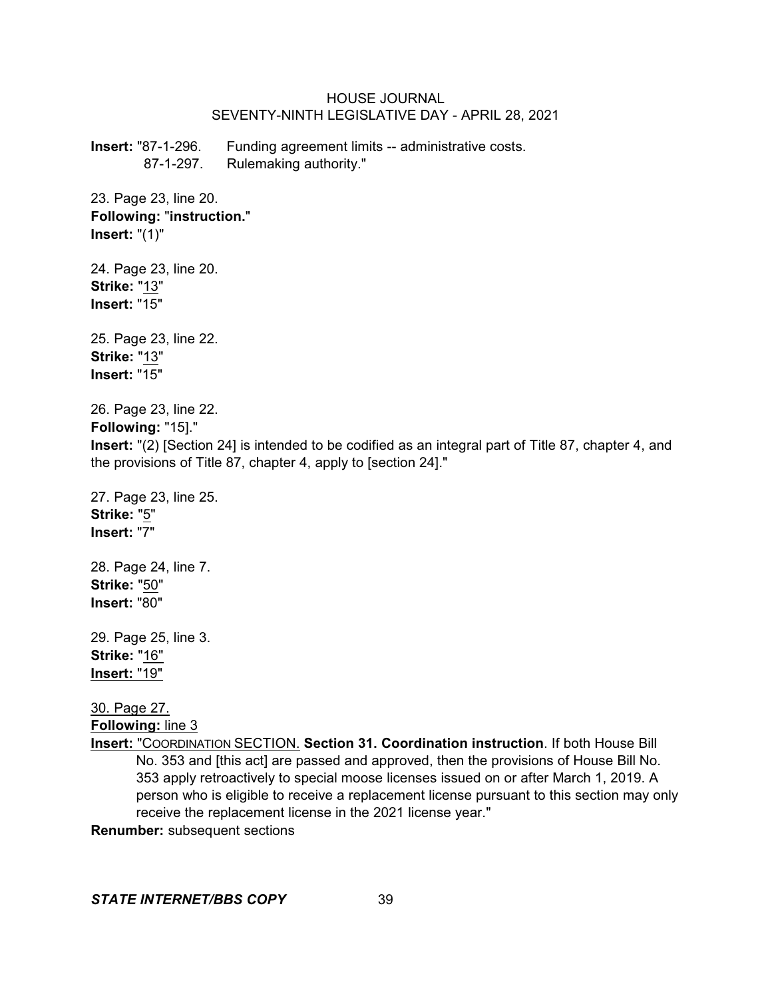**Insert:** "87-1-296. Funding agreement limits -- administrative costs. 87-1-297. Rulemaking authority."

23. Page 23, line 20. **Following:** "**instruction.**" **Insert:** "(1)"

24. Page 23, line 20. **Strike:** "13" **Insert:** "15"

25. Page 23, line 22. **Strike:** "13" **Insert:** "15"

26. Page 23, line 22.

**Following:** "15]."

**Insert:** "(2) [Section 24] is intended to be codified as an integral part of Title 87, chapter 4, and the provisions of Title 87, chapter 4, apply to [section 24]."

27. Page 23, line 25. **Strike:** "5" **Insert:** "7"

28. Page 24, line 7. **Strike:** "50" **Insert:** "80"

29. Page 25, line 3. **Strike:** "16" **Insert:** "19"

30. Page 27. **Following:** line 3

**Insert:** "COORDINATION SECTION. **Section 31. Coordination instruction**. If both House Bill No. 353 and [this act] are passed and approved, then the provisions of House Bill No. 353 apply retroactively to special moose licenses issued on or after March 1, 2019. A person who is eligible to receive a replacement license pursuant to this section may only receive the replacement license in the 2021 license year."

**Renumber:** subsequent sections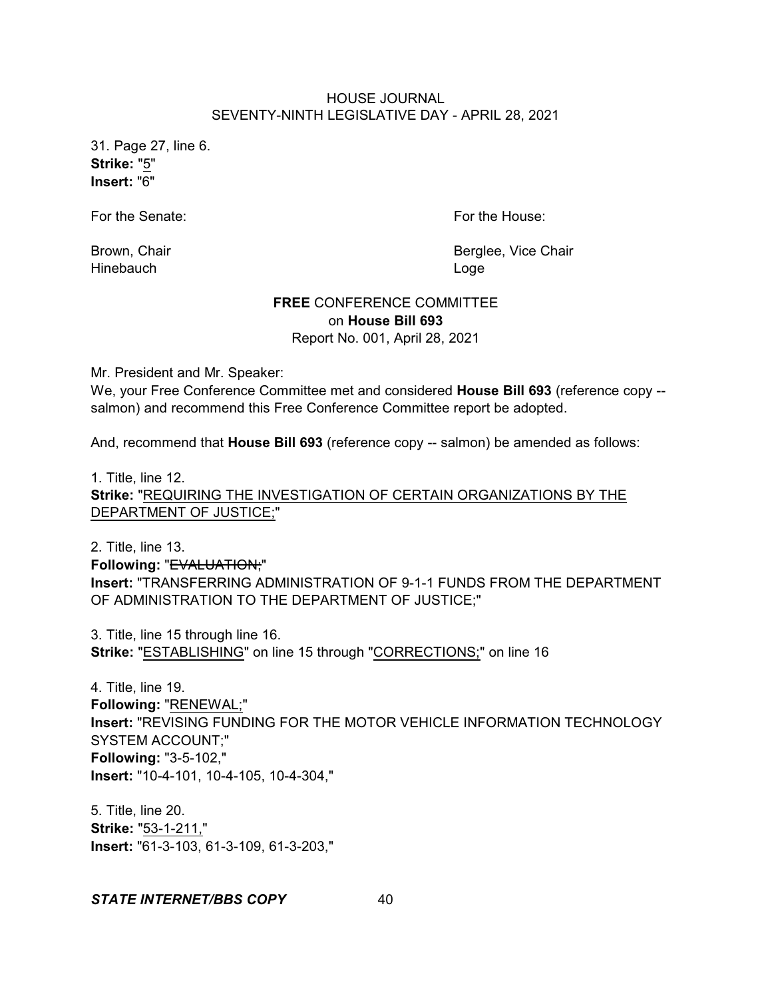31. Page 27, line 6. **Strike:** "5" **Insert:** "6"

For the Senate: For the House:

Hinebauch **Loge** 

Brown, Chair **Brown, Chair** Berglee, Vice Chair

## **FREE** CONFERENCE COMMITTEE on **House Bill 693** Report No. 001, April 28, 2021

Mr. President and Mr. Speaker:

We, your Free Conference Committee met and considered **House Bill 693** (reference copy - salmon) and recommend this Free Conference Committee report be adopted.

And, recommend that **House Bill 693** (reference copy -- salmon) be amended as follows:

1. Title, line 12. **Strike:** "REQUIRING THE INVESTIGATION OF CERTAIN ORGANIZATIONS BY THE DEPARTMENT OF JUSTICE;"

2. Title, line 13. **Following:** "EVALUATION;" **Insert:** "TRANSFERRING ADMINISTRATION OF 9-1-1 FUNDS FROM THE DEPARTMENT OF ADMINISTRATION TO THE DEPARTMENT OF JUSTICE;"

3. Title, line 15 through line 16. **Strike:** "ESTABLISHING" on line 15 through "CORRECTIONS;" on line 16

4. Title, line 19. **Following:** "RENEWAL;" **Insert:** "REVISING FUNDING FOR THE MOTOR VEHICLE INFORMATION TECHNOLOGY SYSTEM ACCOUNT;" **Following:** "3-5-102," **Insert:** "10-4-101, 10-4-105, 10-4-304,"

5. Title, line 20. **Strike:** "53-1-211," **Insert:** "61-3-103, 61-3-109, 61-3-203,"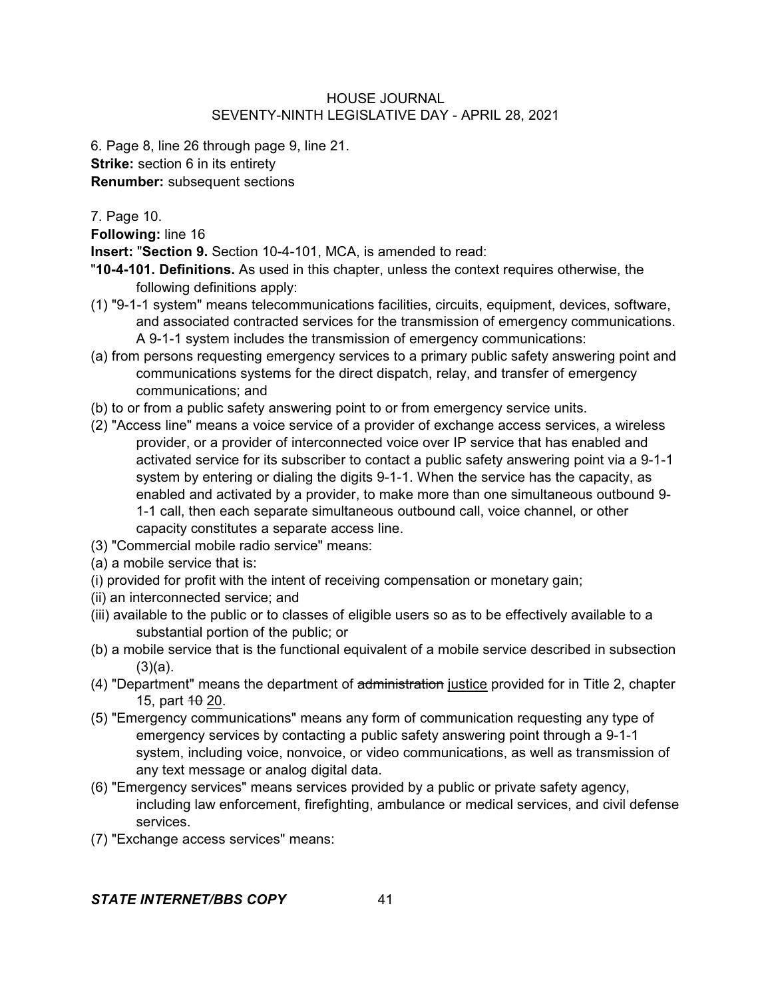6. Page 8, line 26 through page 9, line 21. **Strike:** section 6 in its entirety **Renumber:** subsequent sections

7. Page 10.

**Following:** line 16

**Insert:** "**Section 9.** Section 10-4-101, MCA, is amended to read:

"**10-4-101. Definitions.** As used in this chapter, unless the context requires otherwise, the following definitions apply:

- (1) "9-1-1 system" means telecommunications facilities, circuits, equipment, devices, software, and associated contracted services for the transmission of emergency communications. A 9-1-1 system includes the transmission of emergency communications:
- (a) from persons requesting emergency services to a primary public safety answering point and communications systems for the direct dispatch, relay, and transfer of emergency communications; and
- (b) to or from a public safety answering point to or from emergency service units.
- (2) "Access line" means a voice service of a provider of exchange access services, a wireless provider, or a provider of interconnected voice over IP service that has enabled and activated service for its subscriber to contact a public safety answering point via a 9-1-1 system by entering or dialing the digits 9-1-1. When the service has the capacity, as enabled and activated by a provider, to make more than one simultaneous outbound 9- 1-1 call, then each separate simultaneous outbound call, voice channel, or other capacity constitutes a separate access line.
- (3) "Commercial mobile radio service" means:
- (a) a mobile service that is:
- (i) provided for profit with the intent of receiving compensation or monetary gain;
- (ii) an interconnected service; and
- (iii) available to the public or to classes of eligible users so as to be effectively available to a substantial portion of the public; or
- (b) a mobile service that is the functional equivalent of a mobile service described in subsection  $(3)(a)$ .
- (4) "Department" means the department of administration justice provided for in Title 2, chapter 15, part  $10-20$ .
- (5) "Emergency communications" means any form of communication requesting any type of emergency services by contacting a public safety answering point through a 9-1-1 system, including voice, nonvoice, or video communications, as well as transmission of any text message or analog digital data.
- (6) "Emergency services" means services provided by a public or private safety agency, including law enforcement, firefighting, ambulance or medical services, and civil defense services.
- (7) "Exchange access services" means: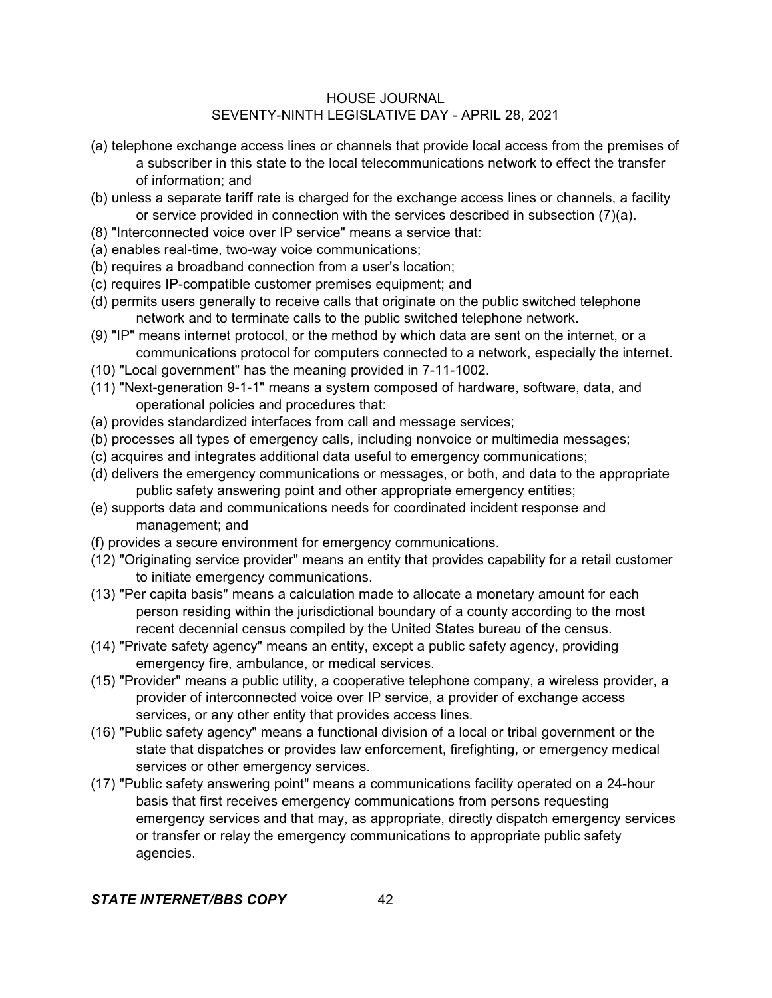- (a) telephone exchange access lines or channels that provide local access from the premises of a subscriber in this state to the local telecommunications network to effect the transfer of information; and
- (b) unless a separate tariff rate is charged for the exchange access lines or channels, a facility or service provided in connection with the services described in subsection (7)(a).
- (8) "Interconnected voice over IP service" means a service that:
- (a) enables real-time, two-way voice communications;
- (b) requires a broadband connection from a user's location;
- (c) requires IP-compatible customer premises equipment; and
- (d) permits users generally to receive calls that originate on the public switched telephone network and to terminate calls to the public switched telephone network.
- (9) "IP" means internet protocol, or the method by which data are sent on the internet, or a communications protocol for computers connected to a network, especially the internet.
- (10) "Local government" has the meaning provided in 7-11-1002.
- (11) "Next-generation 9-1-1" means a system composed of hardware, software, data, and operational policies and procedures that:
- (a) provides standardized interfaces from call and message services;
- (b) processes all types of emergency calls, including nonvoice or multimedia messages;
- (c) acquires and integrates additional data useful to emergency communications;
- (d) delivers the emergency communications or messages, or both, and data to the appropriate public safety answering point and other appropriate emergency entities;
- (e) supports data and communications needs for coordinated incident response and management; and
- (f) provides a secure environment for emergency communications.
- (12) "Originating service provider" means an entity that provides capability for a retail customer to initiate emergency communications.
- (13) "Per capita basis" means a calculation made to allocate a monetary amount for each person residing within the jurisdictional boundary of a county according to the most recent decennial census compiled by the United States bureau of the census.
- (14) "Private safety agency" means an entity, except a public safety agency, providing emergency fire, ambulance, or medical services.
- (15) "Provider" means a public utility, a cooperative telephone company, a wireless provider, a provider of interconnected voice over IP service, a provider of exchange access services, or any other entity that provides access lines.
- (16) "Public safety agency" means a functional division of a local or tribal government or the state that dispatches or provides law enforcement, firefighting, or emergency medical services or other emergency services.
- (17) "Public safety answering point" means a communications facility operated on a 24-hour basis that first receives emergency communications from persons requesting emergency services and that may, as appropriate, directly dispatch emergency services or transfer or relay the emergency communications to appropriate public safety agencies.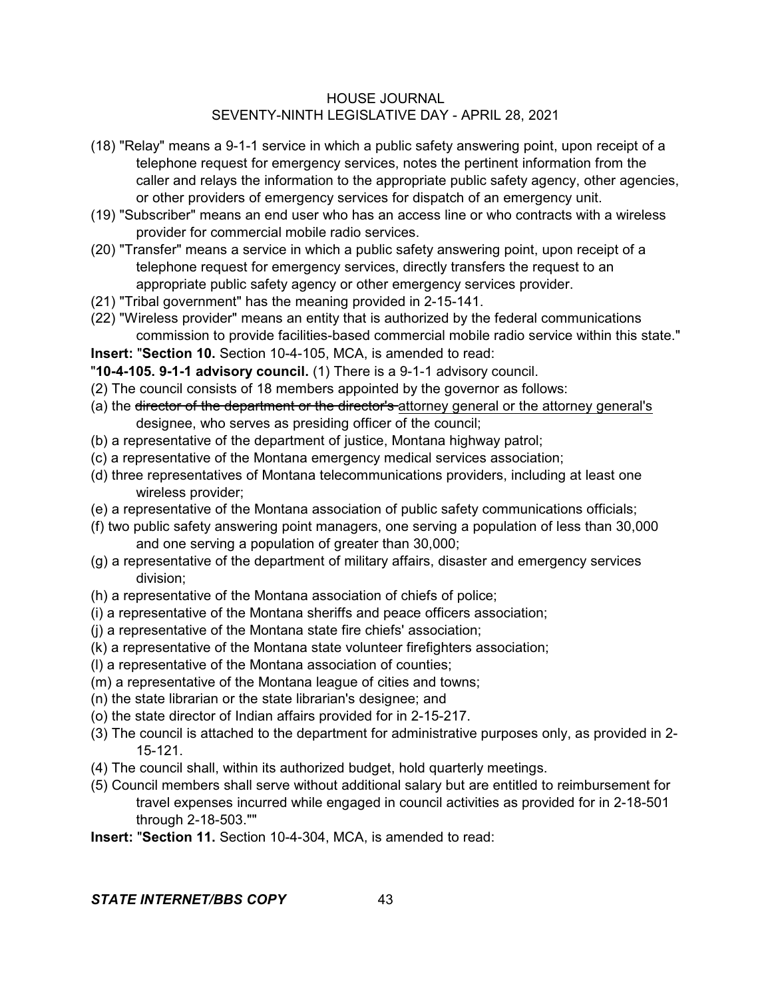- (18) "Relay" means a 9-1-1 service in which a public safety answering point, upon receipt of a telephone request for emergency services, notes the pertinent information from the caller and relays the information to the appropriate public safety agency, other agencies, or other providers of emergency services for dispatch of an emergency unit.
- (19) "Subscriber" means an end user who has an access line or who contracts with a wireless provider for commercial mobile radio services.
- (20) "Transfer" means a service in which a public safety answering point, upon receipt of a telephone request for emergency services, directly transfers the request to an appropriate public safety agency or other emergency services provider.
- (21) "Tribal government" has the meaning provided in 2-15-141.
- (22) "Wireless provider" means an entity that is authorized by the federal communications commission to provide facilities-based commercial mobile radio service within this state."

**Insert:** "**Section 10.** Section 10-4-105, MCA, is amended to read:

- "**10-4-105. 9-1-1 advisory council.** (1) There is a 9-1-1 advisory council.
- (2) The council consists of 18 members appointed by the governor as follows:
- (a) the director of the department or the director's attorney general or the attorney general's designee, who serves as presiding officer of the council;
- (b) a representative of the department of justice, Montana highway patrol;
- (c) a representative of the Montana emergency medical services association;
- (d) three representatives of Montana telecommunications providers, including at least one wireless provider;
- (e) a representative of the Montana association of public safety communications officials;
- (f) two public safety answering point managers, one serving a population of less than 30,000 and one serving a population of greater than 30,000;
- (g) a representative of the department of military affairs, disaster and emergency services division;
- (h) a representative of the Montana association of chiefs of police;
- (i) a representative of the Montana sheriffs and peace officers association;
- (j) a representative of the Montana state fire chiefs' association;
- (k) a representative of the Montana state volunteer firefighters association;
- (l) a representative of the Montana association of counties;
- (m) a representative of the Montana league of cities and towns;
- (n) the state librarian or the state librarian's designee; and
- (o) the state director of Indian affairs provided for in 2-15-217.
- (3) The council is attached to the department for administrative purposes only, as provided in 2- 15-121.
- (4) The council shall, within its authorized budget, hold quarterly meetings.
- (5) Council members shall serve without additional salary but are entitled to reimbursement for travel expenses incurred while engaged in council activities as provided for in 2-18-501 through 2-18-503.""
- **Insert:** "**Section 11.** Section 10-4-304, MCA, is amended to read: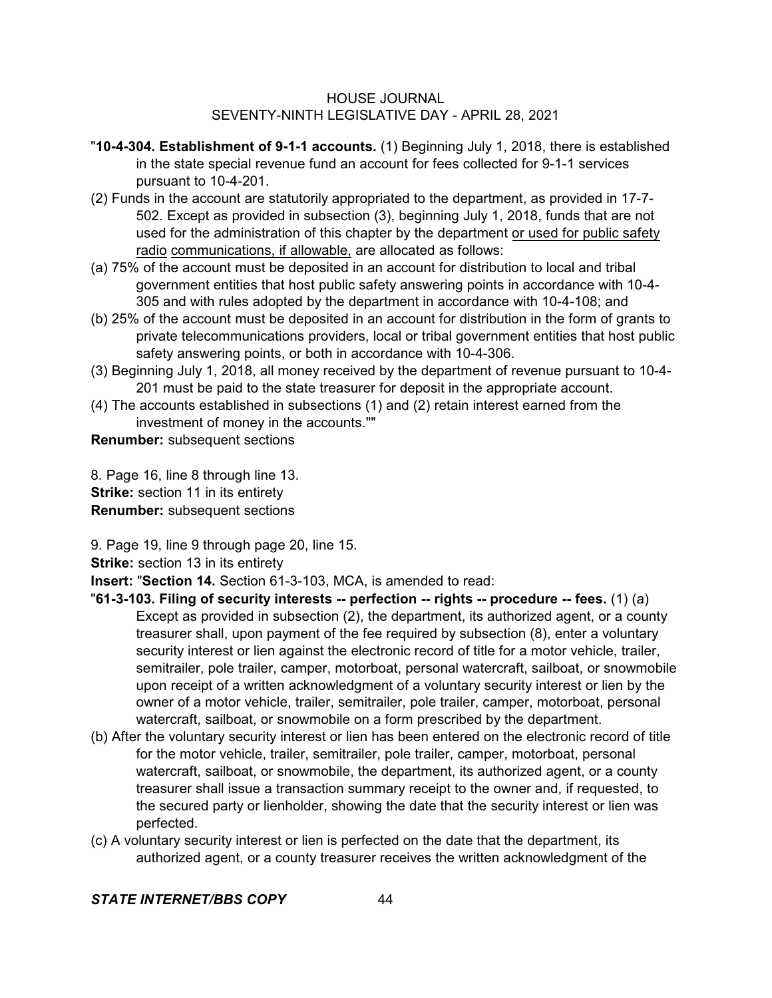- "**10-4-304. Establishment of 9-1-1 accounts.** (1) Beginning July 1, 2018, there is established in the state special revenue fund an account for fees collected for 9-1-1 services pursuant to 10-4-201.
- (2) Funds in the account are statutorily appropriated to the department, as provided in 17-7- 502. Except as provided in subsection (3), beginning July 1, 2018, funds that are not used for the administration of this chapter by the department or used for public safety radio communications, if allowable, are allocated as follows:
- (a) 75% of the account must be deposited in an account for distribution to local and tribal government entities that host public safety answering points in accordance with 10-4- 305 and with rules adopted by the department in accordance with 10-4-108; and
- (b) 25% of the account must be deposited in an account for distribution in the form of grants to private telecommunications providers, local or tribal government entities that host public safety answering points, or both in accordance with 10-4-306.
- (3) Beginning July 1, 2018, all money received by the department of revenue pursuant to 10-4- 201 must be paid to the state treasurer for deposit in the appropriate account.
- (4) The accounts established in subsections (1) and (2) retain interest earned from the investment of money in the accounts.""

**Renumber:** subsequent sections

8. Page 16, line 8 through line 13. **Strike:** section 11 in its entirety **Renumber:** subsequent sections

9. Page 19, line 9 through page 20, line 15.

**Strike:** section 13 in its entirety

**Insert:** "**Section 14.** Section 61-3-103, MCA, is amended to read:

- "**61-3-103. Filing of security interests -- perfection -- rights -- procedure -- fees.** (1) (a) Except as provided in subsection (2), the department, its authorized agent, or a county treasurer shall, upon payment of the fee required by subsection (8), enter a voluntary security interest or lien against the electronic record of title for a motor vehicle, trailer, semitrailer, pole trailer, camper, motorboat, personal watercraft, sailboat, or snowmobile upon receipt of a written acknowledgment of a voluntary security interest or lien by the owner of a motor vehicle, trailer, semitrailer, pole trailer, camper, motorboat, personal watercraft, sailboat, or snowmobile on a form prescribed by the department.
- (b) After the voluntary security interest or lien has been entered on the electronic record of title for the motor vehicle, trailer, semitrailer, pole trailer, camper, motorboat, personal watercraft, sailboat, or snowmobile, the department, its authorized agent, or a county treasurer shall issue a transaction summary receipt to the owner and, if requested, to the secured party or lienholder, showing the date that the security interest or lien was perfected.
- (c) A voluntary security interest or lien is perfected on the date that the department, its authorized agent, or a county treasurer receives the written acknowledgment of the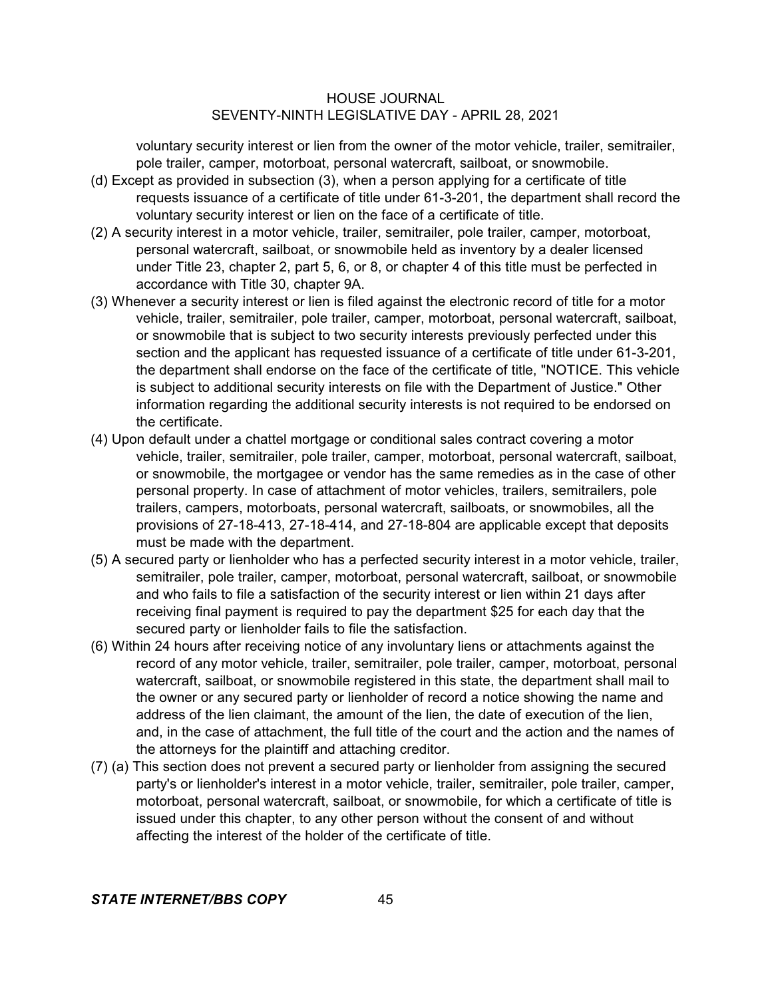voluntary security interest or lien from the owner of the motor vehicle, trailer, semitrailer, pole trailer, camper, motorboat, personal watercraft, sailboat, or snowmobile.

- (d) Except as provided in subsection (3), when a person applying for a certificate of title requests issuance of a certificate of title under 61-3-201, the department shall record the voluntary security interest or lien on the face of a certificate of title.
- (2) A security interest in a motor vehicle, trailer, semitrailer, pole trailer, camper, motorboat, personal watercraft, sailboat, or snowmobile held as inventory by a dealer licensed under Title 23, chapter 2, part 5, 6, or 8, or chapter 4 of this title must be perfected in accordance with Title 30, chapter 9A.
- (3) Whenever a security interest or lien is filed against the electronic record of title for a motor vehicle, trailer, semitrailer, pole trailer, camper, motorboat, personal watercraft, sailboat, or snowmobile that is subject to two security interests previously perfected under this section and the applicant has requested issuance of a certificate of title under 61-3-201, the department shall endorse on the face of the certificate of title, "NOTICE. This vehicle is subject to additional security interests on file with the Department of Justice." Other information regarding the additional security interests is not required to be endorsed on the certificate.
- (4) Upon default under a chattel mortgage or conditional sales contract covering a motor vehicle, trailer, semitrailer, pole trailer, camper, motorboat, personal watercraft, sailboat, or snowmobile, the mortgagee or vendor has the same remedies as in the case of other personal property. In case of attachment of motor vehicles, trailers, semitrailers, pole trailers, campers, motorboats, personal watercraft, sailboats, or snowmobiles, all the provisions of 27-18-413, 27-18-414, and 27-18-804 are applicable except that deposits must be made with the department.
- (5) A secured party or lienholder who has a perfected security interest in a motor vehicle, trailer, semitrailer, pole trailer, camper, motorboat, personal watercraft, sailboat, or snowmobile and who fails to file a satisfaction of the security interest or lien within 21 days after receiving final payment is required to pay the department \$25 for each day that the secured party or lienholder fails to file the satisfaction.
- (6) Within 24 hours after receiving notice of any involuntary liens or attachments against the record of any motor vehicle, trailer, semitrailer, pole trailer, camper, motorboat, personal watercraft, sailboat, or snowmobile registered in this state, the department shall mail to the owner or any secured party or lienholder of record a notice showing the name and address of the lien claimant, the amount of the lien, the date of execution of the lien, and, in the case of attachment, the full title of the court and the action and the names of the attorneys for the plaintiff and attaching creditor.
- (7) (a) This section does not prevent a secured party or lienholder from assigning the secured party's or lienholder's interest in a motor vehicle, trailer, semitrailer, pole trailer, camper, motorboat, personal watercraft, sailboat, or snowmobile, for which a certificate of title is issued under this chapter, to any other person without the consent of and without affecting the interest of the holder of the certificate of title.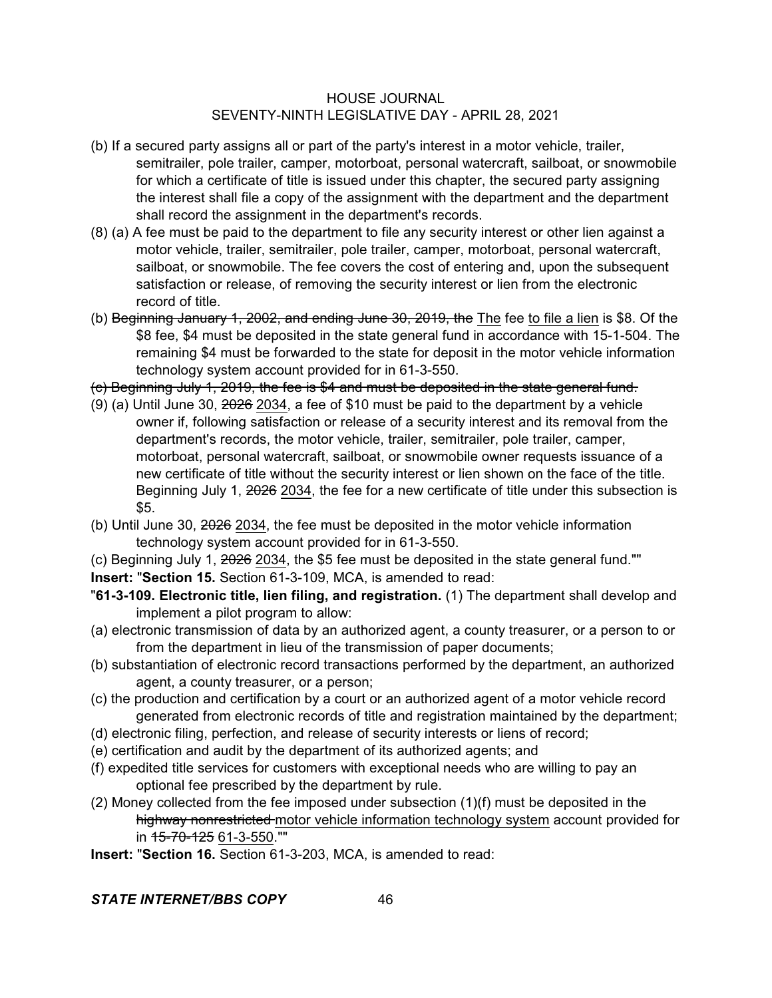- (b) If a secured party assigns all or part of the party's interest in a motor vehicle, trailer, semitrailer, pole trailer, camper, motorboat, personal watercraft, sailboat, or snowmobile for which a certificate of title is issued under this chapter, the secured party assigning the interest shall file a copy of the assignment with the department and the department shall record the assignment in the department's records.
- (8) (a) A fee must be paid to the department to file any security interest or other lien against a motor vehicle, trailer, semitrailer, pole trailer, camper, motorboat, personal watercraft, sailboat, or snowmobile. The fee covers the cost of entering and, upon the subsequent satisfaction or release, of removing the security interest or lien from the electronic record of title.
- (b) Beginning January 1, 2002, and ending June 30, 2019, the The fee to file a lien is \$8. Of the \$8 fee, \$4 must be deposited in the state general fund in accordance with 15-1-504. The remaining \$4 must be forwarded to the state for deposit in the motor vehicle information technology system account provided for in 61-3-550.
- (c) Beginning July 1, 2019, the fee is \$4 and must be deposited in the state general fund.
- (9) (a) Until June 30, 2026 2034, a fee of \$10 must be paid to the department by a vehicle owner if, following satisfaction or release of a security interest and its removal from the department's records, the motor vehicle, trailer, semitrailer, pole trailer, camper, motorboat, personal watercraft, sailboat, or snowmobile owner requests issuance of a new certificate of title without the security interest or lien shown on the face of the title. Beginning July 1,  $2026$  2034, the fee for a new certificate of title under this subsection is \$5.
- (b) Until June 30, 2026 2034, the fee must be deposited in the motor vehicle information technology system account provided for in 61-3-550.
- (c) Beginning July 1, 2026 2034, the \$5 fee must be deposited in the state general fund.""
- **Insert:** "**Section 15.** Section 61-3-109, MCA, is amended to read:
- "**61-3-109. Electronic title, lien filing, and registration.** (1) The department shall develop and implement a pilot program to allow:
- (a) electronic transmission of data by an authorized agent, a county treasurer, or a person to or from the department in lieu of the transmission of paper documents;
- (b) substantiation of electronic record transactions performed by the department, an authorized agent, a county treasurer, or a person;
- (c) the production and certification by a court or an authorized agent of a motor vehicle record generated from electronic records of title and registration maintained by the department;
- (d) electronic filing, perfection, and release of security interests or liens of record;
- (e) certification and audit by the department of its authorized agents; and
- (f) expedited title services for customers with exceptional needs who are willing to pay an optional fee prescribed by the department by rule.
- (2) Money collected from the fee imposed under subsection (1)(f) must be deposited in the highway nonrestricted motor vehicle information technology system account provided for in 15-70-125 61-3-550.""
- **Insert:** "**Section 16.** Section 61-3-203, MCA, is amended to read: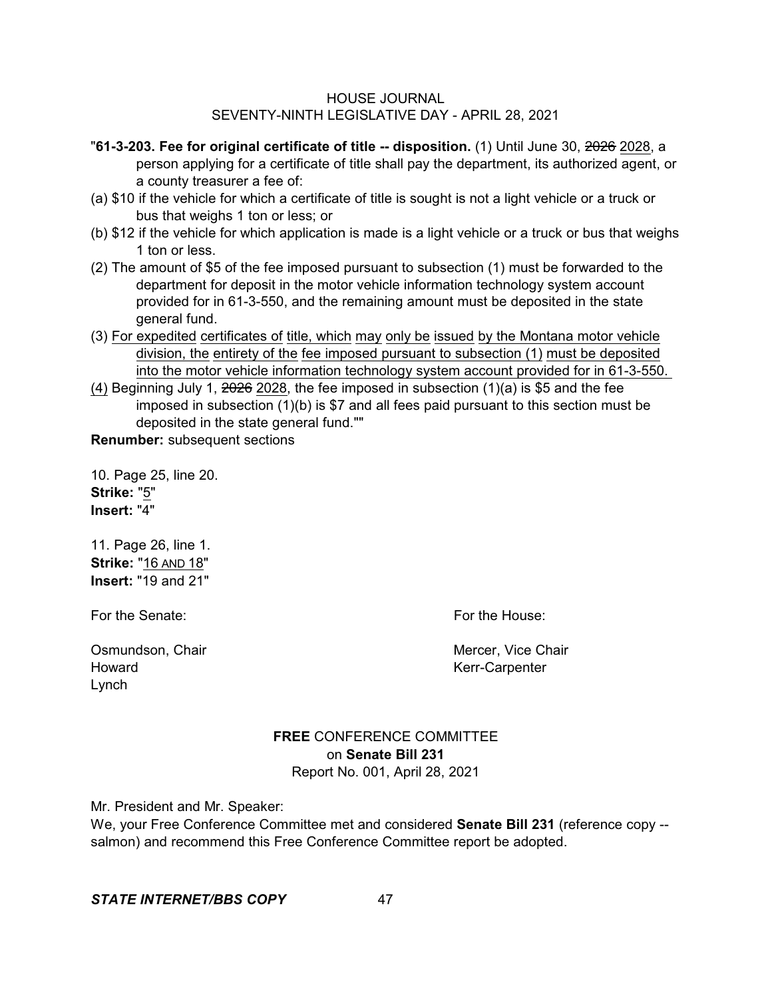- "**61-3-203. Fee for original certificate of title -- disposition.** (1) Until June 30, 2026 2028, a person applying for a certificate of title shall pay the department, its authorized agent, or a county treasurer a fee of:
- (a) \$10 if the vehicle for which a certificate of title is sought is not a light vehicle or a truck or bus that weighs 1 ton or less; or
- (b) \$12 if the vehicle for which application is made is a light vehicle or a truck or bus that weighs 1 ton or less.
- (2) The amount of \$5 of the fee imposed pursuant to subsection (1) must be forwarded to the department for deposit in the motor vehicle information technology system account provided for in 61-3-550, and the remaining amount must be deposited in the state general fund.
- (3) For expedited certificates of title, which may only be issued by the Montana motor vehicle division, the entirety of the fee imposed pursuant to subsection (1) must be deposited into the motor vehicle information technology system account provided for in 61-3-550.
- (4) Beginning July 1,  $2026$  2028, the fee imposed in subsection  $(1)(a)$  is \$5 and the fee imposed in subsection (1)(b) is \$7 and all fees paid pursuant to this section must be deposited in the state general fund.""

**Renumber:** subsequent sections

10. Page 25, line 20. **Strike:** "5" **Insert:** "4"

11. Page 26, line 1. **Strike:** "16 AND 18" **Insert:** "19 and 21"

For the Senate: The Senate: For the House:

Osmundson, Chair Mercer, Vice Chair Mercer, Vice Chair Howard **Kerr-Carpenter** Lynch

## **FREE** CONFERENCE COMMITTEE on **Senate Bill 231** Report No. 001, April 28, 2021

Mr. President and Mr. Speaker:

We, your Free Conference Committee met and considered **Senate Bill 231** (reference copy - salmon) and recommend this Free Conference Committee report be adopted.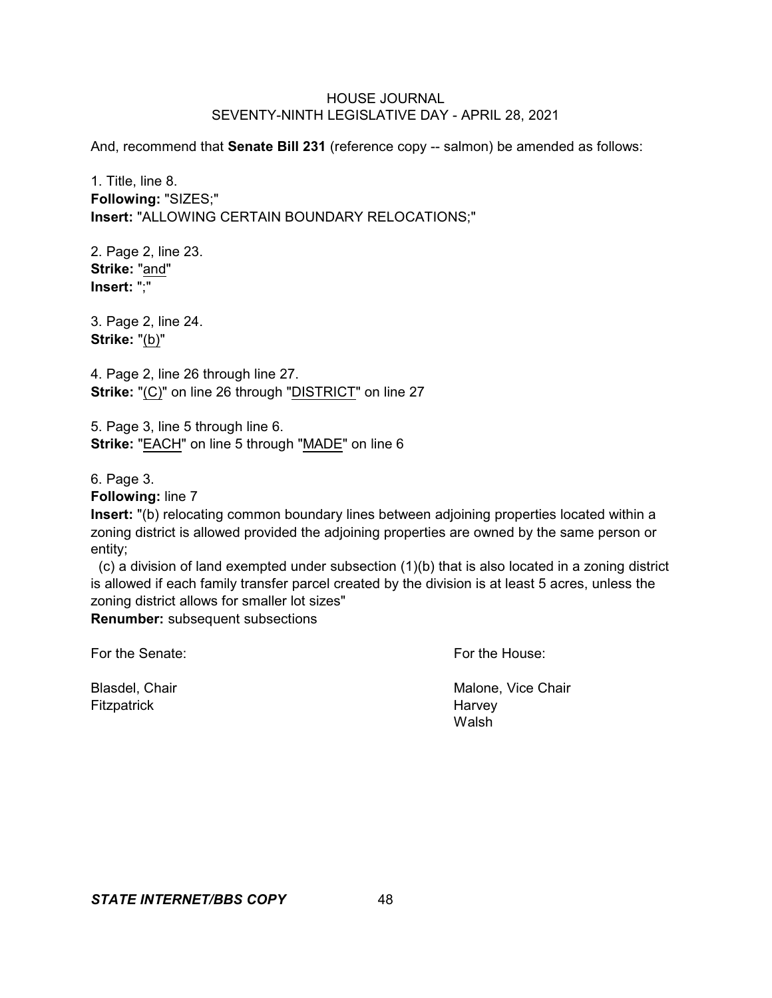And, recommend that **Senate Bill 231** (reference copy -- salmon) be amended as follows:

1. Title, line 8. **Following:** "SIZES;" **Insert:** "ALLOWING CERTAIN BOUNDARY RELOCATIONS;"

2. Page 2, line 23. **Strike:** "and" **Insert:** ";"

3. Page 2, line 24. **Strike:** "(b)"

4. Page 2, line 26 through line 27. **Strike:** "(C)" on line 26 through "DISTRICT" on line 27

5. Page 3, line 5 through line 6. **Strike:** "EACH" on line 5 through "MADE" on line 6

6. Page 3.

**Following:** line 7

**Insert:** "(b) relocating common boundary lines between adjoining properties located within a zoning district is allowed provided the adjoining properties are owned by the same person or entity;

 (c) a division of land exempted under subsection (1)(b) that is also located in a zoning district is allowed if each family transfer parcel created by the division is at least 5 acres, unless the zoning district allows for smaller lot sizes"

**Renumber:** subsequent subsections

For the Senate: For the House:

Fitzpatrick **Harvey** 

Blasdel, Chair **Malone, Vice Chair** Malone, Vice Chair Walsh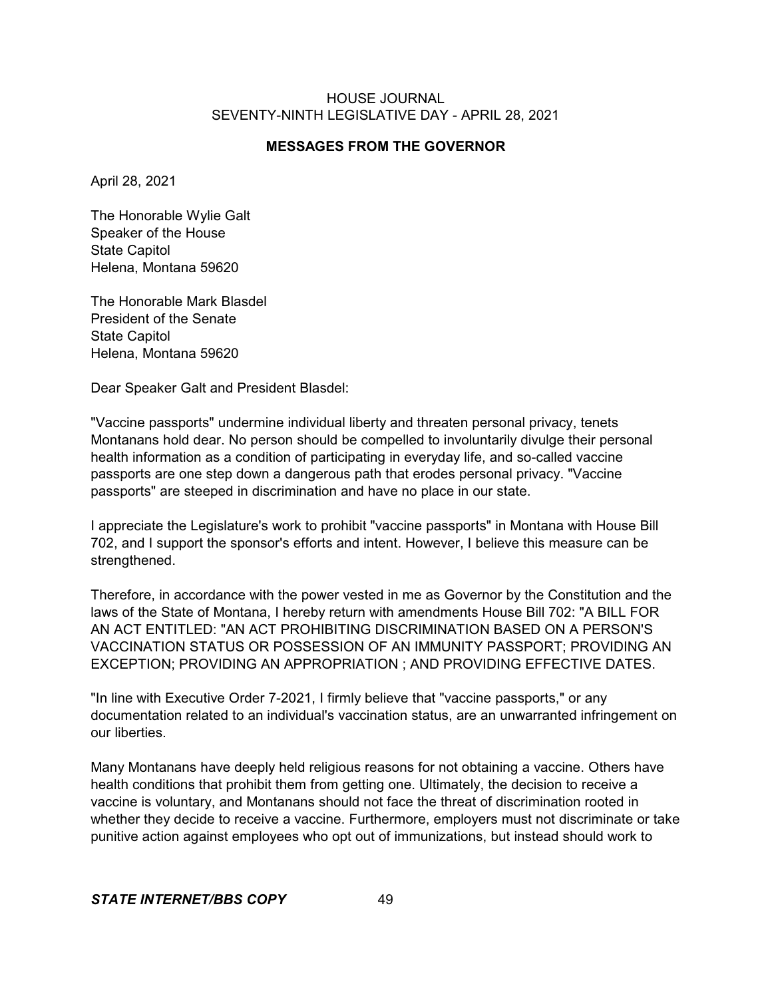## **MESSAGES FROM THE GOVERNOR**

April 28, 2021

The Honorable Wylie Galt Speaker of the House State Capitol Helena, Montana 59620

The Honorable Mark Blasdel President of the Senate State Capitol Helena, Montana 59620

Dear Speaker Galt and President Blasdel:

"Vaccine passports" undermine individual liberty and threaten personal privacy, tenets Montanans hold dear. No person should be compelled to involuntarily divulge their personal health information as a condition of participating in everyday life, and so-called vaccine passports are one step down a dangerous path that erodes personal privacy. "Vaccine passports" are steeped in discrimination and have no place in our state.

I appreciate the Legislature's work to prohibit "vaccine passports" in Montana with House Bill 702, and I support the sponsor's efforts and intent. However, I believe this measure can be strengthened.

Therefore, in accordance with the power vested in me as Governor by the Constitution and the laws of the State of Montana, I hereby return with amendments House Bill 702: "A BILL FOR AN ACT ENTITLED: "AN ACT PROHIBITING DISCRIMINATION BASED ON A PERSON'S VACCINATION STATUS OR POSSESSION OF AN IMMUNITY PASSPORT; PROVIDING AN EXCEPTION; PROVIDING AN APPROPRIATION ; AND PROVIDING EFFECTIVE DATES.

"In line with Executive Order 7-2021, I firmly believe that "vaccine passports," or any documentation related to an individual's vaccination status, are an unwarranted infringement on our liberties.

Many Montanans have deeply held religious reasons for not obtaining a vaccine. Others have health conditions that prohibit them from getting one. Ultimately, the decision to receive a vaccine is voluntary, and Montanans should not face the threat of discrimination rooted in whether they decide to receive a vaccine. Furthermore, employers must not discriminate or take punitive action against employees who opt out of immunizations, but instead should work to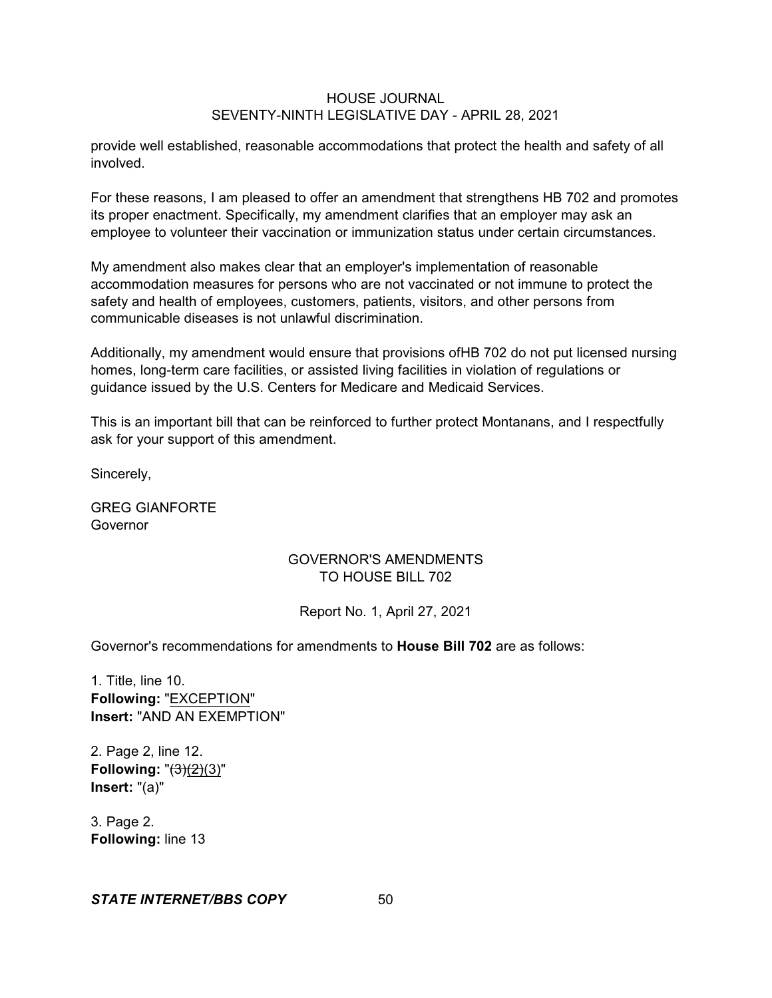provide well established, reasonable accommodations that protect the health and safety of all involved.

For these reasons, I am pleased to offer an amendment that strengthens HB 702 and promotes its proper enactment. Specifically, my amendment clarifies that an employer may ask an employee to volunteer their vaccination or immunization status under certain circumstances.

My amendment also makes clear that an employer's implementation of reasonable accommodation measures for persons who are not vaccinated or not immune to protect the safety and health of employees, customers, patients, visitors, and other persons from communicable diseases is not unlawful discrimination.

Additionally, my amendment would ensure that provisions ofHB 702 do not put licensed nursing homes, long-term care facilities, or assisted living facilities in violation of regulations or guidance issued by the U.S. Centers for Medicare and Medicaid Services.

This is an important bill that can be reinforced to further protect Montanans, and I respectfully ask for your support of this amendment.

Sincerely,

GREG GIANFORTE Governor

## GOVERNOR'S AMENDMENTS TO HOUSE BILL 702

## Report No. 1, April 27, 2021

Governor's recommendations for amendments to **House Bill 702** are as follows:

1. Title, line 10. **Following:** "EXCEPTION" **Insert:** "AND AN EXEMPTION"

2. Page 2, line 12. **Following:** "(3)(2)(3)" **Insert:** "(a)"

3. Page 2. **Following:** line 13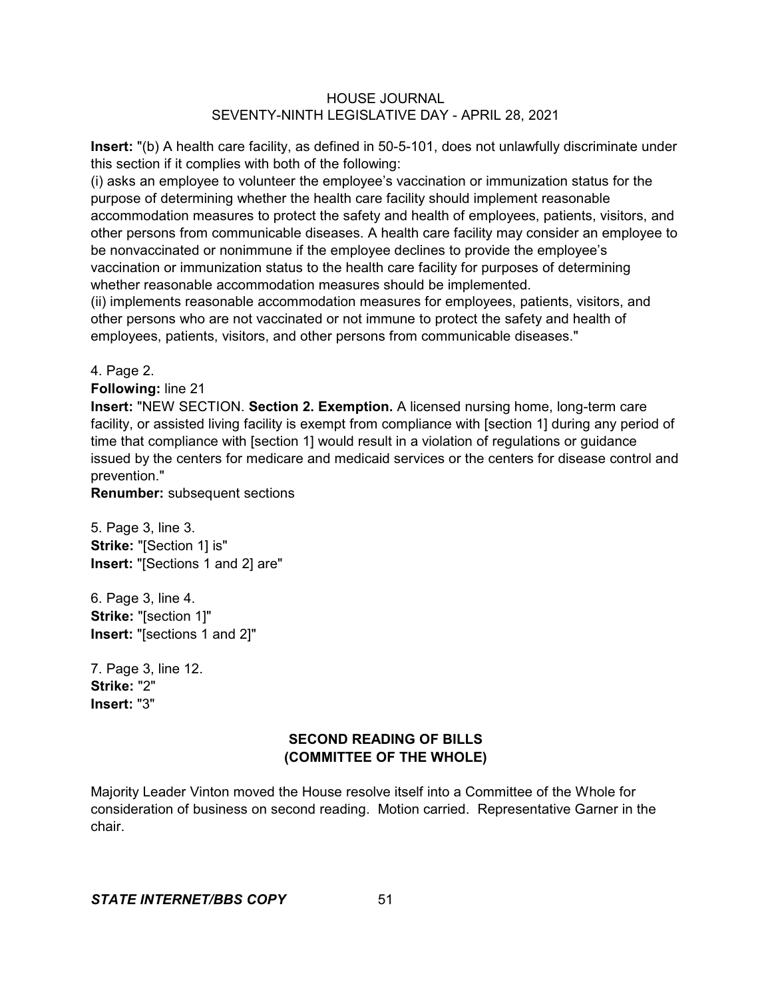**Insert:** "(b) A health care facility, as defined in 50-5-101, does not unlawfully discriminate under this section if it complies with both of the following:

(i) asks an employee to volunteer the employee's vaccination or immunization status for the purpose of determining whether the health care facility should implement reasonable accommodation measures to protect the safety and health of employees, patients, visitors, and other persons from communicable diseases. A health care facility may consider an employee to be nonvaccinated or nonimmune if the employee declines to provide the employee's vaccination or immunization status to the health care facility for purposes of determining whether reasonable accommodation measures should be implemented.

(ii) implements reasonable accommodation measures for employees, patients, visitors, and other persons who are not vaccinated or not immune to protect the safety and health of employees, patients, visitors, and other persons from communicable diseases."

4. Page 2.

**Following:** line 21

**Insert:** "NEW SECTION. **Section 2. Exemption.** A licensed nursing home, long-term care facility, or assisted living facility is exempt from compliance with [section 1] during any period of time that compliance with [section 1] would result in a violation of regulations or guidance issued by the centers for medicare and medicaid services or the centers for disease control and prevention."

**Renumber:** subsequent sections

5. Page 3, line 3. **Strike:** "[Section 1] is" **Insert:** "[Sections 1 and 2] are"

6. Page 3, line 4. **Strike:** "[section 1]" **Insert:** "[sections 1 and 2]"

7. Page 3, line 12. **Strike:** "2" **Insert:** "3"

# **SECOND READING OF BILLS (COMMITTEE OF THE WHOLE)**

Majority Leader Vinton moved the House resolve itself into a Committee of the Whole for consideration of business on second reading. Motion carried. Representative Garner in the chair.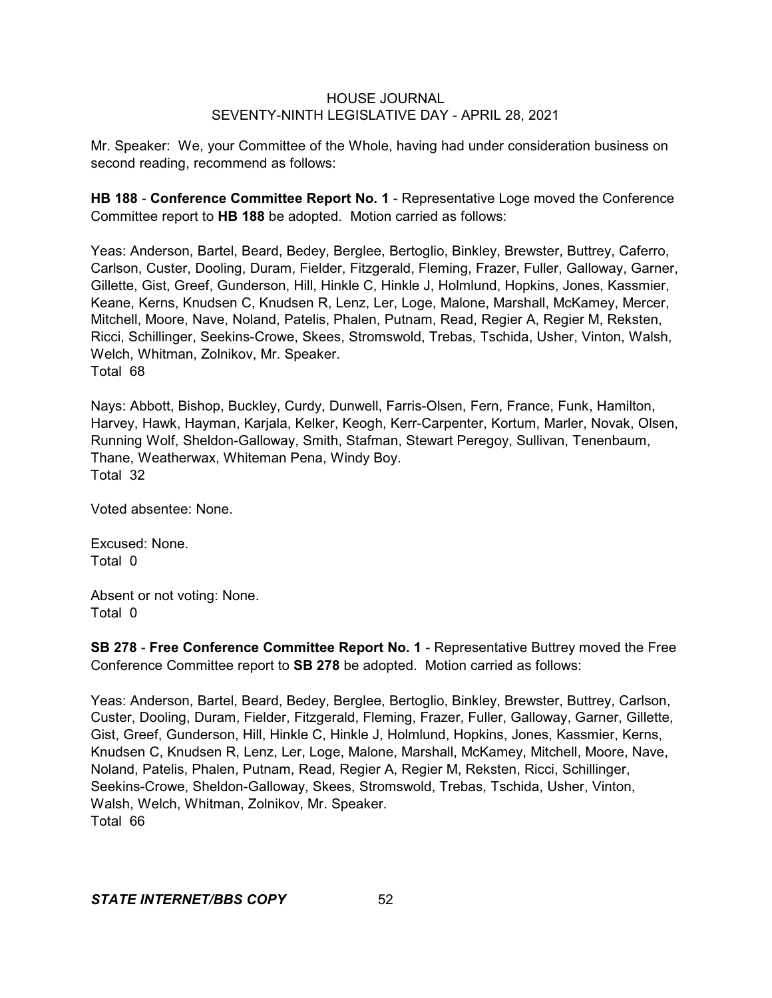Mr. Speaker: We, your Committee of the Whole, having had under consideration business on second reading, recommend as follows:

**HB 188** - **Conference Committee Report No. 1** - Representative Loge moved the Conference Committee report to **HB 188** be adopted. Motion carried as follows:

Yeas: Anderson, Bartel, Beard, Bedey, Berglee, Bertoglio, Binkley, Brewster, Buttrey, Caferro, Carlson, Custer, Dooling, Duram, Fielder, Fitzgerald, Fleming, Frazer, Fuller, Galloway, Garner, Gillette, Gist, Greef, Gunderson, Hill, Hinkle C, Hinkle J, Holmlund, Hopkins, Jones, Kassmier, Keane, Kerns, Knudsen C, Knudsen R, Lenz, Ler, Loge, Malone, Marshall, McKamey, Mercer, Mitchell, Moore, Nave, Noland, Patelis, Phalen, Putnam, Read, Regier A, Regier M, Reksten, Ricci, Schillinger, Seekins-Crowe, Skees, Stromswold, Trebas, Tschida, Usher, Vinton, Walsh, Welch, Whitman, Zolnikov, Mr. Speaker. Total 68

Nays: Abbott, Bishop, Buckley, Curdy, Dunwell, Farris-Olsen, Fern, France, Funk, Hamilton, Harvey, Hawk, Hayman, Karjala, Kelker, Keogh, Kerr-Carpenter, Kortum, Marler, Novak, Olsen, Running Wolf, Sheldon-Galloway, Smith, Stafman, Stewart Peregoy, Sullivan, Tenenbaum, Thane, Weatherwax, Whiteman Pena, Windy Boy. Total 32

Voted absentee: None.

Excused: None. Total 0

Absent or not voting: None. Total 0

**SB 278** - **Free Conference Committee Report No. 1** - Representative Buttrey moved the Free Conference Committee report to **SB 278** be adopted. Motion carried as follows:

Yeas: Anderson, Bartel, Beard, Bedey, Berglee, Bertoglio, Binkley, Brewster, Buttrey, Carlson, Custer, Dooling, Duram, Fielder, Fitzgerald, Fleming, Frazer, Fuller, Galloway, Garner, Gillette, Gist, Greef, Gunderson, Hill, Hinkle C, Hinkle J, Holmlund, Hopkins, Jones, Kassmier, Kerns, Knudsen C, Knudsen R, Lenz, Ler, Loge, Malone, Marshall, McKamey, Mitchell, Moore, Nave, Noland, Patelis, Phalen, Putnam, Read, Regier A, Regier M, Reksten, Ricci, Schillinger, Seekins-Crowe, Sheldon-Galloway, Skees, Stromswold, Trebas, Tschida, Usher, Vinton, Walsh, Welch, Whitman, Zolnikov, Mr. Speaker. Total 66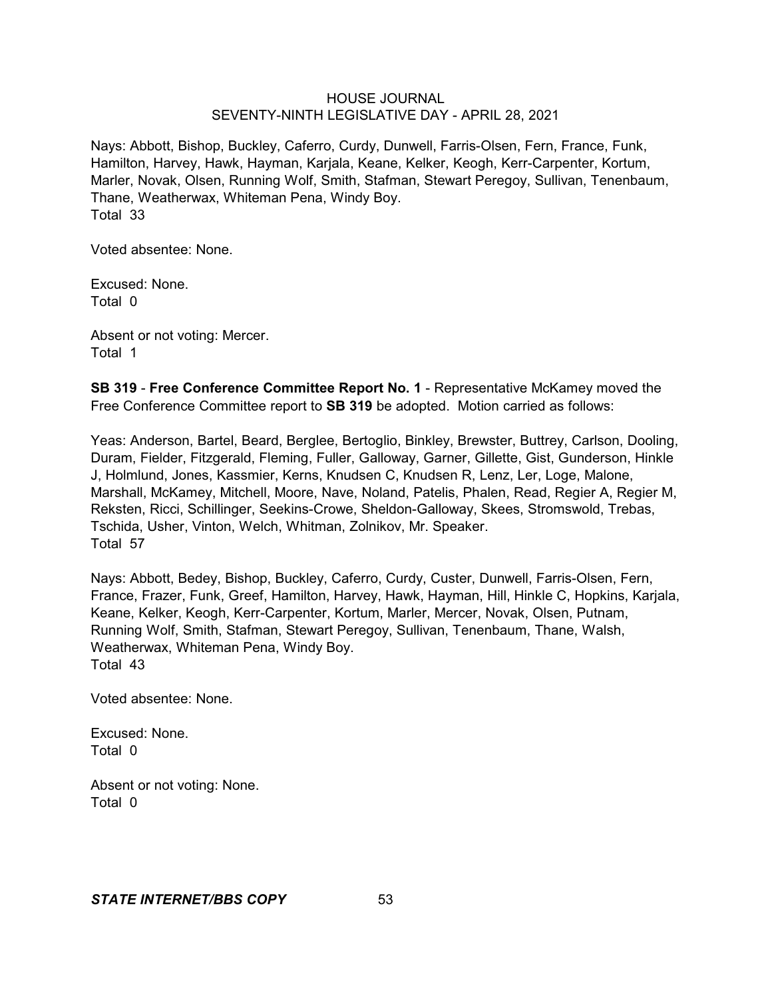Nays: Abbott, Bishop, Buckley, Caferro, Curdy, Dunwell, Farris-Olsen, Fern, France, Funk, Hamilton, Harvey, Hawk, Hayman, Karjala, Keane, Kelker, Keogh, Kerr-Carpenter, Kortum, Marler, Novak, Olsen, Running Wolf, Smith, Stafman, Stewart Peregoy, Sullivan, Tenenbaum, Thane, Weatherwax, Whiteman Pena, Windy Boy. Total 33

Voted absentee: None.

Excused: None. Total 0

Absent or not voting: Mercer. Total 1

**SB 319** - **Free Conference Committee Report No. 1** - Representative McKamey moved the Free Conference Committee report to **SB 319** be adopted. Motion carried as follows:

Yeas: Anderson, Bartel, Beard, Berglee, Bertoglio, Binkley, Brewster, Buttrey, Carlson, Dooling, Duram, Fielder, Fitzgerald, Fleming, Fuller, Galloway, Garner, Gillette, Gist, Gunderson, Hinkle J, Holmlund, Jones, Kassmier, Kerns, Knudsen C, Knudsen R, Lenz, Ler, Loge, Malone, Marshall, McKamey, Mitchell, Moore, Nave, Noland, Patelis, Phalen, Read, Regier A, Regier M, Reksten, Ricci, Schillinger, Seekins-Crowe, Sheldon-Galloway, Skees, Stromswold, Trebas, Tschida, Usher, Vinton, Welch, Whitman, Zolnikov, Mr. Speaker. Total 57

Nays: Abbott, Bedey, Bishop, Buckley, Caferro, Curdy, Custer, Dunwell, Farris-Olsen, Fern, France, Frazer, Funk, Greef, Hamilton, Harvey, Hawk, Hayman, Hill, Hinkle C, Hopkins, Karjala, Keane, Kelker, Keogh, Kerr-Carpenter, Kortum, Marler, Mercer, Novak, Olsen, Putnam, Running Wolf, Smith, Stafman, Stewart Peregoy, Sullivan, Tenenbaum, Thane, Walsh, Weatherwax, Whiteman Pena, Windy Boy. Total 43

Voted absentee: None.

Excused: None. Total 0

Absent or not voting: None. Total 0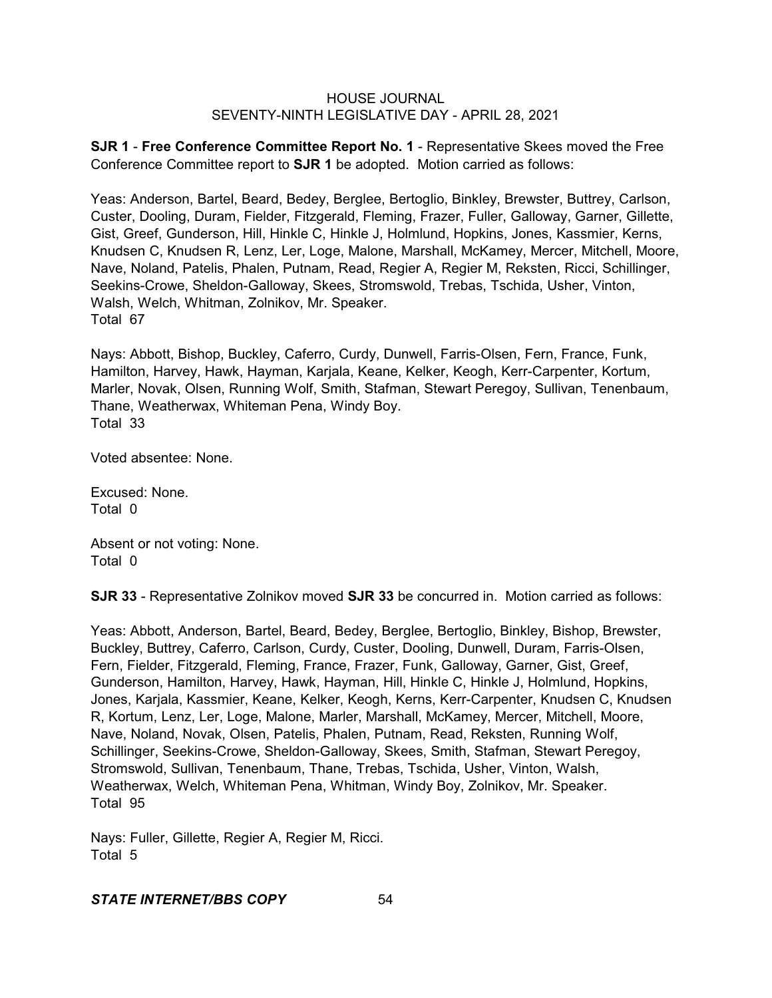**SJR 1** - **Free Conference Committee Report No. 1** - Representative Skees moved the Free Conference Committee report to **SJR 1** be adopted. Motion carried as follows:

Yeas: Anderson, Bartel, Beard, Bedey, Berglee, Bertoglio, Binkley, Brewster, Buttrey, Carlson, Custer, Dooling, Duram, Fielder, Fitzgerald, Fleming, Frazer, Fuller, Galloway, Garner, Gillette, Gist, Greef, Gunderson, Hill, Hinkle C, Hinkle J, Holmlund, Hopkins, Jones, Kassmier, Kerns, Knudsen C, Knudsen R, Lenz, Ler, Loge, Malone, Marshall, McKamey, Mercer, Mitchell, Moore, Nave, Noland, Patelis, Phalen, Putnam, Read, Regier A, Regier M, Reksten, Ricci, Schillinger, Seekins-Crowe, Sheldon-Galloway, Skees, Stromswold, Trebas, Tschida, Usher, Vinton, Walsh, Welch, Whitman, Zolnikov, Mr. Speaker. Total 67

Nays: Abbott, Bishop, Buckley, Caferro, Curdy, Dunwell, Farris-Olsen, Fern, France, Funk, Hamilton, Harvey, Hawk, Hayman, Karjala, Keane, Kelker, Keogh, Kerr-Carpenter, Kortum, Marler, Novak, Olsen, Running Wolf, Smith, Stafman, Stewart Peregoy, Sullivan, Tenenbaum, Thane, Weatherwax, Whiteman Pena, Windy Boy. Total 33

Voted absentee: None.

Excused: None. Total 0

Absent or not voting: None. Total 0

**SJR 33** - Representative Zolnikov moved **SJR 33** be concurred in. Motion carried as follows:

Yeas: Abbott, Anderson, Bartel, Beard, Bedey, Berglee, Bertoglio, Binkley, Bishop, Brewster, Buckley, Buttrey, Caferro, Carlson, Curdy, Custer, Dooling, Dunwell, Duram, Farris-Olsen, Fern, Fielder, Fitzgerald, Fleming, France, Frazer, Funk, Galloway, Garner, Gist, Greef, Gunderson, Hamilton, Harvey, Hawk, Hayman, Hill, Hinkle C, Hinkle J, Holmlund, Hopkins, Jones, Karjala, Kassmier, Keane, Kelker, Keogh, Kerns, Kerr-Carpenter, Knudsen C, Knudsen R, Kortum, Lenz, Ler, Loge, Malone, Marler, Marshall, McKamey, Mercer, Mitchell, Moore, Nave, Noland, Novak, Olsen, Patelis, Phalen, Putnam, Read, Reksten, Running Wolf, Schillinger, Seekins-Crowe, Sheldon-Galloway, Skees, Smith, Stafman, Stewart Peregoy, Stromswold, Sullivan, Tenenbaum, Thane, Trebas, Tschida, Usher, Vinton, Walsh, Weatherwax, Welch, Whiteman Pena, Whitman, Windy Boy, Zolnikov, Mr. Speaker. Total 95

Nays: Fuller, Gillette, Regier A, Regier M, Ricci. Total 5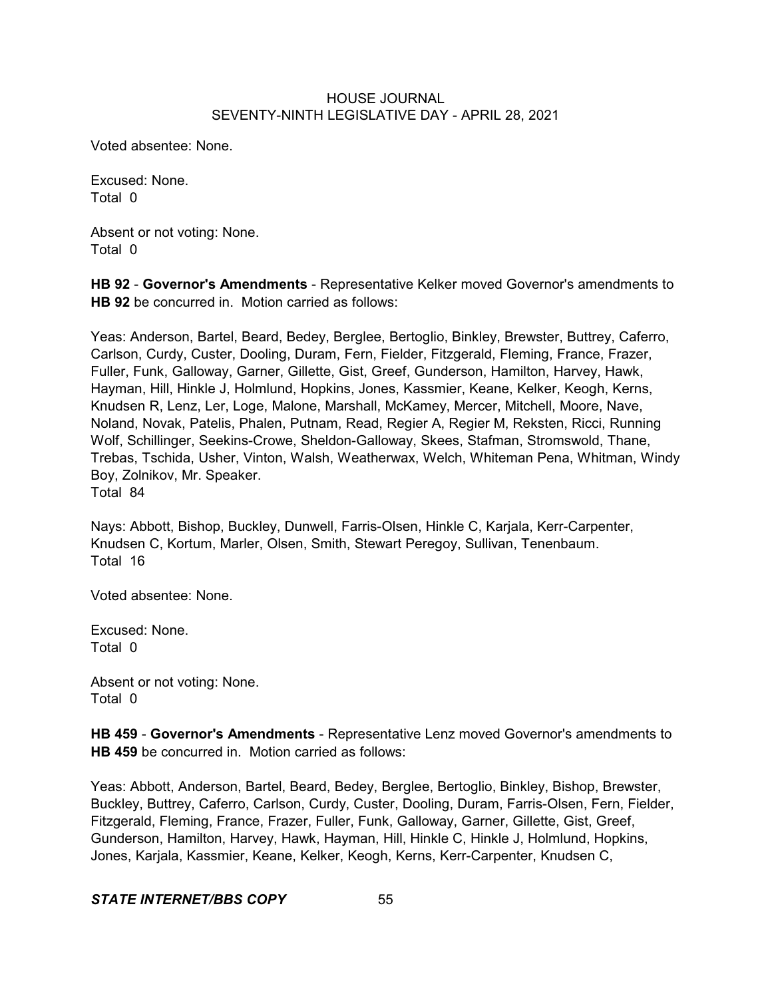Voted absentee: None.

Excused: None. Total 0

Absent or not voting: None. Total 0

**HB 92** - **Governor's Amendments** - Representative Kelker moved Governor's amendments to **HB 92** be concurred in. Motion carried as follows:

Yeas: Anderson, Bartel, Beard, Bedey, Berglee, Bertoglio, Binkley, Brewster, Buttrey, Caferro, Carlson, Curdy, Custer, Dooling, Duram, Fern, Fielder, Fitzgerald, Fleming, France, Frazer, Fuller, Funk, Galloway, Garner, Gillette, Gist, Greef, Gunderson, Hamilton, Harvey, Hawk, Hayman, Hill, Hinkle J, Holmlund, Hopkins, Jones, Kassmier, Keane, Kelker, Keogh, Kerns, Knudsen R, Lenz, Ler, Loge, Malone, Marshall, McKamey, Mercer, Mitchell, Moore, Nave, Noland, Novak, Patelis, Phalen, Putnam, Read, Regier A, Regier M, Reksten, Ricci, Running Wolf, Schillinger, Seekins-Crowe, Sheldon-Galloway, Skees, Stafman, Stromswold, Thane, Trebas, Tschida, Usher, Vinton, Walsh, Weatherwax, Welch, Whiteman Pena, Whitman, Windy Boy, Zolnikov, Mr. Speaker. Total 84

Nays: Abbott, Bishop, Buckley, Dunwell, Farris-Olsen, Hinkle C, Karjala, Kerr-Carpenter, Knudsen C, Kortum, Marler, Olsen, Smith, Stewart Peregoy, Sullivan, Tenenbaum. Total 16

Voted absentee: None.

Excused: None. Total 0

Absent or not voting: None. Total 0

**HB 459** - **Governor's Amendments** - Representative Lenz moved Governor's amendments to **HB 459** be concurred in. Motion carried as follows:

Yeas: Abbott, Anderson, Bartel, Beard, Bedey, Berglee, Bertoglio, Binkley, Bishop, Brewster, Buckley, Buttrey, Caferro, Carlson, Curdy, Custer, Dooling, Duram, Farris-Olsen, Fern, Fielder, Fitzgerald, Fleming, France, Frazer, Fuller, Funk, Galloway, Garner, Gillette, Gist, Greef, Gunderson, Hamilton, Harvey, Hawk, Hayman, Hill, Hinkle C, Hinkle J, Holmlund, Hopkins, Jones, Karjala, Kassmier, Keane, Kelker, Keogh, Kerns, Kerr-Carpenter, Knudsen C,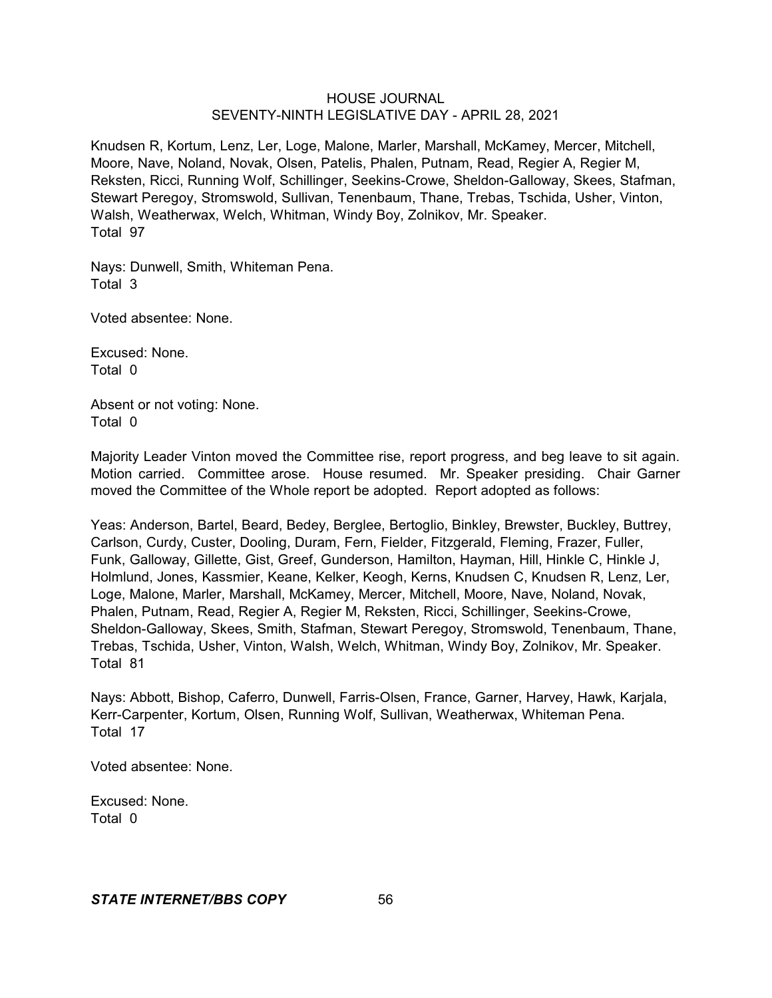Knudsen R, Kortum, Lenz, Ler, Loge, Malone, Marler, Marshall, McKamey, Mercer, Mitchell, Moore, Nave, Noland, Novak, Olsen, Patelis, Phalen, Putnam, Read, Regier A, Regier M, Reksten, Ricci, Running Wolf, Schillinger, Seekins-Crowe, Sheldon-Galloway, Skees, Stafman, Stewart Peregoy, Stromswold, Sullivan, Tenenbaum, Thane, Trebas, Tschida, Usher, Vinton, Walsh, Weatherwax, Welch, Whitman, Windy Boy, Zolnikov, Mr. Speaker. Total 97

Nays: Dunwell, Smith, Whiteman Pena. Total 3

Voted absentee: None.

Excused: None. Total 0

Absent or not voting: None. Total 0

Majority Leader Vinton moved the Committee rise, report progress, and beg leave to sit again. Motion carried. Committee arose. House resumed. Mr. Speaker presiding. Chair Garner moved the Committee of the Whole report be adopted. Report adopted as follows:

Yeas: Anderson, Bartel, Beard, Bedey, Berglee, Bertoglio, Binkley, Brewster, Buckley, Buttrey, Carlson, Curdy, Custer, Dooling, Duram, Fern, Fielder, Fitzgerald, Fleming, Frazer, Fuller, Funk, Galloway, Gillette, Gist, Greef, Gunderson, Hamilton, Hayman, Hill, Hinkle C, Hinkle J, Holmlund, Jones, Kassmier, Keane, Kelker, Keogh, Kerns, Knudsen C, Knudsen R, Lenz, Ler, Loge, Malone, Marler, Marshall, McKamey, Mercer, Mitchell, Moore, Nave, Noland, Novak, Phalen, Putnam, Read, Regier A, Regier M, Reksten, Ricci, Schillinger, Seekins-Crowe, Sheldon-Galloway, Skees, Smith, Stafman, Stewart Peregoy, Stromswold, Tenenbaum, Thane, Trebas, Tschida, Usher, Vinton, Walsh, Welch, Whitman, Windy Boy, Zolnikov, Mr. Speaker. Total 81

Nays: Abbott, Bishop, Caferro, Dunwell, Farris-Olsen, France, Garner, Harvey, Hawk, Karjala, Kerr-Carpenter, Kortum, Olsen, Running Wolf, Sullivan, Weatherwax, Whiteman Pena. Total 17

Voted absentee: None.

Excused: None. Total 0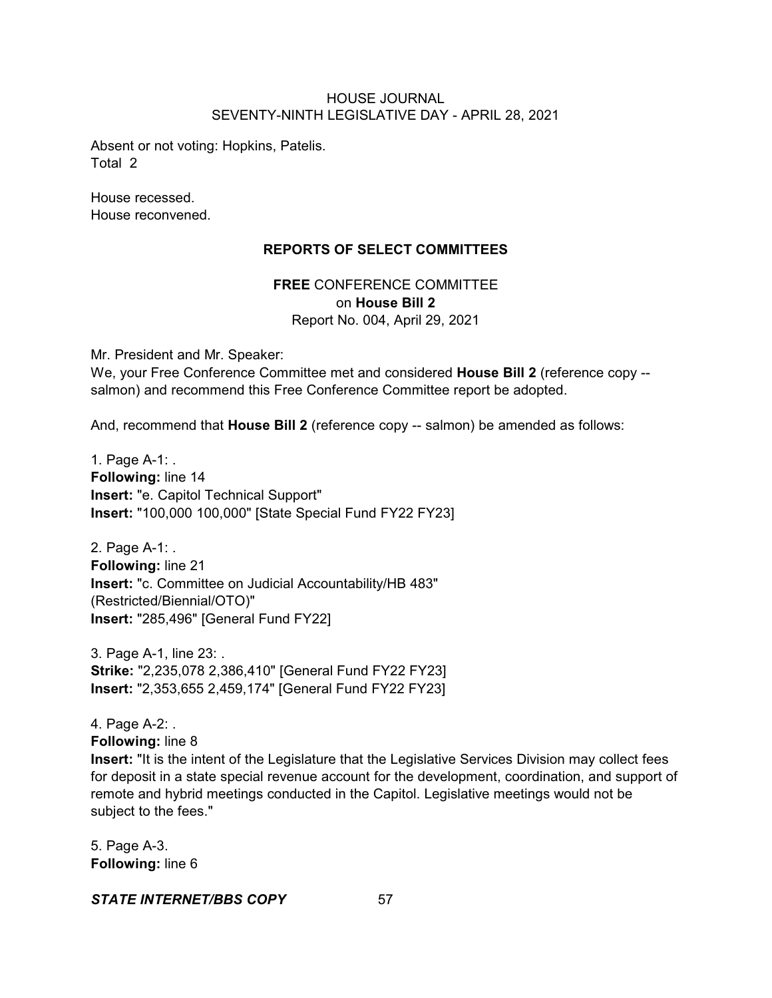Absent or not voting: Hopkins, Patelis. Total 2

House recessed. House reconvened.

## **REPORTS OF SELECT COMMITTEES**

**FREE** CONFERENCE COMMITTEE on **House Bill 2** Report No. 004, April 29, 2021

Mr. President and Mr. Speaker: We, your Free Conference Committee met and considered **House Bill 2** (reference copy - salmon) and recommend this Free Conference Committee report be adopted.

And, recommend that **House Bill 2** (reference copy -- salmon) be amended as follows:

1. Page A-1: . **Following:** line 14 **Insert:** "e. Capitol Technical Support" **Insert:** "100,000 100,000" [State Special Fund FY22 FY23]

2. Page A-1: . **Following:** line 21 **Insert:** "c. Committee on Judicial Accountability/HB 483" (Restricted/Biennial/OTO)" **Insert:** "285,496" [General Fund FY22]

3. Page A-1, line 23: . **Strike:** "2,235,078 2,386,410" [General Fund FY22 FY23] **Insert:** "2,353,655 2,459,174" [General Fund FY22 FY23]

4. Page A-2: . **Following:** line 8

**Insert:** "It is the intent of the Legislature that the Legislative Services Division may collect fees for deposit in a state special revenue account for the development, coordination, and support of remote and hybrid meetings conducted in the Capitol. Legislative meetings would not be subject to the fees."

5. Page A-3. **Following:** line 6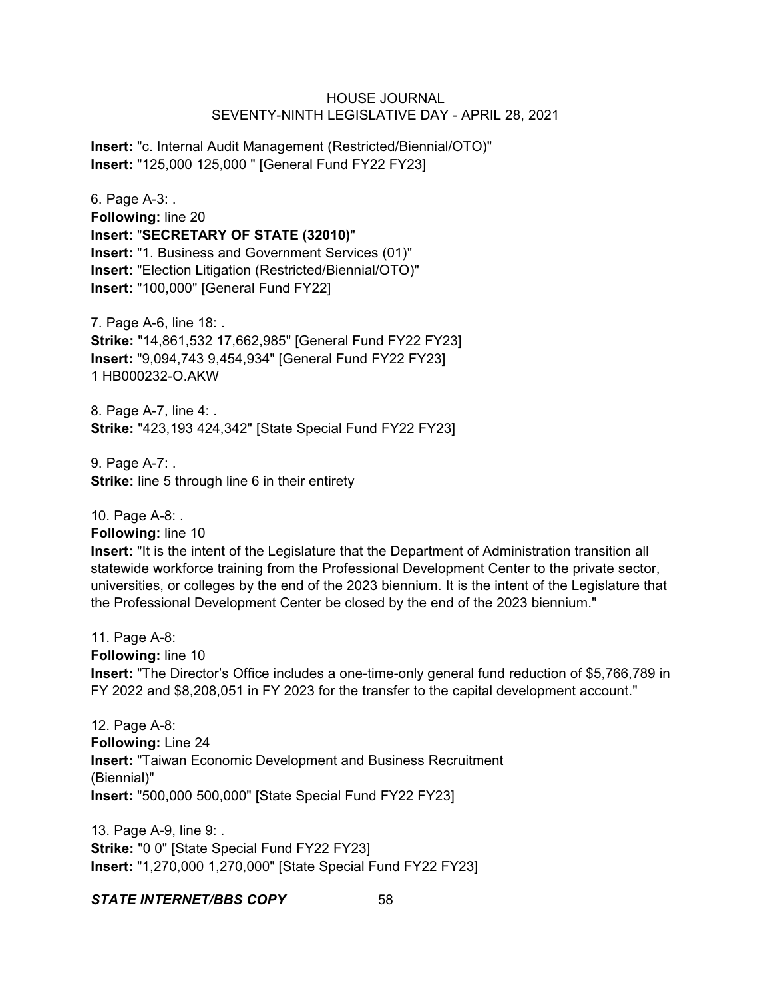**Insert:** "c. Internal Audit Management (Restricted/Biennial/OTO)" **Insert:** "125,000 125,000 " [General Fund FY22 FY23]

6. Page A-3: . **Following:** line 20 **Insert:** "**SECRETARY OF STATE (32010)**" **Insert:** "1. Business and Government Services (01)" **Insert:** "Election Litigation (Restricted/Biennial/OTO)" **Insert:** "100,000" [General Fund FY22]

7. Page A-6, line 18: . **Strike:** "14,861,532 17,662,985" [General Fund FY22 FY23] **Insert:** "9,094,743 9,454,934" [General Fund FY22 FY23] 1 HB000232-O.AKW

8. Page A-7, line 4: . **Strike:** "423,193 424,342" [State Special Fund FY22 FY23]

9. Page A-7: . **Strike:** line 5 through line 6 in their entirety

10. Page A-8: . **Following:** line 10 **Insert:** "It is the intent of the Legislature that the Department of Administration transition all statewide workforce training from the Professional Development Center to the private sector, universities, or colleges by the end of the 2023 biennium. It is the intent of the Legislature that the Professional Development Center be closed by the end of the 2023 biennium."

11. Page A-8: **Following:** line 10 **Insert:** "The Director's Office includes a one-time-only general fund reduction of \$5,766,789 in FY 2022 and \$8,208,051 in FY 2023 for the transfer to the capital development account."

12. Page A-8: **Following:** Line 24 **Insert:** "Taiwan Economic Development and Business Recruitment (Biennial)" **Insert:** "500,000 500,000" [State Special Fund FY22 FY23]

13. Page A-9, line 9: . **Strike:** "0 0" [State Special Fund FY22 FY23] **Insert:** "1,270,000 1,270,000" [State Special Fund FY22 FY23]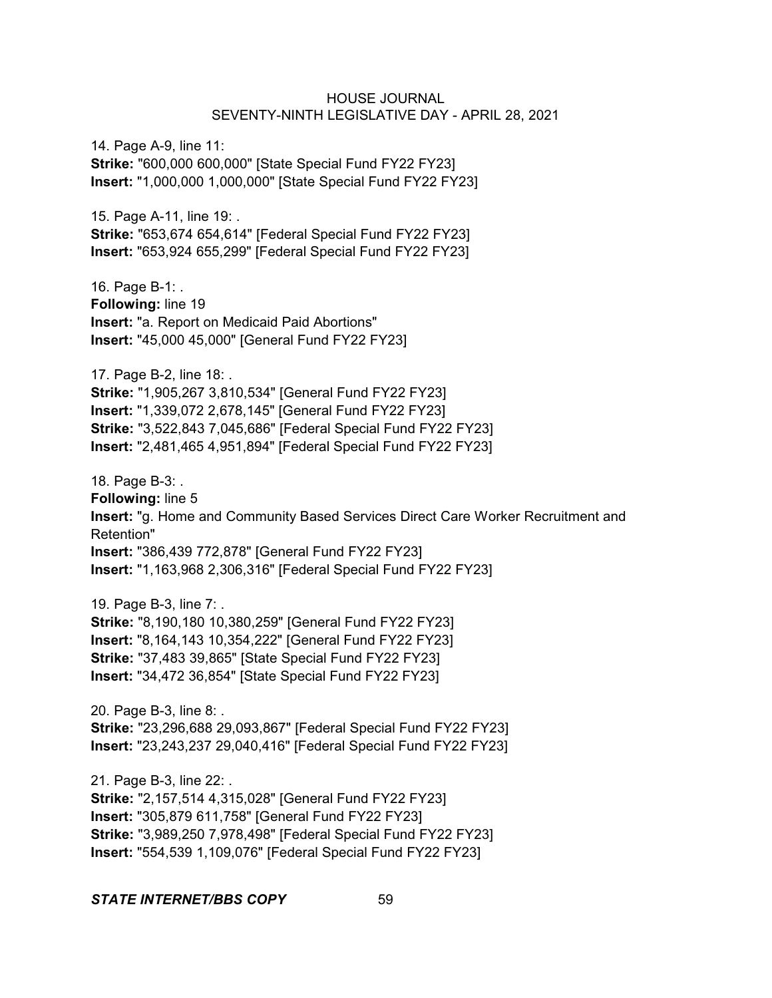14. Page A-9, line 11: **Strike:** "600,000 600,000" [State Special Fund FY22 FY23] **Insert:** "1,000,000 1,000,000" [State Special Fund FY22 FY23]

15. Page A-11, line 19: . **Strike:** "653,674 654,614" [Federal Special Fund FY22 FY23] **Insert:** "653,924 655,299" [Federal Special Fund FY22 FY23]

16. Page B-1: . **Following:** line 19 **Insert:** "a. Report on Medicaid Paid Abortions" **Insert:** "45,000 45,000" [General Fund FY22 FY23]

17. Page B-2, line 18: . **Strike:** "1,905,267 3,810,534" [General Fund FY22 FY23] **Insert:** "1,339,072 2,678,145" [General Fund FY22 FY23] **Strike:** "3,522,843 7,045,686" [Federal Special Fund FY22 FY23] **Insert:** "2,481,465 4,951,894" [Federal Special Fund FY22 FY23]

18. Page B-3: . **Following:** line 5 **Insert:** "g. Home and Community Based Services Direct Care Worker Recruitment and Retention" **Insert:** "386,439 772,878" [General Fund FY22 FY23] **Insert:** "1,163,968 2,306,316" [Federal Special Fund FY22 FY23]

19. Page B-3, line 7: . **Strike:** "8,190,180 10,380,259" [General Fund FY22 FY23] **Insert:** "8,164,143 10,354,222" [General Fund FY22 FY23] **Strike:** "37,483 39,865" [State Special Fund FY22 FY23] **Insert:** "34,472 36,854" [State Special Fund FY22 FY23]

20. Page B-3, line 8: . **Strike:** "23,296,688 29,093,867" [Federal Special Fund FY22 FY23] **Insert:** "23,243,237 29,040,416" [Federal Special Fund FY22 FY23]

21. Page B-3, line 22: . **Strike:** "2,157,514 4,315,028" [General Fund FY22 FY23] **Insert:** "305,879 611,758" [General Fund FY22 FY23] **Strike:** "3,989,250 7,978,498" [Federal Special Fund FY22 FY23] **Insert:** "554,539 1,109,076" [Federal Special Fund FY22 FY23]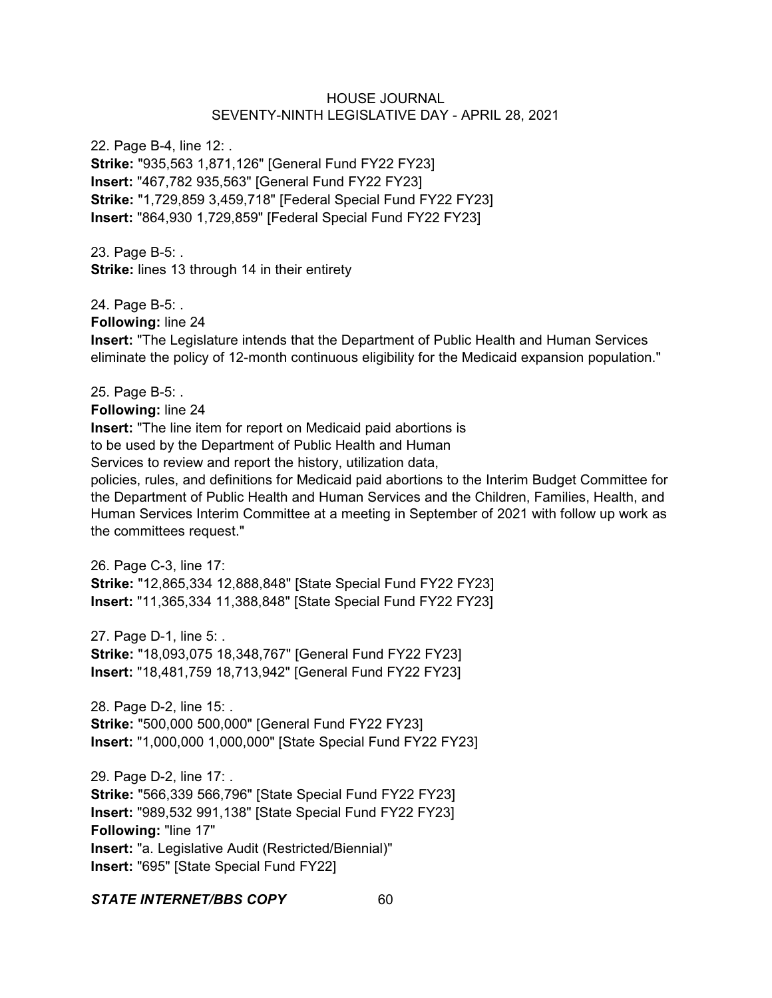22. Page B-4, line 12: . **Strike:** "935,563 1,871,126" [General Fund FY22 FY23] **Insert:** "467,782 935,563" [General Fund FY22 FY23] **Strike:** "1,729,859 3,459,718" [Federal Special Fund FY22 FY23] **Insert:** "864,930 1,729,859" [Federal Special Fund FY22 FY23]

23. Page B-5: . **Strike:** lines 13 through 14 in their entirety

24. Page B-5: .

**Following:** line 24

**Insert:** "The Legislature intends that the Department of Public Health and Human Services eliminate the policy of 12-month continuous eligibility for the Medicaid expansion population."

25. Page B-5: . **Following:** line 24 **Insert:** "The line item for report on Medicaid paid abortions is to be used by the Department of Public Health and Human Services to review and report the history, utilization data,

policies, rules, and definitions for Medicaid paid abortions to the Interim Budget Committee for the Department of Public Health and Human Services and the Children, Families, Health, and Human Services Interim Committee at a meeting in September of 2021 with follow up work as the committees request."

26. Page C-3, line 17: **Strike:** "12,865,334 12,888,848" [State Special Fund FY22 FY23] **Insert:** "11,365,334 11,388,848" [State Special Fund FY22 FY23]

27. Page D-1, line 5: .

**Strike:** "18,093,075 18,348,767" [General Fund FY22 FY23] **Insert:** "18,481,759 18,713,942" [General Fund FY22 FY23]

28. Page D-2, line 15: . **Strike:** "500,000 500,000" [General Fund FY22 FY23] **Insert:** "1,000,000 1,000,000" [State Special Fund FY22 FY23]

29. Page D-2, line 17: . **Strike:** "566,339 566,796" [State Special Fund FY22 FY23] **Insert:** "989,532 991,138" [State Special Fund FY22 FY23] **Following:** "line 17" **Insert:** "a. Legislative Audit (Restricted/Biennial)" **Insert:** "695" [State Special Fund FY22]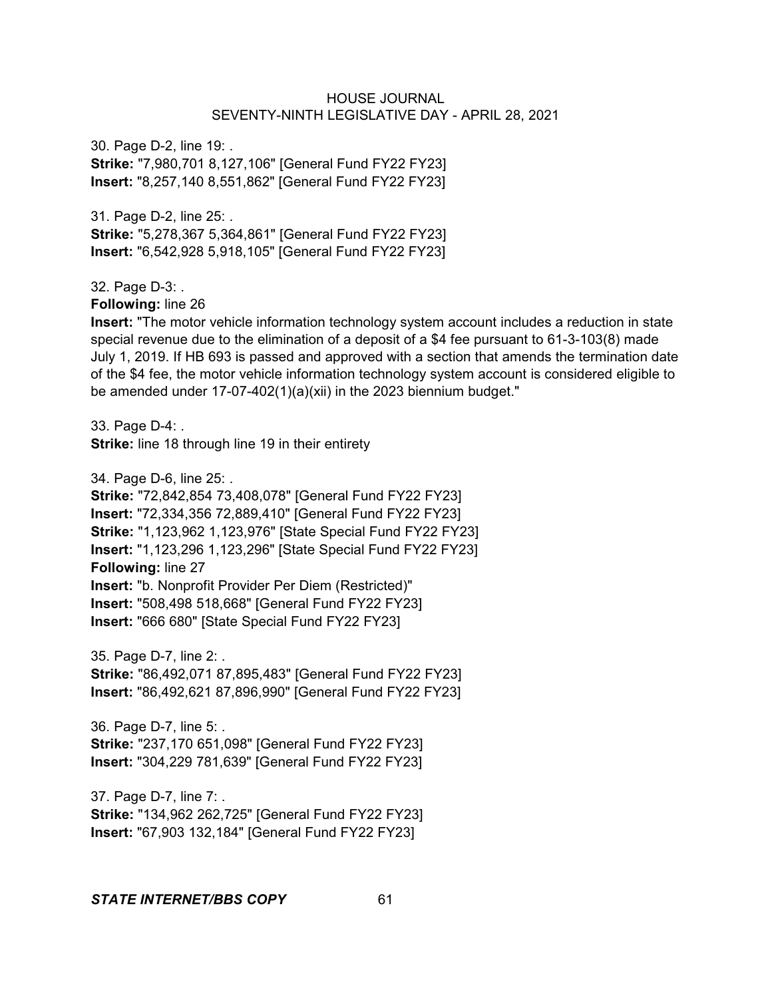30. Page D-2, line 19: . **Strike:** "7,980,701 8,127,106" [General Fund FY22 FY23] **Insert:** "8,257,140 8,551,862" [General Fund FY22 FY23]

31. Page D-2, line 25: . **Strike:** "5,278,367 5,364,861" [General Fund FY22 FY23] **Insert:** "6,542,928 5,918,105" [General Fund FY22 FY23]

32. Page D-3: .

**Following:** line 26

**Insert:** "The motor vehicle information technology system account includes a reduction in state special revenue due to the elimination of a deposit of a \$4 fee pursuant to 61-3-103(8) made July 1, 2019. If HB 693 is passed and approved with a section that amends the termination date of the \$4 fee, the motor vehicle information technology system account is considered eligible to be amended under 17-07-402(1)(a)(xii) in the 2023 biennium budget."

33. Page D-4: . **Strike:** line 18 through line 19 in their entirety

34. Page D-6, line 25: .

**Strike:** "72,842,854 73,408,078" [General Fund FY22 FY23] **Insert:** "72,334,356 72,889,410" [General Fund FY22 FY23] **Strike:** "1,123,962 1,123,976" [State Special Fund FY22 FY23] **Insert:** "1,123,296 1,123,296" [State Special Fund FY22 FY23] **Following:** line 27 **Insert:** "b. Nonprofit Provider Per Diem (Restricted)" **Insert:** "508,498 518,668" [General Fund FY22 FY23] **Insert:** "666 680" [State Special Fund FY22 FY23]

35. Page D-7, line 2: . **Strike:** "86,492,071 87,895,483" [General Fund FY22 FY23] **Insert:** "86,492,621 87,896,990" [General Fund FY22 FY23]

36. Page D-7, line 5: . **Strike:** "237,170 651,098" [General Fund FY22 FY23] **Insert:** "304,229 781,639" [General Fund FY22 FY23]

37. Page D-7, line 7: . **Strike:** "134,962 262,725" [General Fund FY22 FY23] **Insert:** "67,903 132,184" [General Fund FY22 FY23]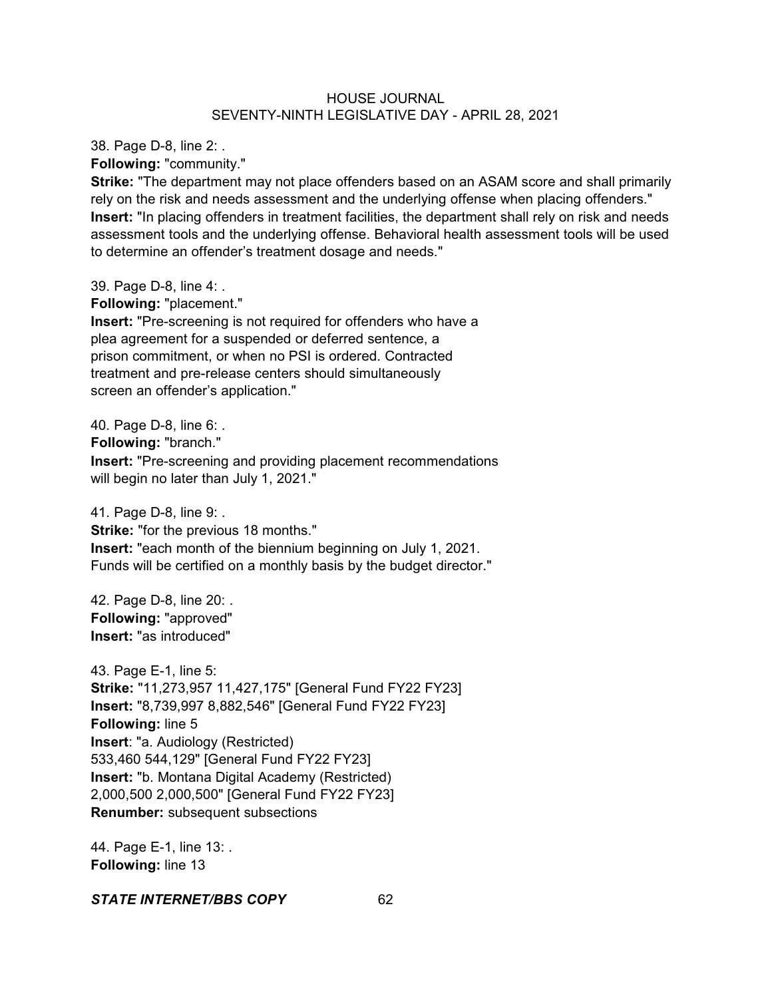38. Page D-8, line 2: .

**Following:** "community."

**Strike:** "The department may not place offenders based on an ASAM score and shall primarily rely on the risk and needs assessment and the underlying offense when placing offenders." **Insert:** "In placing offenders in treatment facilities, the department shall rely on risk and needs assessment tools and the underlying offense. Behavioral health assessment tools will be used to determine an offender's treatment dosage and needs."

39. Page D-8, line 4: .

**Following:** "placement."

**Insert:** "Pre-screening is not required for offenders who have a plea agreement for a suspended or deferred sentence, a prison commitment, or when no PSI is ordered. Contracted treatment and pre-release centers should simultaneously screen an offender's application."

40. Page D-8, line 6: . **Following:** "branch." **Insert:** "Pre-screening and providing placement recommendations will begin no later than July 1, 2021."

41. Page D-8, line 9: .

**Strike:** "for the previous 18 months." **Insert:** "each month of the biennium beginning on July 1, 2021.

Funds will be certified on a monthly basis by the budget director."

42. Page D-8, line 20: . **Following:** "approved" **Insert:** "as introduced"

43. Page E-1, line 5: **Strike:** "11,273,957 11,427,175" [General Fund FY22 FY23] **Insert:** "8,739,997 8,882,546" [General Fund FY22 FY23] **Following:** line 5 **Insert**: "a. Audiology (Restricted) 533,460 544,129" [General Fund FY22 FY23] **Insert:** "b. Montana Digital Academy (Restricted) 2,000,500 2,000,500" [General Fund FY22 FY23] **Renumber:** subsequent subsections

44. Page E-1, line 13: . **Following:** line 13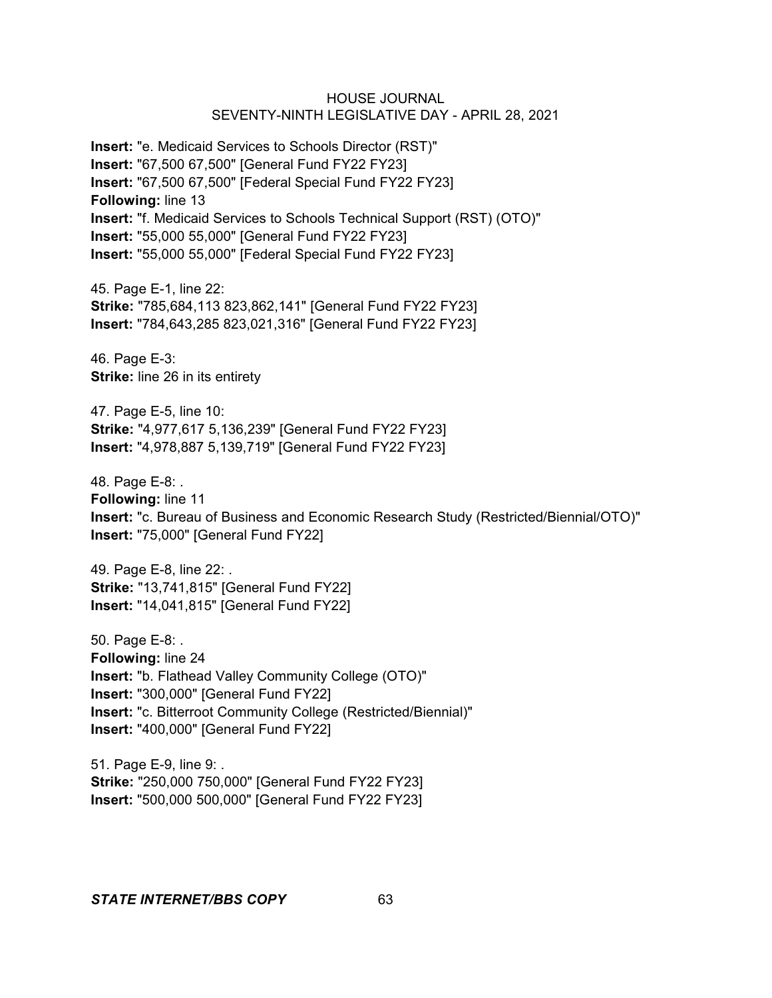**Insert:** "e. Medicaid Services to Schools Director (RST)" **Insert:** "67,500 67,500" [General Fund FY22 FY23] **Insert:** "67,500 67,500" [Federal Special Fund FY22 FY23] **Following:** line 13 **Insert:** "f. Medicaid Services to Schools Technical Support (RST) (OTO)" **Insert:** "55,000 55,000" [General Fund FY22 FY23] **Insert:** "55,000 55,000" [Federal Special Fund FY22 FY23]

45. Page E-1, line 22: **Strike:** "785,684,113 823,862,141" [General Fund FY22 FY23] **Insert:** "784,643,285 823,021,316" [General Fund FY22 FY23]

46. Page E-3: **Strike:** line 26 in its entirety

47. Page E-5, line 10: **Strike:** "4,977,617 5,136,239" [General Fund FY22 FY23] **Insert:** "4,978,887 5,139,719" [General Fund FY22 FY23]

48. Page E-8: . **Following:** line 11 **Insert:** "c. Bureau of Business and Economic Research Study (Restricted/Biennial/OTO)" **Insert:** "75,000" [General Fund FY22]

49. Page E-8, line 22: . **Strike:** "13,741,815" [General Fund FY22] **Insert:** "14,041,815" [General Fund FY22]

50. Page E-8: . **Following:** line 24 **Insert:** "b. Flathead Valley Community College (OTO)" **Insert:** "300,000" [General Fund FY22] **Insert:** "c. Bitterroot Community College (Restricted/Biennial)" **Insert:** "400,000" [General Fund FY22]

51. Page E-9, line 9: . **Strike:** "250,000 750,000" [General Fund FY22 FY23] **Insert:** "500,000 500,000" [General Fund FY22 FY23]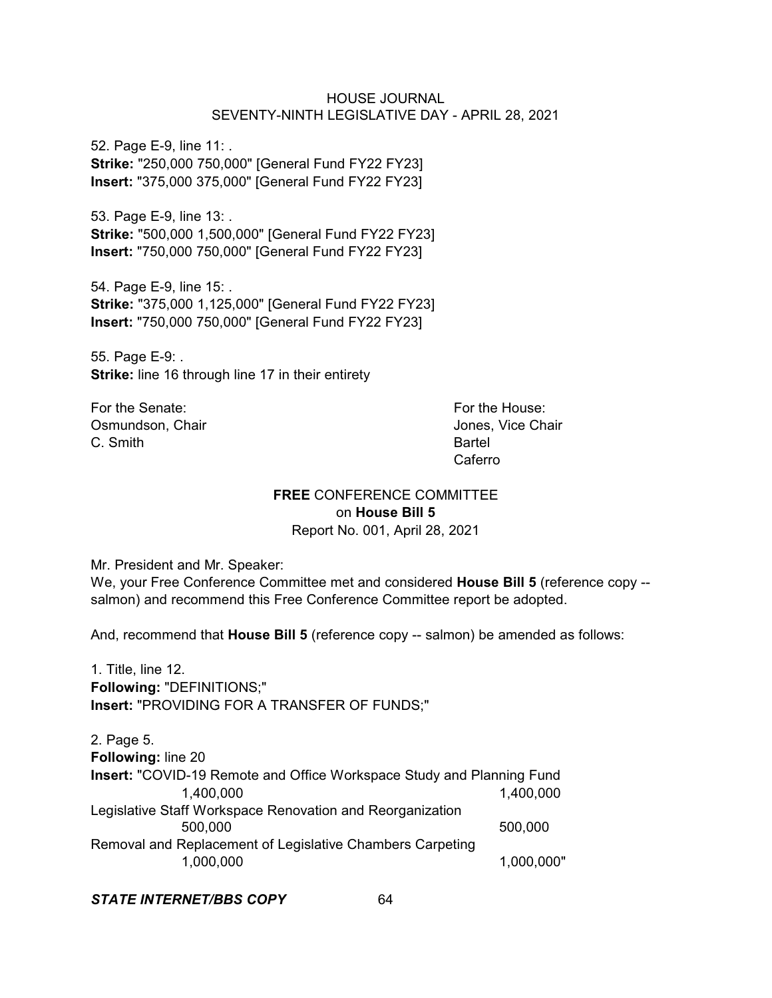52. Page E-9, line 11: . **Strike:** "250,000 750,000" [General Fund FY22 FY23] **Insert:** "375,000 375,000" [General Fund FY22 FY23]

53. Page E-9, line 13: . **Strike:** "500,000 1,500,000" [General Fund FY22 FY23] **Insert:** "750,000 750,000" [General Fund FY22 FY23]

54. Page E-9, line 15: . **Strike:** "375,000 1,125,000" [General Fund FY22 FY23] **Insert:** "750,000 750,000" [General Fund FY22 FY23]

55. Page E-9: . **Strike:** line 16 through line 17 in their entirety

For the Senate: For the House: Osmundson, Chair **Jones, Vice Chair Jones**, Vice Chair C. Smith Bartel

Caferro

# **FREE** CONFERENCE COMMITTEE on **House Bill 5**

Report No. 001, April 28, 2021

Mr. President and Mr. Speaker:

We, your Free Conference Committee met and considered **House Bill 5** (reference copy - salmon) and recommend this Free Conference Committee report be adopted.

And, recommend that **House Bill 5** (reference copy -- salmon) be amended as follows:

1. Title, line 12. **Following:** "DEFINITIONS;" **Insert:** "PROVIDING FOR A TRANSFER OF FUNDS;"

2. Page 5. **Following:** line 20 **Insert:** "COVID-19 Remote and Office Workspace Study and Planning Fund 1,400,000 1,400,000 Legislative Staff Workspace Renovation and Reorganization 500,000 500,000 Removal and Replacement of Legislative Chambers Carpeting 1,000,000 1,000,000"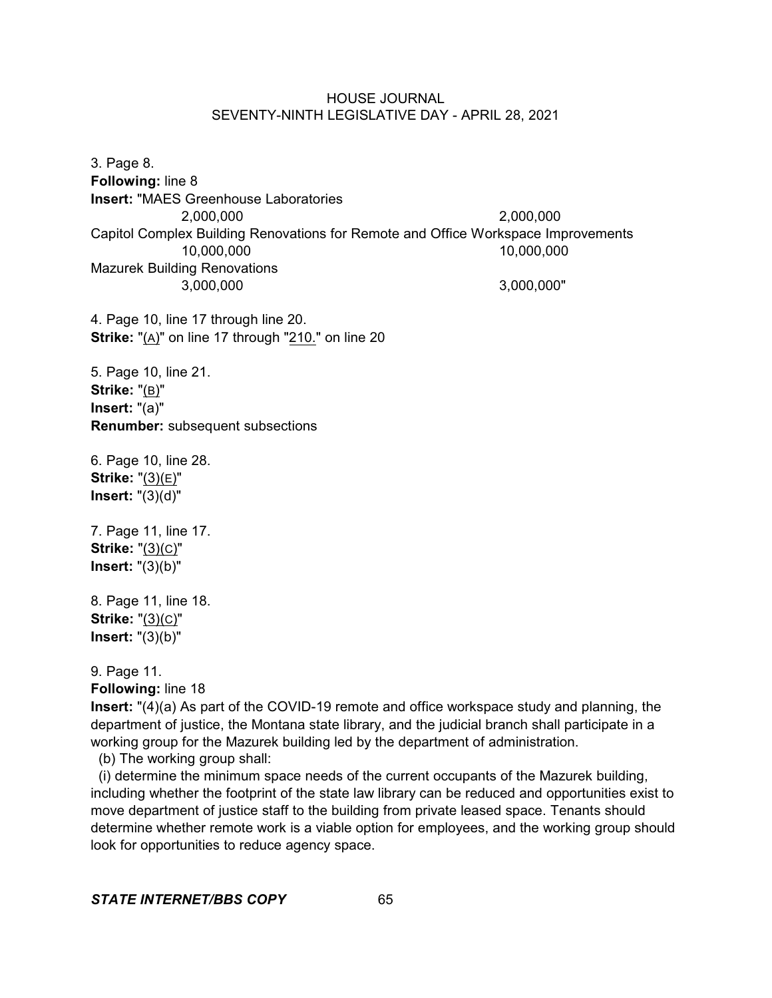3. Page 8. **Following:** line 8 **Insert:** "MAES Greenhouse Laboratories 2,000,000 2,000,000 Capitol Complex Building Renovations for Remote and Office Workspace Improvements 10,000,000 10,000,000 Mazurek Building Renovations 3,000,000 3,000,000"

4. Page 10, line 17 through line 20. **Strike:** "(A)" on line 17 through "210." on line 20

5. Page 10, line 21. **Strike:** "(B)" **Insert:** "(a)" **Renumber:** subsequent subsections

6. Page 10, line 28. **Strike:** "(3)(E)" **Insert:** "(3)(d)"

7. Page 11, line 17. **Strike:** "(3)(C)" **Insert:** "(3)(b)"

8. Page 11, line 18. **Strike:** "(3)(C)" **Insert:** "(3)(b)"

9. Page 11.

**Following:** line 18

**Insert:** "(4)(a) As part of the COVID-19 remote and office workspace study and planning, the department of justice, the Montana state library, and the judicial branch shall participate in a working group for the Mazurek building led by the department of administration.

(b) The working group shall:

 (i) determine the minimum space needs of the current occupants of the Mazurek building, including whether the footprint of the state law library can be reduced and opportunities exist to move department of justice staff to the building from private leased space. Tenants should determine whether remote work is a viable option for employees, and the working group should look for opportunities to reduce agency space.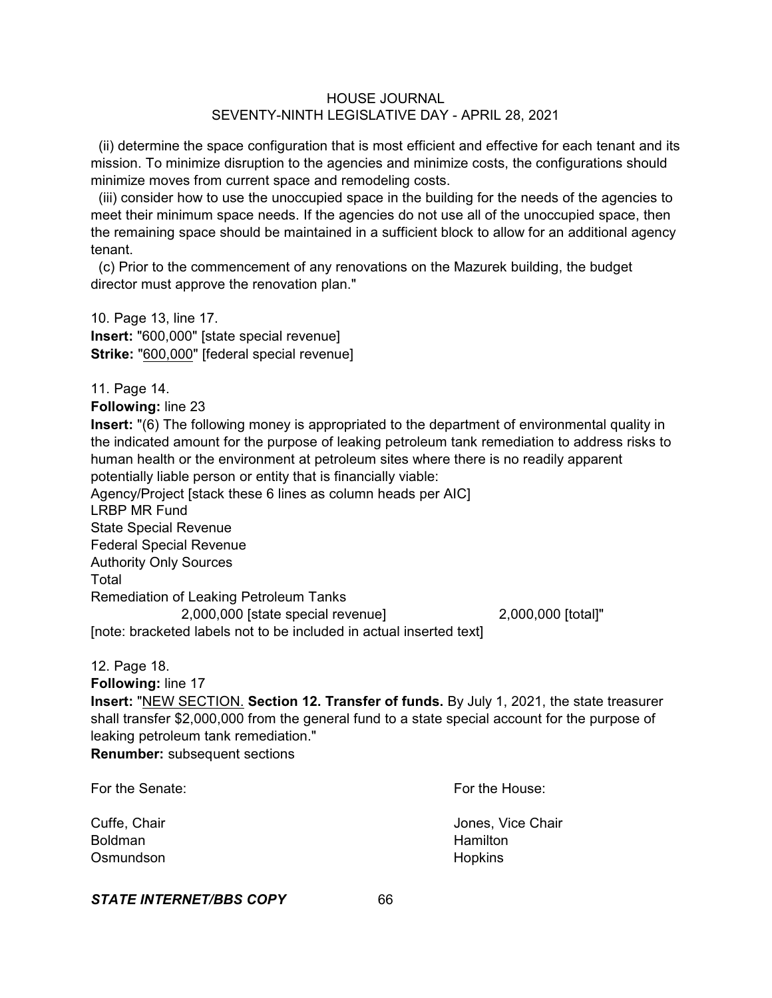(ii) determine the space configuration that is most efficient and effective for each tenant and its mission. To minimize disruption to the agencies and minimize costs, the configurations should minimize moves from current space and remodeling costs.

 (iii) consider how to use the unoccupied space in the building for the needs of the agencies to meet their minimum space needs. If the agencies do not use all of the unoccupied space, then the remaining space should be maintained in a sufficient block to allow for an additional agency tenant.

 (c) Prior to the commencement of any renovations on the Mazurek building, the budget director must approve the renovation plan."

10. Page 13, line 17. **Insert:** "600,000" [state special revenue] **Strike:** "600,000" [federal special revenue]

11. Page 14.

**Following:** line 23

**Insert:** "(6) The following money is appropriated to the department of environmental quality in the indicated amount for the purpose of leaking petroleum tank remediation to address risks to human health or the environment at petroleum sites where there is no readily apparent potentially liable person or entity that is financially viable:

Agency/Project [stack these 6 lines as column heads per AIC]

LRBP MR Fund

State Special Revenue

Federal Special Revenue

Authority Only Sources

Total

Remediation of Leaking Petroleum Tanks

2,000,000 [state special revenue] 2,000,000 [total]" [note: bracketed labels not to be included in actual inserted text]

12. Page 18.

**Following:** line 17

**Insert:** "NEW SECTION. **Section 12. Transfer of funds.** By July 1, 2021, the state treasurer shall transfer \$2,000,000 from the general fund to a state special account for the purpose of leaking petroleum tank remediation."

**Renumber:** subsequent sections

For the Senate: For the House: Cuffe, Chair **Cuffe**, Chair **Cuffe**, Chair **Jones**, Vice Chair Boldman **Hamilton** Osmundson **Hopkins**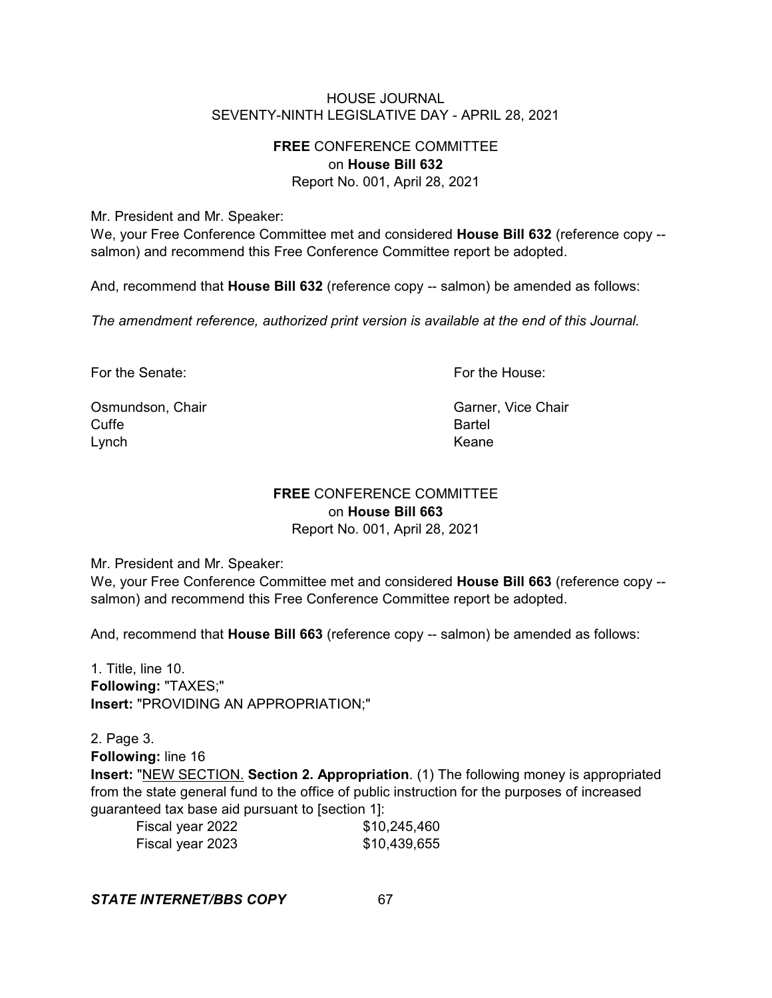# **FREE** CONFERENCE COMMITTEE on **House Bill 632**

Report No. 001, April 28, 2021

Mr. President and Mr. Speaker:

We, your Free Conference Committee met and considered **House Bill 632** (reference copy - salmon) and recommend this Free Conference Committee report be adopted.

And, recommend that **House Bill 632** (reference copy -- salmon) be amended as follows:

*The amendment reference, authorized print version is available at the end of this Journal.*

For the Senate: For the House:

Osmundson, Chair Garner, Vice Chair Garner, Vice Chair Cuffe **Bartel** Lynch **Example 2018** Contract the Contract of the Contract of the Keane

# **FREE** CONFERENCE COMMITTEE on **House Bill 663**

Report No. 001, April 28, 2021

Mr. President and Mr. Speaker:

We, your Free Conference Committee met and considered **House Bill 663** (reference copy - salmon) and recommend this Free Conference Committee report be adopted.

And, recommend that **House Bill 663** (reference copy -- salmon) be amended as follows:

1. Title, line 10. **Following:** "TAXES;" **Insert:** "PROVIDING AN APPROPRIATION;"

2. Page 3. **Following:** line 16 **Insert:** "NEW SECTION. **Section 2. Appropriation**. (1) The following money is appropriated from the state general fund to the office of public instruction for the purposes of increased guaranteed tax base aid pursuant to [section 1]:

| Fiscal year 2022 | \$10,245,460 |
|------------------|--------------|
| Fiscal year 2023 | \$10,439,655 |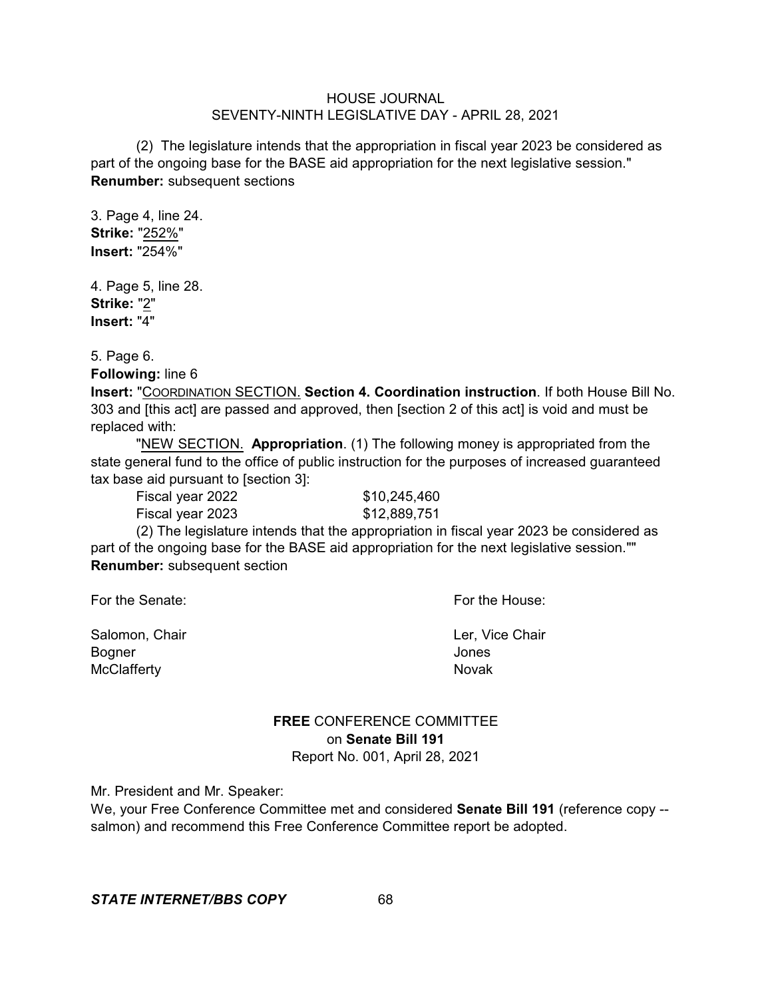(2) The legislature intends that the appropriation in fiscal year 2023 be considered as part of the ongoing base for the BASE aid appropriation for the next legislative session." **Renumber:** subsequent sections

3. Page 4, line 24. **Strike:** "252%" **Insert:** "254%"

4. Page 5, line 28. **Strike:** "2" **Insert:** "4"

5. Page 6.

**Following:** line 6

**Insert:** "COORDINATION SECTION. **Section 4. Coordination instruction**. If both House Bill No. 303 and [this act] are passed and approved, then [section 2 of this act] is void and must be replaced with:

"NEW SECTION. **Appropriation**. (1) The following money is appropriated from the state general fund to the office of public instruction for the purposes of increased guaranteed tax base aid pursuant to [section 3]:

Fiscal year 2022 \$10,245,460 Fiscal year 2023 \$12,889,751

(2) The legislature intends that the appropriation in fiscal year 2023 be considered as part of the ongoing base for the BASE aid appropriation for the next legislative session."" **Renumber:** subsequent section

For the Senate: For the House:

Salomon, Chair **Ler, Vice Chair Ler, Vice Chair** Bogner Jones McClafferty Novak

**FREE** CONFERENCE COMMITTEE on **Senate Bill 191** Report No. 001, April 28, 2021

Mr. President and Mr. Speaker:

We, your Free Conference Committee met and considered **Senate Bill 191** (reference copy - salmon) and recommend this Free Conference Committee report be adopted.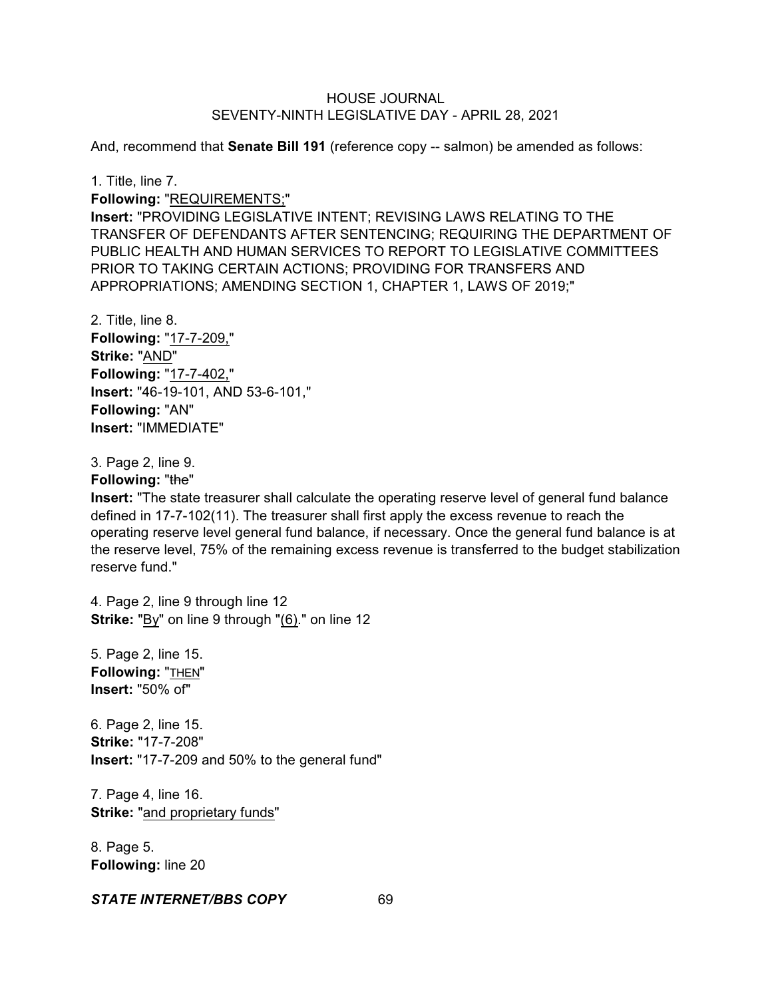And, recommend that **Senate Bill 191** (reference copy -- salmon) be amended as follows:

1. Title, line 7.

**Following:** "REQUIREMENTS;"

**Insert:** "PROVIDING LEGISLATIVE INTENT; REVISING LAWS RELATING TO THE TRANSFER OF DEFENDANTS AFTER SENTENCING; REQUIRING THE DEPARTMENT OF PUBLIC HEALTH AND HUMAN SERVICES TO REPORT TO LEGISLATIVE COMMITTEES PRIOR TO TAKING CERTAIN ACTIONS; PROVIDING FOR TRANSFERS AND APPROPRIATIONS; AMENDING SECTION 1, CHAPTER 1, LAWS OF 2019;"

2. Title, line 8. **Following:** "17-7-209," **Strike:** "AND" **Following:** "17-7-402," **Insert:** "46-19-101, AND 53-6-101," **Following:** "AN" **Insert:** "IMMEDIATE"

3. Page 2, line 9.

**Following: "the"** 

**Insert:** "The state treasurer shall calculate the operating reserve level of general fund balance defined in 17-7-102(11). The treasurer shall first apply the excess revenue to reach the operating reserve level general fund balance, if necessary. Once the general fund balance is at the reserve level, 75% of the remaining excess revenue is transferred to the budget stabilization reserve fund."

4. Page 2, line 9 through line 12 **Strike:** "By" on line 9 through "(6)." on line 12

5. Page 2, line 15. **Following:** "THEN" **Insert:** "50% of"

6. Page 2, line 15. **Strike:** "17-7-208" **Insert:** "17-7-209 and 50% to the general fund"

7. Page 4, line 16. **Strike:** "and proprietary funds"

8. Page 5. **Following:** line 20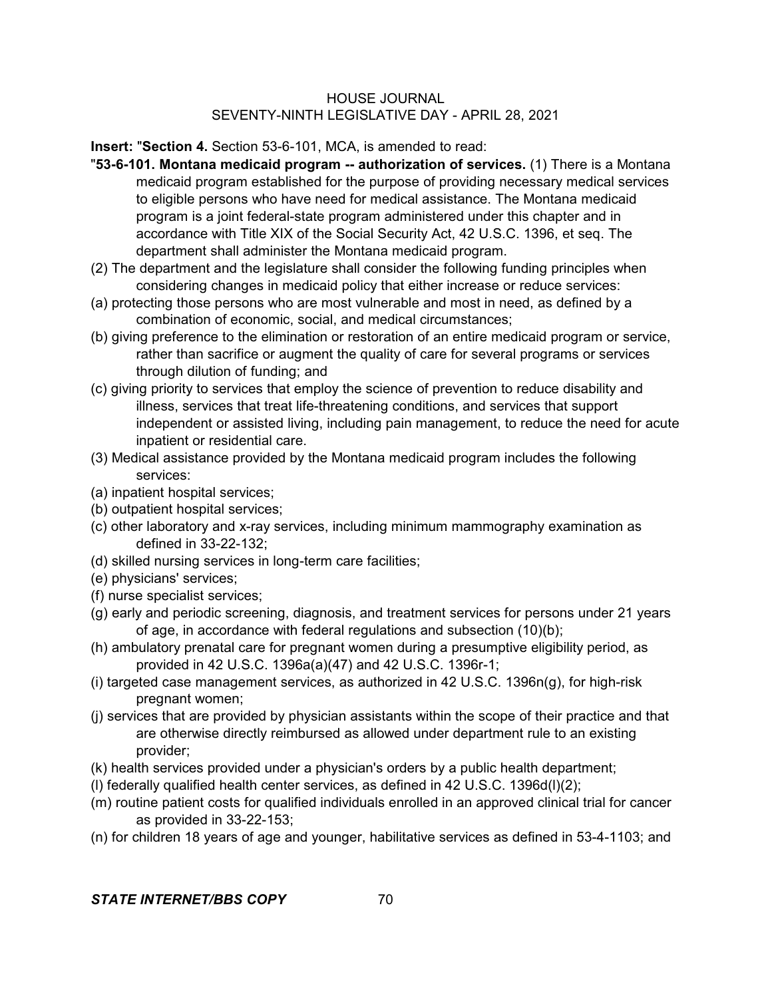**Insert:** "**Section 4.** Section 53-6-101, MCA, is amended to read:

- "**53-6-101. Montana medicaid program -- authorization of services.** (1) There is a Montana medicaid program established for the purpose of providing necessary medical services to eligible persons who have need for medical assistance. The Montana medicaid program is a joint federal-state program administered under this chapter and in accordance with Title XIX of the Social Security Act, 42 U.S.C. 1396, et seq. The department shall administer the Montana medicaid program.
- (2) The department and the legislature shall consider the following funding principles when considering changes in medicaid policy that either increase or reduce services:
- (a) protecting those persons who are most vulnerable and most in need, as defined by a combination of economic, social, and medical circumstances;
- (b) giving preference to the elimination or restoration of an entire medicaid program or service, rather than sacrifice or augment the quality of care for several programs or services through dilution of funding; and
- (c) giving priority to services that employ the science of prevention to reduce disability and illness, services that treat life-threatening conditions, and services that support independent or assisted living, including pain management, to reduce the need for acute inpatient or residential care.
- (3) Medical assistance provided by the Montana medicaid program includes the following services:
- (a) inpatient hospital services;
- (b) outpatient hospital services;
- (c) other laboratory and x-ray services, including minimum mammography examination as defined in 33-22-132;
- (d) skilled nursing services in long-term care facilities;
- (e) physicians' services;
- (f) nurse specialist services;
- (g) early and periodic screening, diagnosis, and treatment services for persons under 21 years of age, in accordance with federal regulations and subsection (10)(b);
- (h) ambulatory prenatal care for pregnant women during a presumptive eligibility period, as provided in 42 U.S.C. 1396a(a)(47) and 42 U.S.C. 1396r-1;
- (i) targeted case management services, as authorized in 42 U.S.C. 1396n(g), for high-risk pregnant women;
- (j) services that are provided by physician assistants within the scope of their practice and that are otherwise directly reimbursed as allowed under department rule to an existing provider;
- (k) health services provided under a physician's orders by a public health department;
- (l) federally qualified health center services, as defined in 42 U.S.C. 1396d(l)(2);
- (m) routine patient costs for qualified individuals enrolled in an approved clinical trial for cancer as provided in 33-22-153;
- (n) for children 18 years of age and younger, habilitative services as defined in 53-4-1103; and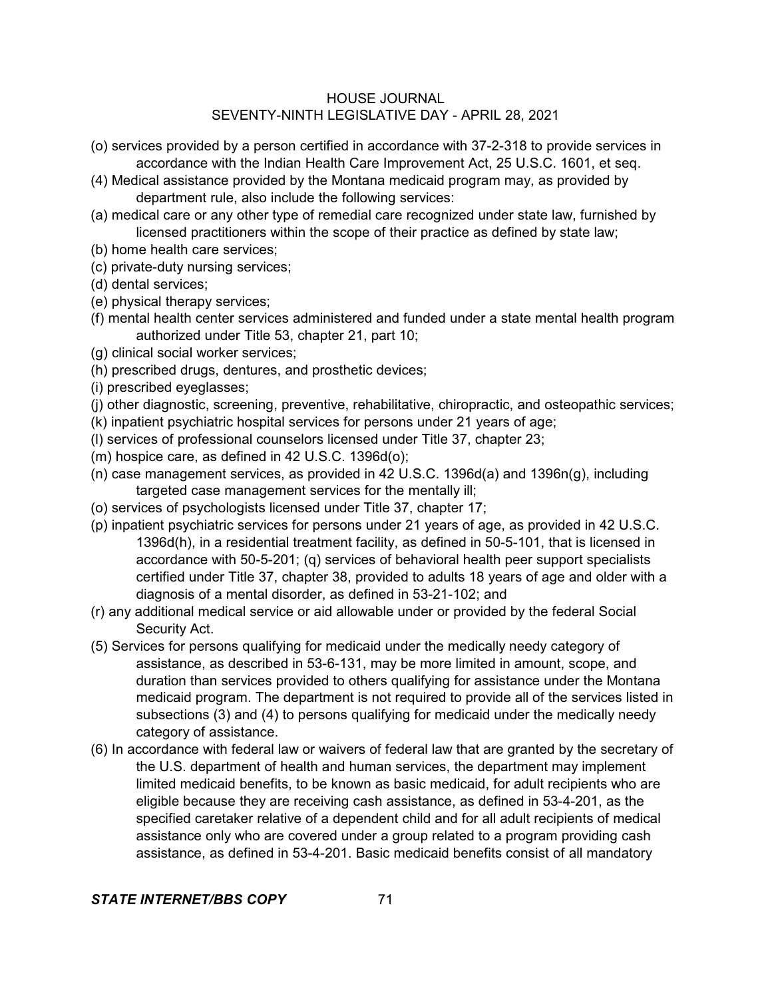- (o) services provided by a person certified in accordance with 37-2-318 to provide services in accordance with the Indian Health Care Improvement Act, 25 U.S.C. 1601, et seq.
- (4) Medical assistance provided by the Montana medicaid program may, as provided by department rule, also include the following services:
- (a) medical care or any other type of remedial care recognized under state law, furnished by licensed practitioners within the scope of their practice as defined by state law;
- (b) home health care services;
- (c) private-duty nursing services;
- (d) dental services;
- (e) physical therapy services;
- (f) mental health center services administered and funded under a state mental health program authorized under Title 53, chapter 21, part 10;
- (g) clinical social worker services;
- (h) prescribed drugs, dentures, and prosthetic devices;
- (i) prescribed eyeglasses;
- (j) other diagnostic, screening, preventive, rehabilitative, chiropractic, and osteopathic services;
- (k) inpatient psychiatric hospital services for persons under 21 years of age;
- (l) services of professional counselors licensed under Title 37, chapter 23;
- (m) hospice care, as defined in 42 U.S.C. 1396d(o);
- (n) case management services, as provided in 42 U.S.C. 1396d(a) and 1396n(g), including targeted case management services for the mentally ill;
- (o) services of psychologists licensed under Title 37, chapter 17;
- (p) inpatient psychiatric services for persons under 21 years of age, as provided in 42 U.S.C. 1396d(h), in a residential treatment facility, as defined in 50-5-101, that is licensed in accordance with 50-5-201; (q) services of behavioral health peer support specialists certified under Title 37, chapter 38, provided to adults 18 years of age and older with a diagnosis of a mental disorder, as defined in 53-21-102; and
- (r) any additional medical service or aid allowable under or provided by the federal Social Security Act.
- (5) Services for persons qualifying for medicaid under the medically needy category of assistance, as described in 53-6-131, may be more limited in amount, scope, and duration than services provided to others qualifying for assistance under the Montana medicaid program. The department is not required to provide all of the services listed in subsections (3) and (4) to persons qualifying for medicaid under the medically needy category of assistance.
- (6) In accordance with federal law or waivers of federal law that are granted by the secretary of the U.S. department of health and human services, the department may implement limited medicaid benefits, to be known as basic medicaid, for adult recipients who are eligible because they are receiving cash assistance, as defined in 53-4-201, as the specified caretaker relative of a dependent child and for all adult recipients of medical assistance only who are covered under a group related to a program providing cash assistance, as defined in 53-4-201. Basic medicaid benefits consist of all mandatory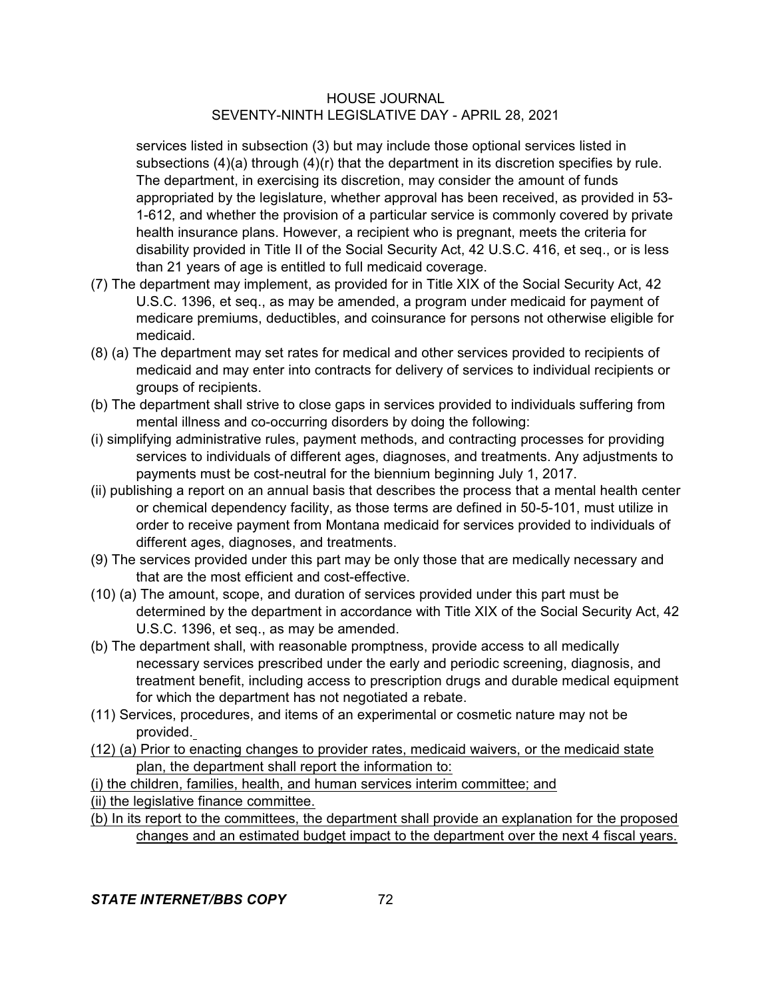services listed in subsection (3) but may include those optional services listed in subsections (4)(a) through (4)(r) that the department in its discretion specifies by rule. The department, in exercising its discretion, may consider the amount of funds appropriated by the legislature, whether approval has been received, as provided in 53- 1-612, and whether the provision of a particular service is commonly covered by private health insurance plans. However, a recipient who is pregnant, meets the criteria for disability provided in Title II of the Social Security Act, 42 U.S.C. 416, et seq., or is less than 21 years of age is entitled to full medicaid coverage.

- (7) The department may implement, as provided for in Title XIX of the Social Security Act, 42 U.S.C. 1396, et seq., as may be amended, a program under medicaid for payment of medicare premiums, deductibles, and coinsurance for persons not otherwise eligible for medicaid.
- (8) (a) The department may set rates for medical and other services provided to recipients of medicaid and may enter into contracts for delivery of services to individual recipients or groups of recipients.
- (b) The department shall strive to close gaps in services provided to individuals suffering from mental illness and co-occurring disorders by doing the following:
- (i) simplifying administrative rules, payment methods, and contracting processes for providing services to individuals of different ages, diagnoses, and treatments. Any adjustments to payments must be cost-neutral for the biennium beginning July 1, 2017.
- (ii) publishing a report on an annual basis that describes the process that a mental health center or chemical dependency facility, as those terms are defined in 50-5-101, must utilize in order to receive payment from Montana medicaid for services provided to individuals of different ages, diagnoses, and treatments.
- (9) The services provided under this part may be only those that are medically necessary and that are the most efficient and cost-effective.
- (10) (a) The amount, scope, and duration of services provided under this part must be determined by the department in accordance with Title XIX of the Social Security Act, 42 U.S.C. 1396, et seq., as may be amended.
- (b) The department shall, with reasonable promptness, provide access to all medically necessary services prescribed under the early and periodic screening, diagnosis, and treatment benefit, including access to prescription drugs and durable medical equipment for which the department has not negotiated a rebate.
- (11) Services, procedures, and items of an experimental or cosmetic nature may not be provided.
- (12) (a) Prior to enacting changes to provider rates, medicaid waivers, or the medicaid state plan, the department shall report the information to:

(i) the children, families, health, and human services interim committee; and (ii) the legislative finance committee.

(b) In its report to the committees, the department shall provide an explanation for the proposed changes and an estimated budget impact to the department over the next 4 fiscal years.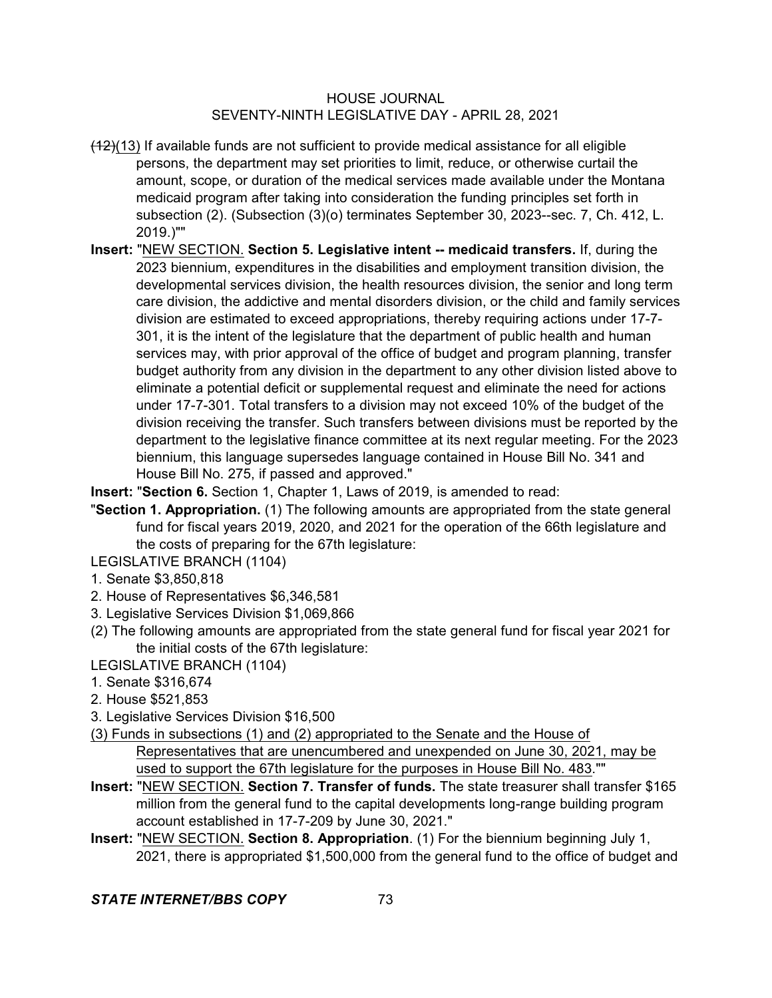- $(12)(13)$  If available funds are not sufficient to provide medical assistance for all eligible persons, the department may set priorities to limit, reduce, or otherwise curtail the amount, scope, or duration of the medical services made available under the Montana medicaid program after taking into consideration the funding principles set forth in subsection (2). (Subsection (3)(o) terminates September 30, 2023--sec. 7, Ch. 412, L. 2019.)""
- **Insert:** "NEW SECTION. **Section 5. Legislative intent -- medicaid transfers.** If, during the 2023 biennium, expenditures in the disabilities and employment transition division, the developmental services division, the health resources division, the senior and long term care division, the addictive and mental disorders division, or the child and family services division are estimated to exceed appropriations, thereby requiring actions under 17-7- 301, it is the intent of the legislature that the department of public health and human services may, with prior approval of the office of budget and program planning, transfer budget authority from any division in the department to any other division listed above to eliminate a potential deficit or supplemental request and eliminate the need for actions under 17-7-301. Total transfers to a division may not exceed 10% of the budget of the division receiving the transfer. Such transfers between divisions must be reported by the department to the legislative finance committee at its next regular meeting. For the 2023 biennium, this language supersedes language contained in House Bill No. 341 and House Bill No. 275, if passed and approved."
- **Insert:** "**Section 6.** Section 1, Chapter 1, Laws of 2019, is amended to read:
- "**Section 1. Appropriation.** (1) The following amounts are appropriated from the state general fund for fiscal years 2019, 2020, and 2021 for the operation of the 66th legislature and the costs of preparing for the 67th legislature:
- LEGISLATIVE BRANCH (1104)
- 1. Senate \$3,850,818
- 2. House of Representatives \$6,346,581
- 3. Legislative Services Division \$1,069,866
- (2) The following amounts are appropriated from the state general fund for fiscal year 2021 for the initial costs of the 67th legislature:
- LEGISLATIVE BRANCH (1104)
- 1. Senate \$316,674
- 2. House \$521,853
- 3. Legislative Services Division \$16,500
- (3) Funds in subsections (1) and (2) appropriated to the Senate and the House of Representatives that are unencumbered and unexpended on June 30, 2021, may be used to support the 67th legislature for the purposes in House Bill No. 483.""
- **Insert:** "NEW SECTION. **Section 7. Transfer of funds.** The state treasurer shall transfer \$165 million from the general fund to the capital developments long-range building program account established in 17-7-209 by June 30, 2021."
- **Insert:** "NEW SECTION. **Section 8. Appropriation**. (1) For the biennium beginning July 1, 2021, there is appropriated \$1,500,000 from the general fund to the office of budget and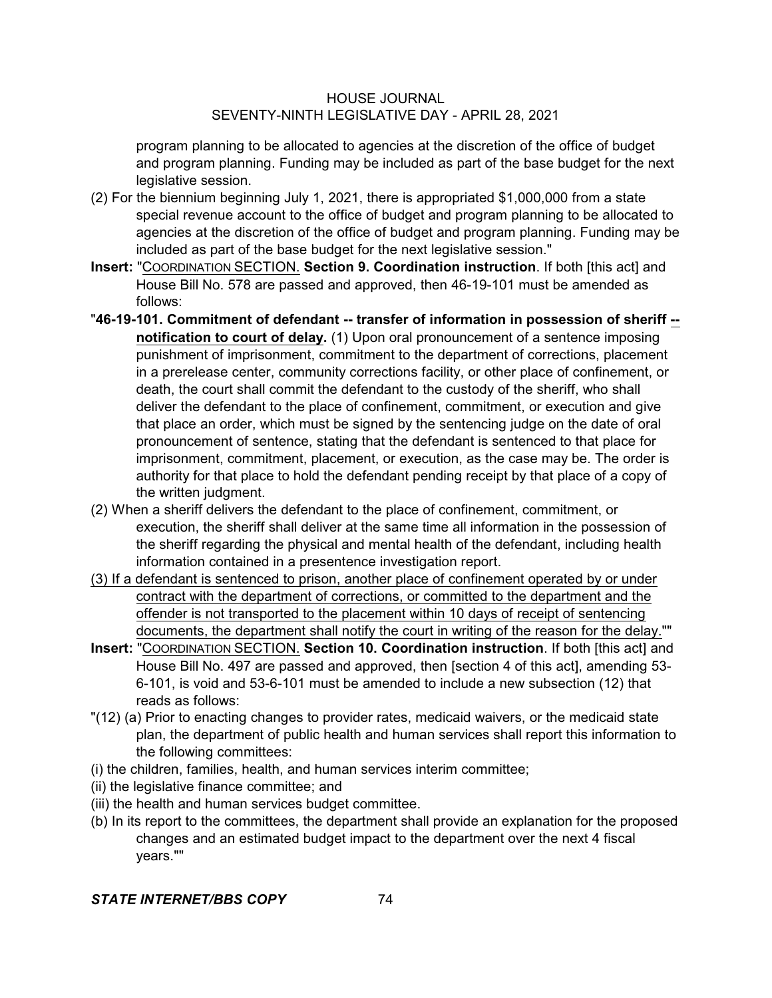program planning to be allocated to agencies at the discretion of the office of budget and program planning. Funding may be included as part of the base budget for the next legislative session.

- (2) For the biennium beginning July 1, 2021, there is appropriated \$1,000,000 from a state special revenue account to the office of budget and program planning to be allocated to agencies at the discretion of the office of budget and program planning. Funding may be included as part of the base budget for the next legislative session."
- **Insert:** "COORDINATION SECTION. **Section 9. Coordination instruction**. If both [this act] and House Bill No. 578 are passed and approved, then 46-19-101 must be amended as follows:
- "**46-19-101. Commitment of defendant -- transfer of information in possession of sheriff - notification to court of delay.** (1) Upon oral pronouncement of a sentence imposing punishment of imprisonment, commitment to the department of corrections, placement in a prerelease center, community corrections facility, or other place of confinement, or death, the court shall commit the defendant to the custody of the sheriff, who shall deliver the defendant to the place of confinement, commitment, or execution and give that place an order, which must be signed by the sentencing judge on the date of oral pronouncement of sentence, stating that the defendant is sentenced to that place for imprisonment, commitment, placement, or execution, as the case may be. The order is authority for that place to hold the defendant pending receipt by that place of a copy of the written judgment.
- (2) When a sheriff delivers the defendant to the place of confinement, commitment, or execution, the sheriff shall deliver at the same time all information in the possession of the sheriff regarding the physical and mental health of the defendant, including health information contained in a presentence investigation report.
- (3) If a defendant is sentenced to prison, another place of confinement operated by or under contract with the department of corrections, or committed to the department and the offender is not transported to the placement within 10 days of receipt of sentencing documents, the department shall notify the court in writing of the reason for the delay.""
- **Insert:** "COORDINATION SECTION. **Section 10. Coordination instruction**. If both [this act] and House Bill No. 497 are passed and approved, then [section 4 of this act], amending 53- 6-101, is void and 53-6-101 must be amended to include a new subsection (12) that reads as follows:
- "(12) (a) Prior to enacting changes to provider rates, medicaid waivers, or the medicaid state plan, the department of public health and human services shall report this information to the following committees:
- (i) the children, families, health, and human services interim committee;
- (ii) the legislative finance committee; and
- (iii) the health and human services budget committee.
- (b) In its report to the committees, the department shall provide an explanation for the proposed changes and an estimated budget impact to the department over the next 4 fiscal years.""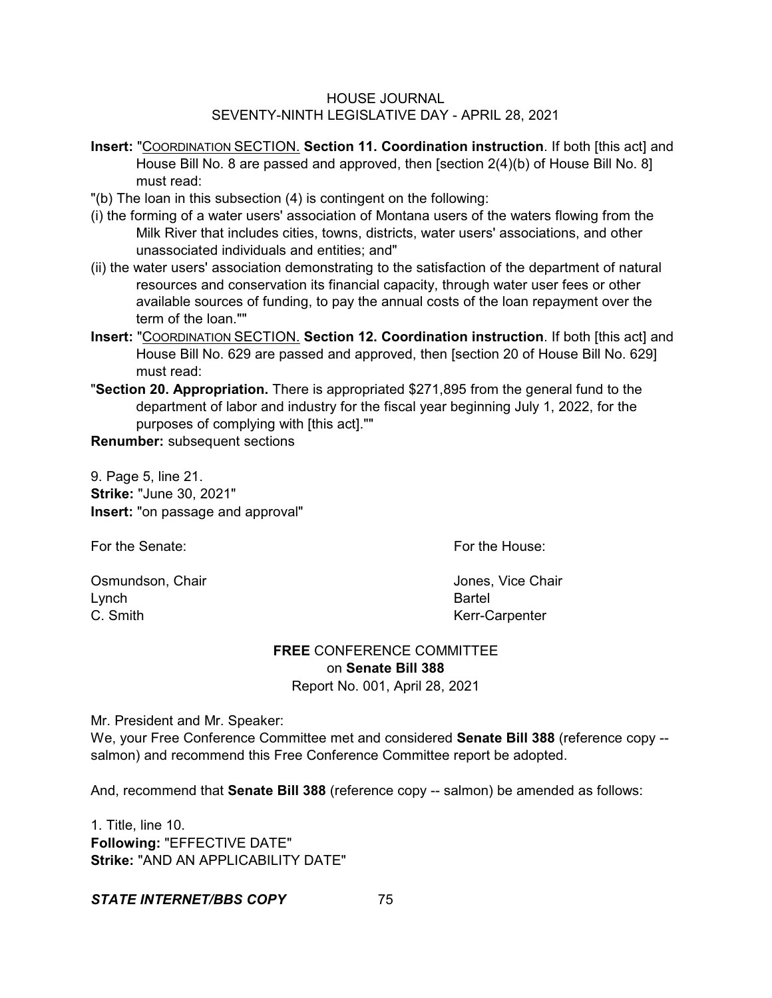- **Insert:** "COORDINATION SECTION. **Section 11. Coordination instruction**. If both [this act] and House Bill No. 8 are passed and approved, then [section 2(4)(b) of House Bill No. 8] must read:
- "(b) The loan in this subsection (4) is contingent on the following:
- (i) the forming of a water users' association of Montana users of the waters flowing from the Milk River that includes cities, towns, districts, water users' associations, and other unassociated individuals and entities; and"
- (ii) the water users' association demonstrating to the satisfaction of the department of natural resources and conservation its financial capacity, through water user fees or other available sources of funding, to pay the annual costs of the loan repayment over the term of the loan.""
- **Insert:** "COORDINATION SECTION. **Section 12. Coordination instruction**. If both [this act] and House Bill No. 629 are passed and approved, then [section 20 of House Bill No. 629] must read:
- "**Section 20. Appropriation.** There is appropriated \$271,895 from the general fund to the department of labor and industry for the fiscal year beginning July 1, 2022, for the purposes of complying with [this act].""

**Renumber:** subsequent sections

9. Page 5, line 21. **Strike:** "June 30, 2021" **Insert:** "on passage and approval"

For the Senate: For the House:

Osmundson, Chair **Jones, Vice Chair Jones**, Vice Chair Lynch **Bartel** C. Smith Kerr-Carpenter

# **FREE** CONFERENCE COMMITTEE on **Senate Bill 388**

Report No. 001, April 28, 2021

Mr. President and Mr. Speaker:

We, your Free Conference Committee met and considered **Senate Bill 388** (reference copy - salmon) and recommend this Free Conference Committee report be adopted.

And, recommend that **Senate Bill 388** (reference copy -- salmon) be amended as follows:

1. Title, line 10. **Following:** "EFFECTIVE DATE" **Strike:** "AND AN APPLICABILITY DATE"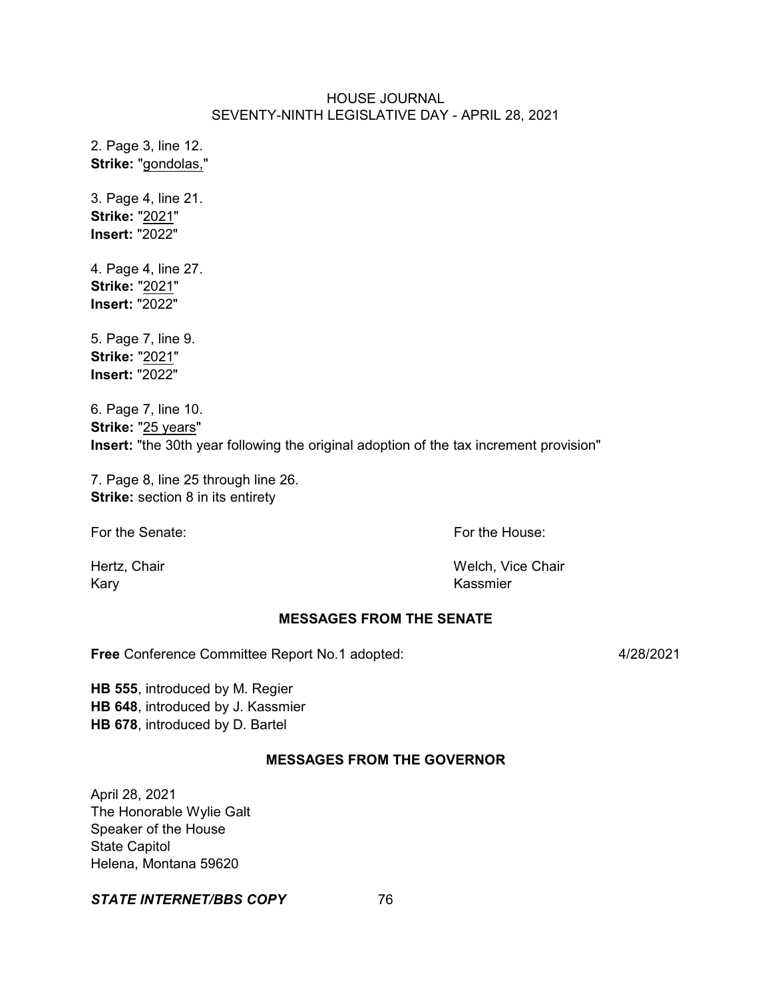2. Page 3, line 12. **Strike:** "gondolas,"

3. Page 4, line 21. **Strike:** "2021" **Insert:** "2022"

4. Page 4, line 27. **Strike:** "2021" **Insert:** "2022"

5. Page 7, line 9. **Strike:** "2021" **Insert:** "2022"

6. Page 7, line 10. **Strike:** "25 years" **Insert:** "the 30th year following the original adoption of the tax increment provision"

7. Page 8, line 25 through line 26. **Strike:** section 8 in its entirety

For the Senate: The Senate: The Senate: The House: For the House:

Kary **Kassmier** Kassmier

Hertz, Chair **Welch, Vice Chair** Welch, Vice Chair

### **MESSAGES FROM THE SENATE**

**Free** Conference Committee Report No.1 adopted: 4/28/2021

**HB 555**, introduced by M. Regier **HB 648**, introduced by J. Kassmier **HB 678**, introduced by D. Bartel

### **MESSAGES FROM THE GOVERNOR**

April 28, 2021 The Honorable Wylie Galt Speaker of the House State Capitol Helena, Montana 59620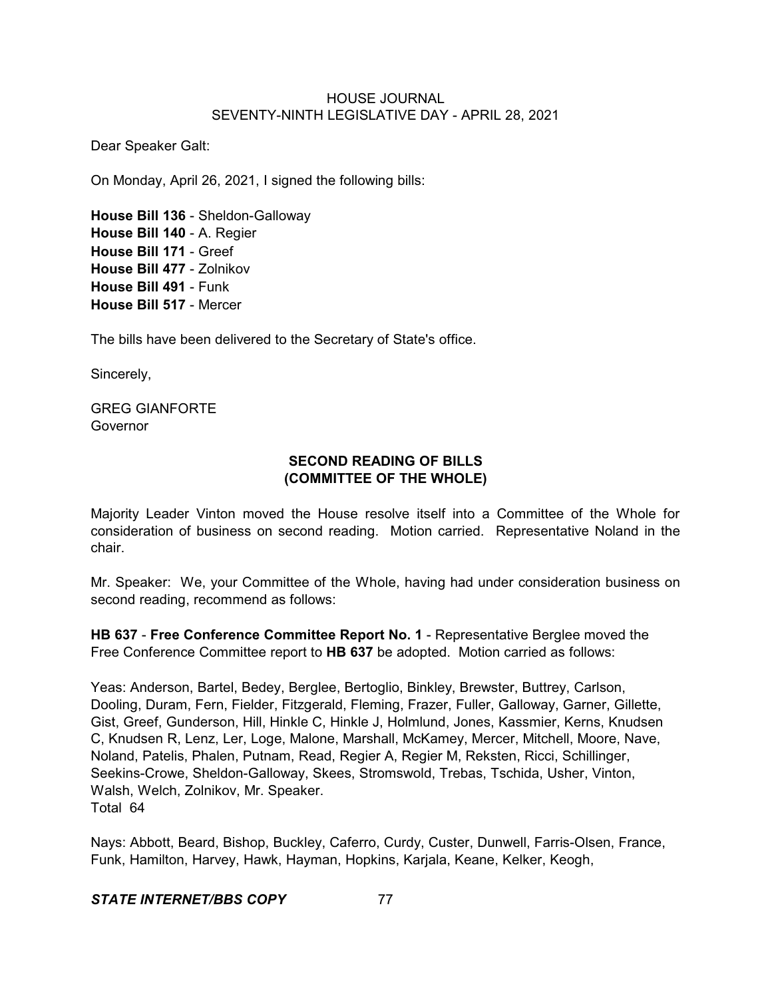Dear Speaker Galt:

On Monday, April 26, 2021, I signed the following bills:

**House Bill 136** - Sheldon-Galloway **House Bill 140** - A. Regier **House Bill 171** - Greef **House Bill 477** - Zolnikov **House Bill 491** - Funk **House Bill 517** - Mercer

The bills have been delivered to the Secretary of State's office.

Sincerely,

GREG GIANFORTE Governor

### **SECOND READING OF BILLS (COMMITTEE OF THE WHOLE)**

Majority Leader Vinton moved the House resolve itself into a Committee of the Whole for consideration of business on second reading. Motion carried. Representative Noland in the chair.

Mr. Speaker: We, your Committee of the Whole, having had under consideration business on second reading, recommend as follows:

**HB 637** - **Free Conference Committee Report No. 1** - Representative Berglee moved the Free Conference Committee report to **HB 637** be adopted. Motion carried as follows:

Yeas: Anderson, Bartel, Bedey, Berglee, Bertoglio, Binkley, Brewster, Buttrey, Carlson, Dooling, Duram, Fern, Fielder, Fitzgerald, Fleming, Frazer, Fuller, Galloway, Garner, Gillette, Gist, Greef, Gunderson, Hill, Hinkle C, Hinkle J, Holmlund, Jones, Kassmier, Kerns, Knudsen C, Knudsen R, Lenz, Ler, Loge, Malone, Marshall, McKamey, Mercer, Mitchell, Moore, Nave, Noland, Patelis, Phalen, Putnam, Read, Regier A, Regier M, Reksten, Ricci, Schillinger, Seekins-Crowe, Sheldon-Galloway, Skees, Stromswold, Trebas, Tschida, Usher, Vinton, Walsh, Welch, Zolnikov, Mr. Speaker. Total 64

Nays: Abbott, Beard, Bishop, Buckley, Caferro, Curdy, Custer, Dunwell, Farris-Olsen, France, Funk, Hamilton, Harvey, Hawk, Hayman, Hopkins, Karjala, Keane, Kelker, Keogh,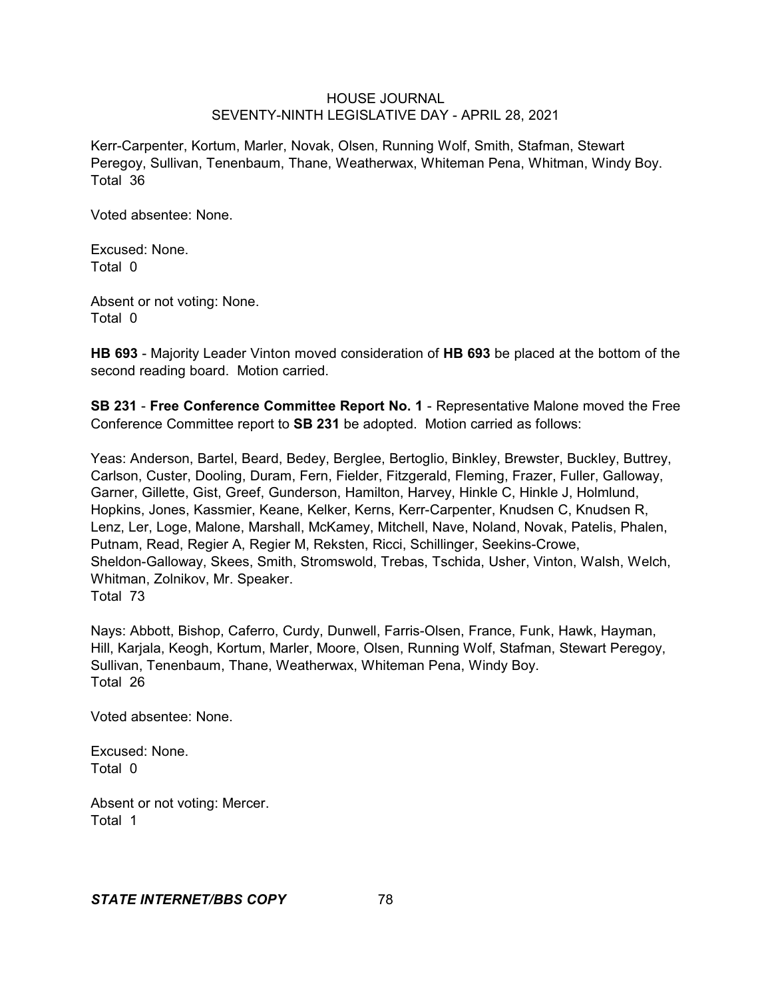Kerr-Carpenter, Kortum, Marler, Novak, Olsen, Running Wolf, Smith, Stafman, Stewart Peregoy, Sullivan, Tenenbaum, Thane, Weatherwax, Whiteman Pena, Whitman, Windy Boy. Total 36

Voted absentee: None.

Excused: None. Total 0

Absent or not voting: None. Total 0

**HB 693** - Majority Leader Vinton moved consideration of **HB 693** be placed at the bottom of the second reading board. Motion carried.

**SB 231** - **Free Conference Committee Report No. 1** - Representative Malone moved the Free Conference Committee report to **SB 231** be adopted. Motion carried as follows:

Yeas: Anderson, Bartel, Beard, Bedey, Berglee, Bertoglio, Binkley, Brewster, Buckley, Buttrey, Carlson, Custer, Dooling, Duram, Fern, Fielder, Fitzgerald, Fleming, Frazer, Fuller, Galloway, Garner, Gillette, Gist, Greef, Gunderson, Hamilton, Harvey, Hinkle C, Hinkle J, Holmlund, Hopkins, Jones, Kassmier, Keane, Kelker, Kerns, Kerr-Carpenter, Knudsen C, Knudsen R, Lenz, Ler, Loge, Malone, Marshall, McKamey, Mitchell, Nave, Noland, Novak, Patelis, Phalen, Putnam, Read, Regier A, Regier M, Reksten, Ricci, Schillinger, Seekins-Crowe, Sheldon-Galloway, Skees, Smith, Stromswold, Trebas, Tschida, Usher, Vinton, Walsh, Welch, Whitman, Zolnikov, Mr. Speaker. Total 73

Nays: Abbott, Bishop, Caferro, Curdy, Dunwell, Farris-Olsen, France, Funk, Hawk, Hayman, Hill, Karjala, Keogh, Kortum, Marler, Moore, Olsen, Running Wolf, Stafman, Stewart Peregoy, Sullivan, Tenenbaum, Thane, Weatherwax, Whiteman Pena, Windy Boy. Total 26

Voted absentee: None.

Excused: None. Total 0

Absent or not voting: Mercer. Total 1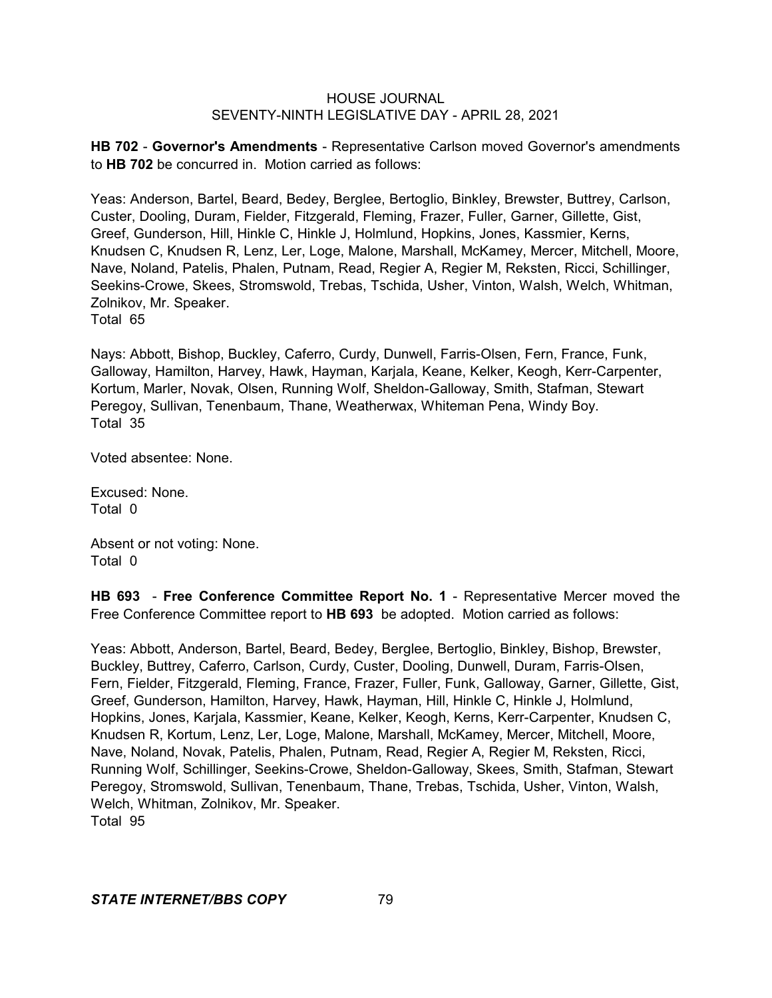**HB 702** - **Governor's Amendments** - Representative Carlson moved Governor's amendments to **HB 702** be concurred in. Motion carried as follows:

Yeas: Anderson, Bartel, Beard, Bedey, Berglee, Bertoglio, Binkley, Brewster, Buttrey, Carlson, Custer, Dooling, Duram, Fielder, Fitzgerald, Fleming, Frazer, Fuller, Garner, Gillette, Gist, Greef, Gunderson, Hill, Hinkle C, Hinkle J, Holmlund, Hopkins, Jones, Kassmier, Kerns, Knudsen C, Knudsen R, Lenz, Ler, Loge, Malone, Marshall, McKamey, Mercer, Mitchell, Moore, Nave, Noland, Patelis, Phalen, Putnam, Read, Regier A, Regier M, Reksten, Ricci, Schillinger, Seekins-Crowe, Skees, Stromswold, Trebas, Tschida, Usher, Vinton, Walsh, Welch, Whitman, Zolnikov, Mr. Speaker.

Total 65

Nays: Abbott, Bishop, Buckley, Caferro, Curdy, Dunwell, Farris-Olsen, Fern, France, Funk, Galloway, Hamilton, Harvey, Hawk, Hayman, Karjala, Keane, Kelker, Keogh, Kerr-Carpenter, Kortum, Marler, Novak, Olsen, Running Wolf, Sheldon-Galloway, Smith, Stafman, Stewart Peregoy, Sullivan, Tenenbaum, Thane, Weatherwax, Whiteman Pena, Windy Boy. Total 35

Voted absentee: None.

Excused: None. Total 0

Absent or not voting: None. Total 0

**HB 693** - **Free Conference Committee Report No. 1** - Representative Mercer moved the Free Conference Committee report to **HB 693** be adopted. Motion carried as follows:

Yeas: Abbott, Anderson, Bartel, Beard, Bedey, Berglee, Bertoglio, Binkley, Bishop, Brewster, Buckley, Buttrey, Caferro, Carlson, Curdy, Custer, Dooling, Dunwell, Duram, Farris-Olsen, Fern, Fielder, Fitzgerald, Fleming, France, Frazer, Fuller, Funk, Galloway, Garner, Gillette, Gist, Greef, Gunderson, Hamilton, Harvey, Hawk, Hayman, Hill, Hinkle C, Hinkle J, Holmlund, Hopkins, Jones, Karjala, Kassmier, Keane, Kelker, Keogh, Kerns, Kerr-Carpenter, Knudsen C, Knudsen R, Kortum, Lenz, Ler, Loge, Malone, Marshall, McKamey, Mercer, Mitchell, Moore, Nave, Noland, Novak, Patelis, Phalen, Putnam, Read, Regier A, Regier M, Reksten, Ricci, Running Wolf, Schillinger, Seekins-Crowe, Sheldon-Galloway, Skees, Smith, Stafman, Stewart Peregoy, Stromswold, Sullivan, Tenenbaum, Thane, Trebas, Tschida, Usher, Vinton, Walsh, Welch, Whitman, Zolnikov, Mr. Speaker. Total 95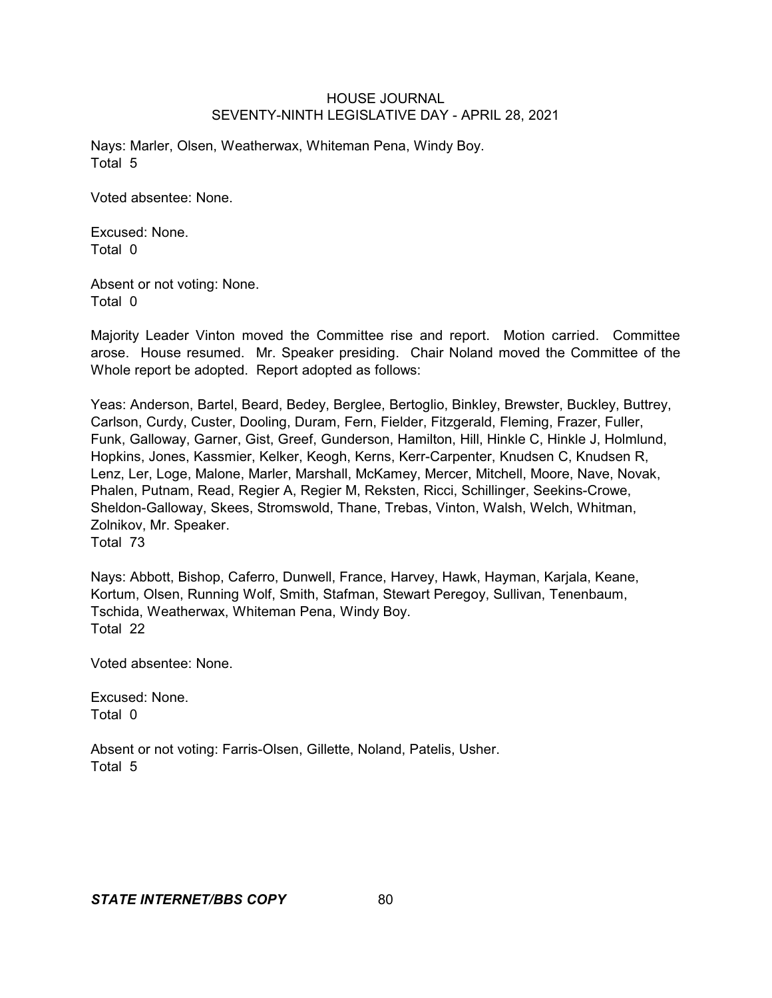Nays: Marler, Olsen, Weatherwax, Whiteman Pena, Windy Boy. Total 5

Voted absentee: None.

Excused: None. Total 0

Absent or not voting: None. Total 0

Majority Leader Vinton moved the Committee rise and report. Motion carried. Committee arose. House resumed. Mr. Speaker presiding. Chair Noland moved the Committee of the Whole report be adopted. Report adopted as follows:

Yeas: Anderson, Bartel, Beard, Bedey, Berglee, Bertoglio, Binkley, Brewster, Buckley, Buttrey, Carlson, Curdy, Custer, Dooling, Duram, Fern, Fielder, Fitzgerald, Fleming, Frazer, Fuller, Funk, Galloway, Garner, Gist, Greef, Gunderson, Hamilton, Hill, Hinkle C, Hinkle J, Holmlund, Hopkins, Jones, Kassmier, Kelker, Keogh, Kerns, Kerr-Carpenter, Knudsen C, Knudsen R, Lenz, Ler, Loge, Malone, Marler, Marshall, McKamey, Mercer, Mitchell, Moore, Nave, Novak, Phalen, Putnam, Read, Regier A, Regier M, Reksten, Ricci, Schillinger, Seekins-Crowe, Sheldon-Galloway, Skees, Stromswold, Thane, Trebas, Vinton, Walsh, Welch, Whitman, Zolnikov, Mr. Speaker. Total 73

Nays: Abbott, Bishop, Caferro, Dunwell, France, Harvey, Hawk, Hayman, Karjala, Keane, Kortum, Olsen, Running Wolf, Smith, Stafman, Stewart Peregoy, Sullivan, Tenenbaum, Tschida, Weatherwax, Whiteman Pena, Windy Boy. Total 22

Voted absentee: None.

Excused: None. Total 0

Absent or not voting: Farris-Olsen, Gillette, Noland, Patelis, Usher. Total 5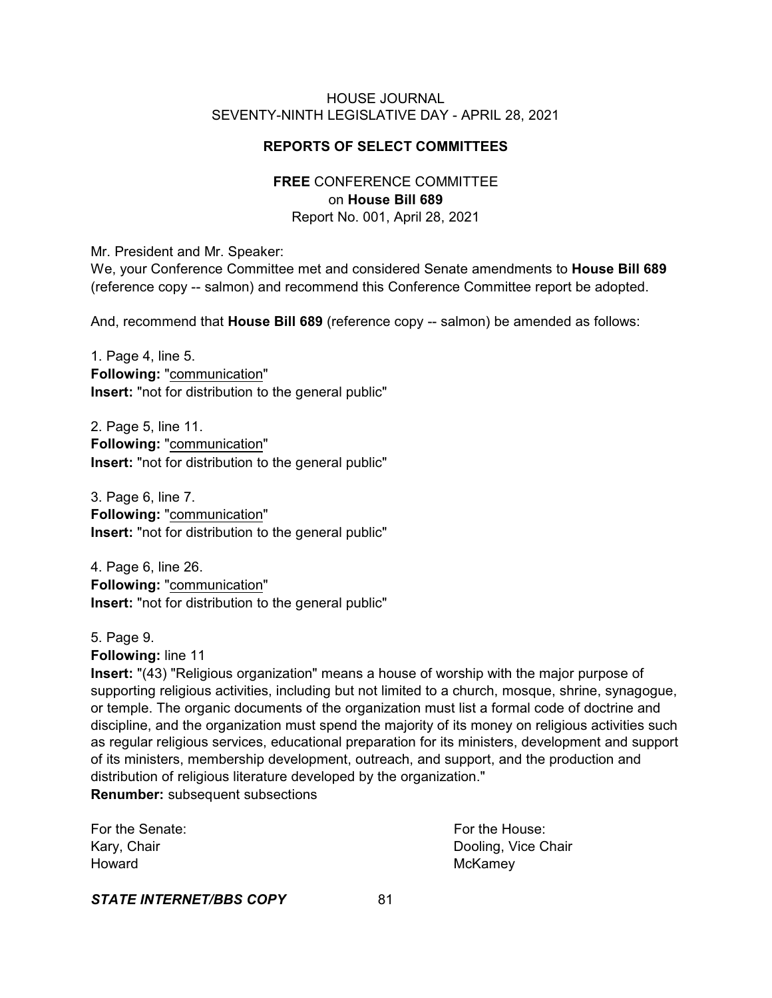### **REPORTS OF SELECT COMMITTEES**

### **FREE** CONFERENCE COMMITTEE on **House Bill 689** Report No. 001, April 28, 2021

Mr. President and Mr. Speaker:

We, your Conference Committee met and considered Senate amendments to **House Bill 689** (reference copy -- salmon) and recommend this Conference Committee report be adopted.

And, recommend that **House Bill 689** (reference copy -- salmon) be amended as follows:

1. Page 4, line 5. **Following:** "communication" **Insert:** "not for distribution to the general public"

2. Page 5, line 11. **Following:** "communication" **Insert:** "not for distribution to the general public"

3. Page 6, line 7. **Following:** "communication" **Insert:** "not for distribution to the general public"

4. Page 6, line 26. **Following:** "communication" **Insert:** "not for distribution to the general public"

5. Page 9.

**Following:** line 11

**Insert:** "(43) "Religious organization" means a house of worship with the major purpose of supporting religious activities, including but not limited to a church, mosque, shrine, synagogue, or temple. The organic documents of the organization must list a formal code of doctrine and discipline, and the organization must spend the majority of its money on religious activities such as regular religious services, educational preparation for its ministers, development and support of its ministers, membership development, outreach, and support, and the production and distribution of religious literature developed by the organization."

**Renumber:** subsequent subsections

| For the Senate: | For the House:      |
|-----------------|---------------------|
| Kary, Chair     | Dooling, Vice Chair |
| Howard          | McKamey             |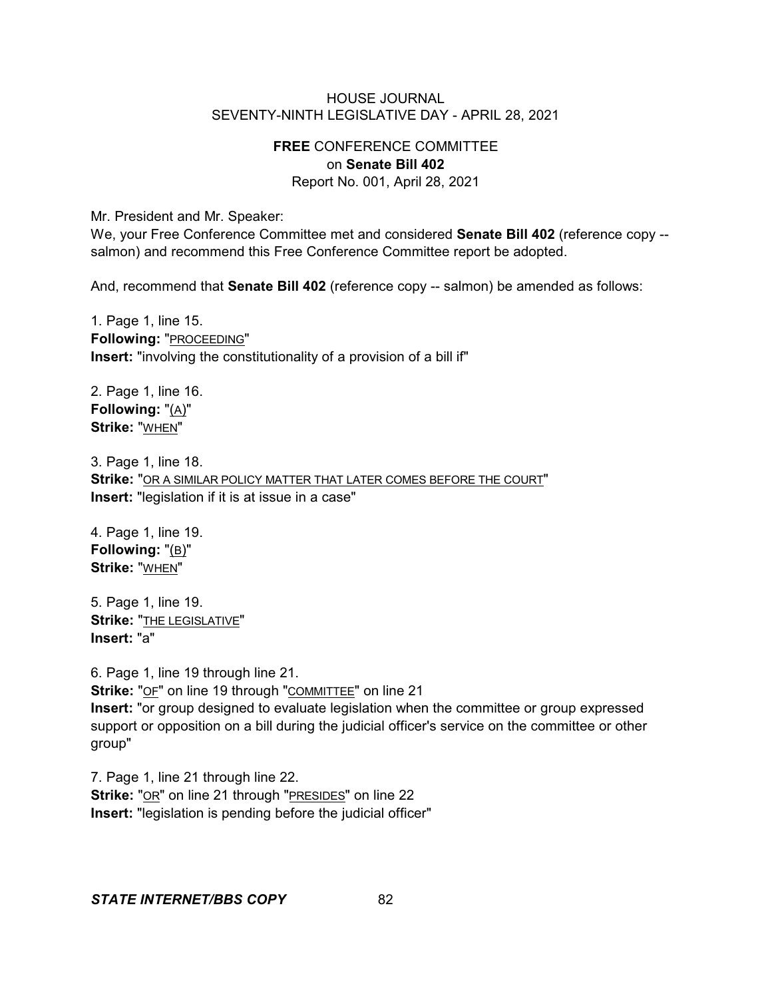## **FREE** CONFERENCE COMMITTEE on **Senate Bill 402**

Report No. 001, April 28, 2021

Mr. President and Mr. Speaker:

We, your Free Conference Committee met and considered **Senate Bill 402** (reference copy - salmon) and recommend this Free Conference Committee report be adopted.

And, recommend that **Senate Bill 402** (reference copy -- salmon) be amended as follows:

1. Page 1, line 15. **Following:** "PROCEEDING" **Insert:** "involving the constitutionality of a provision of a bill if"

2. Page 1, line 16. **Following:** "(A)" **Strike:** "WHEN"

3. Page 1, line 18. **Strike:** "OR A SIMILAR POLICY MATTER THAT LATER COMES BEFORE THE COURT" **Insert:** "legislation if it is at issue in a case"

4. Page 1, line 19. **Following:** "(B)" **Strike:** "WHEN"

5. Page 1, line 19. **Strike:** "THE LEGISLATIVE" **Insert:** "a"

6. Page 1, line 19 through line 21. **Strike:** "OF" on line 19 through "COMMITTEE" on line 21 **Insert:** "or group designed to evaluate legislation when the committee or group expressed support or opposition on a bill during the judicial officer's service on the committee or other group"

7. Page 1, line 21 through line 22. **Strike:** "OR" on line 21 through "PRESIDES" on line 22 **Insert:** "legislation is pending before the judicial officer"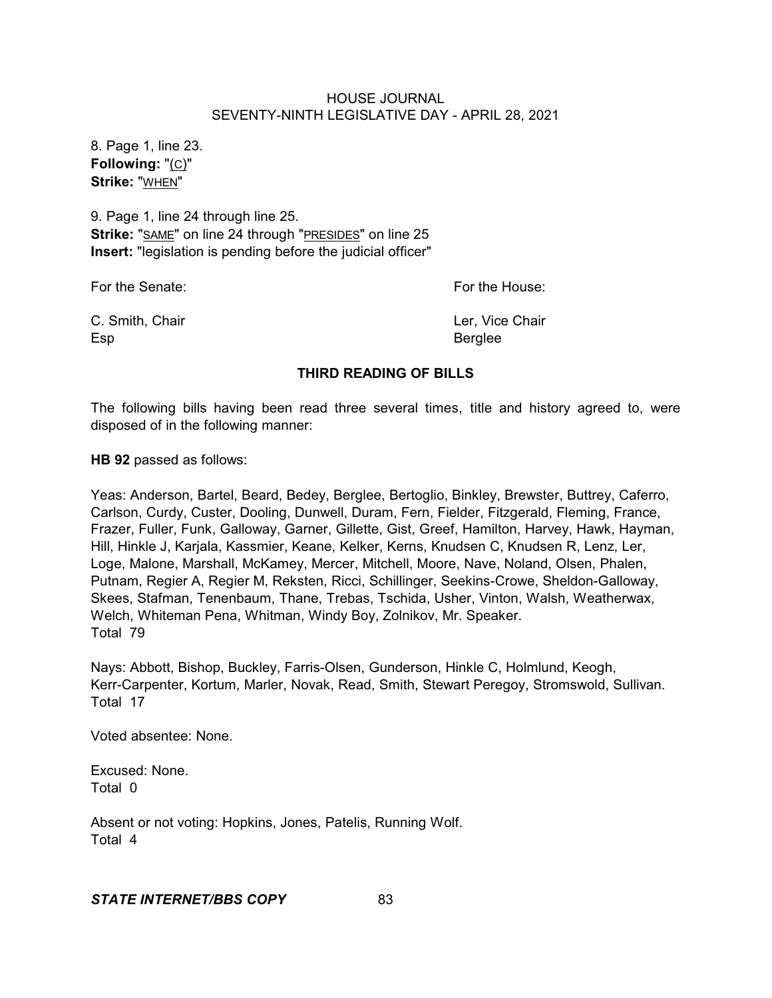8. Page 1, line 23. **Following:** "(C)" **Strike:** "WHEN"

9. Page 1, line 24 through line 25. **Strike:** "SAME" on line 24 through "PRESIDES" on line 25 **Insert:** "legislation is pending before the judicial officer"

For the Senate: For the House:

C. Smith, Chair **C. Smith, Chair Ler, Vice Chair** Esp Berglee

### **THIRD READING OF BILLS**

The following bills having been read three several times, title and history agreed to, were disposed of in the following manner:

**HB 92** passed as follows:

Yeas: Anderson, Bartel, Beard, Bedey, Berglee, Bertoglio, Binkley, Brewster, Buttrey, Caferro, Carlson, Curdy, Custer, Dooling, Dunwell, Duram, Fern, Fielder, Fitzgerald, Fleming, France, Frazer, Fuller, Funk, Galloway, Garner, Gillette, Gist, Greef, Hamilton, Harvey, Hawk, Hayman, Hill, Hinkle J, Karjala, Kassmier, Keane, Kelker, Kerns, Knudsen C, Knudsen R, Lenz, Ler, Loge, Malone, Marshall, McKamey, Mercer, Mitchell, Moore, Nave, Noland, Olsen, Phalen, Putnam, Regier A, Regier M, Reksten, Ricci, Schillinger, Seekins-Crowe, Sheldon-Galloway, Skees, Stafman, Tenenbaum, Thane, Trebas, Tschida, Usher, Vinton, Walsh, Weatherwax, Welch, Whiteman Pena, Whitman, Windy Boy, Zolnikov, Mr. Speaker. Total 79

Nays: Abbott, Bishop, Buckley, Farris-Olsen, Gunderson, Hinkle C, Holmlund, Keogh, Kerr-Carpenter, Kortum, Marler, Novak, Read, Smith, Stewart Peregoy, Stromswold, Sullivan. Total 17

Voted absentee: None.

Excused: None. Total 0

Absent or not voting: Hopkins, Jones, Patelis, Running Wolf. Total 4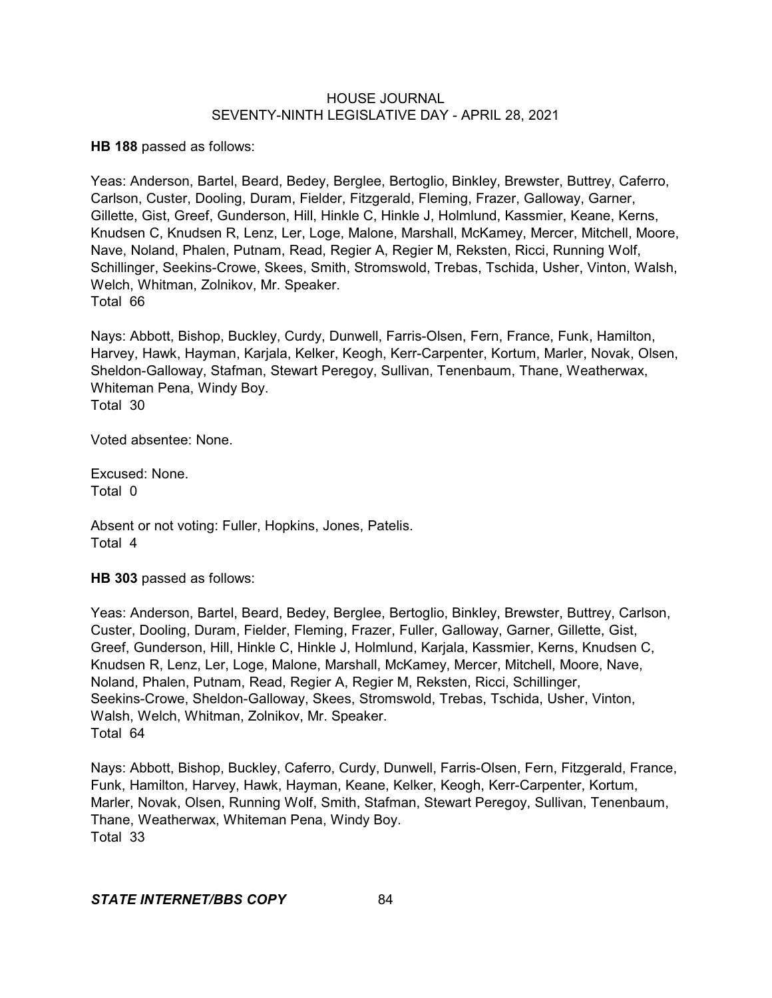**HB 188** passed as follows:

Yeas: Anderson, Bartel, Beard, Bedey, Berglee, Bertoglio, Binkley, Brewster, Buttrey, Caferro, Carlson, Custer, Dooling, Duram, Fielder, Fitzgerald, Fleming, Frazer, Galloway, Garner, Gillette, Gist, Greef, Gunderson, Hill, Hinkle C, Hinkle J, Holmlund, Kassmier, Keane, Kerns, Knudsen C, Knudsen R, Lenz, Ler, Loge, Malone, Marshall, McKamey, Mercer, Mitchell, Moore, Nave, Noland, Phalen, Putnam, Read, Regier A, Regier M, Reksten, Ricci, Running Wolf, Schillinger, Seekins-Crowe, Skees, Smith, Stromswold, Trebas, Tschida, Usher, Vinton, Walsh, Welch, Whitman, Zolnikov, Mr. Speaker. Total 66

Nays: Abbott, Bishop, Buckley, Curdy, Dunwell, Farris-Olsen, Fern, France, Funk, Hamilton, Harvey, Hawk, Hayman, Karjala, Kelker, Keogh, Kerr-Carpenter, Kortum, Marler, Novak, Olsen, Sheldon-Galloway, Stafman, Stewart Peregoy, Sullivan, Tenenbaum, Thane, Weatherwax, Whiteman Pena, Windy Boy. Total 30

Voted absentee: None.

Excused: None. Total 0

Absent or not voting: Fuller, Hopkins, Jones, Patelis. Total 4

**HB 303** passed as follows:

Yeas: Anderson, Bartel, Beard, Bedey, Berglee, Bertoglio, Binkley, Brewster, Buttrey, Carlson, Custer, Dooling, Duram, Fielder, Fleming, Frazer, Fuller, Galloway, Garner, Gillette, Gist, Greef, Gunderson, Hill, Hinkle C, Hinkle J, Holmlund, Karjala, Kassmier, Kerns, Knudsen C, Knudsen R, Lenz, Ler, Loge, Malone, Marshall, McKamey, Mercer, Mitchell, Moore, Nave, Noland, Phalen, Putnam, Read, Regier A, Regier M, Reksten, Ricci, Schillinger, Seekins-Crowe, Sheldon-Galloway, Skees, Stromswold, Trebas, Tschida, Usher, Vinton, Walsh, Welch, Whitman, Zolnikov, Mr. Speaker. Total 64

Nays: Abbott, Bishop, Buckley, Caferro, Curdy, Dunwell, Farris-Olsen, Fern, Fitzgerald, France, Funk, Hamilton, Harvey, Hawk, Hayman, Keane, Kelker, Keogh, Kerr-Carpenter, Kortum, Marler, Novak, Olsen, Running Wolf, Smith, Stafman, Stewart Peregoy, Sullivan, Tenenbaum, Thane, Weatherwax, Whiteman Pena, Windy Boy. Total 33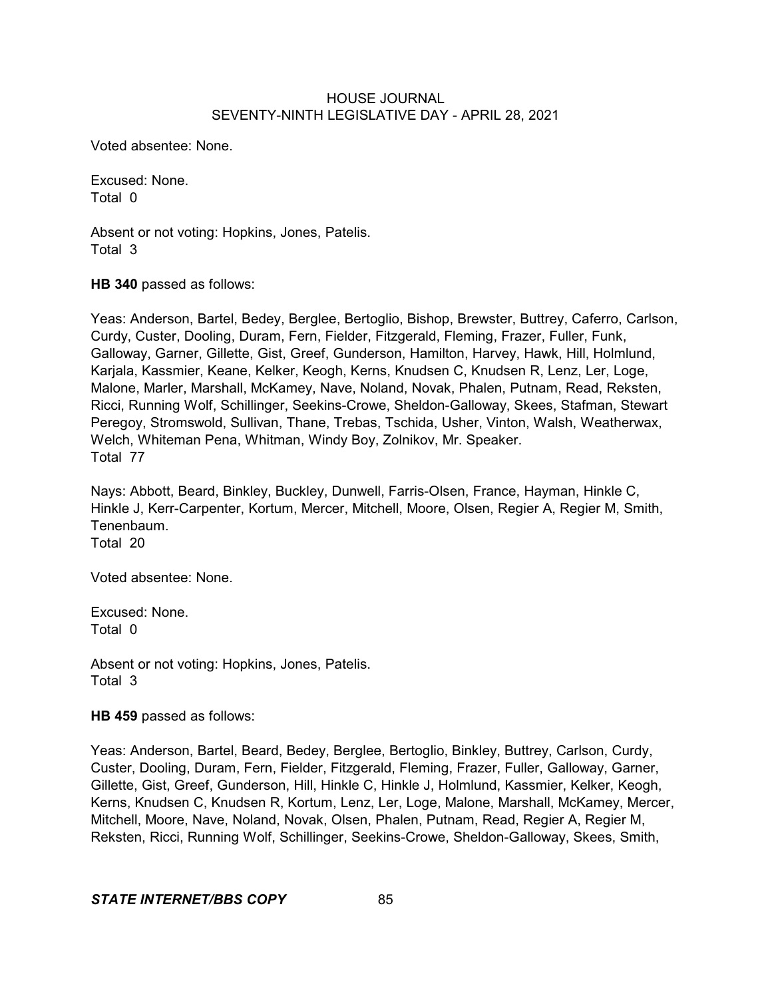Voted absentee: None.

Excused: None. Total 0

Absent or not voting: Hopkins, Jones, Patelis. Total 3

**HB 340** passed as follows:

Yeas: Anderson, Bartel, Bedey, Berglee, Bertoglio, Bishop, Brewster, Buttrey, Caferro, Carlson, Curdy, Custer, Dooling, Duram, Fern, Fielder, Fitzgerald, Fleming, Frazer, Fuller, Funk, Galloway, Garner, Gillette, Gist, Greef, Gunderson, Hamilton, Harvey, Hawk, Hill, Holmlund, Karjala, Kassmier, Keane, Kelker, Keogh, Kerns, Knudsen C, Knudsen R, Lenz, Ler, Loge, Malone, Marler, Marshall, McKamey, Nave, Noland, Novak, Phalen, Putnam, Read, Reksten, Ricci, Running Wolf, Schillinger, Seekins-Crowe, Sheldon-Galloway, Skees, Stafman, Stewart Peregoy, Stromswold, Sullivan, Thane, Trebas, Tschida, Usher, Vinton, Walsh, Weatherwax, Welch, Whiteman Pena, Whitman, Windy Boy, Zolnikov, Mr. Speaker. Total 77

Nays: Abbott, Beard, Binkley, Buckley, Dunwell, Farris-Olsen, France, Hayman, Hinkle C, Hinkle J, Kerr-Carpenter, Kortum, Mercer, Mitchell, Moore, Olsen, Regier A, Regier M, Smith, Tenenbaum. Total 20

Voted absentee: None.

Excused: None. Total 0

Absent or not voting: Hopkins, Jones, Patelis. Total 3

**HB 459** passed as follows:

Yeas: Anderson, Bartel, Beard, Bedey, Berglee, Bertoglio, Binkley, Buttrey, Carlson, Curdy, Custer, Dooling, Duram, Fern, Fielder, Fitzgerald, Fleming, Frazer, Fuller, Galloway, Garner, Gillette, Gist, Greef, Gunderson, Hill, Hinkle C, Hinkle J, Holmlund, Kassmier, Kelker, Keogh, Kerns, Knudsen C, Knudsen R, Kortum, Lenz, Ler, Loge, Malone, Marshall, McKamey, Mercer, Mitchell, Moore, Nave, Noland, Novak, Olsen, Phalen, Putnam, Read, Regier A, Regier M, Reksten, Ricci, Running Wolf, Schillinger, Seekins-Crowe, Sheldon-Galloway, Skees, Smith,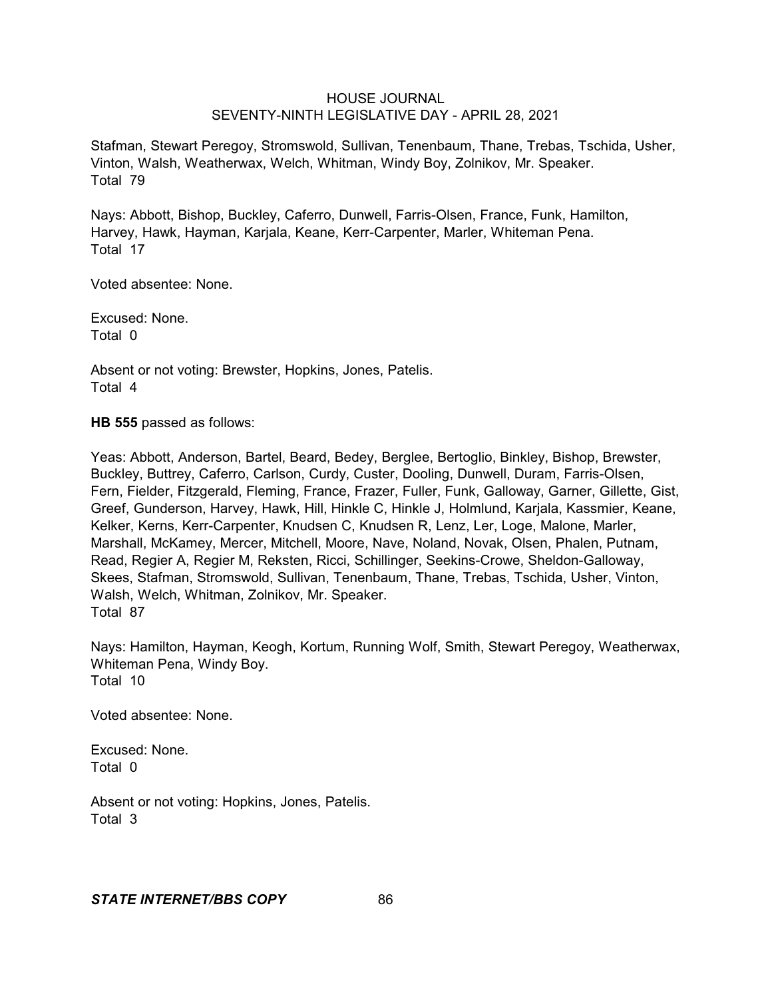Stafman, Stewart Peregoy, Stromswold, Sullivan, Tenenbaum, Thane, Trebas, Tschida, Usher, Vinton, Walsh, Weatherwax, Welch, Whitman, Windy Boy, Zolnikov, Mr. Speaker. Total 79

Nays: Abbott, Bishop, Buckley, Caferro, Dunwell, Farris-Olsen, France, Funk, Hamilton, Harvey, Hawk, Hayman, Karjala, Keane, Kerr-Carpenter, Marler, Whiteman Pena. Total 17

Voted absentee: None.

Excused: None. Total 0

Absent or not voting: Brewster, Hopkins, Jones, Patelis. Total 4

**HB 555** passed as follows:

Yeas: Abbott, Anderson, Bartel, Beard, Bedey, Berglee, Bertoglio, Binkley, Bishop, Brewster, Buckley, Buttrey, Caferro, Carlson, Curdy, Custer, Dooling, Dunwell, Duram, Farris-Olsen, Fern, Fielder, Fitzgerald, Fleming, France, Frazer, Fuller, Funk, Galloway, Garner, Gillette, Gist, Greef, Gunderson, Harvey, Hawk, Hill, Hinkle C, Hinkle J, Holmlund, Karjala, Kassmier, Keane, Kelker, Kerns, Kerr-Carpenter, Knudsen C, Knudsen R, Lenz, Ler, Loge, Malone, Marler, Marshall, McKamey, Mercer, Mitchell, Moore, Nave, Noland, Novak, Olsen, Phalen, Putnam, Read, Regier A, Regier M, Reksten, Ricci, Schillinger, Seekins-Crowe, Sheldon-Galloway, Skees, Stafman, Stromswold, Sullivan, Tenenbaum, Thane, Trebas, Tschida, Usher, Vinton, Walsh, Welch, Whitman, Zolnikov, Mr. Speaker. Total 87

Nays: Hamilton, Hayman, Keogh, Kortum, Running Wolf, Smith, Stewart Peregoy, Weatherwax, Whiteman Pena, Windy Boy. Total 10

Voted absentee: None.

Excused: None. Total 0

Absent or not voting: Hopkins, Jones, Patelis. Total 3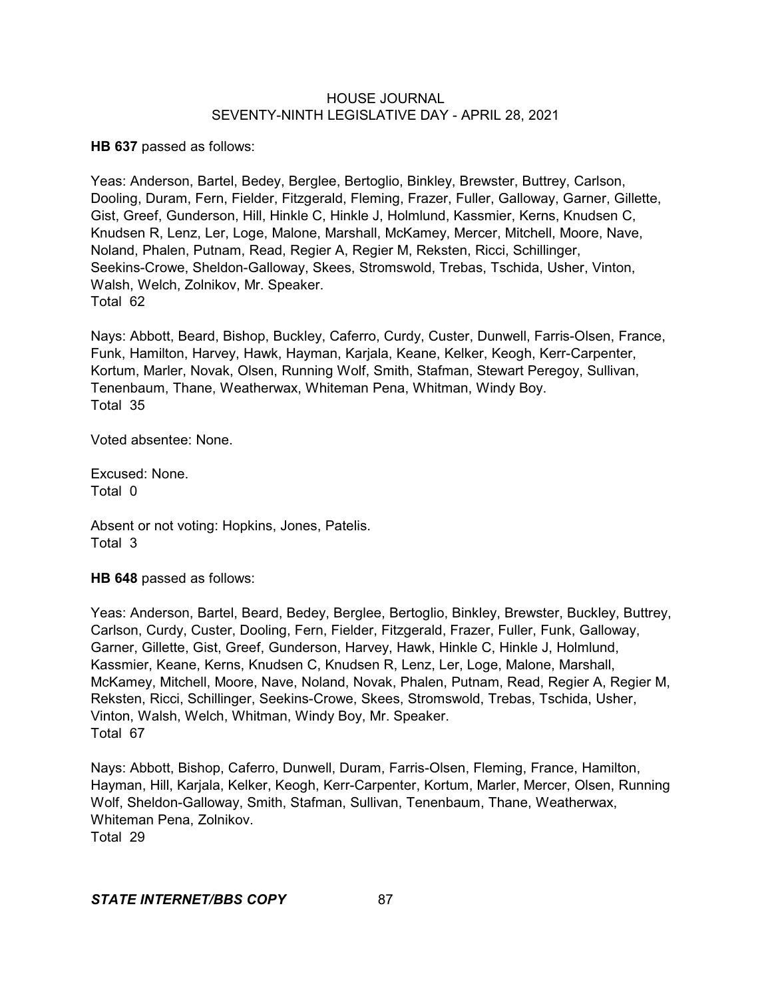**HB 637** passed as follows:

Yeas: Anderson, Bartel, Bedey, Berglee, Bertoglio, Binkley, Brewster, Buttrey, Carlson, Dooling, Duram, Fern, Fielder, Fitzgerald, Fleming, Frazer, Fuller, Galloway, Garner, Gillette, Gist, Greef, Gunderson, Hill, Hinkle C, Hinkle J, Holmlund, Kassmier, Kerns, Knudsen C, Knudsen R, Lenz, Ler, Loge, Malone, Marshall, McKamey, Mercer, Mitchell, Moore, Nave, Noland, Phalen, Putnam, Read, Regier A, Regier M, Reksten, Ricci, Schillinger, Seekins-Crowe, Sheldon-Galloway, Skees, Stromswold, Trebas, Tschida, Usher, Vinton, Walsh, Welch, Zolnikov, Mr. Speaker. Total 62

Nays: Abbott, Beard, Bishop, Buckley, Caferro, Curdy, Custer, Dunwell, Farris-Olsen, France, Funk, Hamilton, Harvey, Hawk, Hayman, Karjala, Keane, Kelker, Keogh, Kerr-Carpenter, Kortum, Marler, Novak, Olsen, Running Wolf, Smith, Stafman, Stewart Peregoy, Sullivan, Tenenbaum, Thane, Weatherwax, Whiteman Pena, Whitman, Windy Boy. Total 35

Voted absentee: None.

Excused: None. Total 0

Absent or not voting: Hopkins, Jones, Patelis. Total 3

**HB 648** passed as follows:

Yeas: Anderson, Bartel, Beard, Bedey, Berglee, Bertoglio, Binkley, Brewster, Buckley, Buttrey, Carlson, Curdy, Custer, Dooling, Fern, Fielder, Fitzgerald, Frazer, Fuller, Funk, Galloway, Garner, Gillette, Gist, Greef, Gunderson, Harvey, Hawk, Hinkle C, Hinkle J, Holmlund, Kassmier, Keane, Kerns, Knudsen C, Knudsen R, Lenz, Ler, Loge, Malone, Marshall, McKamey, Mitchell, Moore, Nave, Noland, Novak, Phalen, Putnam, Read, Regier A, Regier M, Reksten, Ricci, Schillinger, Seekins-Crowe, Skees, Stromswold, Trebas, Tschida, Usher, Vinton, Walsh, Welch, Whitman, Windy Boy, Mr. Speaker. Total 67

Nays: Abbott, Bishop, Caferro, Dunwell, Duram, Farris-Olsen, Fleming, France, Hamilton, Hayman, Hill, Karjala, Kelker, Keogh, Kerr-Carpenter, Kortum, Marler, Mercer, Olsen, Running Wolf, Sheldon-Galloway, Smith, Stafman, Sullivan, Tenenbaum, Thane, Weatherwax, Whiteman Pena, Zolnikov.

Total 29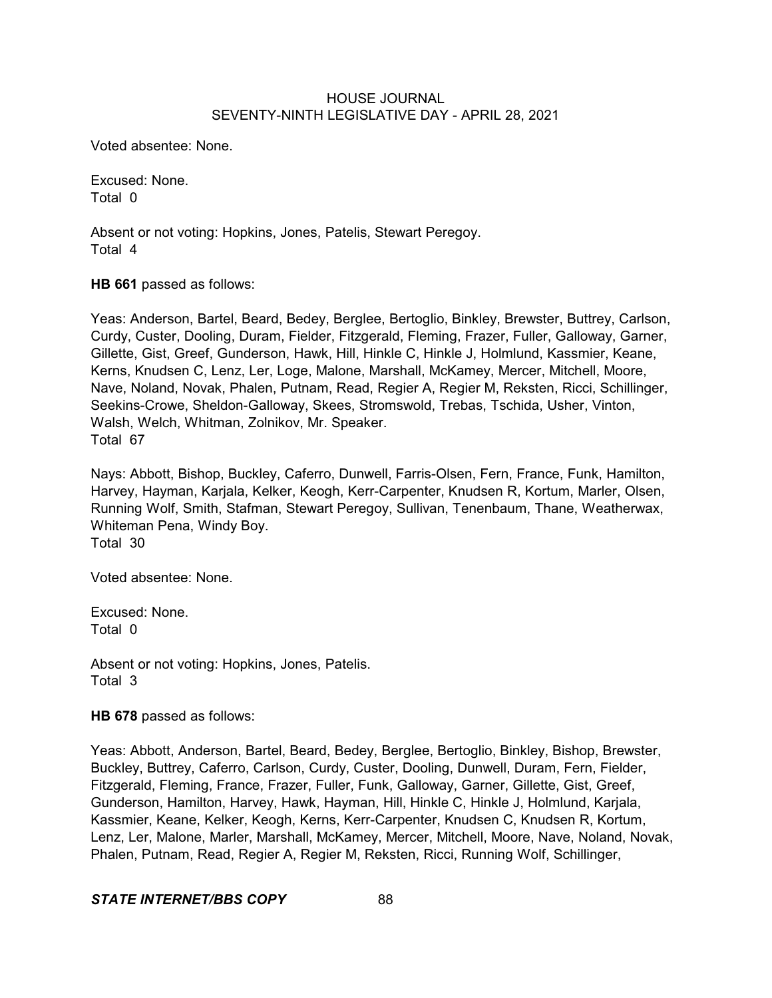Voted absentee: None.

Excused: None. Total 0

Absent or not voting: Hopkins, Jones, Patelis, Stewart Peregoy. Total 4

**HB 661** passed as follows:

Yeas: Anderson, Bartel, Beard, Bedey, Berglee, Bertoglio, Binkley, Brewster, Buttrey, Carlson, Curdy, Custer, Dooling, Duram, Fielder, Fitzgerald, Fleming, Frazer, Fuller, Galloway, Garner, Gillette, Gist, Greef, Gunderson, Hawk, Hill, Hinkle C, Hinkle J, Holmlund, Kassmier, Keane, Kerns, Knudsen C, Lenz, Ler, Loge, Malone, Marshall, McKamey, Mercer, Mitchell, Moore, Nave, Noland, Novak, Phalen, Putnam, Read, Regier A, Regier M, Reksten, Ricci, Schillinger, Seekins-Crowe, Sheldon-Galloway, Skees, Stromswold, Trebas, Tschida, Usher, Vinton, Walsh, Welch, Whitman, Zolnikov, Mr. Speaker. Total 67

Nays: Abbott, Bishop, Buckley, Caferro, Dunwell, Farris-Olsen, Fern, France, Funk, Hamilton, Harvey, Hayman, Karjala, Kelker, Keogh, Kerr-Carpenter, Knudsen R, Kortum, Marler, Olsen, Running Wolf, Smith, Stafman, Stewart Peregoy, Sullivan, Tenenbaum, Thane, Weatherwax, Whiteman Pena, Windy Boy. Total 30

Voted absentee: None.

Excused: None. Total 0

Absent or not voting: Hopkins, Jones, Patelis. Total 3

#### **HB 678** passed as follows:

Yeas: Abbott, Anderson, Bartel, Beard, Bedey, Berglee, Bertoglio, Binkley, Bishop, Brewster, Buckley, Buttrey, Caferro, Carlson, Curdy, Custer, Dooling, Dunwell, Duram, Fern, Fielder, Fitzgerald, Fleming, France, Frazer, Fuller, Funk, Galloway, Garner, Gillette, Gist, Greef, Gunderson, Hamilton, Harvey, Hawk, Hayman, Hill, Hinkle C, Hinkle J, Holmlund, Karjala, Kassmier, Keane, Kelker, Keogh, Kerns, Kerr-Carpenter, Knudsen C, Knudsen R, Kortum, Lenz, Ler, Malone, Marler, Marshall, McKamey, Mercer, Mitchell, Moore, Nave, Noland, Novak, Phalen, Putnam, Read, Regier A, Regier M, Reksten, Ricci, Running Wolf, Schillinger,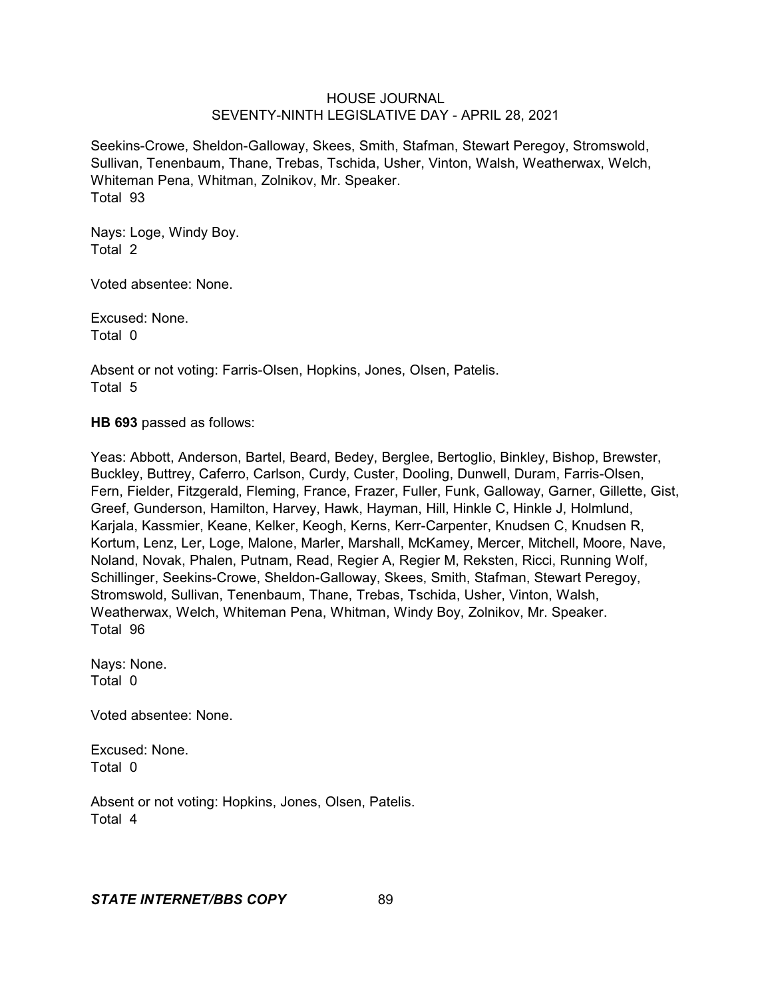Seekins-Crowe, Sheldon-Galloway, Skees, Smith, Stafman, Stewart Peregoy, Stromswold, Sullivan, Tenenbaum, Thane, Trebas, Tschida, Usher, Vinton, Walsh, Weatherwax, Welch, Whiteman Pena, Whitman, Zolnikov, Mr. Speaker. Total 93

Nays: Loge, Windy Boy. Total 2

Voted absentee: None.

Excused: None. Total 0

Absent or not voting: Farris-Olsen, Hopkins, Jones, Olsen, Patelis. Total 5

**HB 693** passed as follows:

Yeas: Abbott, Anderson, Bartel, Beard, Bedey, Berglee, Bertoglio, Binkley, Bishop, Brewster, Buckley, Buttrey, Caferro, Carlson, Curdy, Custer, Dooling, Dunwell, Duram, Farris-Olsen, Fern, Fielder, Fitzgerald, Fleming, France, Frazer, Fuller, Funk, Galloway, Garner, Gillette, Gist, Greef, Gunderson, Hamilton, Harvey, Hawk, Hayman, Hill, Hinkle C, Hinkle J, Holmlund, Karjala, Kassmier, Keane, Kelker, Keogh, Kerns, Kerr-Carpenter, Knudsen C, Knudsen R, Kortum, Lenz, Ler, Loge, Malone, Marler, Marshall, McKamey, Mercer, Mitchell, Moore, Nave, Noland, Novak, Phalen, Putnam, Read, Regier A, Regier M, Reksten, Ricci, Running Wolf, Schillinger, Seekins-Crowe, Sheldon-Galloway, Skees, Smith, Stafman, Stewart Peregoy, Stromswold, Sullivan, Tenenbaum, Thane, Trebas, Tschida, Usher, Vinton, Walsh, Weatherwax, Welch, Whiteman Pena, Whitman, Windy Boy, Zolnikov, Mr. Speaker. Total 96

Nays: None. Total 0

Voted absentee: None.

Excused: None. Total 0

Absent or not voting: Hopkins, Jones, Olsen, Patelis. Total 4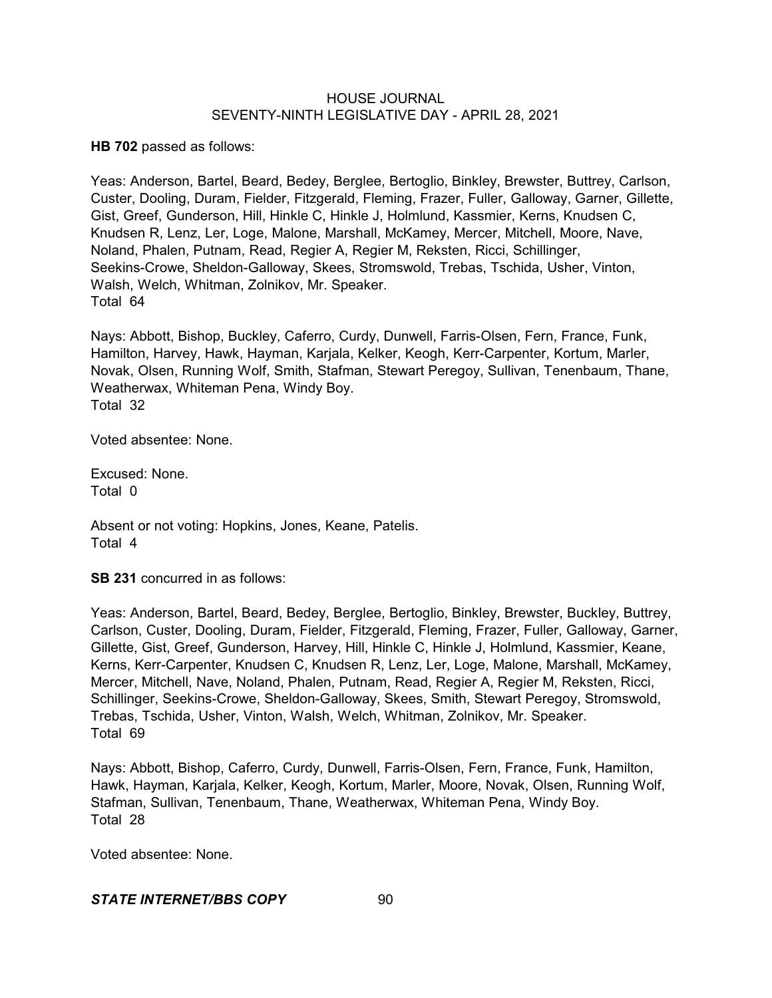**HB 702** passed as follows:

Yeas: Anderson, Bartel, Beard, Bedey, Berglee, Bertoglio, Binkley, Brewster, Buttrey, Carlson, Custer, Dooling, Duram, Fielder, Fitzgerald, Fleming, Frazer, Fuller, Galloway, Garner, Gillette, Gist, Greef, Gunderson, Hill, Hinkle C, Hinkle J, Holmlund, Kassmier, Kerns, Knudsen C, Knudsen R, Lenz, Ler, Loge, Malone, Marshall, McKamey, Mercer, Mitchell, Moore, Nave, Noland, Phalen, Putnam, Read, Regier A, Regier M, Reksten, Ricci, Schillinger, Seekins-Crowe, Sheldon-Galloway, Skees, Stromswold, Trebas, Tschida, Usher, Vinton, Walsh, Welch, Whitman, Zolnikov, Mr. Speaker. Total 64

Nays: Abbott, Bishop, Buckley, Caferro, Curdy, Dunwell, Farris-Olsen, Fern, France, Funk, Hamilton, Harvey, Hawk, Hayman, Karjala, Kelker, Keogh, Kerr-Carpenter, Kortum, Marler, Novak, Olsen, Running Wolf, Smith, Stafman, Stewart Peregoy, Sullivan, Tenenbaum, Thane, Weatherwax, Whiteman Pena, Windy Boy. Total 32

Voted absentee: None.

Excused: None. Total 0

Absent or not voting: Hopkins, Jones, Keane, Patelis. Total 4

**SB 231** concurred in as follows:

Yeas: Anderson, Bartel, Beard, Bedey, Berglee, Bertoglio, Binkley, Brewster, Buckley, Buttrey, Carlson, Custer, Dooling, Duram, Fielder, Fitzgerald, Fleming, Frazer, Fuller, Galloway, Garner, Gillette, Gist, Greef, Gunderson, Harvey, Hill, Hinkle C, Hinkle J, Holmlund, Kassmier, Keane, Kerns, Kerr-Carpenter, Knudsen C, Knudsen R, Lenz, Ler, Loge, Malone, Marshall, McKamey, Mercer, Mitchell, Nave, Noland, Phalen, Putnam, Read, Regier A, Regier M, Reksten, Ricci, Schillinger, Seekins-Crowe, Sheldon-Galloway, Skees, Smith, Stewart Peregoy, Stromswold, Trebas, Tschida, Usher, Vinton, Walsh, Welch, Whitman, Zolnikov, Mr. Speaker. Total 69

Nays: Abbott, Bishop, Caferro, Curdy, Dunwell, Farris-Olsen, Fern, France, Funk, Hamilton, Hawk, Hayman, Karjala, Kelker, Keogh, Kortum, Marler, Moore, Novak, Olsen, Running Wolf, Stafman, Sullivan, Tenenbaum, Thane, Weatherwax, Whiteman Pena, Windy Boy. Total 28

Voted absentee: None.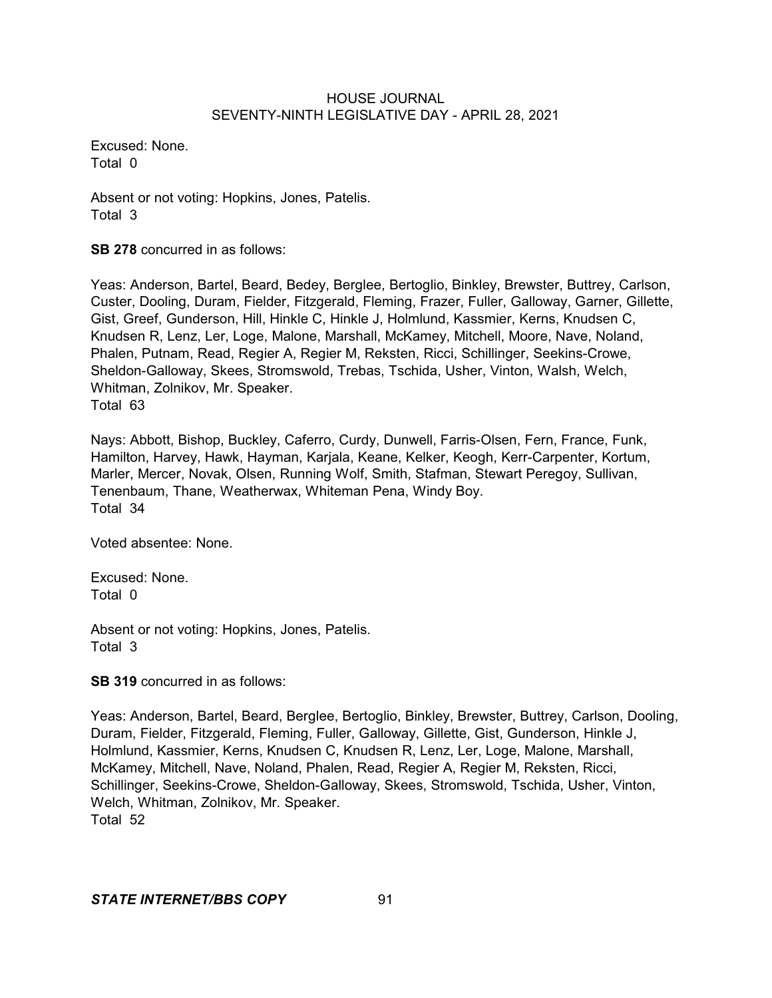Excused: None. Total 0

Absent or not voting: Hopkins, Jones, Patelis. Total 3

**SB 278** concurred in as follows:

Yeas: Anderson, Bartel, Beard, Bedey, Berglee, Bertoglio, Binkley, Brewster, Buttrey, Carlson, Custer, Dooling, Duram, Fielder, Fitzgerald, Fleming, Frazer, Fuller, Galloway, Garner, Gillette, Gist, Greef, Gunderson, Hill, Hinkle C, Hinkle J, Holmlund, Kassmier, Kerns, Knudsen C, Knudsen R, Lenz, Ler, Loge, Malone, Marshall, McKamey, Mitchell, Moore, Nave, Noland, Phalen, Putnam, Read, Regier A, Regier M, Reksten, Ricci, Schillinger, Seekins-Crowe, Sheldon-Galloway, Skees, Stromswold, Trebas, Tschida, Usher, Vinton, Walsh, Welch, Whitman, Zolnikov, Mr. Speaker. Total 63

Nays: Abbott, Bishop, Buckley, Caferro, Curdy, Dunwell, Farris-Olsen, Fern, France, Funk, Hamilton, Harvey, Hawk, Hayman, Karjala, Keane, Kelker, Keogh, Kerr-Carpenter, Kortum, Marler, Mercer, Novak, Olsen, Running Wolf, Smith, Stafman, Stewart Peregoy, Sullivan, Tenenbaum, Thane, Weatherwax, Whiteman Pena, Windy Boy. Total 34

Voted absentee: None.

Excused: None. Total 0

Absent or not voting: Hopkins, Jones, Patelis. Total 3

**SB 319** concurred in as follows:

Yeas: Anderson, Bartel, Beard, Berglee, Bertoglio, Binkley, Brewster, Buttrey, Carlson, Dooling, Duram, Fielder, Fitzgerald, Fleming, Fuller, Galloway, Gillette, Gist, Gunderson, Hinkle J, Holmlund, Kassmier, Kerns, Knudsen C, Knudsen R, Lenz, Ler, Loge, Malone, Marshall, McKamey, Mitchell, Nave, Noland, Phalen, Read, Regier A, Regier M, Reksten, Ricci, Schillinger, Seekins-Crowe, Sheldon-Galloway, Skees, Stromswold, Tschida, Usher, Vinton, Welch, Whitman, Zolnikov, Mr. Speaker. Total 52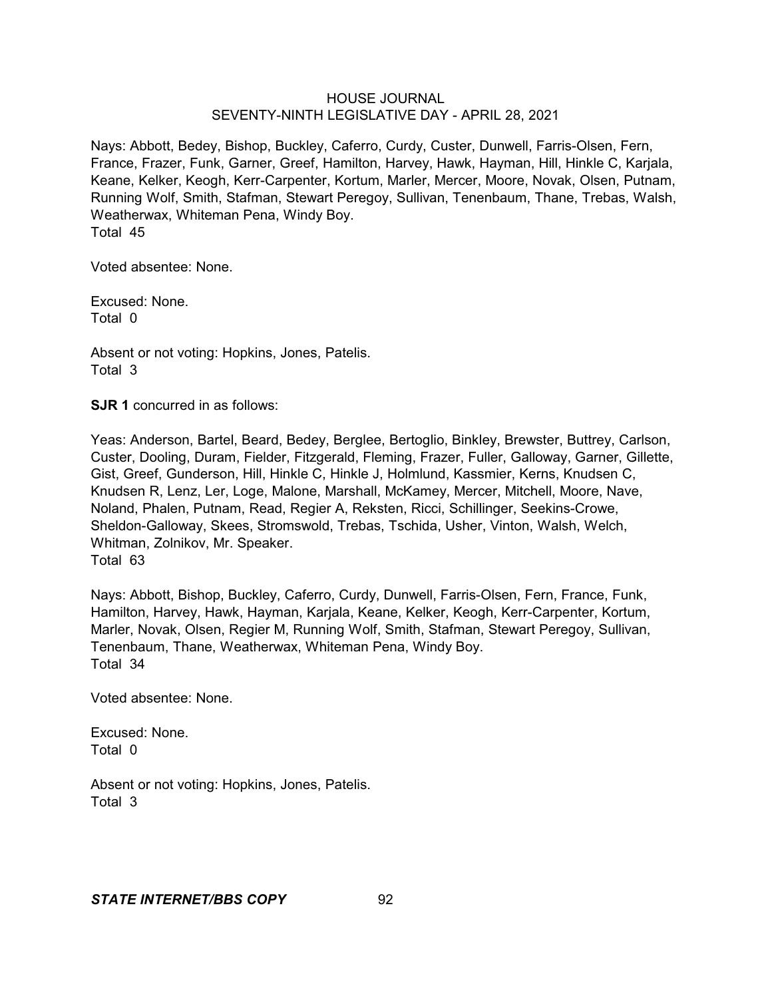Nays: Abbott, Bedey, Bishop, Buckley, Caferro, Curdy, Custer, Dunwell, Farris-Olsen, Fern, France, Frazer, Funk, Garner, Greef, Hamilton, Harvey, Hawk, Hayman, Hill, Hinkle C, Karjala, Keane, Kelker, Keogh, Kerr-Carpenter, Kortum, Marler, Mercer, Moore, Novak, Olsen, Putnam, Running Wolf, Smith, Stafman, Stewart Peregoy, Sullivan, Tenenbaum, Thane, Trebas, Walsh, Weatherwax, Whiteman Pena, Windy Boy. Total 45

Voted absentee: None.

Excused: None. Total 0

Absent or not voting: Hopkins, Jones, Patelis. Total 3

**SJR 1** concurred in as follows:

Yeas: Anderson, Bartel, Beard, Bedey, Berglee, Bertoglio, Binkley, Brewster, Buttrey, Carlson, Custer, Dooling, Duram, Fielder, Fitzgerald, Fleming, Frazer, Fuller, Galloway, Garner, Gillette, Gist, Greef, Gunderson, Hill, Hinkle C, Hinkle J, Holmlund, Kassmier, Kerns, Knudsen C, Knudsen R, Lenz, Ler, Loge, Malone, Marshall, McKamey, Mercer, Mitchell, Moore, Nave, Noland, Phalen, Putnam, Read, Regier A, Reksten, Ricci, Schillinger, Seekins-Crowe, Sheldon-Galloway, Skees, Stromswold, Trebas, Tschida, Usher, Vinton, Walsh, Welch, Whitman, Zolnikov, Mr. Speaker. Total 63

Nays: Abbott, Bishop, Buckley, Caferro, Curdy, Dunwell, Farris-Olsen, Fern, France, Funk, Hamilton, Harvey, Hawk, Hayman, Karjala, Keane, Kelker, Keogh, Kerr-Carpenter, Kortum, Marler, Novak, Olsen, Regier M, Running Wolf, Smith, Stafman, Stewart Peregoy, Sullivan, Tenenbaum, Thane, Weatherwax, Whiteman Pena, Windy Boy. Total 34

Voted absentee: None.

Excused: None. Total 0

Absent or not voting: Hopkins, Jones, Patelis. Total 3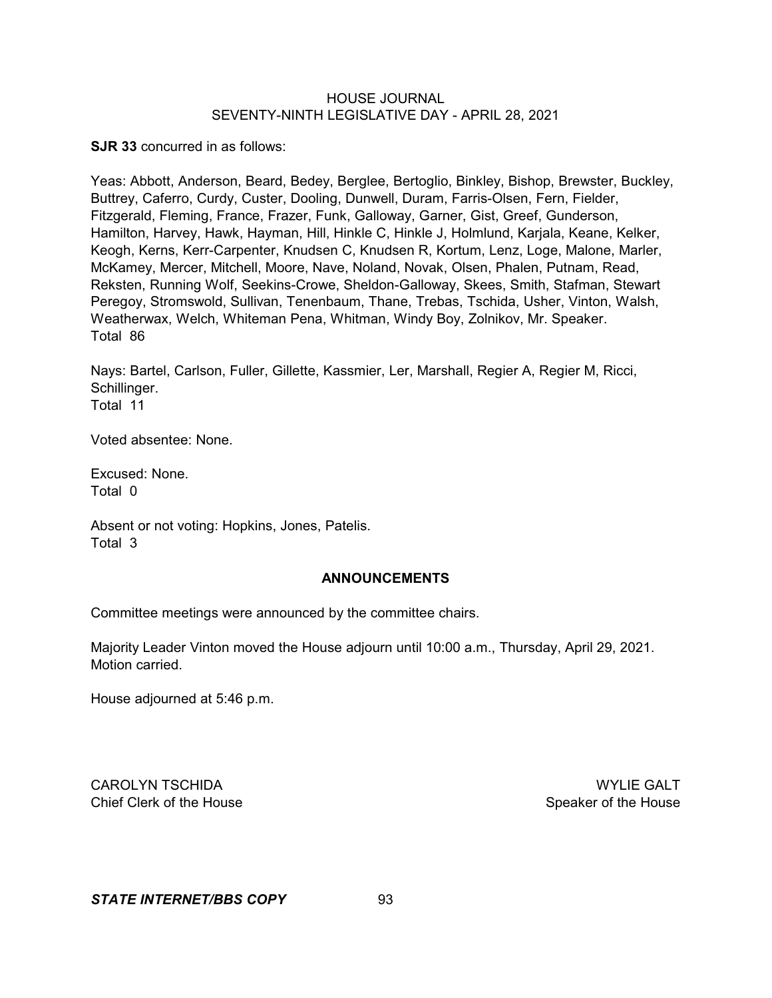**SJR 33** concurred in as follows:

Yeas: Abbott, Anderson, Beard, Bedey, Berglee, Bertoglio, Binkley, Bishop, Brewster, Buckley, Buttrey, Caferro, Curdy, Custer, Dooling, Dunwell, Duram, Farris-Olsen, Fern, Fielder, Fitzgerald, Fleming, France, Frazer, Funk, Galloway, Garner, Gist, Greef, Gunderson, Hamilton, Harvey, Hawk, Hayman, Hill, Hinkle C, Hinkle J, Holmlund, Karjala, Keane, Kelker, Keogh, Kerns, Kerr-Carpenter, Knudsen C, Knudsen R, Kortum, Lenz, Loge, Malone, Marler, McKamey, Mercer, Mitchell, Moore, Nave, Noland, Novak, Olsen, Phalen, Putnam, Read, Reksten, Running Wolf, Seekins-Crowe, Sheldon-Galloway, Skees, Smith, Stafman, Stewart Peregoy, Stromswold, Sullivan, Tenenbaum, Thane, Trebas, Tschida, Usher, Vinton, Walsh, Weatherwax, Welch, Whiteman Pena, Whitman, Windy Boy, Zolnikov, Mr. Speaker. Total 86

Nays: Bartel, Carlson, Fuller, Gillette, Kassmier, Ler, Marshall, Regier A, Regier M, Ricci, Schillinger. Total 11

Voted absentee: None.

Excused: None. Total 0

Absent or not voting: Hopkins, Jones, Patelis. Total 3

### **ANNOUNCEMENTS**

Committee meetings were announced by the committee chairs.

Majority Leader Vinton moved the House adjourn until 10:00 a.m., Thursday, April 29, 2021. Motion carried.

House adjourned at 5:46 p.m.

CAROLYN TSCHIDA WYLIE GALT Chief Clerk of the House Speaker of the House Speaker of the House Speaker of the House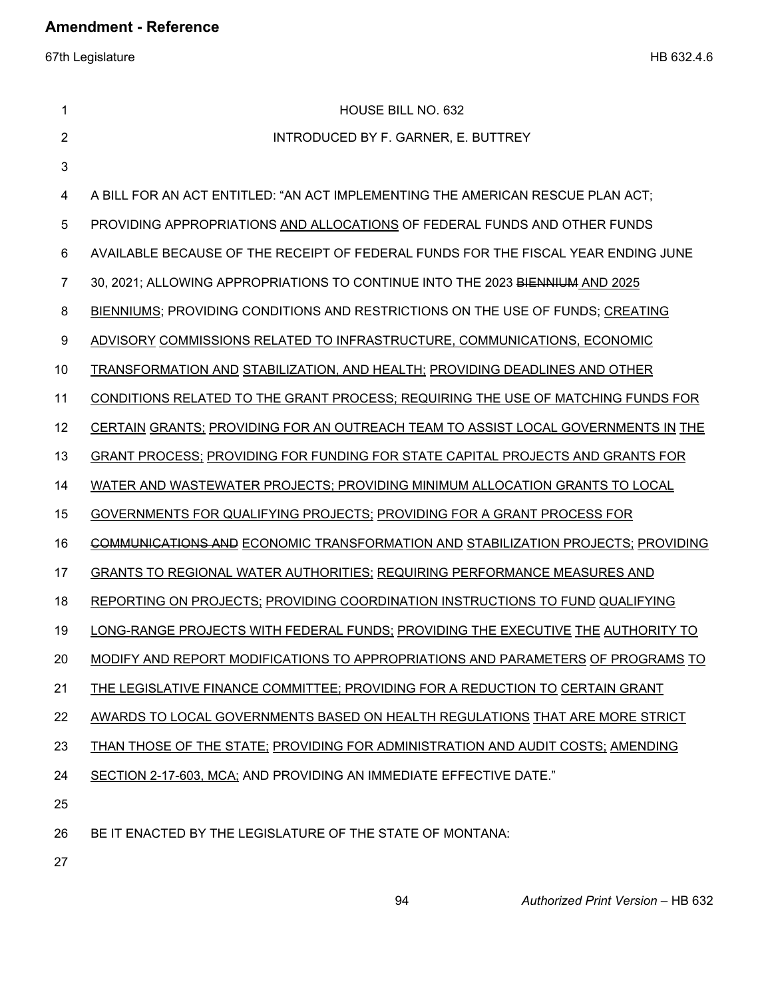67th Legislature HB 632.4.6

| 1              | <b>HOUSE BILL NO. 632</b>                                                               |  |  |
|----------------|-----------------------------------------------------------------------------------------|--|--|
| $\overline{2}$ | INTRODUCED BY F. GARNER, E. BUTTREY                                                     |  |  |
| 3              |                                                                                         |  |  |
| 4              | A BILL FOR AN ACT ENTITLED: "AN ACT IMPLEMENTING THE AMERICAN RESCUE PLAN ACT;          |  |  |
| 5              | PROVIDING APPROPRIATIONS AND ALLOCATIONS OF FEDERAL FUNDS AND OTHER FUNDS               |  |  |
| 6              | AVAILABLE BECAUSE OF THE RECEIPT OF FEDERAL FUNDS FOR THE FISCAL YEAR ENDING JUNE       |  |  |
| 7              | 30, 2021; ALLOWING APPROPRIATIONS TO CONTINUE INTO THE 2023 BIENNIUM AND 2025           |  |  |
| 8              | BIENNIUMS; PROVIDING CONDITIONS AND RESTRICTIONS ON THE USE OF FUNDS; CREATING          |  |  |
| 9              | ADVISORY COMMISSIONS RELATED TO INFRASTRUCTURE, COMMUNICATIONS, ECONOMIC                |  |  |
| 10             | <b>TRANSFORMATION AND STABILIZATION, AND HEALTH; PROVIDING DEADLINES AND OTHER</b>      |  |  |
| 11             | CONDITIONS RELATED TO THE GRANT PROCESS; REQUIRING THE USE OF MATCHING FUNDS FOR        |  |  |
| 12             | CERTAIN GRANTS; PROVIDING FOR AN OUTREACH TEAM TO ASSIST LOCAL GOVERNMENTS IN THE       |  |  |
| 13             | GRANT PROCESS; PROVIDING FOR FUNDING FOR STATE CAPITAL PROJECTS AND GRANTS FOR          |  |  |
| 14             | WATER AND WASTEWATER PROJECTS; PROVIDING MINIMUM ALLOCATION GRANTS TO LOCAL             |  |  |
| 15             | GOVERNMENTS FOR QUALIFYING PROJECTS; PROVIDING FOR A GRANT PROCESS FOR                  |  |  |
| 16             | <b>COMMUNICATIONS AND ECONOMIC TRANSFORMATION AND STABILIZATION PROJECTS; PROVIDING</b> |  |  |
| 17             | <b>GRANTS TO REGIONAL WATER AUTHORITIES; REQUIRING PERFORMANCE MEASURES AND</b>         |  |  |
| 18             | REPORTING ON PROJECTS; PROVIDING COORDINATION INSTRUCTIONS TO FUND QUALIFYING           |  |  |
| 19             | LONG-RANGE PROJECTS WITH FEDERAL FUNDS; PROVIDING THE EXECUTIVE THE AUTHORITY TO        |  |  |
| 20             | MODIFY AND REPORT MODIFICATIONS TO APPROPRIATIONS AND PARAMETERS OF PROGRAMS TO         |  |  |
| 21             | THE LEGISLATIVE FINANCE COMMITTEE; PROVIDING FOR A REDUCTION TO CERTAIN GRANT           |  |  |
| 22             | AWARDS TO LOCAL GOVERNMENTS BASED ON HEALTH REGULATIONS THAT ARE MORE STRICT            |  |  |
| 23             | THAN THOSE OF THE STATE; PROVIDING FOR ADMINISTRATION AND AUDIT COSTS; AMENDING         |  |  |
| 24             | SECTION 2-17-603, MCA; AND PROVIDING AN IMMEDIATE EFFECTIVE DATE."                      |  |  |
| 25             |                                                                                         |  |  |
| 26             | BE IT ENACTED BY THE LEGISLATURE OF THE STATE OF MONTANA:                               |  |  |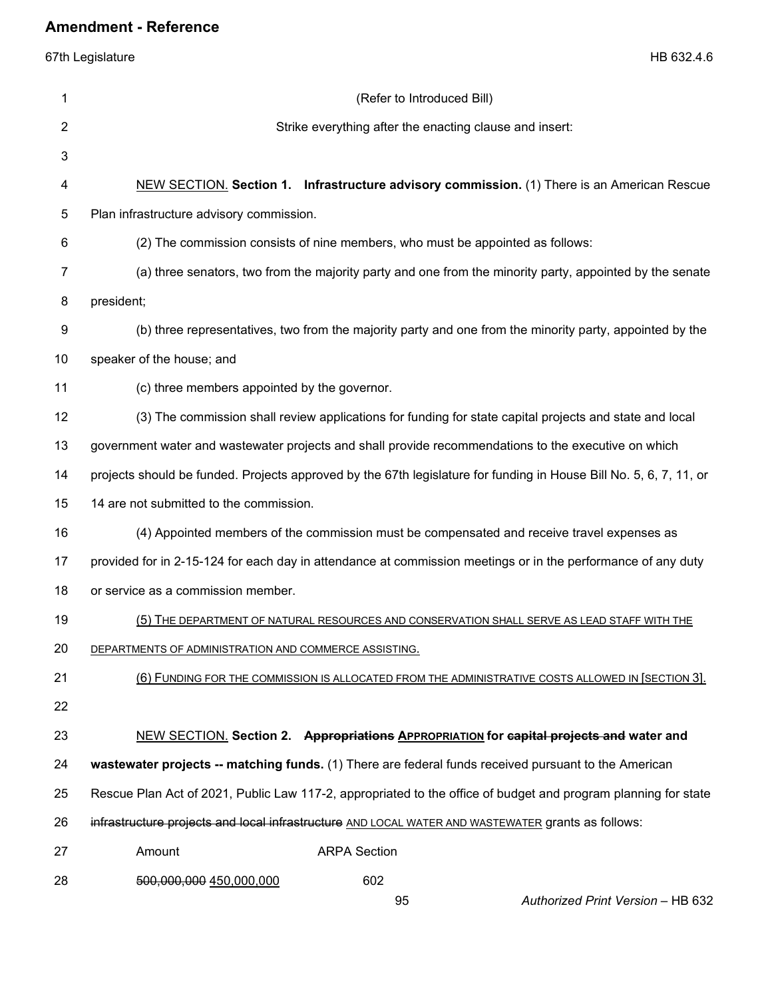| 1  | (Refer to Introduced Bill)                                                                                         |  |  |
|----|--------------------------------------------------------------------------------------------------------------------|--|--|
| 2  | Strike everything after the enacting clause and insert:                                                            |  |  |
| 3  |                                                                                                                    |  |  |
| 4  | NEW SECTION. Section 1. Infrastructure advisory commission. (1) There is an American Rescue                        |  |  |
| 5  | Plan infrastructure advisory commission.                                                                           |  |  |
| 6  | (2) The commission consists of nine members, who must be appointed as follows:                                     |  |  |
| 7  | (a) three senators, two from the majority party and one from the minority party, appointed by the senate           |  |  |
| 8  | president;                                                                                                         |  |  |
| 9  | (b) three representatives, two from the majority party and one from the minority party, appointed by the           |  |  |
| 10 | speaker of the house; and                                                                                          |  |  |
| 11 | (c) three members appointed by the governor.                                                                       |  |  |
| 12 | (3) The commission shall review applications for funding for state capital projects and state and local            |  |  |
| 13 | government water and wastewater projects and shall provide recommendations to the executive on which               |  |  |
| 14 | projects should be funded. Projects approved by the 67th legislature for funding in House Bill No. 5, 6, 7, 11, or |  |  |
| 15 | 14 are not submitted to the commission.                                                                            |  |  |
| 16 | (4) Appointed members of the commission must be compensated and receive travel expenses as                         |  |  |
| 17 | provided for in 2-15-124 for each day in attendance at commission meetings or in the performance of any duty       |  |  |
| 18 | or service as a commission member.                                                                                 |  |  |
| 19 | (5) THE DEPARTMENT OF NATURAL RESOURCES AND CONSERVATION SHALL SERVE AS LEAD STAFF WITH THE                        |  |  |
| 20 | DEPARTMENTS OF ADMINISTRATION AND COMMERCE ASSISTING.                                                              |  |  |
| 21 | (6) FUNDING FOR THE COMMISSION IS ALLOCATED FROM THE ADMINISTRATIVE COSTS ALLOWED IN [SECTION 3].                  |  |  |
| 22 |                                                                                                                    |  |  |
| 23 | NEW SECTION. Section 2. Appropriations APPROPRIATION for capital projects and water and                            |  |  |
| 24 | wastewater projects -- matching funds. (1) There are federal funds received pursuant to the American               |  |  |
| 25 | Rescue Plan Act of 2021, Public Law 117-2, appropriated to the office of budget and program planning for state     |  |  |
| 26 | infrastructure projects and local infrastructure AND LOCAL WATER AND WASTEWATER grants as follows:                 |  |  |
| 27 | Amount<br><b>ARPA Section</b>                                                                                      |  |  |
| 28 | 602<br>500,000,000 450,000,000<br>95<br>Authorized Print Version - HB 632                                          |  |  |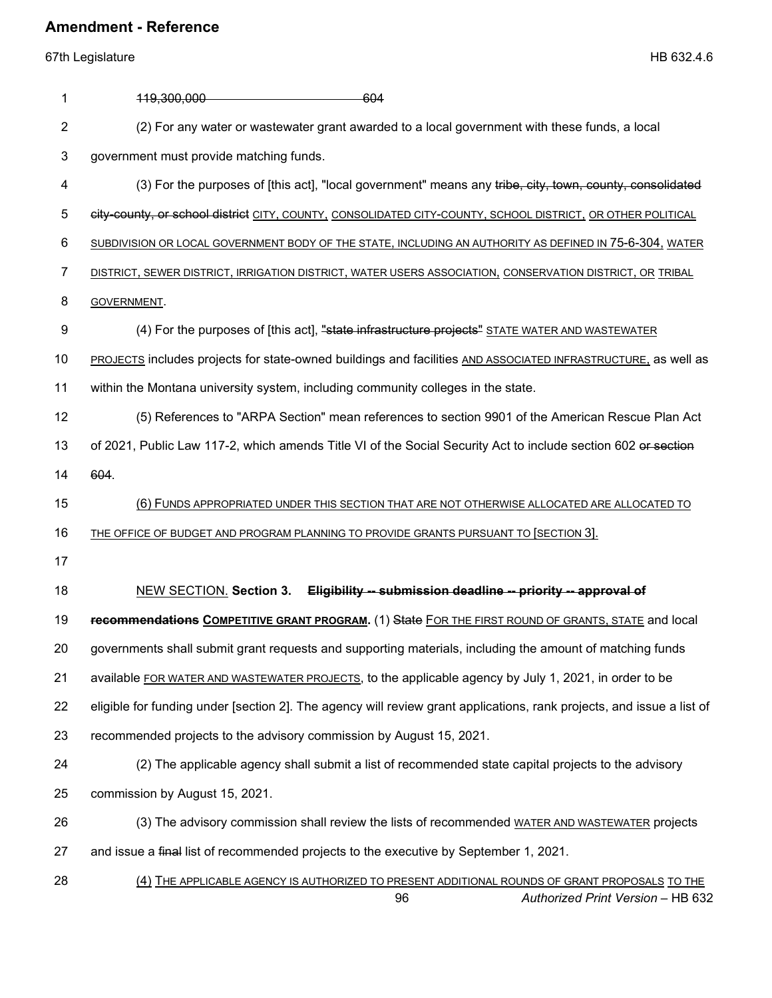| 1  | 119,300,000<br>-604                                                                                                                       |  |  |
|----|-------------------------------------------------------------------------------------------------------------------------------------------|--|--|
| 2  | (2) For any water or wastewater grant awarded to a local government with these funds, a local                                             |  |  |
| 3  | government must provide matching funds.                                                                                                   |  |  |
| 4  | (3) For the purposes of [this act], "local government" means any tribe, city, town, county, consolidated                                  |  |  |
| 5  | city-county, or school district CITY, COUNTY, CONSOLIDATED CITY-COUNTY, SCHOOL DISTRICT, OR OTHER POLITICAL                               |  |  |
| 6  | SUBDIVISION OR LOCAL GOVERNMENT BODY OF THE STATE, INCLUDING AN AUTHORITY AS DEFINED IN 75-6-304, WATER                                   |  |  |
| 7  | DISTRICT, SEWER DISTRICT, IRRIGATION DISTRICT, WATER USERS ASSOCIATION, CONSERVATION DISTRICT, OR TRIBAL                                  |  |  |
| 8  | GOVERNMENT.                                                                                                                               |  |  |
| 9  | (4) For the purposes of [this act], "state infrastructure projects" STATE WATER AND WASTEWATER                                            |  |  |
| 10 | PROJECTS includes projects for state-owned buildings and facilities AND ASSOCIATED INFRASTRUCTURE, as well as                             |  |  |
| 11 | within the Montana university system, including community colleges in the state.                                                          |  |  |
| 12 | (5) References to "ARPA Section" mean references to section 9901 of the American Rescue Plan Act                                          |  |  |
| 13 | of 2021, Public Law 117-2, which amends Title VI of the Social Security Act to include section 602 or section                             |  |  |
| 14 | 604.                                                                                                                                      |  |  |
| 15 | 6) FUNDS APPROPRIATED UNDER THIS SECTION THAT ARE NOT OTHERWISE ALLOCATED ARE ALLOCATED TO                                                |  |  |
| 16 | THE OFFICE OF BUDGET AND PROGRAM PLANNING TO PROVIDE GRANTS PURSUANT TO [SECTION 3].                                                      |  |  |
| 17 |                                                                                                                                           |  |  |
| 18 | <b>NEW SECTION. Section 3.</b><br>Eligibility -- submission deadline -- priority -- approval of                                           |  |  |
| 19 | recommendations COMPETITIVE GRANT PROGRAM. (1) State FOR THE FIRST ROUND OF GRANTS, STATE and local                                       |  |  |
| 20 | governments shall submit grant requests and supporting materials, including the amount of matching funds                                  |  |  |
| 21 | available FOR WATER AND WASTEWATER PROJECTS, to the applicable agency by July 1, 2021, in order to be                                     |  |  |
| 22 | eligible for funding under [section 2]. The agency will review grant applications, rank projects, and issue a list of                     |  |  |
| 23 | recommended projects to the advisory commission by August 15, 2021.                                                                       |  |  |
| 24 | (2) The applicable agency shall submit a list of recommended state capital projects to the advisory                                       |  |  |
| 25 | commission by August 15, 2021.                                                                                                            |  |  |
| 26 | (3) The advisory commission shall review the lists of recommended WATER AND WASTEWATER projects                                           |  |  |
| 27 | and issue a final list of recommended projects to the executive by September 1, 2021.                                                     |  |  |
| 28 | (4) THE APPLICABLE AGENCY IS AUTHORIZED TO PRESENT ADDITIONAL ROUNDS OF GRANT PROPOSALS TO THE<br>Authorized Print Version - HB 632<br>96 |  |  |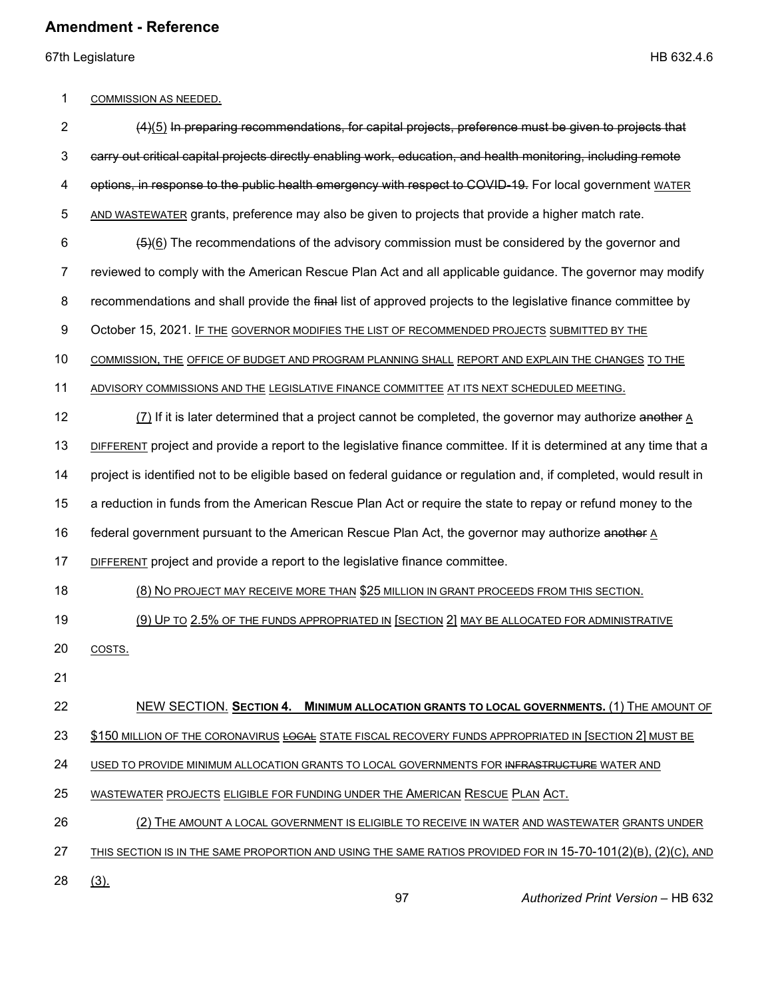67th Legislature HB 632.4.6

### 1 COMMISSION AS NEEDED.

| $\overline{2}$ | (4)(5) In preparing recommendations, for capital projects, preference must be given to projects that                 |  |  |  |
|----------------|----------------------------------------------------------------------------------------------------------------------|--|--|--|
| 3              | carry out critical capital projects directly enabling work, education, and health monitoring, including remote       |  |  |  |
| 4              | options, in response to the public health emergency with respect to COVID-19. For local government WATER             |  |  |  |
| 5              | AND WASTEWATER grants, preference may also be given to projects that provide a higher match rate.                    |  |  |  |
| 6              | $\frac{1}{2}$ (6) The recommendations of the advisory commission must be considered by the governor and              |  |  |  |
| 7              | reviewed to comply with the American Rescue Plan Act and all applicable guidance. The governor may modify            |  |  |  |
| 8              | recommendations and shall provide the final list of approved projects to the legislative finance committee by        |  |  |  |
| 9              | October 15, 2021. IF THE GOVERNOR MODIFIES THE LIST OF RECOMMENDED PROJECTS SUBMITTED BY THE                         |  |  |  |
| 10             | COMMISSION, THE OFFICE OF BUDGET AND PROGRAM PLANNING SHALL REPORT AND EXPLAIN THE CHANGES TO THE                    |  |  |  |
| 11             | ADVISORY COMMISSIONS AND THE LEGISLATIVE FINANCE COMMITTEE AT ITS NEXT SCHEDULED MEETING.                            |  |  |  |
| 12             | $(7)$ If it is later determined that a project cannot be completed, the governor may authorize another A             |  |  |  |
| 13             | DIFFERENT project and provide a report to the legislative finance committee. If it is determined at any time that a  |  |  |  |
| 14             | project is identified not to be eligible based on federal guidance or regulation and, if completed, would result in  |  |  |  |
| 15             | a reduction in funds from the American Rescue Plan Act or require the state to repay or refund money to the          |  |  |  |
| 16             | federal government pursuant to the American Rescue Plan Act, the governor may authorize another A                    |  |  |  |
| 17             | DIFFERENT project and provide a report to the legislative finance committee.                                         |  |  |  |
| 18             | (8) NO PROJECT MAY RECEIVE MORE THAN \$25 MILLION IN GRANT PROCEEDS FROM THIS SECTION.                               |  |  |  |
| 19             | (9) UP TO 2.5% OF THE FUNDS APPROPRIATED IN [SECTION 2] MAY BE ALLOCATED FOR ADMINISTRATIVE                          |  |  |  |
| 20             | COSTS.                                                                                                               |  |  |  |
| 21             |                                                                                                                      |  |  |  |
| 22             | NEW SECTION. SECTION 4. MINIMUM ALLOCATION GRANTS TO LOCAL GOVERNMENTS. (1) THE AMOUNT OF                            |  |  |  |
| 23             | \$150 MILLION OF THE CORONAVIRUS LOCAL STATE FISCAL RECOVERY FUNDS APPROPRIATED IN [SECTION 2] MUST BE               |  |  |  |
| 24             | USED TO PROVIDE MINIMUM ALLOCATION GRANTS TO LOCAL GOVERNMENTS FOR INFRASTRUCTURE WATER AND                          |  |  |  |
| 25             | WASTEWATER PROJECTS ELIGIBLE FOR FUNDING UNDER THE AMERICAN RESCUE PLAN ACT.                                         |  |  |  |
| 26             | (2) THE AMOUNT A LOCAL GOVERNMENT IS ELIGIBLE TO RECEIVE IN WATER AND WASTEWATER GRANTS UNDER                        |  |  |  |
| 27             | <u>THIS SECTION IS IN THE SAME PROPORTION AND USING THE SAME RATIOS PROVIDED FOR IN 15-70-101(2)(B), (2)(C), AND</u> |  |  |  |
| 28             | (3)                                                                                                                  |  |  |  |
|                | 97<br>Authorized Print Version - HB 632                                                                              |  |  |  |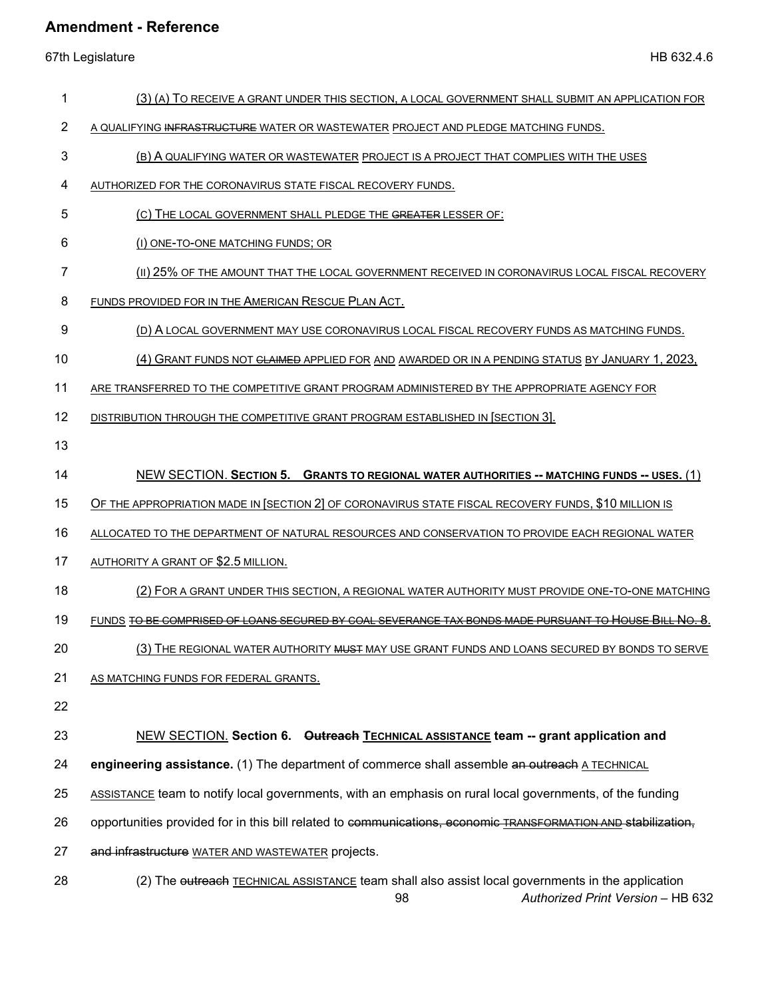67th Legislature HB 632.4.6

- 1 (3) (A) TO RECEIVE A GRANT UNDER THIS SECTION, A LOCAL GOVERNMENT SHALL SUBMIT AN APPLICATION FOR
- 2 A QUALIFYING INFRASTRUCTURE WATER OR WASTEWATER PROJECT AND PLEDGE MATCHING FUNDS.
- 3 (B) A QUALIFYING WATER OR WASTEWATER PROJECT IS A PROJECT THAT COMPLIES WITH THE USES
- 4 AUTHORIZED FOR THE CORONAVIRUS STATE FISCAL RECOVERY FUNDS.
- 5 (C) THE LOCAL GOVERNMENT SHALL PLEDGE THE GREATER LESSER OF:
- 6 (I) ONE-TO-ONE MATCHING FUNDS; OR
- 7 (II) 25% OF THE AMOUNT THAT THE LOCAL GOVERNMENT RECEIVED IN CORONAVIRUS LOCAL FISCAL RECOVERY
- 8 FUNDS PROVIDED FOR IN THE AMERICAN RESCUE PLAN ACT.
- 9 (D) A LOCAL GOVERNMENT MAY USE CORONAVIRUS LOCAL FISCAL RECOVERY FUNDS AS MATCHING FUNDS.
- 10 (4) GRANT FUNDS NOT <del>CLAIMED APPLIED FOR AND AWARDED OR IN A PENDING STATUS BY JANUARY 1, 2023.</del>
- 11 ARE TRANSFERRED TO THE COMPETITIVE GRANT PROGRAM ADMINISTERED BY THE APPROPRIATE AGENCY FOR
- 12 DISTRIBUTION THROUGH THE COMPETITIVE GRANT PROGRAM ESTABLISHED IN [SECTION 3].
- 13
- 14 NEW SECTION. **SECTION 5. GRANTS TO REGIONAL WATER AUTHORITIES -- MATCHING FUNDS -- USES.** (1)
- 15 OF THE APPROPRIATION MADE IN [SECTION 2] OF CORONAVIRUS STATE FISCAL RECOVERY FUNDS, \$10 MILLION IS
- 16 ALLOCATED TO THE DEPARTMENT OF NATURAL RESOURCES AND CONSERVATION TO PROVIDE EACH REGIONAL WATER
- 17 AUTHORITY A GRANT OF \$2.5 MILLION.
- 18 (2) FOR A GRANT UNDER THIS SECTION, A REGIONAL WATER AUTHORITY MUST PROVIDE ONE-TO-ONE MATCHING
- 19 FUNDS TO BE COMPRISED OF LOANS SECURED BY COAL SEVERANCE TAX BONDS MADE PURSUANT TO HOUSE BILL NO. 8.
- 20 (3) THE REGIONAL WATER AUTHORITY WHET MAY USE GRANT FUNDS AND LOANS SECURED BY BONDS TO SERVE
- 21 AS MATCHING FUNDS FOR FEDERAL GRANTS.
- 22

23 NEW SECTION. **Section 6. Outreach TECHNICAL ASSISTANCE team -- grant application and** 

- 24 **engineering assistance.** (1) The department of commerce shall assemble an outreach A TECHNICAL
- 25 ASSISTANCE team to notify local governments, with an emphasis on rural local governments, of the funding
- 26 opportunities provided for in this bill related to communications, economic TRANSFORMATION AND stabilization,
- 27 and infrastructure WATER AND WASTEWATER projects.
- 98 *Authorized Print Version* HB 632 28 (2) The outreach TECHNICAL ASSISTANCE team shall also assist local governments in the application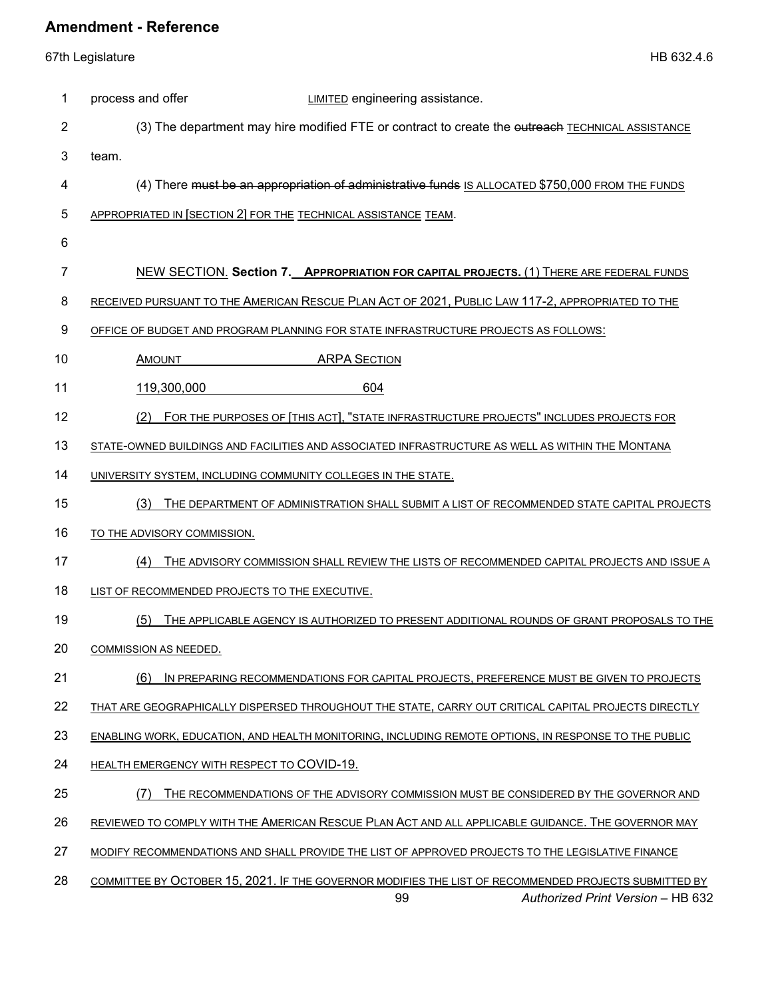67th Legislature HB 632.4.6

| 1  | process and offer<br><b>LIMITED</b> engineering assistance.                                           |
|----|-------------------------------------------------------------------------------------------------------|
| 2  | (3) The department may hire modified FTE or contract to create the eutreach TECHNICAL ASSISTANCE      |
| 3  | team.                                                                                                 |
| 4  | (4) There must be an appropriation of administrative funds IS ALLOCATED \$750,000 FROM THE FUNDS      |
| 5  | APPROPRIATED IN [SECTION 2] FOR THE TECHNICAL ASSISTANCE TEAM.                                        |
| 6  |                                                                                                       |
| 7  | NEW SECTION. Section 7. APPROPRIATION FOR CAPITAL PROJECTS. (1) THERE ARE FEDERAL FUNDS               |
| 8  | RECEIVED PURSUANT TO THE AMERICAN RESCUE PLAN ACT OF 2021, PUBLIC LAW 117-2, APPROPRIATED TO THE      |
| 9  | OFFICE OF BUDGET AND PROGRAM PLANNING FOR STATE INFRASTRUCTURE PROJECTS AS FOLLOWS:                   |
| 10 | <b>ARPA SECTION</b><br><b>AMOUNT</b>                                                                  |
| 11 | 119,300,000<br>604                                                                                    |
| 12 | FOR THE PURPOSES OF [THIS ACT], "STATE INFRASTRUCTURE PROJECTS" INCLUDES PROJECTS FOR<br>(2)          |
| 13 | STATE-OWNED BUILDINGS AND FACILITIES AND ASSOCIATED INFRASTRUCTURE AS WELL AS WITHIN THE MONTANA      |
| 14 | UNIVERSITY SYSTEM, INCLUDING COMMUNITY COLLEGES IN THE STATE.                                         |
| 15 | THE DEPARTMENT OF ADMINISTRATION SHALL SUBMIT A LIST OF RECOMMENDED STATE CAPITAL PROJECTS<br>(3)     |
| 16 | TO THE ADVISORY COMMISSION.                                                                           |
| 17 | (4)<br>THE ADVISORY COMMISSION SHALL REVIEW THE LISTS OF RECOMMENDED CAPITAL PROJECTS AND ISSUE A     |
| 18 | LIST OF RECOMMENDED PROJECTS TO THE EXECUTIVE.                                                        |
| 19 | (5)<br>THE APPLICABLE AGENCY IS AUTHORIZED TO PRESENT ADDITIONAL ROUNDS OF GRANT PROPOSALS TO THE     |
| 20 | COMMISSION AS NEEDED.                                                                                 |
| 21 | (6)<br>IN PREPARING RECOMMENDATIONS FOR CAPITAL PROJECTS, PREFERENCE MUST BE GIVEN TO PROJECTS        |
| 22 | THAT ARE GEOGRAPHICALLY DISPERSED THROUGHOUT THE STATE, CARRY OUT CRITICAL CAPITAL PROJECTS DIRECTLY  |
| 23 | ENABLING WORK, EDUCATION, AND HEALTH MONITORING, INCLUDING REMOTE OPTIONS, IN RESPONSE TO THE PUBLIC  |
| 24 | <b>HEALTH EMERGENCY WITH RESPECT TO COVID-19.</b>                                                     |
| 25 | (7)<br>THE RECOMMENDATIONS OF THE ADVISORY COMMISSION MUST BE CONSIDERED BY THE GOVERNOR AND          |
| 26 | REVIEWED TO COMPLY WITH THE AMERICAN RESCUE PLAN ACT AND ALL APPLICABLE GUIDANCE. THE GOVERNOR MAY    |
| 27 | MODIFY RECOMMENDATIONS AND SHALL PROVIDE THE LIST OF APPROVED PROJECTS TO THE LEGISLATIVE FINANCE     |
| 28 | COMMITTEE BY OCTOBER 15, 2021. IF THE GOVERNOR MODIFIES THE LIST OF RECOMMENDED PROJECTS SUBMITTED BY |

99 *Authorized Print Version* – HB 632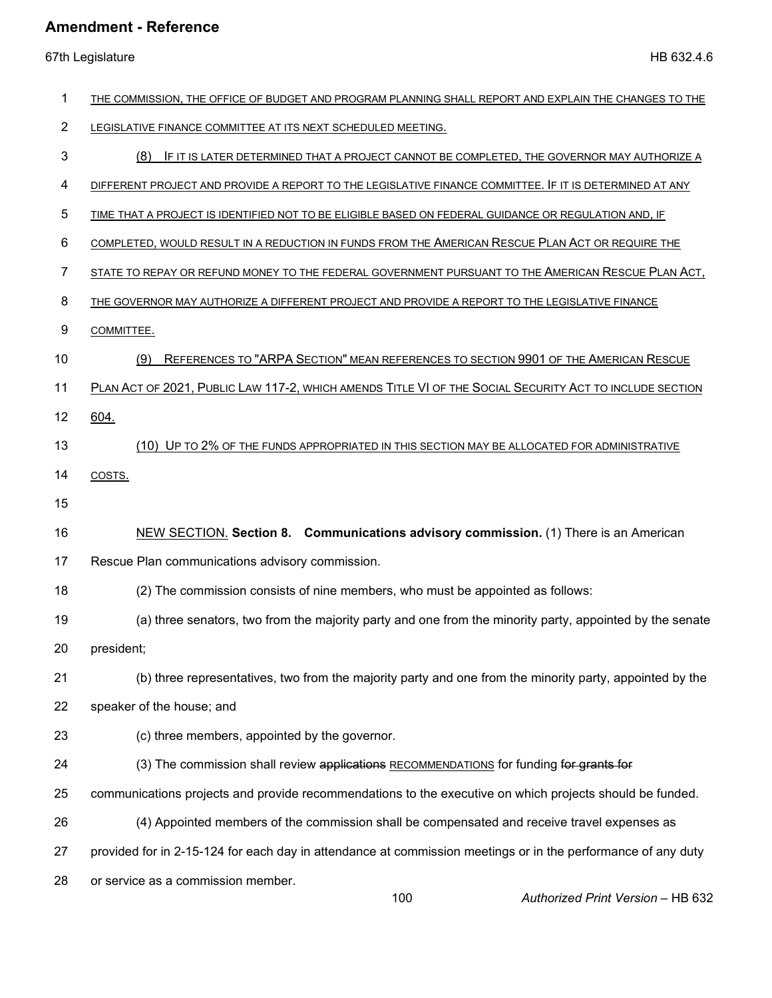67th Legislature HB 632.4.6

| 1              | THE COMMISSION, THE OFFICE OF BUDGET AND PROGRAM PLANNING SHALL REPORT AND EXPLAIN THE CHANGES TO THE        |
|----------------|--------------------------------------------------------------------------------------------------------------|
| $\overline{2}$ | LEGISLATIVE FINANCE COMMITTEE AT ITS NEXT SCHEDULED MEETING.                                                 |
| 3              | (8)<br>IF IT IS LATER DETERMINED THAT A PROJECT CANNOT BE COMPLETED, THE GOVERNOR MAY AUTHORIZE A            |
| 4              | DIFFERENT PROJECT AND PROVIDE A REPORT TO THE LEGISLATIVE FINANCE COMMITTEE. IF IT IS DETERMINED AT ANY      |
| 5              | TIME THAT A PROJECT IS IDENTIFIED NOT TO BE ELIGIBLE BASED ON FEDERAL GUIDANCE OR REGULATION AND, IF         |
| 6              | COMPLETED, WOULD RESULT IN A REDUCTION IN FUNDS FROM THE AMERICAN RESCUE PLAN ACT OR REQUIRE THE             |
| 7              | STATE TO REPAY OR REFUND MONEY TO THE FEDERAL GOVERNMENT PURSUANT TO THE AMERICAN RESCUE PLAN ACT,           |
| 8              | THE GOVERNOR MAY AUTHORIZE A DIFFERENT PROJECT AND PROVIDE A REPORT TO THE LEGISLATIVE FINANCE               |
| 9              | COMMITTEE.                                                                                                   |
| 10             | REFERENCES TO "ARPA SECTION" MEAN REFERENCES TO SECTION 9901 OF THE AMERICAN RESCUE<br>(9)                   |
| 11             | PLAN ACT OF 2021, PUBLIC LAW 117-2, WHICH AMENDS TITLE VI OF THE SOCIAL SECURITY ACT TO INCLUDE SECTION      |
| 12             | 604.                                                                                                         |
| 13             | (10) UP TO 2% OF THE FUNDS APPROPRIATED IN THIS SECTION MAY BE ALLOCATED FOR ADMINISTRATIVE                  |
| 14             | COSTS.                                                                                                       |
| 15             |                                                                                                              |
| 16             | NEW SECTION. Section 8. Communications advisory commission. (1) There is an American                         |
| 17             | Rescue Plan communications advisory commission.                                                              |
| 18             | (2) The commission consists of nine members, who must be appointed as follows:                               |
| 19             | (a) three senators, two from the majority party and one from the minority party, appointed by the senate     |
| 20             | president;                                                                                                   |
| 21             | (b) three representatives, two from the majority party and one from the minority party, appointed by the     |
| 22             | speaker of the house; and                                                                                    |
| 23             | (c) three members, appointed by the governor.                                                                |
| 24             | (3) The commission shall review applications RECOMMENDATIONS for funding for grants for                      |
| 25             | communications projects and provide recommendations to the executive on which projects should be funded.     |
| 26             | (4) Appointed members of the commission shall be compensated and receive travel expenses as                  |
| 27             | provided for in 2-15-124 for each day in attendance at commission meetings or in the performance of any duty |
| 28             | or service as a commission member.                                                                           |

100 *Authorized Print Version* – HB 632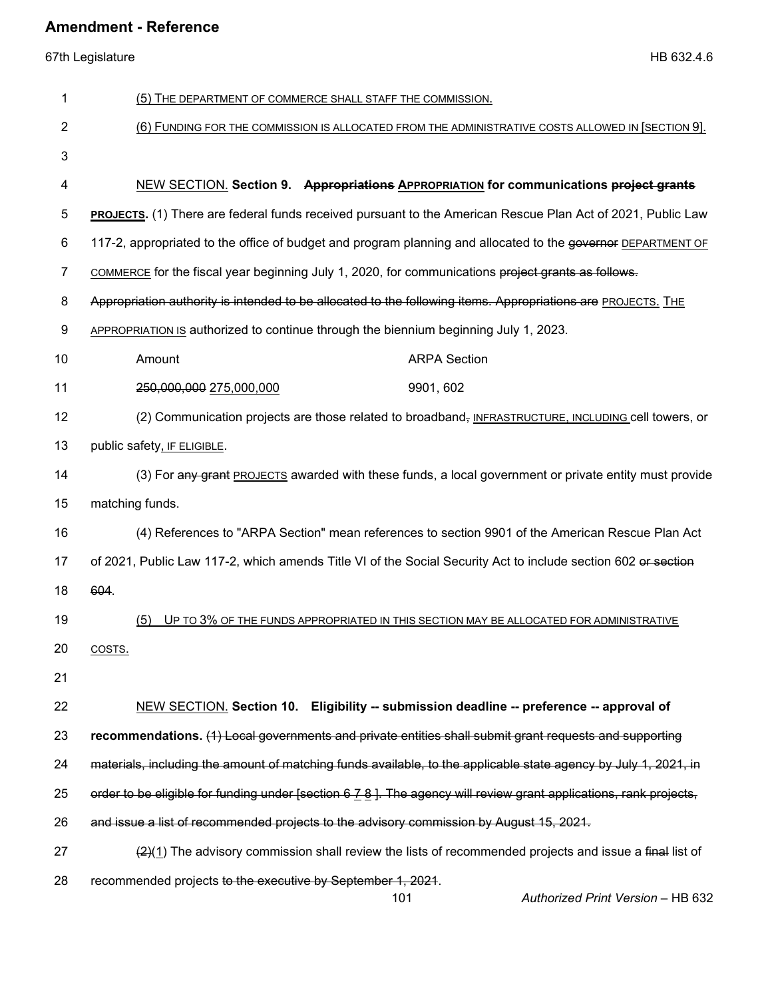| 1              | (5) THE DEPARTMENT OF COMMERCE SHALL STAFF THE COMMISSION.                                                         |  |  |  |
|----------------|--------------------------------------------------------------------------------------------------------------------|--|--|--|
| 2              | (6) FUNDING FOR THE COMMISSION IS ALLOCATED FROM THE ADMINISTRATIVE COSTS ALLOWED IN [SECTION 9].                  |  |  |  |
| 3              |                                                                                                                    |  |  |  |
| 4              | NEW SECTION. Section 9. Appropriations APPROPRIATION for communications project grants                             |  |  |  |
| 5              | <b>PROJECTS.</b> (1) There are federal funds received pursuant to the American Rescue Plan Act of 2021, Public Law |  |  |  |
| 6              | 117-2, appropriated to the office of budget and program planning and allocated to the governor DEPARTMENT OF       |  |  |  |
| $\overline{7}$ | COMMERCE for the fiscal year beginning July 1, 2020, for communications project grants as follows.                 |  |  |  |
| 8              | Appropriation authority is intended to be allocated to the following items. Appropriations are PROJECTS. THE       |  |  |  |
| 9              | APPROPRIATION IS authorized to continue through the biennium beginning July 1, 2023.                               |  |  |  |
| 10             | <b>ARPA Section</b><br>Amount                                                                                      |  |  |  |
| 11             | 9901, 602<br>250,000,000 275,000,000                                                                               |  |  |  |
| 12             | (2) Communication projects are those related to broadband, INFRASTRUCTURE, INCLUDING cell towers, or               |  |  |  |
| 13             | public safety, IF ELIGIBLE.                                                                                        |  |  |  |
| 14             | (3) For any grant PROJECTS awarded with these funds, a local government or private entity must provide             |  |  |  |
| 15             | matching funds.                                                                                                    |  |  |  |
| 16             | (4) References to "ARPA Section" mean references to section 9901 of the American Rescue Plan Act                   |  |  |  |
| 17             | of 2021, Public Law 117-2, which amends Title VI of the Social Security Act to include section 602 or section      |  |  |  |
| 18             | 604.                                                                                                               |  |  |  |
| 19             | (5)<br>UP TO 3% OF THE FUNDS APPROPRIATED IN THIS SECTION MAY BE ALLOCATED FOR ADMINISTRATIVE                      |  |  |  |
| 20             | COSTS.                                                                                                             |  |  |  |
| 21             |                                                                                                                    |  |  |  |
| 22             | NEW SECTION. Section 10. Eligibility -- submission deadline -- preference -- approval of                           |  |  |  |
| 23             | recommendations. (1) Local governments and private entities shall submit grant requests and supporting             |  |  |  |
| 24             | materials, including the amount of matching funds available, to the applicable state agency by July 1, 2021, in    |  |  |  |
| 25             | order to be eligible for funding under [section 6 7 8 ]. The agency will review grant applications, rank projects, |  |  |  |
| 26             | and issue a list of recommended projects to the advisory commission by August 15, 2021.                            |  |  |  |
| 27             | $\frac{2(4)}{2}$ The advisory commission shall review the lists of recommended projects and issue a final list of  |  |  |  |
| 28             | recommended projects to the executive by September 1, 2021.                                                        |  |  |  |
|                | 101<br>Authorized Print Version - HB 632                                                                           |  |  |  |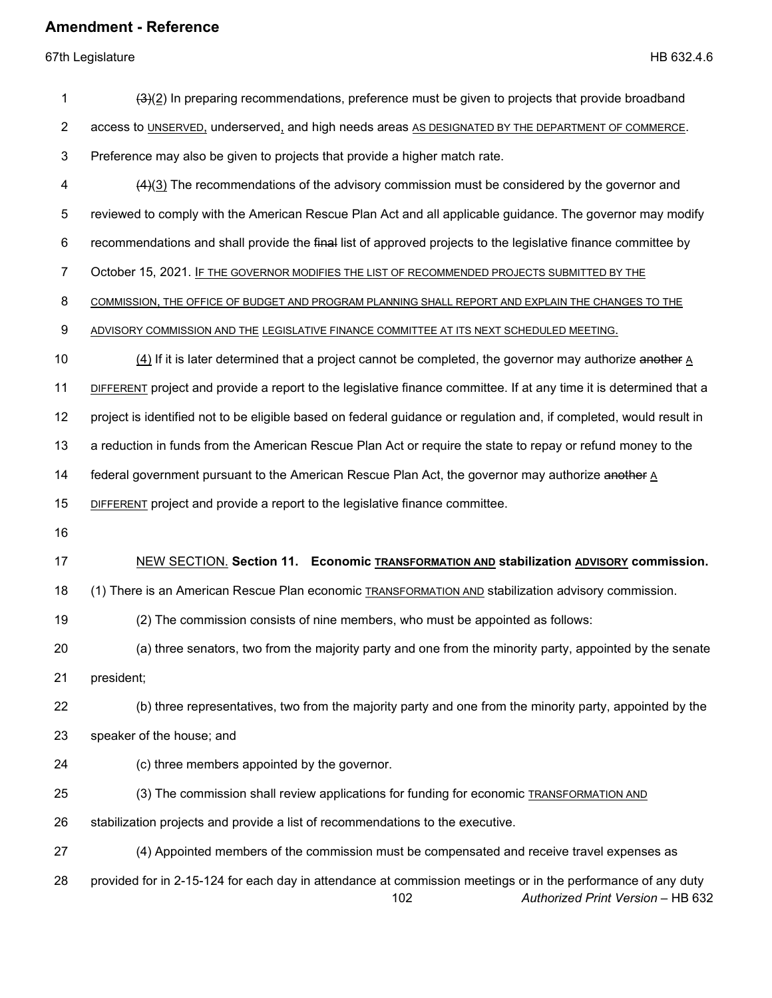| 1              | $(3)(2)$ In preparing recommendations, preference must be given to projects that provide broadband                                                       |  |  |
|----------------|----------------------------------------------------------------------------------------------------------------------------------------------------------|--|--|
| $\overline{c}$ | access to UNSERVED, underserved, and high needs areas AS DESIGNATED BY THE DEPARTMENT OF COMMERCE.                                                       |  |  |
| 3              | Preference may also be given to projects that provide a higher match rate.                                                                               |  |  |
| 4              | $(4)(3)$ The recommendations of the advisory commission must be considered by the governor and                                                           |  |  |
| 5              | reviewed to comply with the American Rescue Plan Act and all applicable guidance. The governor may modify                                                |  |  |
| 6              | recommendations and shall provide the final list of approved projects to the legislative finance committee by                                            |  |  |
| 7              | October 15, 2021. IF THE GOVERNOR MODIFIES THE LIST OF RECOMMENDED PROJECTS SUBMITTED BY THE                                                             |  |  |
| 8              | COMMISSION, THE OFFICE OF BUDGET AND PROGRAM PLANNING SHALL REPORT AND EXPLAIN THE CHANGES TO THE                                                        |  |  |
| 9              | ADVISORY COMMISSION AND THE LEGISLATIVE FINANCE COMMITTEE AT ITS NEXT SCHEDULED MEETING.                                                                 |  |  |
| 10             | $(4)$ If it is later determined that a project cannot be completed, the governor may authorize another $\underline{A}$                                   |  |  |
| 11             | DIFFERENT project and provide a report to the legislative finance committee. If at any time it is determined that a                                      |  |  |
| 12             | project is identified not to be eligible based on federal guidance or regulation and, if completed, would result in                                      |  |  |
| 13             | a reduction in funds from the American Rescue Plan Act or require the state to repay or refund money to the                                              |  |  |
| 14             | federal government pursuant to the American Rescue Plan Act, the governor may authorize another A                                                        |  |  |
| 15             | <b>DIFFERENT</b> project and provide a report to the legislative finance committee.                                                                      |  |  |
| 16             |                                                                                                                                                          |  |  |
| 17             | NEW SECTION. Section 11. Economic TRANSFORMATION AND stabilization ADVISORY commission.                                                                  |  |  |
| 18             | (1) There is an American Rescue Plan economic <b>TRANSFORMATION AND</b> stabilization advisory commission.                                               |  |  |
| 19             | (2) The commission consists of nine members, who must be appointed as follows:                                                                           |  |  |
| 20             | (a) three senators, two from the majority party and one from the minority party, appointed by the senate                                                 |  |  |
| 21             | president;                                                                                                                                               |  |  |
| 22             | (b) three representatives, two from the majority party and one from the minority party, appointed by the                                                 |  |  |
| 23             | speaker of the house; and                                                                                                                                |  |  |
| 24             | (c) three members appointed by the governor.                                                                                                             |  |  |
| 25             | (3) The commission shall review applications for funding for economic TRANSFORMATION AND                                                                 |  |  |
| 26             | stabilization projects and provide a list of recommendations to the executive.                                                                           |  |  |
| 27             | (4) Appointed members of the commission must be compensated and receive travel expenses as                                                               |  |  |
| 28             | provided for in 2-15-124 for each day in attendance at commission meetings or in the performance of any duty<br>Authorized Print Version - HB 632<br>102 |  |  |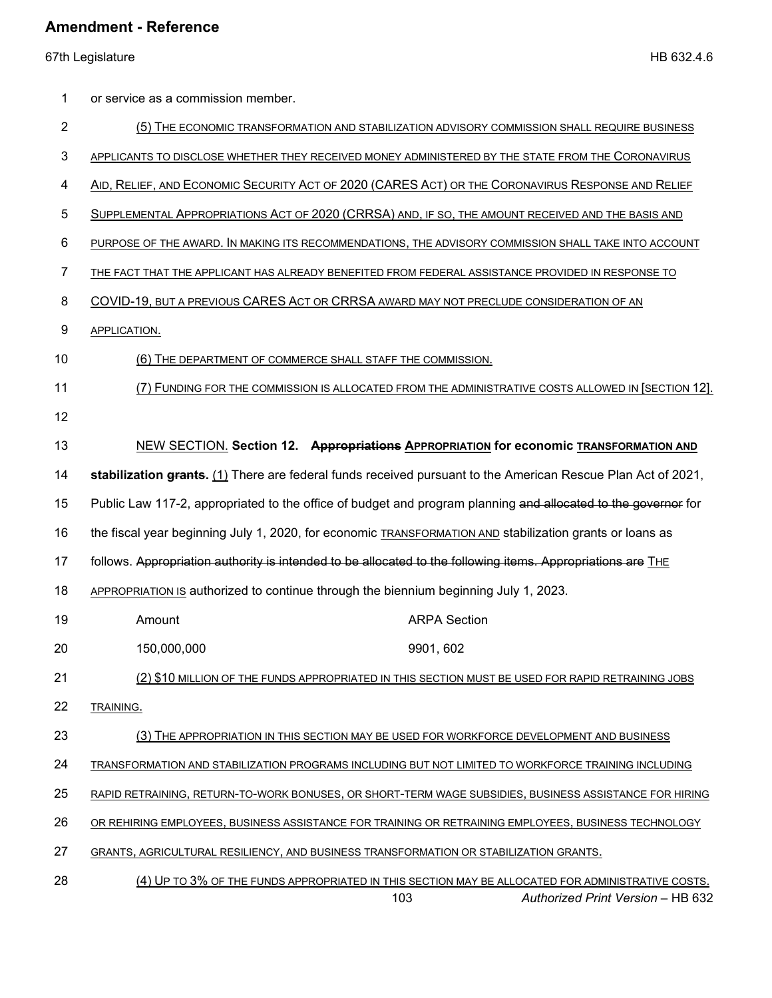67th Legislature HB 632.4.6

| 1              | or service as a commission member.                                                                              |  |  |
|----------------|-----------------------------------------------------------------------------------------------------------------|--|--|
| $\overline{2}$ | (5) THE ECONOMIC TRANSFORMATION AND STABILIZATION ADVISORY COMMISSION SHALL REQUIRE BUSINESS                    |  |  |
| 3              | APPLICANTS TO DISCLOSE WHETHER THEY RECEIVED MONEY ADMINISTERED BY THE STATE FROM THE CORONAVIRUS               |  |  |
| 4              | AID, RELIEF, AND ECONOMIC SECURITY ACT OF 2020 (CARES ACT) OR THE CORONAVIRUS RESPONSE AND RELIEF               |  |  |
| 5              | SUPPLEMENTAL APPROPRIATIONS ACT OF 2020 (CRRSA) AND, IF SO, THE AMOUNT RECEIVED AND THE BASIS AND               |  |  |
| 6              | PURPOSE OF THE AWARD. IN MAKING ITS RECOMMENDATIONS, THE ADVISORY COMMISSION SHALL TAKE INTO ACCOUNT            |  |  |
| 7              | THE FACT THAT THE APPLICANT HAS ALREADY BENEFITED FROM FEDERAL ASSISTANCE PROVIDED IN RESPONSE TO               |  |  |
| 8              | COVID-19, BUT A PREVIOUS CARES ACT OR CRRSA AWARD MAY NOT PRECLUDE CONSIDERATION OF AN                          |  |  |
| 9              | APPLICATION.                                                                                                    |  |  |
| 10             | (6) THE DEPARTMENT OF COMMERCE SHALL STAFF THE COMMISSION.                                                      |  |  |
| 11             | (7) FUNDING FOR THE COMMISSION IS ALLOCATED FROM THE ADMINISTRATIVE COSTS ALLOWED IN [SECTION 12].              |  |  |
| 12             |                                                                                                                 |  |  |
| 13             | NEW SECTION. Section 12. Appropriations APPROPRIATION for economic TRANSFORMATION AND                           |  |  |
| 14             | stabilization grants. (1) There are federal funds received pursuant to the American Rescue Plan Act of 2021,    |  |  |
| 15             | Public Law 117-2, appropriated to the office of budget and program planning and allocated to the governor for   |  |  |
| 16             | the fiscal year beginning July 1, 2020, for economic <b>TRANSFORMATION AND</b> stabilization grants or loans as |  |  |
| 17             | follows. Appropriation authority is intended to be allocated to the following items. Appropriations are THE     |  |  |
| 18             | APPROPRIATION IS authorized to continue through the biennium beginning July 1, 2023.                            |  |  |
| 19             | <b>ARPA Section</b><br>Amount                                                                                   |  |  |
| 20             | 150,000,000<br>9901, 602                                                                                        |  |  |
| 21             | (2) \$10 MILLION OF THE FUNDS APPROPRIATED IN THIS SECTION MUST BE USED FOR RAPID RETRAINING JOBS               |  |  |
| 22             | TRAINING.                                                                                                       |  |  |
| 23             | (3) THE APPROPRIATION IN THIS SECTION MAY BE USED FOR WORKFORCE DEVELOPMENT AND BUSINESS                        |  |  |
| 24             | TRANSFORMATION AND STABILIZATION PROGRAMS INCLUDING BUT NOT LIMITED TO WORKFORCE TRAINING INCLUDING             |  |  |
| 25             | RAPID RETRAINING, RETURN-TO-WORK BONUSES, OR SHORT-TERM WAGE SUBSIDIES, BUSINESS ASSISTANCE FOR HIRING          |  |  |
| 26             | OR REHIRING EMPLOYEES, BUSINESS ASSISTANCE FOR TRAINING OR RETRAINING EMPLOYEES, BUSINESS TECHNOLOGY            |  |  |
| 27             | GRANTS, AGRICULTURAL RESILIENCY, AND BUSINESS TRANSFORMATION OR STABILIZATION GRANTS.                           |  |  |
| 28             | (4) UP TO 3% OF THE FUNDS APPROPRIATED IN THIS SECTION MAY BE ALLOCATED FOR ADMINISTRATIVE COSTS.               |  |  |

*Authorized Print Version* – HB 632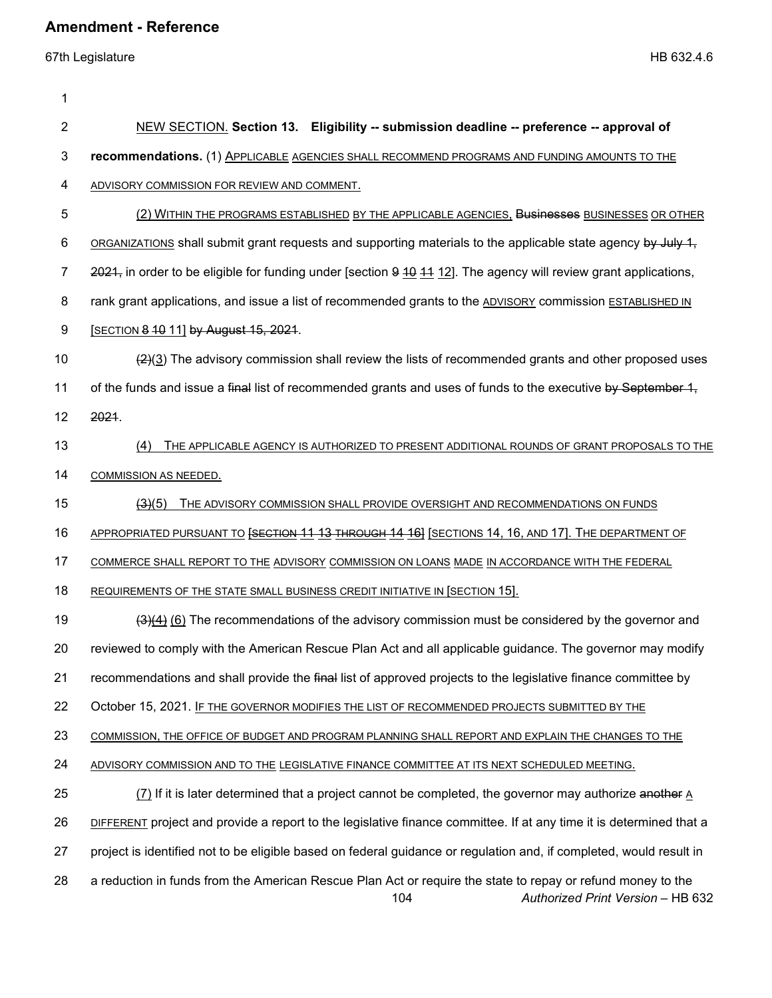67th Legislature HB 632.4.6

1 2 NEW SECTION. **Section 13. Eligibility -- submission deadline -- preference -- approval of**  3 **recommendations.** (1) APPLICABLE AGENCIES SHALL RECOMMEND PROGRAMS AND FUNDING AMOUNTS TO THE 4 ADVISORY COMMISSION FOR REVIEW AND COMMENT. 5 (2) WITHIN THE PROGRAMS ESTABLISHED BY THE APPLICABLE AGENCIES, Businesses BUSINESSES OR OTHER 6 ORGANIZATIONS shall submit grant requests and supporting materials to the applicable state agency by July 1, 7 2021, in order to be eligible for funding under [section 9 40 11 12]. The agency will review grant applications, 8 rank grant applications, and issue a list of recommended grants to the ADVISORY commission ESTABLISHED IN 9 **[SECTION 8 10 11] by August 15, 2021.** 10  $(2)(3)$  The advisory commission shall review the lists of recommended grants and other proposed uses 11 of the funds and issue a final list of recommended grants and uses of funds to the executive by September 1, 12 2021. 13 (4) THE APPLICABLE AGENCY IS AUTHORIZED TO PRESENT ADDITIONAL ROUNDS OF GRANT PROPOSALS TO THE 14 COMMISSION AS NEEDED. 15 (3)(5) THE ADVISORY COMMISSION SHALL PROVIDE OVERSIGHT AND RECOMMENDATIONS ON FUNDS 16 APPROPRIATED PURSUANT TO **[SECTION 11 13 THROUGH 14 16]** [SECTIONS 14, 16, AND 17]. THE DEPARTMENT OF 17 COMMERCE SHALL REPORT TO THE ADVISORY COMMISSION ON LOANS MADE IN ACCORDANCE WITH THE FEDERAL 18 REQUIREMENTS OF THE STATE SMALL BUSINESS CREDIT INITIATIVE IN [SECTION 15]. 19 (3)(4) (6) The recommendations of the advisory commission must be considered by the governor and 20 reviewed to comply with the American Rescue Plan Act and all applicable guidance. The governor may modify 21 recommendations and shall provide the final list of approved projects to the legislative finance committee by 22 October 15, 2021. IF THE GOVERNOR MODIFIES THE LIST OF RECOMMENDED PROJECTS SUBMITTED BY THE 23 COMMISSION, THE OFFICE OF BUDGET AND PROGRAM PLANNING SHALL REPORT AND EXPLAIN THE CHANGES TO THE 24 ADVISORY COMMISSION AND TO THE LEGISLATIVE FINANCE COMMITTEE AT ITS NEXT SCHEDULED MEETING. 25 (7) If it is later determined that a project cannot be completed, the governor may authorize another A 26 DIFFERENT project and provide a report to the legislative finance committee. If at any time it is determined that a 27 project is identified not to be eligible based on federal guidance or regulation and, if completed, would result in 28 a reduction in funds from the American Rescue Plan Act or require the state to repay or refund money to the

104 *Authorized Print Version* – HB 632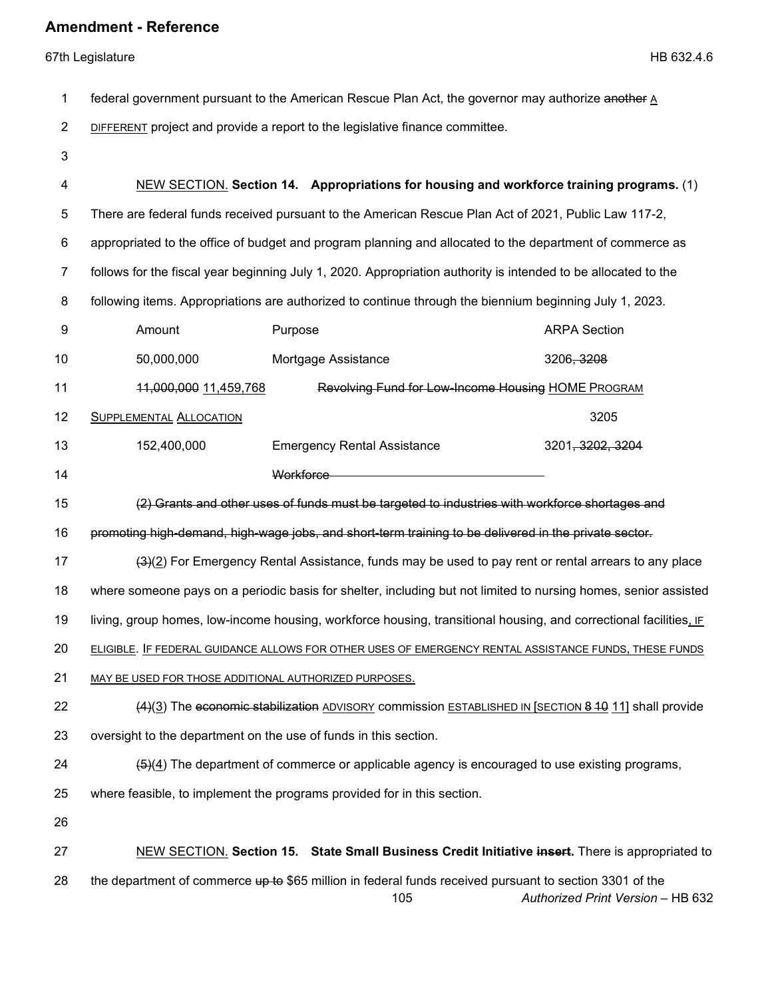| 1              | federal government pursuant to the American Rescue Plan Act, the governor may authorize another A                                |                                    |                                                                                                                                              |
|----------------|----------------------------------------------------------------------------------------------------------------------------------|------------------------------------|----------------------------------------------------------------------------------------------------------------------------------------------|
| $\overline{2}$ | <b>DIFFERENT</b> project and provide a report to the legislative finance committee.                                              |                                    |                                                                                                                                              |
| $\mathbf{3}$   |                                                                                                                                  |                                    |                                                                                                                                              |
| 4              |                                                                                                                                  |                                    | NEW SECTION. Section 14. Appropriations for housing and workforce training programs. (1)                                                     |
| 5              |                                                                                                                                  |                                    | There are federal funds received pursuant to the American Rescue Plan Act of 2021, Public Law 117-2,                                         |
| 6              |                                                                                                                                  |                                    | appropriated to the office of budget and program planning and allocated to the department of commerce as                                     |
| $\overline{7}$ |                                                                                                                                  |                                    | follows for the fiscal year beginning July 1, 2020. Appropriation authority is intended to be allocated to the                               |
| 8              |                                                                                                                                  |                                    | following items. Appropriations are authorized to continue through the biennium beginning July 1, 2023.                                      |
| 9              | Amount                                                                                                                           | Purpose                            | <b>ARPA Section</b>                                                                                                                          |
| 10             | 50,000,000                                                                                                                       | Mortgage Assistance                | 3206, 3208                                                                                                                                   |
| 11             | Revolving Fund for Low-Income Housing HOME PROGRAM<br>11,000,000 11,459,768                                                      |                                    |                                                                                                                                              |
| 12             | <b>SUPPLEMENTAL ALLOCATION</b>                                                                                                   |                                    | 3205                                                                                                                                         |
| 13             | 152,400,000                                                                                                                      | <b>Emergency Rental Assistance</b> | 3201, 3202, 3204                                                                                                                             |
| 14             |                                                                                                                                  | Workforce                          |                                                                                                                                              |
| 15             |                                                                                                                                  |                                    | (2) Grants and other uses of funds must be targeted to industries with workforce shortages and                                               |
| 16             |                                                                                                                                  |                                    | promoting high-demand, high-wage jobs, and short-term training to be delivered in the private sector.                                        |
| 17             |                                                                                                                                  |                                    | $(3)(2)$ For Emergency Rental Assistance, funds may be used to pay rent or rental arrears to any place                                       |
| 18             |                                                                                                                                  |                                    | where someone pays on a periodic basis for shelter, including but not limited to nursing homes, senior assisted                              |
| 19             |                                                                                                                                  |                                    | living, group homes, low-income housing, workforce housing, transitional housing, and correctional facilities, IF                            |
| 20             |                                                                                                                                  |                                    | ELIGIBLE. IF FEDERAL GUIDANCE ALLOWS FOR OTHER USES OF EMERGENCY RENTAL ASSISTANCE FUNDS. THESE FUNDS                                        |
| 21             | MAY BE USED FOR THOSE ADDITIONAL AUTHORIZED PURPOSES.                                                                            |                                    |                                                                                                                                              |
| 22             |                                                                                                                                  |                                    | (4)(3) The economic stabilization ADVISORY commission ESTABLISHED IN [SECTION 8 10 11] shall provide                                         |
| 23             | oversight to the department on the use of funds in this section.                                                                 |                                    |                                                                                                                                              |
| 24             | $\left(\frac{5}{2}\right)\left(4\right)$ The department of commerce or applicable agency is encouraged to use existing programs, |                                    |                                                                                                                                              |
| 25             | where feasible, to implement the programs provided for in this section.                                                          |                                    |                                                                                                                                              |
| 26             |                                                                                                                                  |                                    |                                                                                                                                              |
| 27             |                                                                                                                                  |                                    | NEW SECTION. Section 15. State Small Business Credit Initiative insert. There is appropriated to                                             |
| 28             |                                                                                                                                  | 105                                | the department of commerce up to \$65 million in federal funds received pursuant to section 3301 of the<br>Authorized Print Version - HB 632 |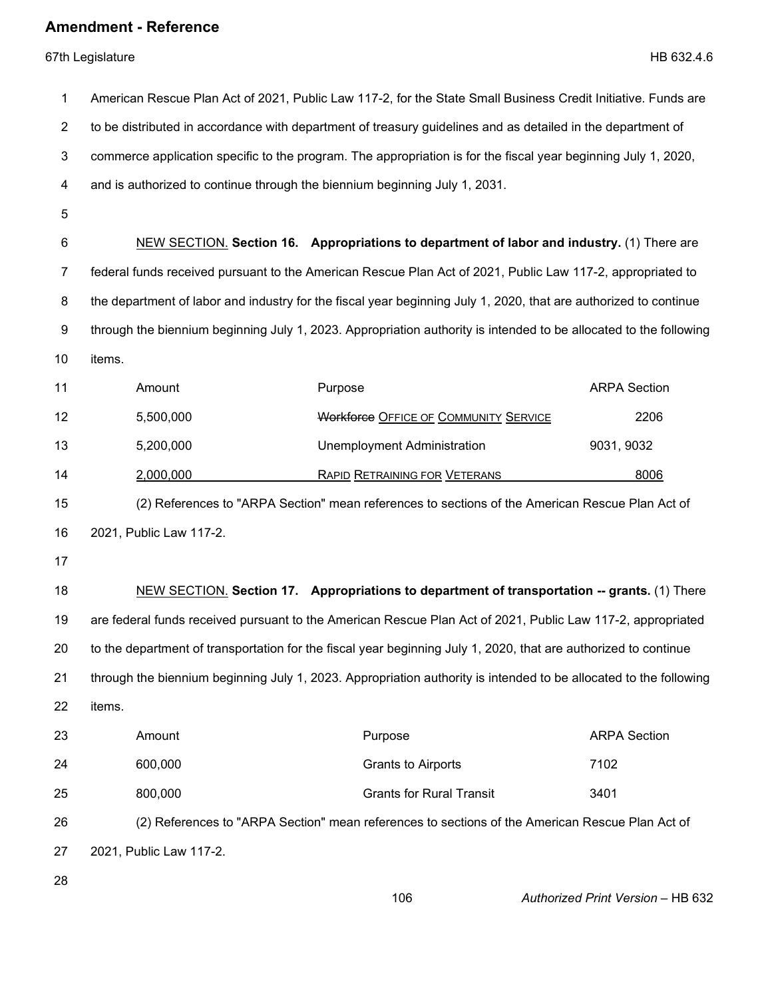| 1              | American Rescue Plan Act of 2021, Public Law 117-2, for the State Small Business Credit Initiative. Funds are  |                                                                                                                   |                                   |
|----------------|----------------------------------------------------------------------------------------------------------------|-------------------------------------------------------------------------------------------------------------------|-----------------------------------|
| $\overline{2}$ | to be distributed in accordance with department of treasury guidelines and as detailed in the department of    |                                                                                                                   |                                   |
| 3              | commerce application specific to the program. The appropriation is for the fiscal year beginning July 1, 2020, |                                                                                                                   |                                   |
| 4              |                                                                                                                | and is authorized to continue through the biennium beginning July 1, 2031.                                        |                                   |
| 5              |                                                                                                                |                                                                                                                   |                                   |
| 6              |                                                                                                                | NEW SECTION, Section 16. Appropriations to department of labor and industry. (1) There are                        |                                   |
| 7              |                                                                                                                | federal funds received pursuant to the American Rescue Plan Act of 2021, Public Law 117-2, appropriated to        |                                   |
| 8              |                                                                                                                | the department of labor and industry for the fiscal year beginning July 1, 2020, that are authorized to continue  |                                   |
| 9              |                                                                                                                | through the biennium beginning July 1, 2023. Appropriation authority is intended to be allocated to the following |                                   |
| 10             | items.                                                                                                         |                                                                                                                   |                                   |
| 11             | Amount                                                                                                         | Purpose                                                                                                           | <b>ARPA Section</b>               |
| 12             | 5,500,000                                                                                                      | <b>Workforce OFFICE OF COMMUNITY SERVICE</b>                                                                      | 2206                              |
| 13             | 5,200,000                                                                                                      | <b>Unemployment Administration</b>                                                                                | 9031, 9032                        |
| 14             | 2,000,000                                                                                                      | <b>RAPID RETRAINING FOR VETERANS</b>                                                                              | 8006                              |
| 15             |                                                                                                                | (2) References to "ARPA Section" mean references to sections of the American Rescue Plan Act of                   |                                   |
| 16             | 2021, Public Law 117-2.                                                                                        |                                                                                                                   |                                   |
| 17             |                                                                                                                |                                                                                                                   |                                   |
| 18             |                                                                                                                | <b>NEW SECTION.</b> Section 17. Appropriations to department of transportation -- grants. (1) There               |                                   |
| 19             | are federal funds received pursuant to the American Rescue Plan Act of 2021, Public Law 117-2, appropriated    |                                                                                                                   |                                   |
| 20             |                                                                                                                | to the department of transportation for the fiscal year beginning July 1, 2020, that are authorized to continue   |                                   |
| 21             |                                                                                                                | through the biennium beginning July 1, 2023. Appropriation authority is intended to be allocated to the following |                                   |
| 22             | items.                                                                                                         |                                                                                                                   |                                   |
| 23             | Amount                                                                                                         | Purpose                                                                                                           | <b>ARPA Section</b>               |
| 24             | 600,000                                                                                                        | <b>Grants to Airports</b>                                                                                         | 7102                              |
| 25             | 800,000                                                                                                        | <b>Grants for Rural Transit</b>                                                                                   | 3401                              |
| 26             | (2) References to "ARPA Section" mean references to sections of the American Rescue Plan Act of                |                                                                                                                   |                                   |
| 27             | 2021, Public Law 117-2.                                                                                        |                                                                                                                   |                                   |
| 28             |                                                                                                                | 106                                                                                                               | Authorized Print Version - HB 632 |
|                |                                                                                                                |                                                                                                                   |                                   |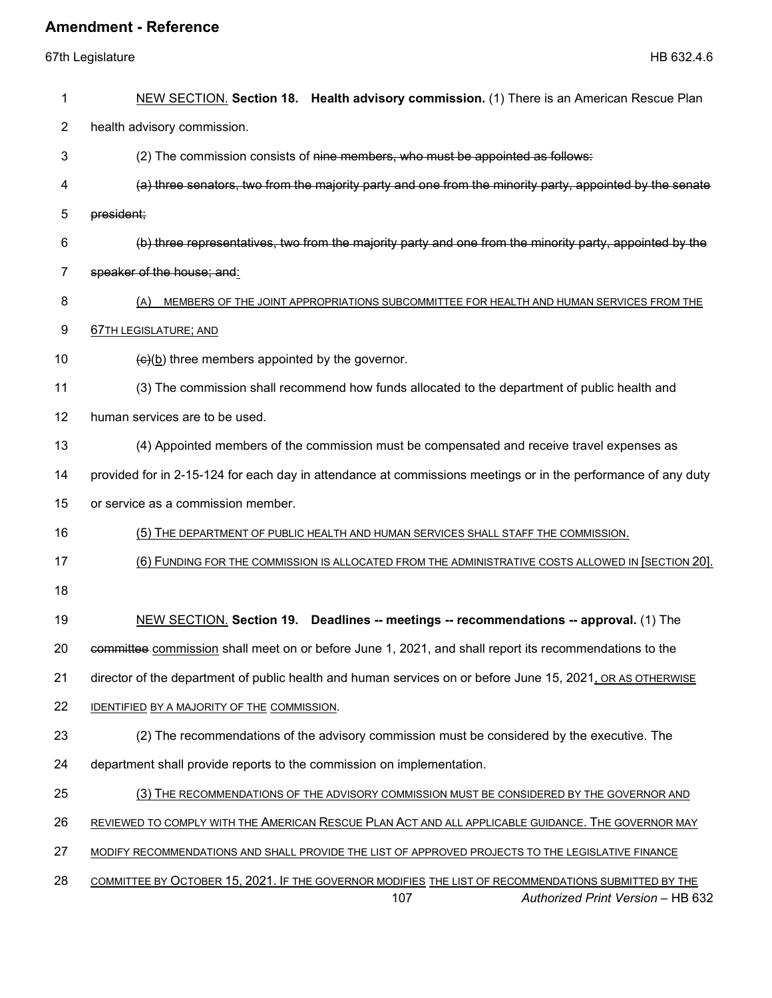| 1  | NEW SECTION. Section 18. Health advisory commission. (1) There is an American Rescue Plan                                                        |  |  |  |
|----|--------------------------------------------------------------------------------------------------------------------------------------------------|--|--|--|
| 2  | health advisory commission.                                                                                                                      |  |  |  |
| 3  | (2) The commission consists of nine members, who must be appointed as follows:                                                                   |  |  |  |
| 4  | (a) three senators, two from the majority party and one from the minority party, appointed by the senate                                         |  |  |  |
| 5  | president;                                                                                                                                       |  |  |  |
| 6  | (b) three representatives, two from the majority party and one from the minority party, appointed by the                                         |  |  |  |
| 7  | speaker of the house; and:                                                                                                                       |  |  |  |
| 8  | (A)<br>MEMBERS OF THE JOINT APPROPRIATIONS SUBCOMMITTEE FOR HEALTH AND HUMAN SERVICES FROM THE                                                   |  |  |  |
| 9  | <b>67TH LEGISLATURE; AND</b>                                                                                                                     |  |  |  |
| 10 | $\left(\frac{c}{b}\right)$ three members appointed by the governor.                                                                              |  |  |  |
| 11 | (3) The commission shall recommend how funds allocated to the department of public health and                                                    |  |  |  |
| 12 | human services are to be used.                                                                                                                   |  |  |  |
| 13 | (4) Appointed members of the commission must be compensated and receive travel expenses as                                                       |  |  |  |
| 14 | provided for in 2-15-124 for each day in attendance at commissions meetings or in the performance of any duty                                    |  |  |  |
| 15 | or service as a commission member.                                                                                                               |  |  |  |
| 16 | (5) THE DEPARTMENT OF PUBLIC HEALTH AND HUMAN SERVICES SHALL STAFF THE COMMISSION.                                                               |  |  |  |
| 17 | (6) FUNDING FOR THE COMMISSION IS ALLOCATED FROM THE ADMINISTRATIVE COSTS ALLOWED IN [SECTION 20].                                               |  |  |  |
| 18 |                                                                                                                                                  |  |  |  |
| 19 | NEW SECTION. Section 19. Deadlines -- meetings -- recommendations -- approval. (1) The                                                           |  |  |  |
| 20 | committee commission shall meet on or before June 1, 2021, and shall report its recommendations to the                                           |  |  |  |
| 21 | director of the department of public health and human services on or before June 15, 2021, OR AS OTHERWISE                                       |  |  |  |
| 22 | IDENTIFIED BY A MAJORITY OF THE COMMISSION.                                                                                                      |  |  |  |
| 23 | (2) The recommendations of the advisory commission must be considered by the executive. The                                                      |  |  |  |
| 24 | department shall provide reports to the commission on implementation.                                                                            |  |  |  |
| 25 | (3) THE RECOMMENDATIONS OF THE ADVISORY COMMISSION MUST BE CONSIDERED BY THE GOVERNOR AND                                                        |  |  |  |
| 26 | REVIEWED TO COMPLY WITH THE AMERICAN RESCUE PLAN ACT AND ALL APPLICABLE GUIDANCE. THE GOVERNOR MAY                                               |  |  |  |
| 27 | MODIFY RECOMMENDATIONS AND SHALL PROVIDE THE LIST OF APPROVED PROJECTS TO THE LEGISLATIVE FINANCE                                                |  |  |  |
| 28 | COMMITTEE BY OCTOBER 15, 2021. IF THE GOVERNOR MODIFIES THE LIST OF RECOMMENDATIONS SUBMITTED BY THE<br>Authorized Print Version - HB 632<br>107 |  |  |  |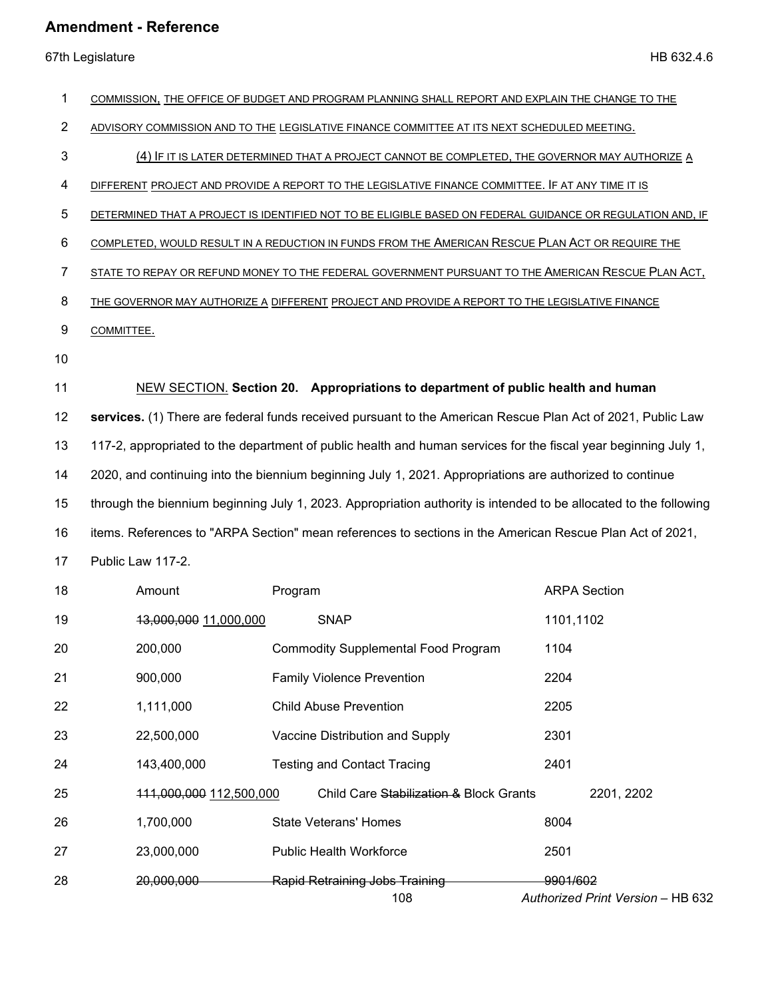| 1              | COMMISSION, THE OFFICE OF BUDGET AND PROGRAM PLANNING SHALL REPORT AND EXPLAIN THE CHANGE TO THE                  |                                                                                  |                                               |  |
|----------------|-------------------------------------------------------------------------------------------------------------------|----------------------------------------------------------------------------------|-----------------------------------------------|--|
| $\overline{2}$ | ADVISORY COMMISSION AND TO THE LEGISLATIVE FINANCE COMMITTEE AT ITS NEXT SCHEDULED MEETING.                       |                                                                                  |                                               |  |
| 3              | (4) IF IT IS LATER DETERMINED THAT A PROJECT CANNOT BE COMPLETED, THE GOVERNOR MAY AUTHORIZE A                    |                                                                                  |                                               |  |
| 4              | DIFFERENT PROJECT AND PROVIDE A REPORT TO THE LEGISLATIVE FINANCE COMMITTEE. IF AT ANY TIME IT IS                 |                                                                                  |                                               |  |
| 5              | DETERMINED THAT A PROJECT IS IDENTIFIED NOT TO BE ELIGIBLE BASED ON FEDERAL GUIDANCE OR REGULATION AND, IF        |                                                                                  |                                               |  |
| 6              | COMPLETED, WOULD RESULT IN A REDUCTION IN FUNDS FROM THE AMERICAN RESCUE PLAN ACT OR REQUIRE THE                  |                                                                                  |                                               |  |
| $\overline{7}$ | STATE TO REPAY OR REFUND MONEY TO THE FEDERAL GOVERNMENT PURSUANT TO THE AMERICAN RESCUE PLAN ACT,                |                                                                                  |                                               |  |
| 8              | THE GOVERNOR MAY AUTHORIZE A DIFFERENT PROJECT AND PROVIDE A REPORT TO THE LEGISLATIVE FINANCE                    |                                                                                  |                                               |  |
| 9              | COMMITTEE.                                                                                                        |                                                                                  |                                               |  |
| 10             |                                                                                                                   |                                                                                  |                                               |  |
| 11             |                                                                                                                   | NEW SECTION. Section 20. Appropriations to department of public health and human |                                               |  |
| 12             | services. (1) There are federal funds received pursuant to the American Rescue Plan Act of 2021, Public Law       |                                                                                  |                                               |  |
| 13             | 117-2, appropriated to the department of public health and human services for the fiscal year beginning July 1,   |                                                                                  |                                               |  |
| 14             | 2020, and continuing into the biennium beginning July 1, 2021. Appropriations are authorized to continue          |                                                                                  |                                               |  |
| 15             | through the biennium beginning July 1, 2023. Appropriation authority is intended to be allocated to the following |                                                                                  |                                               |  |
| 16             | items. References to "ARPA Section" mean references to sections in the American Rescue Plan Act of 2021,          |                                                                                  |                                               |  |
| 17             | Public Law 117-2.                                                                                                 |                                                                                  |                                               |  |
| 18             | Amount                                                                                                            | Program                                                                          | <b>ARPA Section</b>                           |  |
| 19             | 13,000,000 11,000,000                                                                                             | <b>SNAP</b>                                                                      | 1101,1102                                     |  |
| 20             | 200,000                                                                                                           | <b>Commodity Supplemental Food Program</b>                                       | 1104                                          |  |
| 21             | 900,000                                                                                                           | <b>Family Violence Prevention</b>                                                | 2204                                          |  |
| 22             | 1,111,000                                                                                                         | <b>Child Abuse Prevention</b>                                                    | 2205                                          |  |
| 23             | 22,500,000                                                                                                        | Vaccine Distribution and Supply                                                  | 2301                                          |  |
| 24             | 143,400,000                                                                                                       | <b>Testing and Contact Tracing</b>                                               | 2401                                          |  |
| 25             | 111,000,000 112,500,000                                                                                           | Child Care Stabilization & Block Grants                                          | 2201, 2202                                    |  |
| 26             | 1,700,000                                                                                                         | <b>State Veterans' Homes</b>                                                     | 8004                                          |  |
| 27             | 23,000,000                                                                                                        | <b>Public Health Workforce</b>                                                   | 2501                                          |  |
| 28             | 20,000,000                                                                                                        | <b>Rapid Retraining Jobs Training</b><br>108                                     | 9901/602<br>Authorized Print Version - HB 632 |  |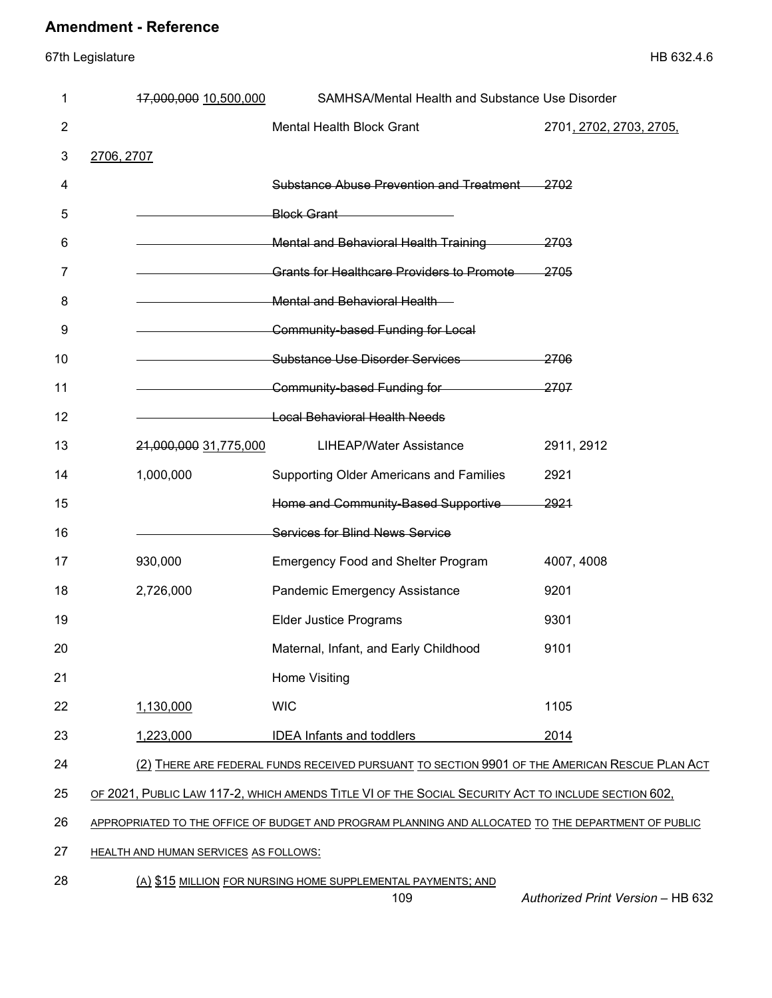67th Legislature HB 632.4.6

| 1              | 17,000,000 10,500,000                        | SAMHSA/Mental Health and Substance Use Disorder                                                     |                         |
|----------------|----------------------------------------------|-----------------------------------------------------------------------------------------------------|-------------------------|
| $\overline{2}$ |                                              | Mental Health Block Grant                                                                           | 2701, 2702, 2703, 2705, |
| 3              | 2706, 2707                                   |                                                                                                     |                         |
| 4              |                                              | Substance Abuse Prevention and Treatment                                                            | -2702                   |
| 5              |                                              | Block Grant                                                                                         |                         |
| 6              |                                              | Mental and Behavioral Health Training 2703                                                          |                         |
| 7              |                                              | <b>Grants for Healthcare Providers to Promote</b>                                                   | 2705                    |
| 8              |                                              | <b>Mental and Behavioral Health</b>                                                                 |                         |
| 9              |                                              | Community-based Funding for Local                                                                   |                         |
| 10             |                                              | Substance Use Disorder Services                                                                     | 2706                    |
| 11             |                                              | Community-based Funding for                                                                         | 2707                    |
| 12             |                                              | <b>Example 2014</b> Local Behavioral Health Needs                                                   |                         |
| 13             | 21,000,000 31,775,000                        | <b>LIHEAP/Water Assistance</b>                                                                      | 2911, 2912              |
| 14             | 1,000,000                                    | Supporting Older Americans and Families                                                             | 2921                    |
| 15             |                                              | Home and Community-Based Supportive                                                                 | <del>2921</del>         |
| 16             |                                              | <b>Services for Blind News Service</b>                                                              |                         |
| 17             | 930,000                                      | <b>Emergency Food and Shelter Program</b>                                                           | 4007, 4008              |
| 18             | 2,726,000                                    | Pandemic Emergency Assistance                                                                       | 9201                    |
| 19             |                                              | <b>Elder Justice Programs</b>                                                                       | 9301                    |
| 20             |                                              | Maternal, Infant, and Early Childhood                                                               | 9101                    |
| 21             |                                              | <b>Home Visiting</b>                                                                                |                         |
| 22             | 1,130,000                                    | <b>WIC</b>                                                                                          | 1105                    |
| 23             | 1,223,000                                    | <b>IDEA Infants and toddlers</b>                                                                    | 2014                    |
| 24             |                                              | (2) THERE ARE FEDERAL FUNDS RECEIVED PURSUANT TO SECTION 9901 OF THE AMERICAN RESCUE PLAN ACT       |                         |
| 25             |                                              | OF 2021, PUBLIC LAW 117-2, WHICH AMENDS TITLE VI OF THE SOCIAL SECURITY ACT TO INCLUDE SECTION 602, |                         |
| 26             |                                              | APPROPRIATED TO THE OFFICE OF BUDGET AND PROGRAM PLANNING AND ALLOCATED TO THE DEPARTMENT OF PUBLIC |                         |
| 27             | <b>HEALTH AND HUMAN SERVICES AS FOLLOWS:</b> |                                                                                                     |                         |

#### 28 (A) \$15 MILLION FOR NURSING HOME SUPPLEMENTAL PAYMENTS; AND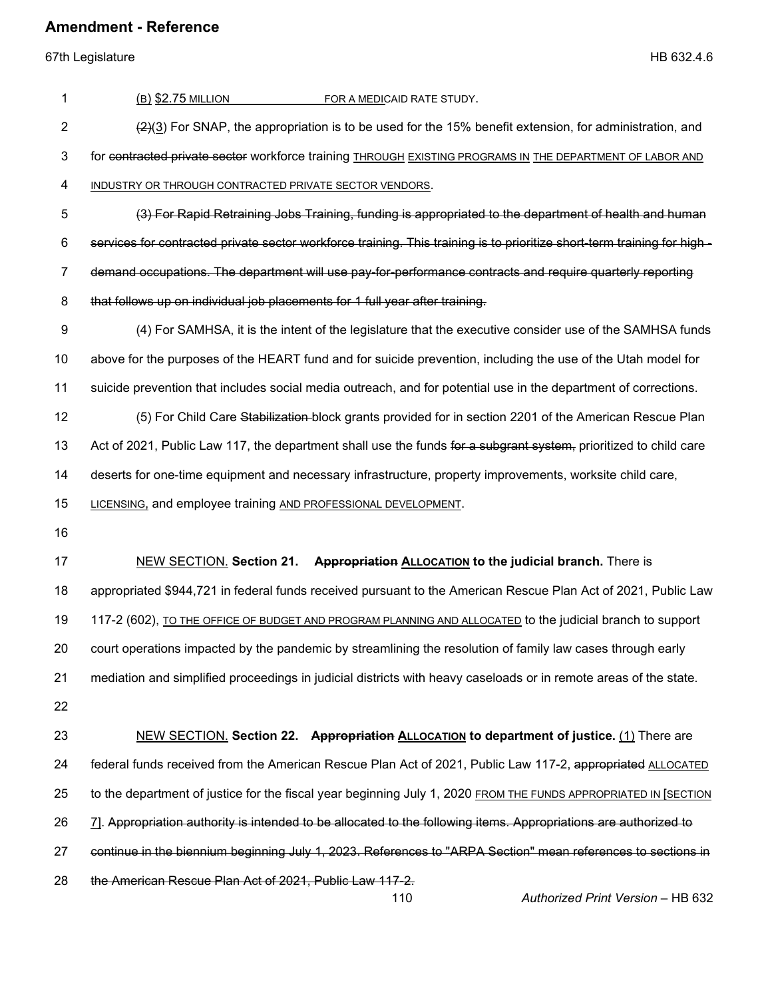| 1              | (B) \$2.75 MILLION<br>FOR A MEDICAID RATE STUDY.                                                                            |
|----------------|-----------------------------------------------------------------------------------------------------------------------------|
| $\overline{2}$ | $\left(\frac{2}{2}\right)$ For SNAP, the appropriation is to be used for the 15% benefit extension, for administration, and |
| 3              | for contracted private sector workforce training THROUGH EXISTING PROGRAMS IN THE DEPARTMENT OF LABOR AND                   |
| 4              | INDUSTRY OR THROUGH CONTRACTED PRIVATE SECTOR VENDORS.                                                                      |
| 5              | (3) For Rapid Retraining Jobs Training, funding is appropriated to the department of health and human                       |
| 6              | services for contracted private sector workforce training. This training is to prioritize short-term training for high-     |
| 7              | demand occupations. The department will use pay-for-performance contracts and require quarterly reporting                   |
| 8              | that follows up on individual job placements for 1 full year after training.                                                |
| 9              | (4) For SAMHSA, it is the intent of the legislature that the executive consider use of the SAMHSA funds                     |
| 10             | above for the purposes of the HEART fund and for suicide prevention, including the use of the Utah model for                |
| 11             | suicide prevention that includes social media outreach, and for potential use in the department of corrections.             |
| 12             | (5) For Child Care Stabilization-block grants provided for in section 2201 of the American Rescue Plan                      |
| 13             | Act of 2021, Public Law 117, the department shall use the funds for a subgrant system, prioritized to child care            |
| 14             | deserts for one-time equipment and necessary infrastructure, property improvements, worksite child care,                    |
| 15             | LICENSING, and employee training AND PROFESSIONAL DEVELOPMENT.                                                              |
| 16             |                                                                                                                             |
| 17             | NEW SECTION. Section 21. Appropriation ALLOCATION to the judicial branch. There is                                          |
| 18             | appropriated \$944,721 in federal funds received pursuant to the American Rescue Plan Act of 2021, Public Law               |
| 19             | 117-2 (602), TO THE OFFICE OF BUDGET AND PROGRAM PLANNING AND ALLOCATED to the judicial branch to support                   |
| 20             | court operations impacted by the pandemic by streamlining the resolution of family law cases through early                  |
| 21             | mediation and simplified proceedings in judicial districts with heavy caseloads or in remote areas of the state.            |
| 22             |                                                                                                                             |
| 23             | NEW SECTION. Section 22. Appropriation ALLOCATION to department of justice. (1) There are                                   |
| 24             | federal funds received from the American Rescue Plan Act of 2021, Public Law 117-2, appropriated ALLOCATED                  |
| 25             | to the department of justice for the fiscal year beginning July 1, 2020 FROM THE FUNDS APPROPRIATED IN [SECTION             |
| 26             | 7]. Appropriation authority is intended to be allocated to the following items. Appropriations are authorized to            |
| 27             | continue in the biennium beginning July 1, 2023. References to "ARPA Section" mean references to sections in                |
| 28             | the American Rescue Plan Act of 2021, Public Law 117-2.<br>110<br>Authorized Print Version - HB 632                         |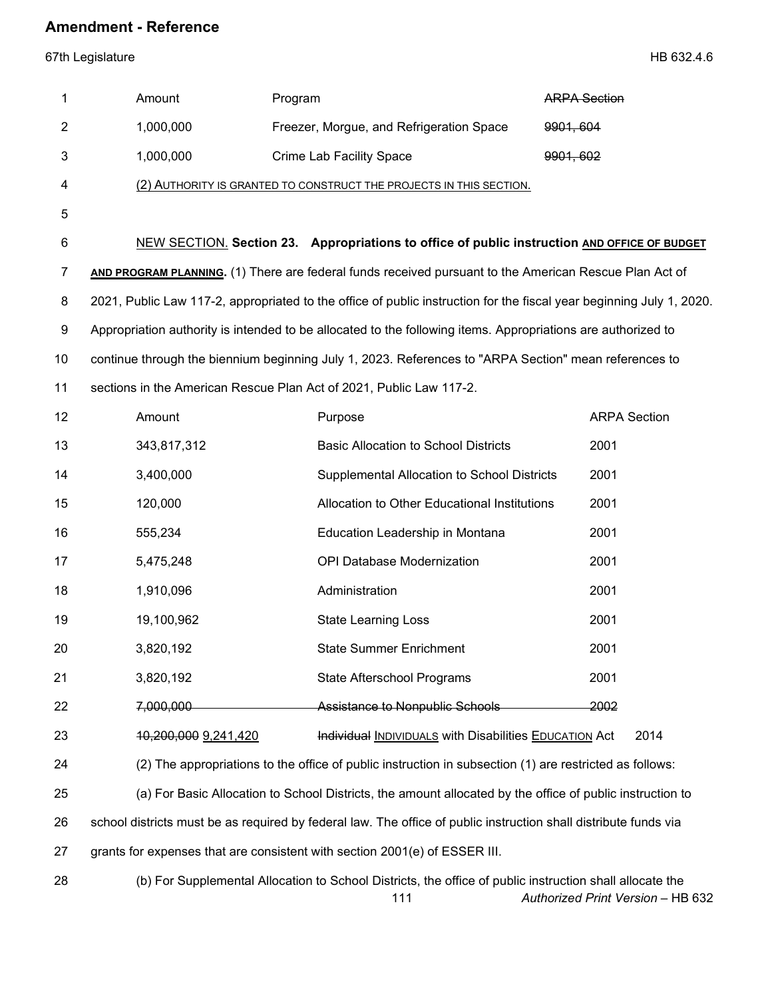67th Legislature HB 632.4.6

| 1              | Amount               | Program                                                                                                              | <b>ARPA Section</b> |
|----------------|----------------------|----------------------------------------------------------------------------------------------------------------------|---------------------|
| $\overline{2}$ | 1,000,000            | Freezer, Morgue, and Refrigeration Space                                                                             | 9901, 604           |
| 3              | 1,000,000            | <b>Crime Lab Facility Space</b>                                                                                      | 9901, 602           |
| 4              |                      | (2) AUTHORITY IS GRANTED TO CONSTRUCT THE PROJECTS IN THIS SECTION.                                                  |                     |
| 5              |                      |                                                                                                                      |                     |
| 6              |                      | NEW SECTION. Section 23. Appropriations to office of public instruction AND OFFICE OF BUDGET                         |                     |
| 7              |                      | AND PROGRAM PLANNING. (1) There are federal funds received pursuant to the American Rescue Plan Act of               |                     |
| 8              |                      | 2021, Public Law 117-2, appropriated to the office of public instruction for the fiscal year beginning July 1, 2020. |                     |
| 9              |                      | Appropriation authority is intended to be allocated to the following items. Appropriations are authorized to         |                     |
| 10             |                      | continue through the biennium beginning July 1, 2023. References to "ARPA Section" mean references to                |                     |
| 11             |                      | sections in the American Rescue Plan Act of 2021, Public Law 117-2.                                                  |                     |
| 12             | Amount               | Purpose                                                                                                              | <b>ARPA Section</b> |
| 13             | 343,817,312          | <b>Basic Allocation to School Districts</b>                                                                          | 2001                |
| 14             | 3,400,000            | Supplemental Allocation to School Districts                                                                          | 2001                |
| 15             | 120,000              | Allocation to Other Educational Institutions                                                                         | 2001                |
| 16             | 555,234              | Education Leadership in Montana                                                                                      | 2001                |
| 17             | 5,475,248            | OPI Database Modernization                                                                                           | 2001                |
| 18             | 1,910,096            | Administration                                                                                                       | 2001                |
| 19             | 19,100,962           | <b>State Learning Loss</b>                                                                                           | 2001                |
| 20             | 3,820,192            | <b>State Summer Enrichment</b>                                                                                       | 2001                |
| 21             | 3,820,192            | State Afterschool Programs                                                                                           | 2001                |
| 22             | 7,000,000            | <b>Assistance to Nonpublic Schools</b>                                                                               | 2002                |
| 23             | 10,200,000 9,241,420 | Individual INDIVIDUALS with Disabilities EDUCATION Act                                                               | 2014                |
| 24             |                      | (2) The appropriations to the office of public instruction in subsection (1) are restricted as follows:              |                     |
| 25             |                      | (a) For Basic Allocation to School Districts, the amount allocated by the office of public instruction to            |                     |
| 26             |                      | school districts must be as required by federal law. The office of public instruction shall distribute funds via     |                     |
| 27             |                      | grants for expenses that are consistent with section 2001(e) of ESSER III.                                           |                     |
| 28             |                      | (b) For Supplemental Allocation to School Districts, the office of public instruction shall allocate the             |                     |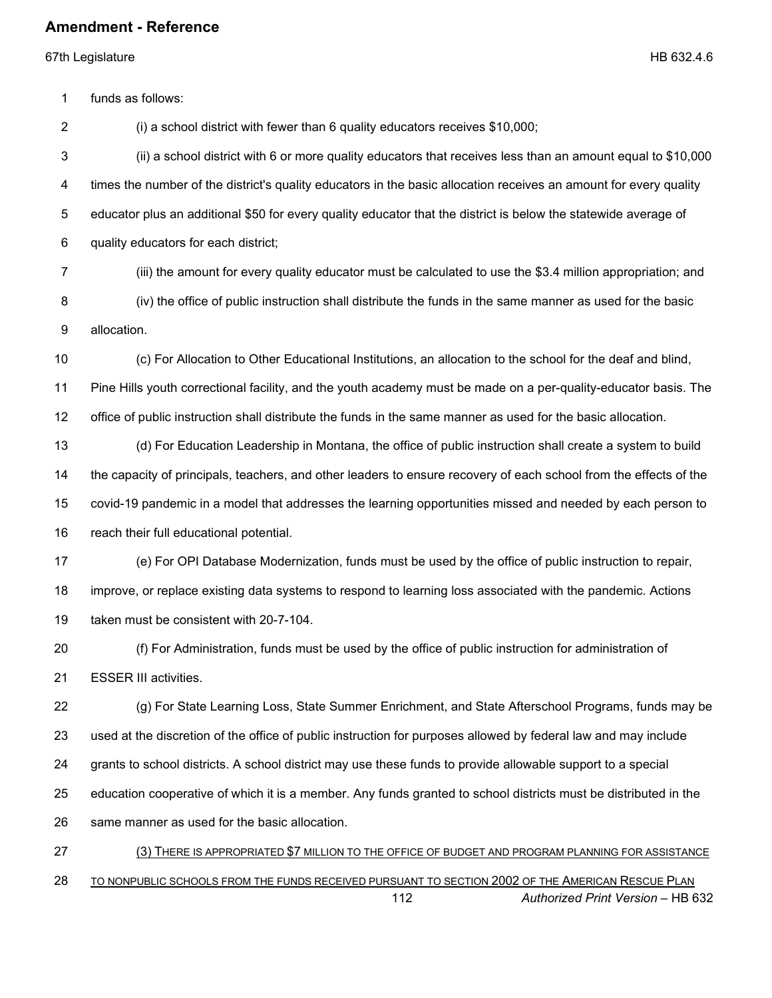67th Legislature HB 632.4.6

1 funds as follows:

2 (i) a school district with fewer than 6 quality educators receives \$10,000;

3 (ii) a school district with 6 or more quality educators that receives less than an amount equal to \$10,000 4 times the number of the district's quality educators in the basic allocation receives an amount for every quality 5 educator plus an additional \$50 for every quality educator that the district is below the statewide average of 6 quality educators for each district;

7 (iii) the amount for every quality educator must be calculated to use the \$3.4 million appropriation; and

8 (iv) the office of public instruction shall distribute the funds in the same manner as used for the basic

9 allocation.

(c) For Allocation to Other Educational Institutions, an allocation to the school for the deaf and blind,

Pine Hills youth correctional facility, and the youth academy must be made on a per-quality-educator basis. The

office of public instruction shall distribute the funds in the same manner as used for the basic allocation.

 (d) For Education Leadership in Montana, the office of public instruction shall create a system to build the capacity of principals, teachers, and other leaders to ensure recovery of each school from the effects of the covid-19 pandemic in a model that addresses the learning opportunities missed and needed by each person to reach their full educational potential.

(e) For OPI Database Modernization, funds must be used by the office of public instruction to repair,

 improve, or replace existing data systems to respond to learning loss associated with the pandemic. Actions taken must be consistent with 20-7-104.

 (f) For Administration, funds must be used by the office of public instruction for administration of ESSER III activities.

 (g) For State Learning Loss, State Summer Enrichment, and State Afterschool Programs, funds may be used at the discretion of the office of public instruction for purposes allowed by federal law and may include grants to school districts. A school district may use these funds to provide allowable support to a special education cooperative of which it is a member. Any funds granted to school districts must be distributed in the same manner as used for the basic allocation.

 *Authorized Print Version* – HB 632 (3) THERE IS APPROPRIATED \$7 MILLION TO THE OFFICE OF BUDGET AND PROGRAM PLANNING FOR ASSISTANCE 28 TO NONPUBLIC SCHOOLS FROM THE FUNDS RECEIVED PURSUANT TO SECTION 2002 OF THE AMERICAN RESCUE PLAN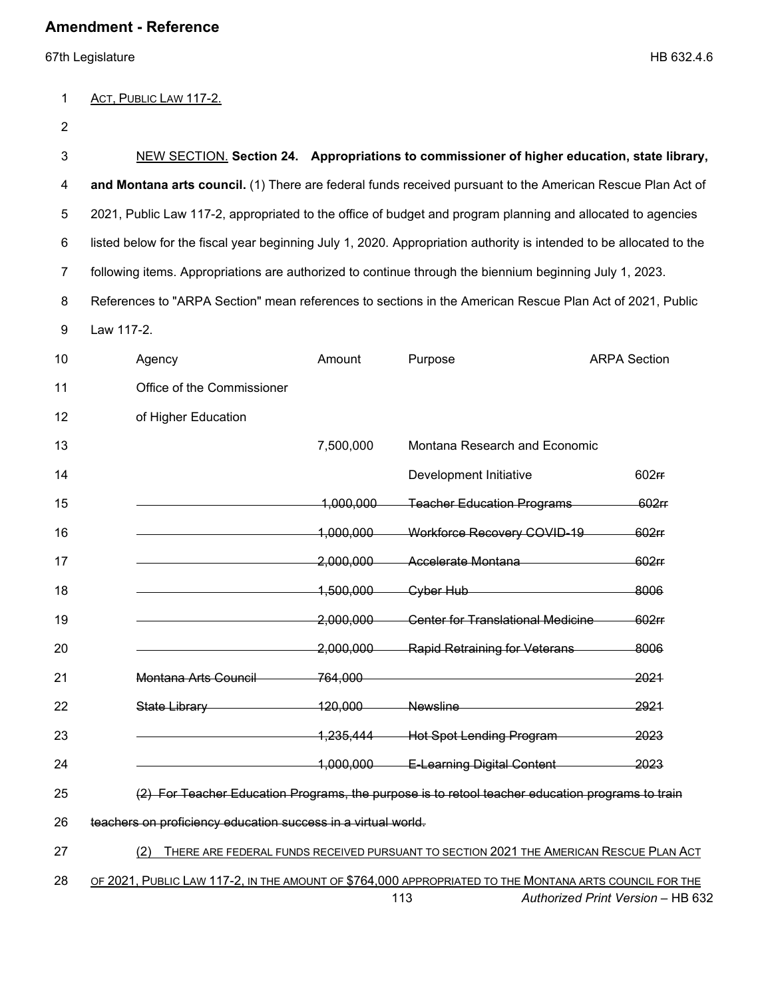67th Legislature HB 632.4.6

#### 1 ACT, PUBLIC LAW 117-2.

| 3  |                                                                                                                     |                    | NEW SECTION, Section 24. Appropriations to commissioner of higher education, state library,      |                                   |
|----|---------------------------------------------------------------------------------------------------------------------|--------------------|--------------------------------------------------------------------------------------------------|-----------------------------------|
| 4  | and Montana arts council. (1) There are federal funds received pursuant to the American Rescue Plan Act of          |                    |                                                                                                  |                                   |
| 5  | 2021, Public Law 117-2, appropriated to the office of budget and program planning and allocated to agencies         |                    |                                                                                                  |                                   |
| 6  | listed below for the fiscal year beginning July 1, 2020. Appropriation authority is intended to be allocated to the |                    |                                                                                                  |                                   |
| 7  | following items. Appropriations are authorized to continue through the biennium beginning July 1, 2023.             |                    |                                                                                                  |                                   |
| 8  | References to "ARPA Section" mean references to sections in the American Rescue Plan Act of 2021, Public            |                    |                                                                                                  |                                   |
| 9  | Law 117-2.                                                                                                          |                    |                                                                                                  |                                   |
| 10 | Agency                                                                                                              | Amount             | Purpose                                                                                          | <b>ARPA Section</b>               |
| 11 | Office of the Commissioner                                                                                          |                    |                                                                                                  |                                   |
| 12 | of Higher Education                                                                                                 |                    |                                                                                                  |                                   |
| 13 |                                                                                                                     | 7,500,000          | Montana Research and Economic                                                                    |                                   |
| 14 |                                                                                                                     |                    | Development Initiative                                                                           | 602 <sub>ff</sub>                 |
| 15 |                                                                                                                     | 1,000,000          | <b>Teacher Education Programs</b>                                                                | 602rr                             |
| 16 |                                                                                                                     | 1,000,000          | Workforce Recovery COVID-19                                                                      | $602$ ff                          |
| 17 |                                                                                                                     | 2,000,000          | Accelerate Montana                                                                               | 602rr                             |
| 18 |                                                                                                                     | 1,500,000          | Cyber Hub                                                                                        | 8006                              |
| 19 |                                                                                                                     | 2,000,000          | <b>Center for Translational Medicine</b>                                                         | $602$ ff                          |
| 20 |                                                                                                                     | 2.000.000          | <b>Rapid Retraining for Veterans</b>                                                             | 8006                              |
| 21 | Montana Arts Council                                                                                                | <del>764.000</del> |                                                                                                  | <del>2021</del>                   |
| 22 | State Library                                                                                                       | 120,000            | <b>Newsline</b>                                                                                  | 2921                              |
| 23 |                                                                                                                     | 1,235,444          | <b>Hot Spot Lending Program</b>                                                                  | 2023                              |
| 24 |                                                                                                                     |                    | 1,000,000 E-Learning Digital Content                                                             | 2023                              |
| 25 |                                                                                                                     |                    | (2) For Teacher Education Programs, the purpose is to retool teacher education programs to train |                                   |
| 26 | teachers on proficiency education success in a virtual world.                                                       |                    |                                                                                                  |                                   |
| 27 | (2)                                                                                                                 |                    | THERE ARE FEDERAL FUNDS RECEIVED PURSUANT TO SECTION 2021 THE AMERICAN RESCUE PLAN ACT           |                                   |
| 28 | OF 2021, PUBLIC LAW 117-2, IN THE AMOUNT OF \$764,000 APPROPRIATED TO THE MONTANA ARTS COUNCIL FOR THE              |                    |                                                                                                  |                                   |
|    |                                                                                                                     |                    | 113                                                                                              | Authorized Print Version - HB 632 |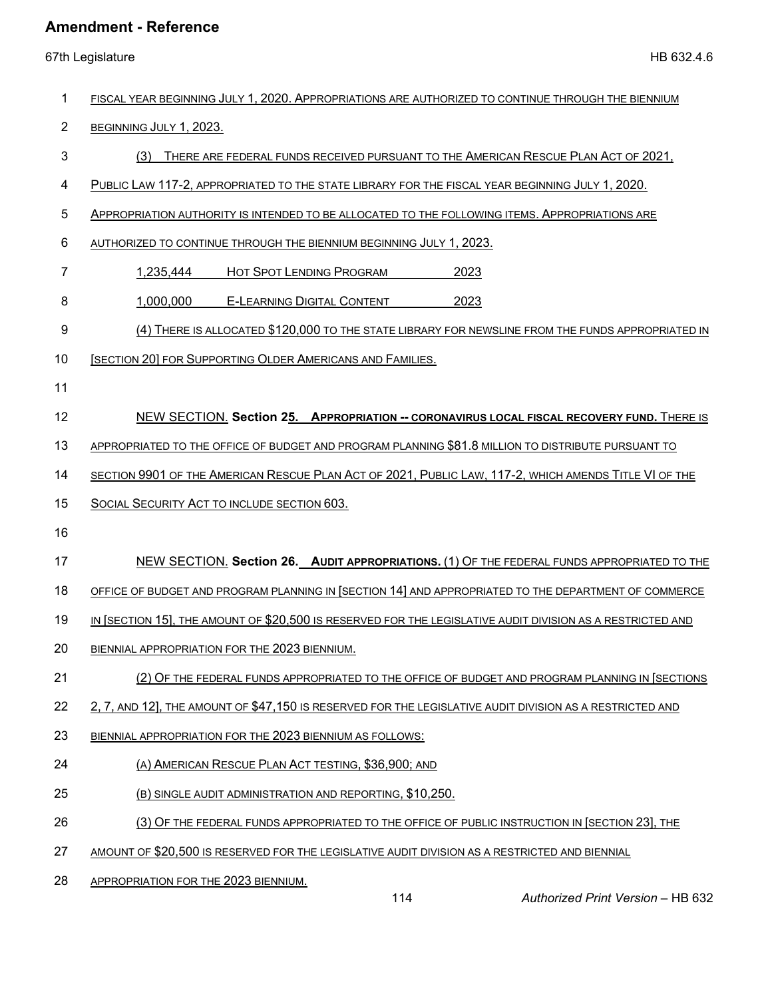| 1  | FISCAL YEAR BEGINNING JULY 1, 2020. APPROPRIATIONS ARE AUTHORIZED TO CONTINUE THROUGH THE BIENNIUM         |
|----|------------------------------------------------------------------------------------------------------------|
| 2  | BEGINNING JULY 1, 2023.                                                                                    |
| 3  | THERE ARE FEDERAL FUNDS RECEIVED PURSUANT TO THE AMERICAN RESCUE PLAN ACT OF 2021,<br>(3)                  |
| 4  | PUBLIC LAW 117-2, APPROPRIATED TO THE STATE LIBRARY FOR THE FISCAL YEAR BEGINNING JULY 1, 2020.            |
| 5  | APPROPRIATION AUTHORITY IS INTENDED TO BE ALLOCATED TO THE FOLLOWING ITEMS. APPROPRIATIONS ARE             |
| 6  | AUTHORIZED TO CONTINUE THROUGH THE BIENNIUM BEGINNING JULY 1, 2023.                                        |
| 7  | HOT SPOT LENDING PROGRAM<br>1,235,444<br>2023                                                              |
| 8  | <b>E-LEARNING DIGITAL CONTENT</b><br>1,000,000<br>2023                                                     |
| 9  | (4) THERE IS ALLOCATED \$120,000 TO THE STATE LIBRARY FOR NEWSLINE FROM THE FUNDS APPROPRIATED IN          |
| 10 | [SECTION 20] FOR SUPPORTING OLDER AMERICANS AND FAMILIES.                                                  |
| 11 |                                                                                                            |
| 12 | NEW SECTION. Section 25. APPROPRIATION -- CORONAVIRUS LOCAL FISCAL RECOVERY FUND. THERE IS                 |
| 13 | APPROPRIATED TO THE OFFICE OF BUDGET AND PROGRAM PLANNING \$81.8 MILLION TO DISTRIBUTE PURSUANT TO         |
| 14 | SECTION 9901 OF THE AMERICAN RESCUE PLAN ACT OF 2021, PUBLIC LAW, 117-2, WHICH AMENDS TITLE VI OF THE      |
| 15 | SOCIAL SECURITY ACT TO INCLUDE SECTION 603.                                                                |
| 16 |                                                                                                            |
| 17 | NEW SECTION. Section 26. AUDIT APPROPRIATIONS. (1) OF THE FEDERAL FUNDS APPROPRIATED TO THE                |
| 18 | OFFICE OF BUDGET AND PROGRAM PLANNING IN [SECTION 14] AND APPROPRIATED TO THE DEPARTMENT OF COMMERCE       |
| 19 | IN [SECTION 15], THE AMOUNT OF \$20,500 IS RESERVED FOR THE LEGISLATIVE AUDIT DIVISION AS A RESTRICTED AND |
| 20 | BIENNIAL APPROPRIATION FOR THE 2023 BIENNIUM.                                                              |
| 21 | (2) OF THE FEDERAL FUNDS APPROPRIATED TO THE OFFICE OF BUDGET AND PROGRAM PLANNING IN [SECTIONS            |
| 22 | 2, 7, AND 12], THE AMOUNT OF \$47,150 IS RESERVED FOR THE LEGISLATIVE AUDIT DIVISION AS A RESTRICTED AND   |
| 23 | BIENNIAL APPROPRIATION FOR THE 2023 BIENNIUM AS FOLLOWS:                                                   |
| 24 | (A) AMERICAN RESCUE PLAN ACT TESTING, \$36,900; AND                                                        |
| 25 | (B) SINGLE AUDIT ADMINISTRATION AND REPORTING, \$10,250.                                                   |
| 26 | (3) OF THE FEDERAL FUNDS APPROPRIATED TO THE OFFICE OF PUBLIC INSTRUCTION IN [SECTION 23], THE             |
| 27 | AMOUNT OF \$20,500 IS RESERVED FOR THE LEGISLATIVE AUDIT DIVISION AS A RESTRICTED AND BIENNIAL             |
| 28 | APPROPRIATION FOR THE 2023 BIENNIUM.<br>114<br>Authorized Print Version - HB 632                           |
|    |                                                                                                            |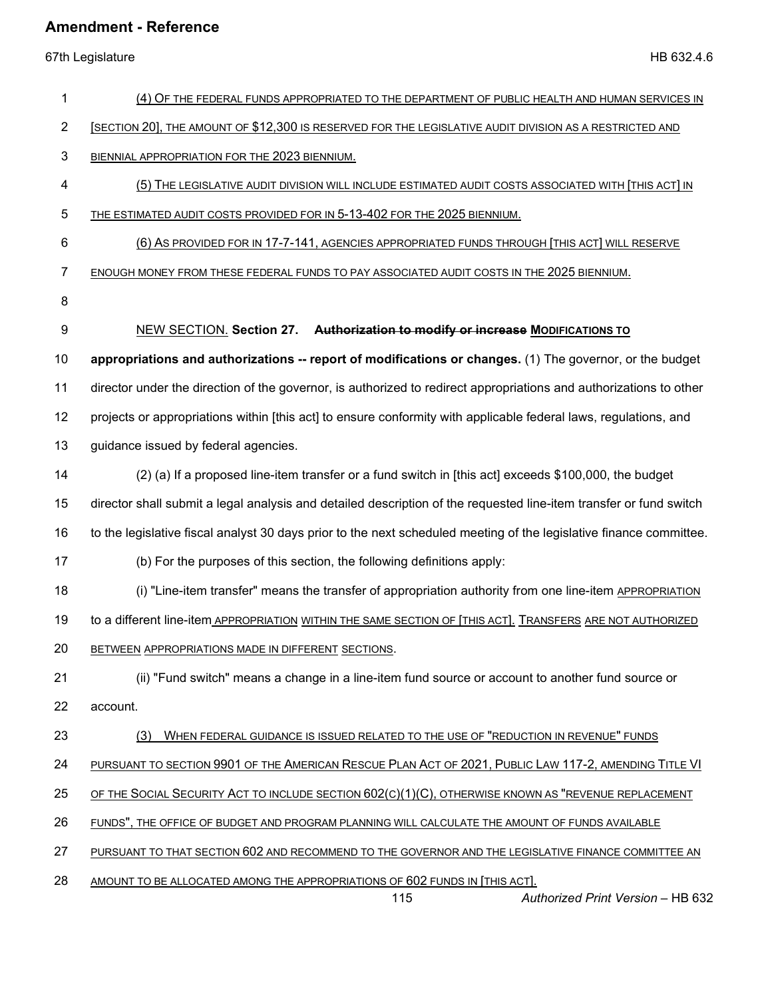| 1              | (4) OF THE FEDERAL FUNDS APPROPRIATED TO THE DEPARTMENT OF PUBLIC HEALTH AND HUMAN SERVICES IN                          |
|----------------|-------------------------------------------------------------------------------------------------------------------------|
| $\overline{2}$ | [SECTION 20], THE AMOUNT OF \$12,300 IS RESERVED FOR THE LEGISLATIVE AUDIT DIVISION AS A RESTRICTED AND                 |
| 3              | BIENNIAL APPROPRIATION FOR THE 2023 BIENNIUM.                                                                           |
| 4              | (5) THE LEGISLATIVE AUDIT DIVISION WILL INCLUDE ESTIMATED AUDIT COSTS ASSOCIATED WITH [THIS ACT] IN                     |
| 5              | THE ESTIMATED AUDIT COSTS PROVIDED FOR IN 5-13-402 FOR THE 2025 BIENNIUM.                                               |
| 6              | (6) AS PROVIDED FOR IN 17-7-141, AGENCIES APPROPRIATED FUNDS THROUGH [THIS ACT] WILL RESERVE                            |
| 7              | ENOUGH MONEY FROM THESE FEDERAL FUNDS TO PAY ASSOCIATED AUDIT COSTS IN THE 2025 BIENNIUM.                               |
| 8              |                                                                                                                         |
| 9              | NEW SECTION. Section 27. Authorization to modify or increase MODIFICATIONS TO                                           |
| 10             | appropriations and authorizations -- report of modifications or changes. (1) The governor, or the budget                |
| 11             | director under the direction of the governor, is authorized to redirect appropriations and authorizations to other      |
| 12             | projects or appropriations within [this act] to ensure conformity with applicable federal laws, regulations, and        |
| 13             | guidance issued by federal agencies.                                                                                    |
| 14             | (2) (a) If a proposed line-item transfer or a fund switch in [this act] exceeds \$100,000, the budget                   |
| 15             | director shall submit a legal analysis and detailed description of the requested line-item transfer or fund switch      |
| 16             | to the legislative fiscal analyst 30 days prior to the next scheduled meeting of the legislative finance committee.     |
| 17             | (b) For the purposes of this section, the following definitions apply:                                                  |
| 18             | (i) "Line-item transfer" means the transfer of appropriation authority from one line-item APPROPRIATION                 |
| 19             | to a different line-item APPROPRIATION WITHIN THE SAME SECTION OF [THIS ACT]. TRANSFERS ARE NOT AUTHORIZED              |
| 20             | BETWEEN APPROPRIATIONS MADE IN DIFFERENT SECTIONS.                                                                      |
| 21             | (ii) "Fund switch" means a change in a line-item fund source or account to another fund source or                       |
| 22             | account.                                                                                                                |
| 23             | WHEN FEDERAL GUIDANCE IS ISSUED RELATED TO THE USE OF "REDUCTION IN REVENUE" FUNDS<br>(3)                               |
| 24             | PURSUANT TO SECTION 9901 OF THE AMERICAN RESCUE PLAN ACT OF 2021, PUBLIC LAW 117-2, AMENDING TITLE VI                   |
| 25             | OF THE SOCIAL SECURITY ACT TO INCLUDE SECTION 602(C)(1)(C), OTHERWISE KNOWN AS "REVENUE REPLACEMENT                     |
| 26             | FUNDS", THE OFFICE OF BUDGET AND PROGRAM PLANNING WILL CALCULATE THE AMOUNT OF FUNDS AVAILABLE                          |
| 27             | PURSUANT TO THAT SECTION 602 AND RECOMMEND TO THE GOVERNOR AND THE LEGISLATIVE FINANCE COMMITTEE AN                     |
| 28             | AMOUNT TO BE ALLOCATED AMONG THE APPROPRIATIONS OF 602 FUNDS IN [THIS ACT].<br>115<br>Authorized Print Version - HB 632 |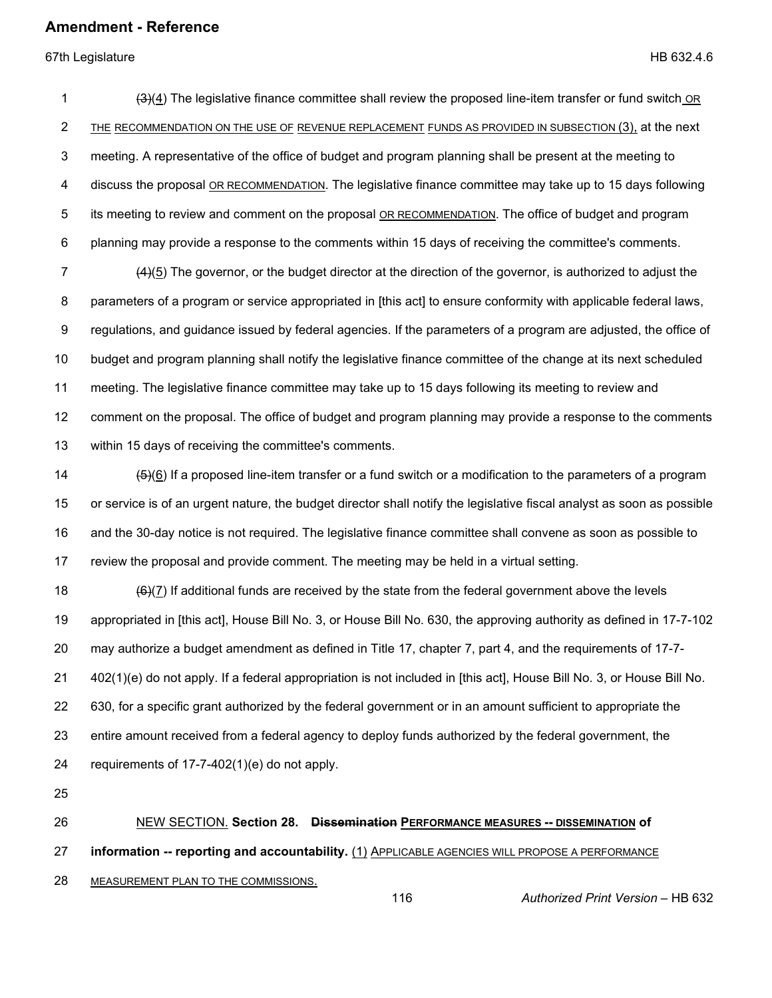67th Legislature HB 632.4.6

1 (3)(4) The legislative finance committee shall review the proposed line-item transfer or fund switch OR 2 THE RECOMMENDATION ON THE USE OF REVENUE REPLACEMENT FUNDS AS PROVIDED IN SUBSECTION (3), at the next 3 meeting. A representative of the office of budget and program planning shall be present at the meeting to 4 discuss the proposal OR RECOMMENDATION. The legislative finance committee may take up to 15 days following 5 its meeting to review and comment on the proposal OR RECOMMENDATION. The office of budget and program 6 planning may provide a response to the comments within 15 days of receiving the committee's comments. 7 (4)(5) The governor, or the budget director at the direction of the governor, is authorized to adjust the 8 parameters of a program or service appropriated in [this act] to ensure conformity with applicable federal laws, 9 regulations, and guidance issued by federal agencies. If the parameters of a program are adjusted, the office of 10 budget and program planning shall notify the legislative finance committee of the change at its next scheduled 11 meeting. The legislative finance committee may take up to 15 days following its meeting to review and 12 comment on the proposal. The office of budget and program planning may provide a response to the comments 13 within 15 days of receiving the committee's comments. 14 (5)(6) If a proposed line-item transfer or a fund switch or a modification to the parameters of a program 15 or service is of an urgent nature, the budget director shall notify the legislative fiscal analyst as soon as possible 16 and the 30-day notice is not required. The legislative finance committee shall convene as soon as possible to 17 review the proposal and provide comment. The meeting may be held in a virtual setting. 18  $(6)(7)$  If additional funds are received by the state from the federal government above the levels 19 appropriated in [this act], House Bill No. 3, or House Bill No. 630, the approving authority as defined in 17-7-102 20 may authorize a budget amendment as defined in Title 17, chapter 7, part 4, and the requirements of 17-7- 21 402(1)(e) do not apply. If a federal appropriation is not included in [this act], House Bill No. 3, or House Bill No. 22 630, for a specific grant authorized by the federal government or in an amount sufficient to appropriate the 23 entire amount received from a federal agency to deploy funds authorized by the federal government, the

- 24 requirements of 17-7-402(1)(e) do not apply.
- 25
- 26 NEW SECTION. **Section 28. Dissemination PERFORMANCE MEASURES -- DISSEMINATION of**

27 **information -- reporting and accountability.** (1) APPLICABLE AGENCIES WILL PROPOSE A PERFORMANCE

28 MEASUREMENT PLAN TO THE COMMISSIONS.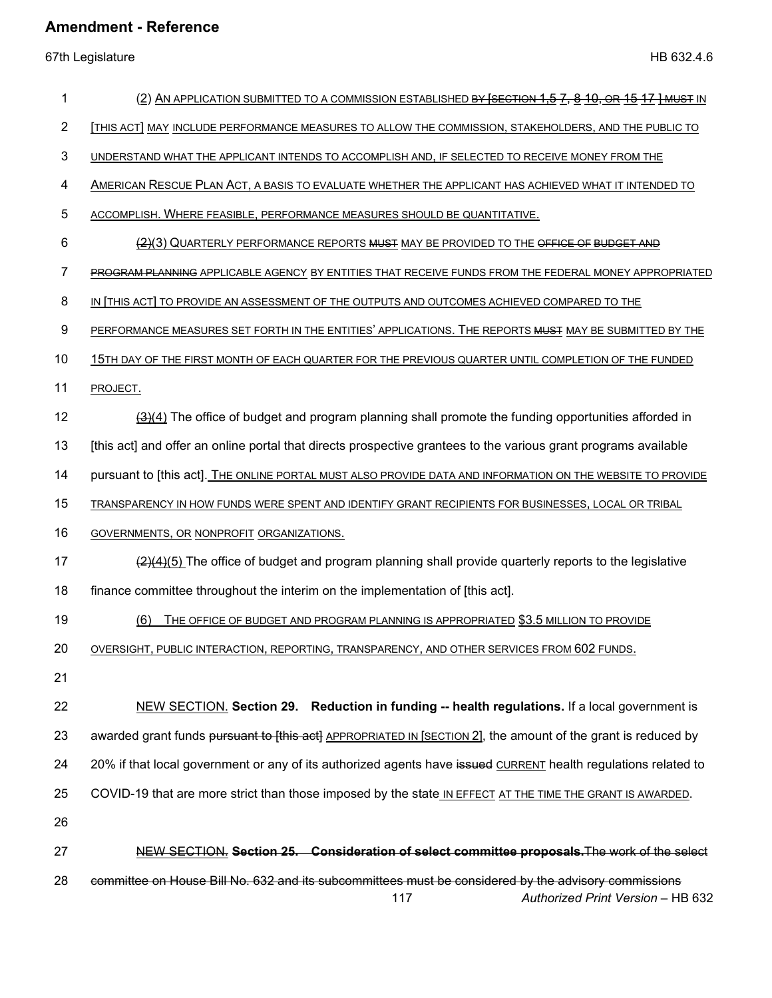| 1  | (2) AN APPLICATION SUBMITTED TO A COMMISSION ESTABLISHED <del>BY [SECTION 1,5 7, 8 10, OR 15 17 ] MUST</del> IN                                  |
|----|--------------------------------------------------------------------------------------------------------------------------------------------------|
| 2  | THIS ACT] MAY INCLUDE PERFORMANCE MEASURES TO ALLOW THE COMMISSION, STAKEHOLDERS, AND THE PUBLIC TO                                              |
| 3  | UNDERSTAND WHAT THE APPLICANT INTENDS TO ACCOMPLISH AND, IF SELECTED TO RECEIVE MONEY FROM THE                                                   |
| 4  | AMERICAN RESCUE PLAN ACT, A BASIS TO EVALUATE WHETHER THE APPLICANT HAS ACHIEVED WHAT IT INTENDED TO                                             |
| 5  | ACCOMPLISH. WHERE FEASIBLE, PERFORMANCE MEASURES SHOULD BE QUANTITATIVE.                                                                         |
| 6  | (2)(3) QUARTERLY PERFORMANCE REPORTS MUST MAY BE PROVIDED TO THE OFFICE OF BUDGET AND                                                            |
| 7  | PROGRAM PLANNING APPLICABLE AGENCY BY ENTITIES THAT RECEIVE FUNDS FROM THE FEDERAL MONEY APPROPRIATED                                            |
| 8  | IN THIS ACT] TO PROVIDE AN ASSESSMENT OF THE OUTPUTS AND OUTCOMES ACHIEVED COMPARED TO THE                                                       |
| 9  | PERFORMANCE MEASURES SET FORTH IN THE ENTITIES' APPLICATIONS. THE REPORTS MUST MAY BE SUBMITTED BY THE                                           |
| 10 | 15TH DAY OF THE FIRST MONTH OF EACH QUARTER FOR THE PREVIOUS QUARTER UNTIL COMPLETION OF THE FUNDED                                              |
| 11 | PROJECT.                                                                                                                                         |
| 12 | $\frac{(3)(4)}{(2)(4)}$ The office of budget and program planning shall promote the funding opportunities afforded in                            |
| 13 | [this act] and offer an online portal that directs prospective grantees to the various grant programs available                                  |
| 14 | pursuant to [this act]. THE ONLINE PORTAL MUST ALSO PROVIDE DATA AND INFORMATION ON THE WEBSITE TO PROVIDE                                       |
| 15 | TRANSPARENCY IN HOW FUNDS WERE SPENT AND IDENTIFY GRANT RECIPIENTS FOR BUSINESSES, LOCAL OR TRIBAL                                               |
| 16 | GOVERNMENTS, OR NONPROFIT ORGANIZATIONS.                                                                                                         |
| 17 | $\frac{2(4)(5)}{2}$ The office of budget and program planning shall provide quarterly reports to the legislative                                 |
| 18 | finance committee throughout the interim on the implementation of [this act].                                                                    |
| 19 | THE OFFICE OF BUDGET AND PROGRAM PLANNING IS APPROPRIATED \$3.5 MILLION TO PROVIDE<br>(6)                                                        |
| 20 | OVERSIGHT, PUBLIC INTERACTION, REPORTING, TRANSPARENCY, AND OTHER SERVICES FROM 602 FUNDS.                                                       |
| 21 |                                                                                                                                                  |
| 22 | NEW SECTION. Section 29. Reduction in funding -- health regulations. If a local government is                                                    |
| 23 | awarded grant funds pursuant to [this act] APPROPRIATED IN [SECTION 2], the amount of the grant is reduced by                                    |
| 24 | 20% if that local government or any of its authorized agents have issued CURRENT health regulations related to                                   |
| 25 | COVID-19 that are more strict than those imposed by the state IN EFFECT AT THE TIME THE GRANT IS AWARDED.                                        |
| 26 |                                                                                                                                                  |
| 27 | NEW SECTION. Section 25. Consideration of select committee proposals. The work of the select                                                     |
| 28 | committee on House Bill No. 632 and its subcommittees must be considered by the advisory commissions<br>117<br>Authorized Print Version - HB 632 |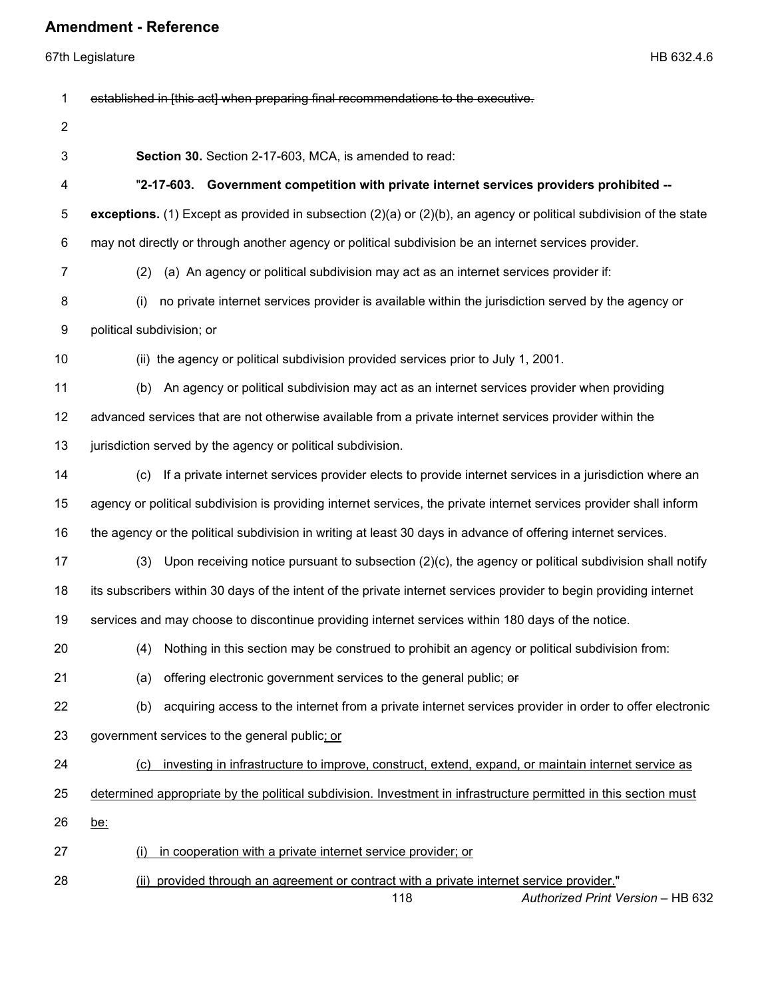| 1              | established in [this act] when preparing final recommendations to the executive.                                                      |
|----------------|---------------------------------------------------------------------------------------------------------------------------------------|
| $\overline{2}$ |                                                                                                                                       |
| 3              | Section 30. Section 2-17-603, MCA, is amended to read:                                                                                |
| 4              | "2-17-603. Government competition with private internet services providers prohibited --                                              |
| 5              | <b>exceptions.</b> (1) Except as provided in subsection $(2)(a)$ or $(2)(b)$ , an agency or political subdivision of the state        |
| 6              | may not directly or through another agency or political subdivision be an internet services provider.                                 |
| 7              | (a) An agency or political subdivision may act as an internet services provider if:<br>(2)                                            |
| 8              | no private internet services provider is available within the jurisdiction served by the agency or<br>(i)                             |
| 9              | political subdivision; or                                                                                                             |
| 10             | (ii) the agency or political subdivision provided services prior to July 1, 2001.                                                     |
| 11             | An agency or political subdivision may act as an internet services provider when providing<br>(b)                                     |
| 12             | advanced services that are not otherwise available from a private internet services provider within the                               |
| 13             | jurisdiction served by the agency or political subdivision.                                                                           |
| 14             | If a private internet services provider elects to provide internet services in a jurisdiction where an<br>(c)                         |
| 15             | agency or political subdivision is providing internet services, the private internet services provider shall inform                   |
| 16             | the agency or the political subdivision in writing at least 30 days in advance of offering internet services.                         |
| 17             | Upon receiving notice pursuant to subsection $(2)(c)$ , the agency or political subdivision shall notify<br>(3)                       |
| 18             | its subscribers within 30 days of the intent of the private internet services provider to begin providing internet                    |
| 19             | services and may choose to discontinue providing internet services within 180 days of the notice.                                     |
| 20             | (4) Nothing in this section may be construed to prohibit an agency or political subdivision from:                                     |
| 21             | offering electronic government services to the general public; or<br>(a)                                                              |
| 22             | acquiring access to the internet from a private internet services provider in order to offer electronic<br>(b)                        |
| 23             | government services to the general public; or                                                                                         |
| 24             | investing in infrastructure to improve, construct, extend, expand, or maintain internet service as<br>(c)                             |
| 25             | determined appropriate by the political subdivision. Investment in infrastructure permitted in this section must                      |
| 26             | be:                                                                                                                                   |
| 27             | in cooperation with a private internet service provider; or                                                                           |
| 28             | (ii) provided through an agreement or contract with a private internet service provider."<br>118<br>Authorized Print Version - HB 632 |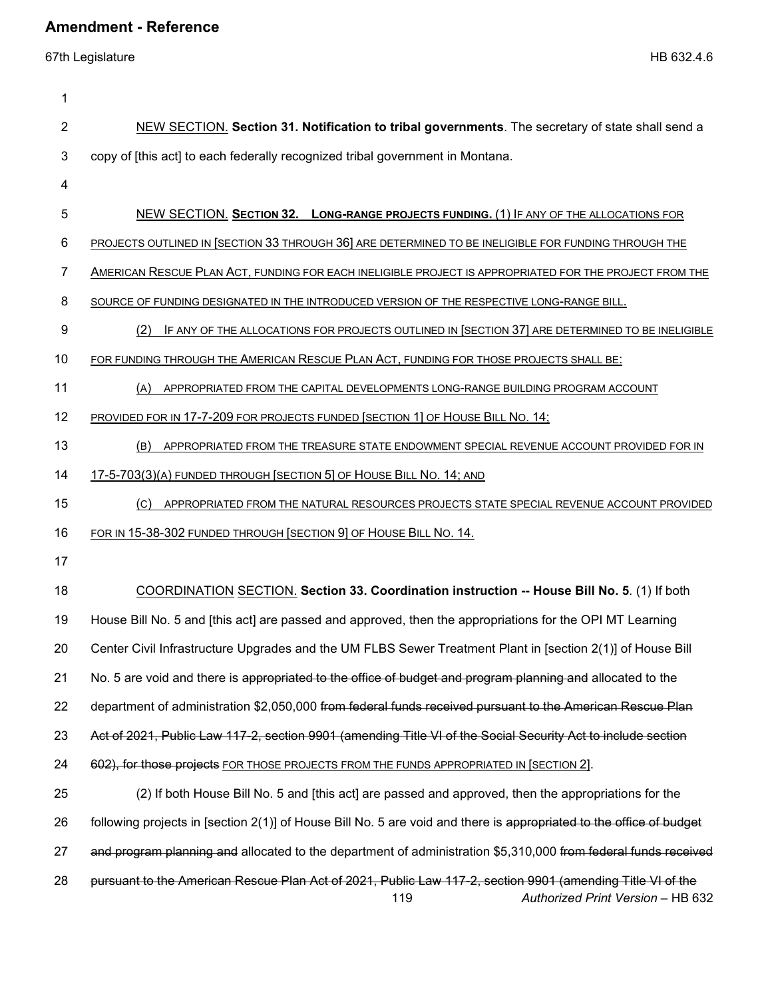| 1  |                                                                                                                                                        |
|----|--------------------------------------------------------------------------------------------------------------------------------------------------------|
| 2  | NEW SECTION. Section 31. Notification to tribal governments. The secretary of state shall send a                                                       |
| 3  | copy of [this act] to each federally recognized tribal government in Montana.                                                                          |
| 4  |                                                                                                                                                        |
| 5  | NEW SECTION. SECTION 32. LONG-RANGE PROJECTS FUNDING. (1) IF ANY OF THE ALLOCATIONS FOR                                                                |
| 6  | PROJECTS OUTLINED IN [SECTION 33 THROUGH 36] ARE DETERMINED TO BE INELIGIBLE FOR FUNDING THROUGH THE                                                   |
| 7  | AMERICAN RESCUE PLAN ACT, FUNDING FOR EACH INELIGIBLE PROJECT IS APPROPRIATED FOR THE PROJECT FROM THE                                                 |
| 8  | SOURCE OF FUNDING DESIGNATED IN THE INTRODUCED VERSION OF THE RESPECTIVE LONG-RANGE BILL.                                                              |
| 9  | IF ANY OF THE ALLOCATIONS FOR PROJECTS OUTLINED IN [SECTION 37] ARE DETERMINED TO BE INELIGIBLE<br>(2)                                                 |
| 10 | FOR FUNDING THROUGH THE AMERICAN RESCUE PLAN ACT, FUNDING FOR THOSE PROJECTS SHALL BE:                                                                 |
| 11 | (A)<br>APPROPRIATED FROM THE CAPITAL DEVELOPMENTS LONG-RANGE BUILDING PROGRAM ACCOUNT                                                                  |
| 12 | PROVIDED FOR IN 17-7-209 FOR PROJECTS FUNDED [SECTION 1] OF HOUSE BILL NO. 14;                                                                         |
| 13 | (B)<br>APPROPRIATED FROM THE TREASURE STATE ENDOWMENT SPECIAL REVENUE ACCOUNT PROVIDED FOR IN                                                          |
| 14 | 17-5-703(3)(A) FUNDED THROUGH [SECTION 5] OF HOUSE BILL NO. 14; AND                                                                                    |
| 15 | APPROPRIATED FROM THE NATURAL RESOURCES PROJECTS STATE SPECIAL REVENUE ACCOUNT PROVIDED<br>(C)                                                         |
| 16 | FOR IN 15-38-302 FUNDED THROUGH [SECTION 9] OF HOUSE BILL NO. 14.                                                                                      |
| 17 |                                                                                                                                                        |
| 18 | COORDINATION SECTION. Section 33. Coordination instruction -- House Bill No. 5. (1) If both                                                            |
| 19 | House Bill No. 5 and [this act] are passed and approved, then the appropriations for the OPI MT Learning                                               |
| 20 | Center Civil Infrastructure Upgrades and the UM FLBS Sewer Treatment Plant in [section 2(1)] of House Bill                                             |
| 21 | No. 5 are void and there is appropriated to the office of budget and program planning and allocated to the                                             |
| 22 | department of administration \$2,050,000 from federal funds received pursuant to the American Rescue Plan                                              |
| 23 | Act of 2021, Public Law 117-2, section 9901 (amending Title VI of the Social Security Act to include section                                           |
| 24 | 602), for those projects FOR THOSE PROJECTS FROM THE FUNDS APPROPRIATED IN [SECTION 2].                                                                |
| 25 | (2) If both House Bill No. 5 and [this act] are passed and approved, then the appropriations for the                                                   |
| 26 | following projects in [section 2(1)] of House Bill No. 5 are void and there is appropriated to the office of budget                                    |
| 27 | and program planning and allocated to the department of administration \$5,310,000 from federal funds received                                         |
| 28 | pursuant to the American Rescue Plan Act of 2021, Public Law 117-2, section 9901 (amending Title VI of the<br>119<br>Authorized Print Version - HB 632 |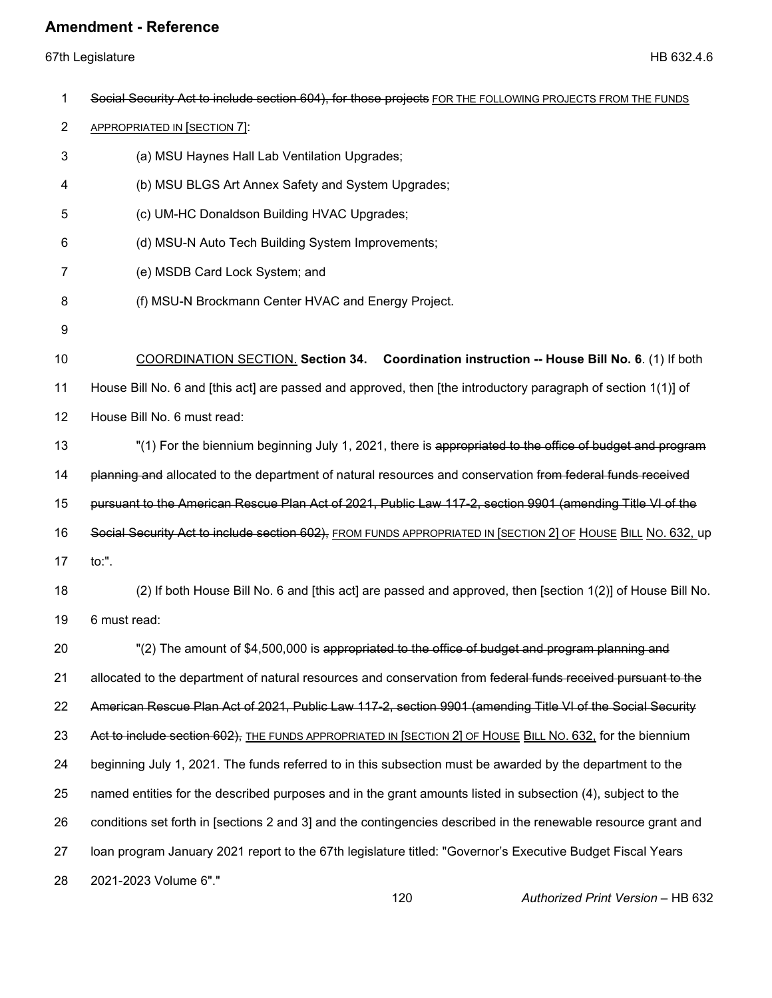67th Legislature HB 632.4.6

| 1              | Social Security Act to include section 604), for those projects FOR THE FOLLOWING PROJECTS FROM THE FUNDS      |
|----------------|----------------------------------------------------------------------------------------------------------------|
| $\overline{2}$ | APPROPRIATED IN [SECTION 7]:                                                                                   |
| 3              | (a) MSU Haynes Hall Lab Ventilation Upgrades;                                                                  |
| 4              | (b) MSU BLGS Art Annex Safety and System Upgrades;                                                             |
| 5              | (c) UM-HC Donaldson Building HVAC Upgrades;                                                                    |
| 6              | (d) MSU-N Auto Tech Building System Improvements;                                                              |
| 7              | (e) MSDB Card Lock System; and                                                                                 |
| 8              | (f) MSU-N Brockmann Center HVAC and Energy Project.                                                            |
| 9              |                                                                                                                |
| 10             | COORDINATION SECTION. Section 34. Coordination instruction -- House Bill No. 6. (1) If both                    |
| 11             | House Bill No. 6 and [this act] are passed and approved, then [the introductory paragraph of section 1(1)] of  |
| 12             | House Bill No. 6 must read:                                                                                    |
| 13             | "(1) For the biennium beginning July 1, 2021, there is appropriated to the office of budget and program        |
| 14             | planning and allocated to the department of natural resources and conservation from federal funds received     |
| 15             | pursuant to the American Rescue Plan Act of 2021, Public Law 117-2, section 9901 (amending Title VI of the     |
| 16             | Social Security Act to include section 602), FROM FUNDS APPROPRIATED IN [SECTION 2] OF HOUSE BILL NO. 632, up  |
| 17             | $\mathsf{to}$ :".                                                                                              |
| 18             | (2) If both House Bill No. 6 and [this act] are passed and approved, then [section 1(2)] of House Bill No.     |
| 19             | 6 must read:                                                                                                   |
| 20             | "(2) The amount of \$4,500,000 is appropriated to the office of budget and program planning and                |
| 21             | allocated to the department of natural resources and conservation from federal funds received pursuant to the  |
| 22             | American Rescue Plan Act of 2021, Public Law 117-2, section 9901 (amending Title VI of the Social Security     |
| 23             | Act to include section 602), THE FUNDS APPROPRIATED IN [SECTION 2] OF HOUSE BILL NO. 632, for the biennium     |
| 24             | beginning July 1, 2021. The funds referred to in this subsection must be awarded by the department to the      |
| 25             | named entities for the described purposes and in the grant amounts listed in subsection (4), subject to the    |
| 26             | conditions set forth in [sections 2 and 3] and the contingencies described in the renewable resource grant and |
| 27             | loan program January 2021 report to the 67th legislature titled: "Governor's Executive Budget Fiscal Years     |
| 28             | 2021-2023 Volume 6"."                                                                                          |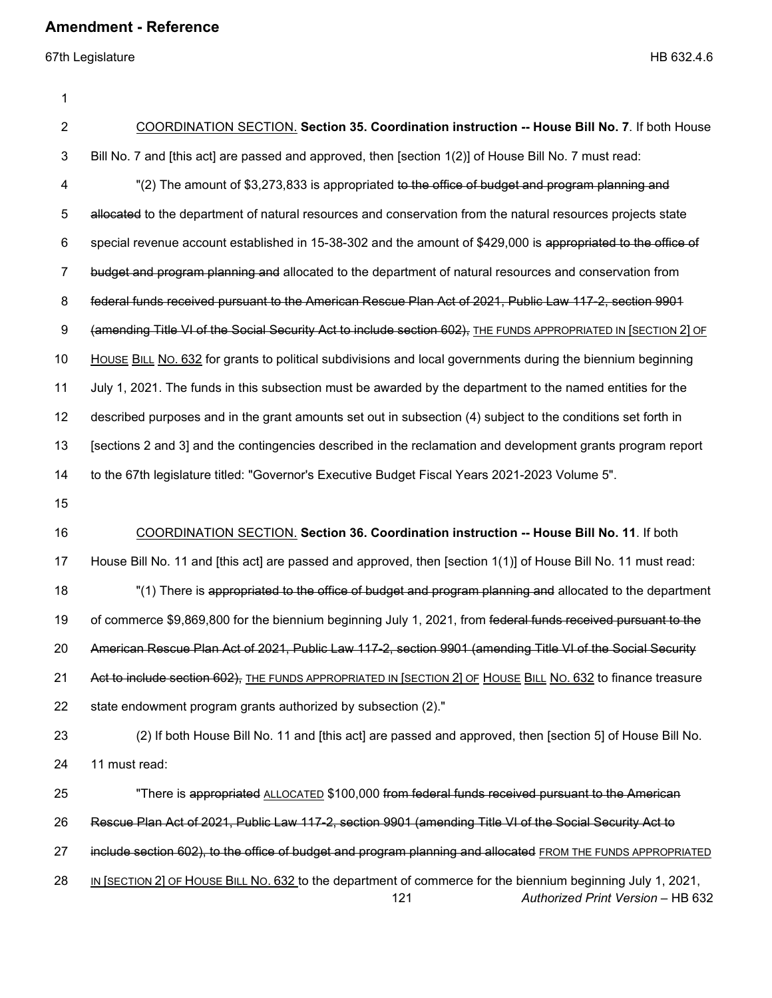67th Legislature HB 632.4.6

1

| 2  | <b>COORDINATION SECTION. Section 35. Coordination instruction -- House Bill No. 7.</b> If both House                                                    |
|----|---------------------------------------------------------------------------------------------------------------------------------------------------------|
| 3  | Bill No. 7 and [this act] are passed and approved, then [section 1(2)] of House Bill No. 7 must read:                                                   |
| 4  | "(2) The amount of \$3,273,833 is appropriated to the office of budget and program planning and                                                         |
| 5  | allocated to the department of natural resources and conservation from the natural resources projects state                                             |
| 6  | special revenue account established in 15-38-302 and the amount of \$429,000 is appropriated to the office of                                           |
| 7  | budget and program planning and allocated to the department of natural resources and conservation from                                                  |
| 8  | federal funds received pursuant to the American Rescue Plan Act of 2021, Public Law 117-2, section 9901                                                 |
| 9  | (amending Title VI of the Social Security Act to include section 602), THE FUNDS APPROPRIATED IN [SECTION 2] OF                                         |
| 10 | HOUSE BILL NO. 632 for grants to political subdivisions and local governments during the biennium beginning                                             |
| 11 | July 1, 2021. The funds in this subsection must be awarded by the department to the named entities for the                                              |
| 12 | described purposes and in the grant amounts set out in subsection (4) subject to the conditions set forth in                                            |
| 13 | [sections 2 and 3] and the contingencies described in the reclamation and development grants program report                                             |
| 14 | to the 67th legislature titled: "Governor's Executive Budget Fiscal Years 2021-2023 Volume 5".                                                          |
| 15 |                                                                                                                                                         |
| 16 | COORDINATION SECTION. Section 36. Coordination instruction -- House Bill No. 11. If both                                                                |
| 17 | House Bill No. 11 and [this act] are passed and approved, then [section 1(1)] of House Bill No. 11 must read:                                           |
| 18 | "(1) There is appropriated to the office of budget and program planning and allocated to the department                                                 |
| 19 | of commerce \$9,869,800 for the biennium beginning July 1, 2021, from federal funds received pursuant to the                                            |
| 20 | American Rescue Plan Act of 2021, Public Law 117-2, section 9901 (amending Title VI of the Social Security                                              |
| 21 | Act to include section 602), THE FUNDS APPROPRIATED IN [SECTION 2] OF HOUSE BILL NO. 632 to finance treasure                                            |
| 22 | state endowment program grants authorized by subsection (2)."                                                                                           |
| 23 | (2) If both House Bill No. 11 and [this act] are passed and approved, then [section 5] of House Bill No.                                                |
| 24 | 11 must read:                                                                                                                                           |
| 25 | "There is appropriated ALLOCATED \$100,000 from federal funds received pursuant to the American                                                         |
| 26 | Rescue Plan Act of 2021, Public Law 117-2, section 9901 (amending Title VI of the Social Security Act to                                                |
| 27 | include section 602), to the office of budget and program planning and allocated FROM THE FUNDS APPROPRIATED                                            |
| 28 | IN [SECTION 2] OF HOUSE BILL NO. 632 to the department of commerce for the biennium beginning July 1, 2021,<br>121<br>Authorized Print Version - HB 632 |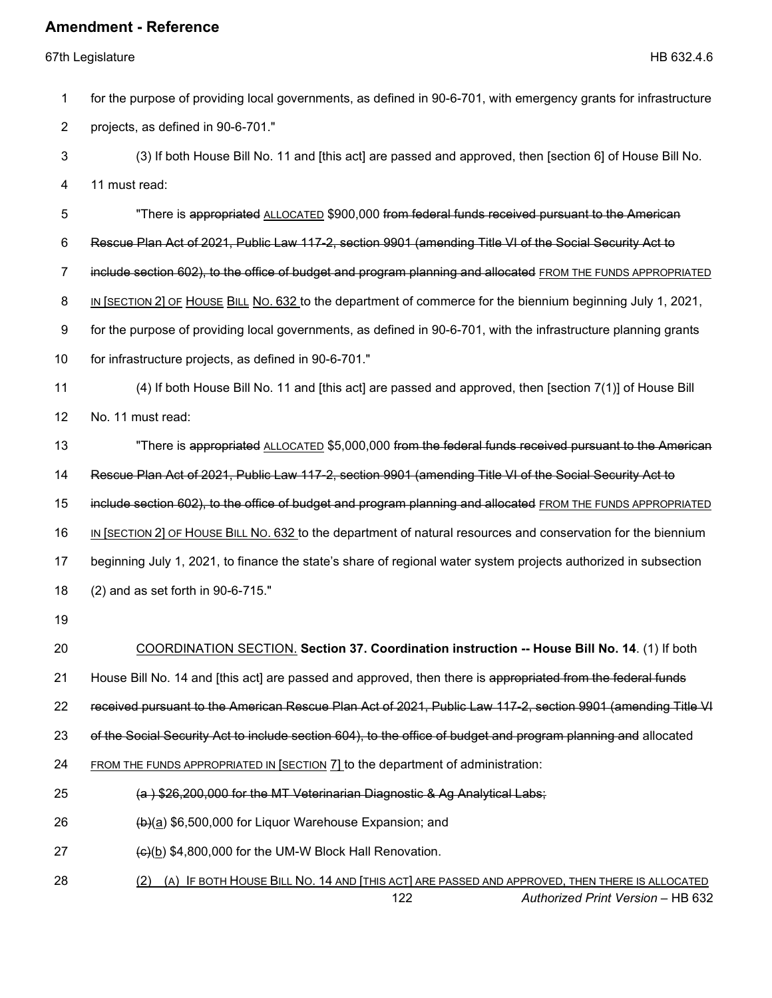67th Legislature HB 632.4.6

|     | for the purpose of providing local governments, as defined in 90-6-701, with emergency grants for infrastructure |
|-----|------------------------------------------------------------------------------------------------------------------|
|     | projects, as defined in 90-6-701."                                                                               |
|     | (3) If both House Bill No. 11 and [this act] are passed and approved, then [section 6] of House Bill No.         |
| - 4 | 11 must read:                                                                                                    |

5 "There is appropriated ALLOCATED \$900,000 from federal funds received pursuant to the American 6 Rescue Plan Act of 2021, Public Law 117-2, section 9901 (amending Title VI of the Social Security Act to 7 include section 602), to the office of budget and program planning and allocated FROM THE FUNDS APPROPRIATED 8 IN [SECTION 2] OF HOUSE BILL NO. 632 to the department of commerce for the biennium beginning July 1, 2021, 9 for the purpose of providing local governments, as defined in 90-6-701, with the infrastructure planning grants 10 for infrastructure projects, as defined in 90-6-701." 11 (4) If both House Bill No. 11 and [this act] are passed and approved, then [section 7(1)] of House Bill 12 No. 11 must read: 13 "There is appropriated ALLOCATED \$5,000,000 from the federal funds received pursuant to the American 14 Rescue Plan Act of 2021, Public Law 117-2, section 9901 (amending Title VI of the Social Security Act to 15 include section 602), to the office of budget and program planning and allocated FROM THE FUNDS APPROPRIATED 16 IN [SECTION 2] OF HOUSE BILL NO. 632 to the department of natural resources and conservation for the biennium 17 beginning July 1, 2021, to finance the state's share of regional water system projects authorized in subsection 18 (2) and as set forth in 90-6-715." 19

- 
- 20 COORDINATION SECTION. **Section 37. Coordination instruction -- House Bill No. 14**. (1) If both
- 21 House Bill No. 14 and [this act] are passed and approved, then there is appropriated from the federal funds

22 received pursuant to the American Rescue Plan Act of 2021, Public Law 117-2, section 9901 (amending Title VI

23 of the Social Security Act to include section 604), to the office of budget and program planning and allocated

24 FROM THE FUNDS APPROPRIATED IN [SECTION 7] to the department of administration:

- 25 (a ) \$26,200,000 for the MT Veterinarian Diagnostic & Ag Analytical Labs;
- 26 (b)(a) \$6,500,000 for Liquor Warehouse Expansion; and
- 27  $\left(\frac{e}{c}\right)$  \$4,800,000 for the UM-W Block Hall Renovation.
- 122 *Authorized Print Version* HB 632 28 (2) (A) IF BOTH HOUSE BILL NO. 14 AND [THIS ACT] ARE PASSED AND APPROVED, THEN THERE IS ALLOCATED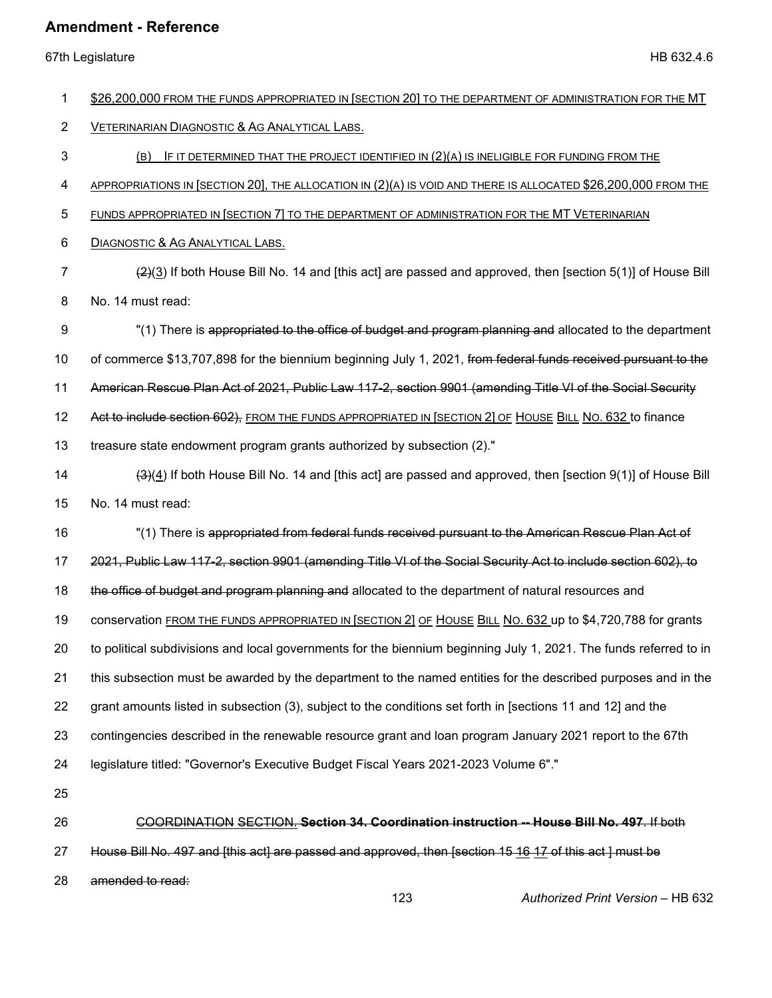67th Legislature HB 632.4.6

| 1              | \$26,200,000 FROM THE FUNDS APPROPRIATED IN [SECTION 20] TO THE DEPARTMENT OF ADMINISTRATION FOR THE MT              |
|----------------|----------------------------------------------------------------------------------------------------------------------|
| $\overline{2}$ | VETERINARIAN DIAGNOSTIC & AG ANALYTICAL LABS.                                                                        |
|                |                                                                                                                      |
| 3              | IF IT DETERMINED THAT THE PROJECT IDENTIFIED IN $(2)(A)$ IS INELIGIBLE FOR FUNDING FROM THE<br>(B)                   |
| 4              | APPROPRIATIONS IN [SECTION 20], THE ALLOCATION IN (2)(A) IS VOID AND THERE IS ALLOCATED \$26,200,000 FROM THE        |
| 5              | FUNDS APPROPRIATED IN [SECTION 7] TO THE DEPARTMENT OF ADMINISTRATION FOR THE MT VETERINARIAN                        |
| 6              | DIAGNOSTIC & AG ANALYTICAL LABS.                                                                                     |
| 7              | $\frac{2(2)}{2}$ If both House Bill No. 14 and [this act] are passed and approved, then [section 5(1)] of House Bill |
| 8              | No. 14 must read:                                                                                                    |
| 9              | "(1) There is appropriated to the office of budget and program planning and allocated to the department              |
| 10             | of commerce \$13,707,898 for the biennium beginning July 1, 2021, from federal funds received pursuant to the        |
| 11             | American Rescue Plan Act of 2021, Public Law 117-2, section 9901 (amending Title VI of the Social Security           |
| 12             | Act to include section 602), FROM THE FUNDS APPROPRIATED IN [SECTION 2] OF HOUSE BILL NO. 632 to finance             |
| 13             | treasure state endowment program grants authorized by subsection (2)."                                               |
| 14             | (3)(4) If both House Bill No. 14 and [this act] are passed and approved, then [section 9(1)] of House Bill           |
| 15             | No. 14 must read:                                                                                                    |
| 16             | "(1) There is appropriated from federal funds received pursuant to the American Rescue Plan Act of                   |
| 17             | 2021, Public Law 117-2, section 9901 (amending Title VI of the Social Security Act to include section 602), to       |
| 18             | the office of budget and program planning and allocated to the department of natural resources and                   |
| 19             | conservation FROM THE FUNDS APPROPRIATED IN [SECTION 2] OF HOUSE BILL NO. 632 up to \$4,720,788 for grants           |
| 20             | to political subdivisions and local governments for the biennium beginning July 1, 2021. The funds referred to in    |
| 21             | this subsection must be awarded by the department to the named entities for the described purposes and in the        |
| 22             | grant amounts listed in subsection (3), subject to the conditions set forth in [sections 11 and 12] and the          |
| 23             | contingencies described in the renewable resource grant and loan program January 2021 report to the 67th             |
| 24             | legislature titled: "Governor's Executive Budget Fiscal Years 2021-2023 Volume 6"."                                  |
| 25             |                                                                                                                      |
| 26             | COORDINATION SECTION. Section 34. Coordination instruction -- House Bill No. 497. If both                            |
| 27             | House Bill No. 497 and [this act] are passed and approved, then [section 15 16 17 of this act ] must be              |
| 28             | amended to read:                                                                                                     |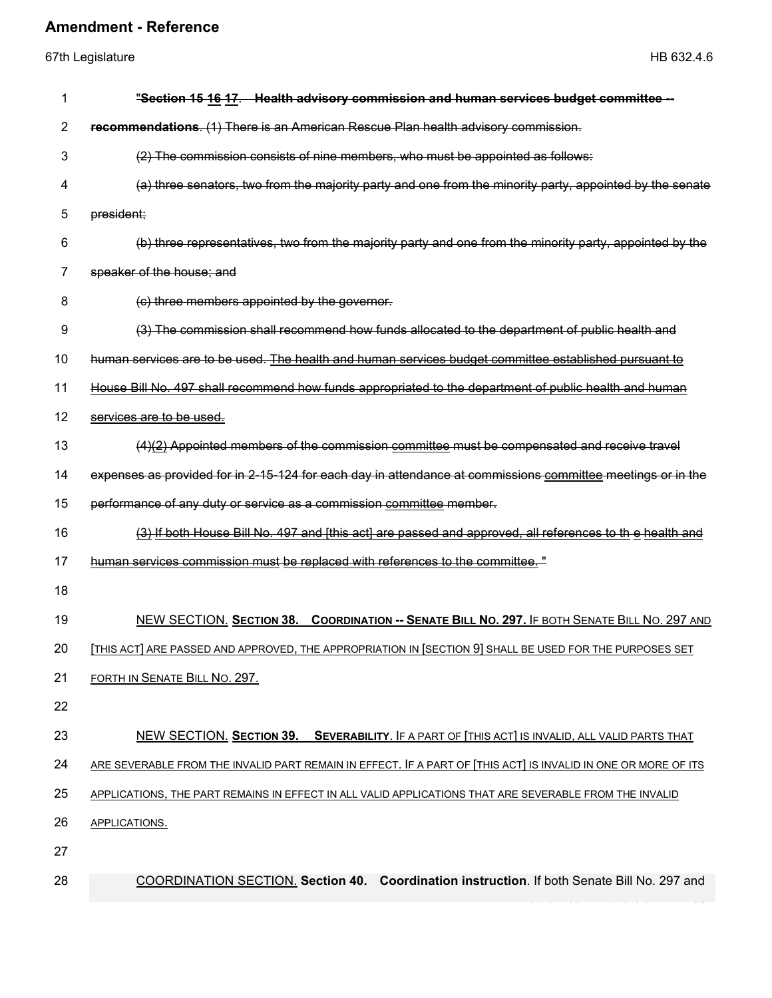| <b>Amendment - Reference</b><br>67th Legislature<br>HB 632.4.6 |                                                                                                             |  |
|----------------------------------------------------------------|-------------------------------------------------------------------------------------------------------------|--|
|                                                                |                                                                                                             |  |
| $\overline{2}$                                                 | recommendations. (1) There is an American Rescue Plan health advisory commission.                           |  |
| 3                                                              | (2) The commission consists of nine members, who must be appointed as follows:                              |  |
| 4                                                              | (a) three senators, two from the majority party and one from the minority party, appointed by the senate    |  |
| 5                                                              | president;                                                                                                  |  |
| 6                                                              | (b) three representatives, two from the majority party and one from the minority party, appointed by the    |  |
| 7                                                              | speaker of the house; and                                                                                   |  |
| 8                                                              | (c) three members appointed by the governor.                                                                |  |
| 9                                                              | (3) The commission shall recommend how funds allocated to the department of public health and               |  |
| 10                                                             | human services are to be used. The health and human services budget committee established pursuant to       |  |
| 11                                                             | House Bill No. 497 shall recommend how funds appropriated to the department of public health and human      |  |
| 12                                                             | services are to be used.                                                                                    |  |
| 13                                                             | $(4)(2)$ Appointed members of the commission committee must be compensated and receive travel               |  |
| 14                                                             | expenses as provided for in 2-15-124 for each day in attendance at commissions committee meetings or in the |  |
| 15                                                             | performance of any duty or service as a commission committee member.                                        |  |
| 16                                                             | (3) If both House Bill No. 497 and [this act] are passed and approved, all references to the health and     |  |
| 17                                                             | human services commission must be replaced with references to the committee."                               |  |

18

19 NEW SECTION. **SECTION 38. COORDINATION -- SENATE BILL NO. 297.** IF BOTH SENATE BILL NO. 297 AND

20 [THIS ACT] ARE PASSED AND APPROVED, THE APPROPRIATION IN [SECTION 9] SHALL BE USED FOR THE PURPOSES SET

- 21 FORTH IN SENATE BILL NO. 297.
- 22

# 23 NEW SECTION. **SECTION 39. SEVERABILITY**. IF A PART OF [THIS ACT] IS INVALID, ALL VALID PARTS THAT 24 ARE SEVERABLE FROM THE INVALID PART REMAIN IN EFFECT. IF A PART OF [THIS ACT] IS INVALID IN ONE OR MORE OF ITS

25 APPLICATIONS, THE PART REMAINS IN EFFECT IN ALL VALID APPLICATIONS THAT ARE SEVERABLE FROM THE INVALID

26 APPLICATIONS.

27

28 COORDINATION SECTION. **Section 40. Coordination instruction**. If both Senate Bill No. 297 and